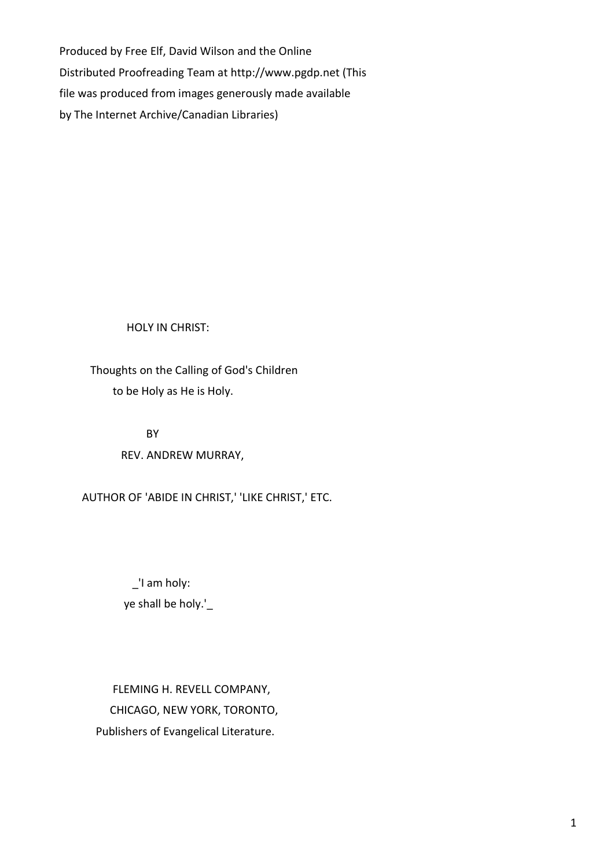Produced by Free Elf, David Wilson and the Online Distributed Proofreading Team at http://www.pgdp.net (This file was produced from images generously made available by The Internet Archive/Canadian Libraries)

HOLY IN CHRIST:

 Thoughts on the Calling of God's Children to be Holy as He is Holy.

> BY REV. ANDREW MURRAY,

AUTHOR OF 'ABIDE IN CHRIST,' 'LIKE CHRIST,' ETC.

 \_'I am holy: ye shall be holy.'\_

 FLEMING H. REVELL COMPANY, CHICAGO, NEW YORK, TORONTO, Publishers of Evangelical Literature.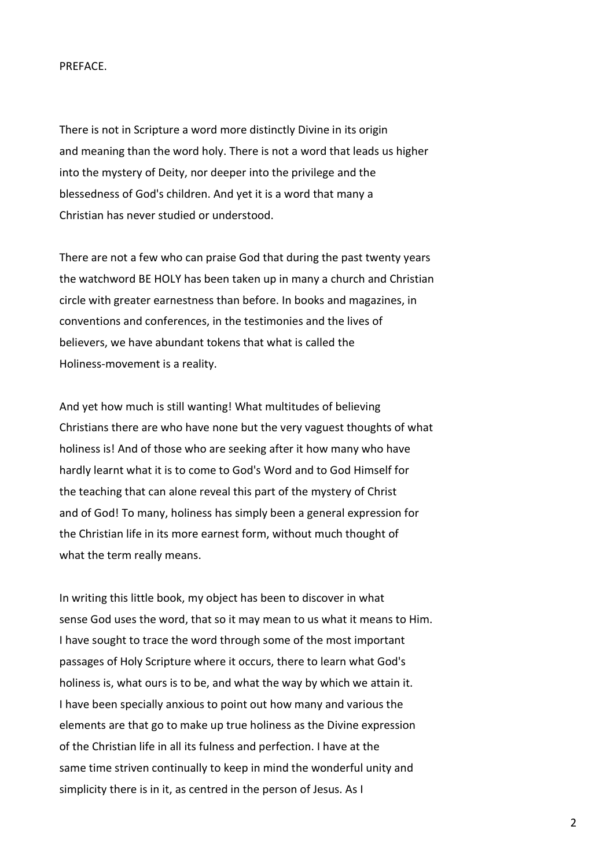## PREFACE.

There is not in Scripture a word more distinctly Divine in its origin and meaning than the word holy. There is not a word that leads us higher into the mystery of Deity, nor deeper into the privilege and the blessedness of God's children. And yet it is a word that many a Christian has never studied or understood.

There are not a few who can praise God that during the past twenty years the watchword BE HOLY has been taken up in many a church and Christian circle with greater earnestness than before. In books and magazines, in conventions and conferences, in the testimonies and the lives of believers, we have abundant tokens that what is called the Holiness-movement is a reality.

And yet how much is still wanting! What multitudes of believing Christians there are who have none but the very vaguest thoughts of what holiness is! And of those who are seeking after it how many who have hardly learnt what it is to come to God's Word and to God Himself for the teaching that can alone reveal this part of the mystery of Christ and of God! To many, holiness has simply been a general expression for the Christian life in its more earnest form, without much thought of what the term really means.

In writing this little book, my object has been to discover in what sense God uses the word, that so it may mean to us what it means to Him. I have sought to trace the word through some of the most important passages of Holy Scripture where it occurs, there to learn what God's holiness is, what ours is to be, and what the way by which we attain it. I have been specially anxious to point out how many and various the elements are that go to make up true holiness as the Divine expression of the Christian life in all its fulness and perfection. I have at the same time striven continually to keep in mind the wonderful unity and simplicity there is in it, as centred in the person of Jesus. As I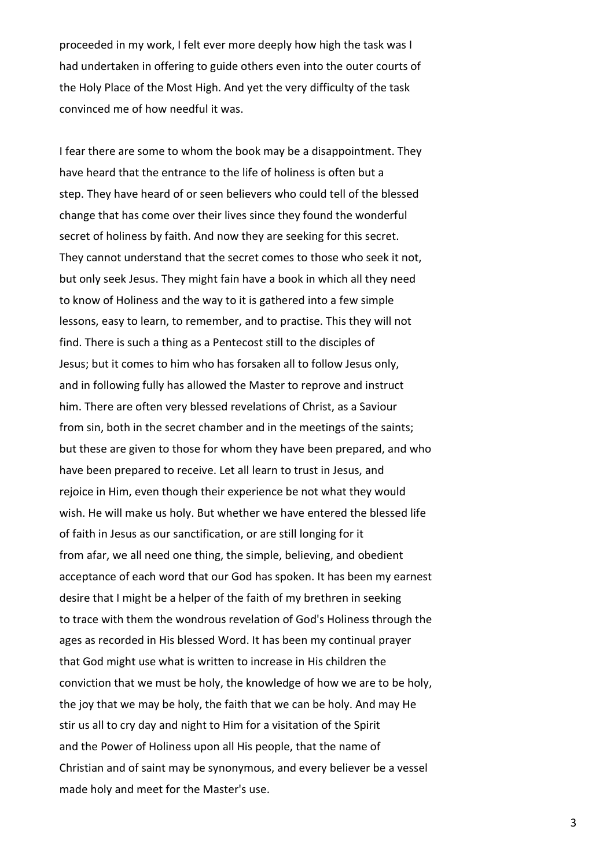proceeded in my work, I felt ever more deeply how high the task was I had undertaken in offering to guide others even into the outer courts of the Holy Place of the Most High. And yet the very difficulty of the task convinced me of how needful it was.

I fear there are some to whom the book may be a disappointment. They have heard that the entrance to the life of holiness is often but a step. They have heard of or seen believers who could tell of the blessed change that has come over their lives since they found the wonderful secret of holiness by faith. And now they are seeking for this secret. They cannot understand that the secret comes to those who seek it not, but only seek Jesus. They might fain have a book in which all they need to know of Holiness and the way to it is gathered into a few simple lessons, easy to learn, to remember, and to practise. This they will not find. There is such a thing as a Pentecost still to the disciples of Jesus; but it comes to him who has forsaken all to follow Jesus only, and in following fully has allowed the Master to reprove and instruct him. There are often very blessed revelations of Christ, as a Saviour from sin, both in the secret chamber and in the meetings of the saints; but these are given to those for whom they have been prepared, and who have been prepared to receive. Let all learn to trust in Jesus, and rejoice in Him, even though their experience be not what they would wish. He will make us holy. But whether we have entered the blessed life of faith in Jesus as our sanctification, or are still longing for it from afar, we all need one thing, the simple, believing, and obedient acceptance of each word that our God has spoken. It has been my earnest desire that I might be a helper of the faith of my brethren in seeking to trace with them the wondrous revelation of God's Holiness through the ages as recorded in His blessed Word. It has been my continual prayer that God might use what is written to increase in His children the conviction that we must be holy, the knowledge of how we are to be holy, the joy that we may be holy, the faith that we can be holy. And may He stir us all to cry day and night to Him for a visitation of the Spirit and the Power of Holiness upon all His people, that the name of Christian and of saint may be synonymous, and every believer be a vessel made holy and meet for the Master's use.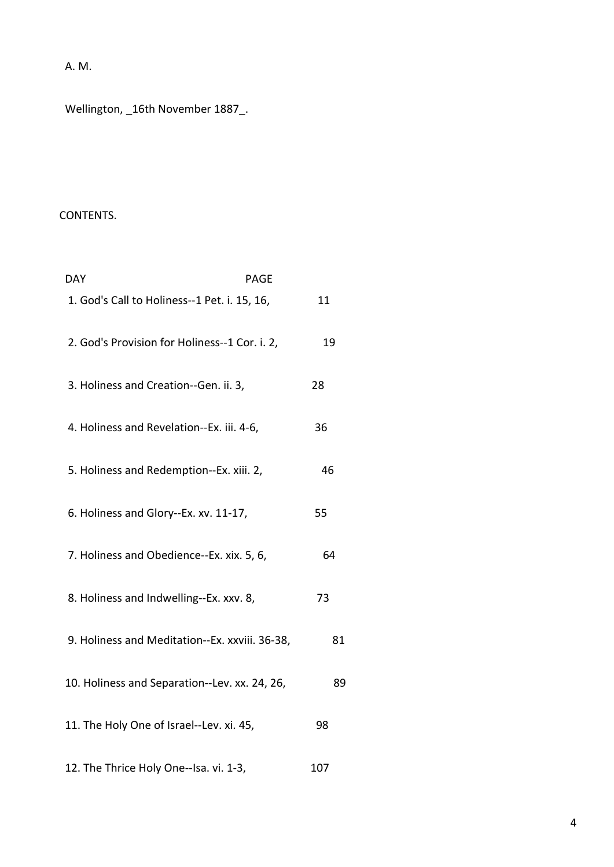A. M.

Wellington, \_16th November 1887\_.

## CONTENTS.

| <b>DAY</b><br><b>PAGE</b>                      |     |
|------------------------------------------------|-----|
| 1. God's Call to Holiness--1 Pet. i. 15, 16,   | 11  |
| 2. God's Provision for Holiness--1 Cor. i. 2,  | 19  |
| 3. Holiness and Creation--Gen. ii. 3,          | 28  |
| 4. Holiness and Revelation--Ex. iii. 4-6,      | 36  |
| 5. Holiness and Redemption--Ex. xiii. 2,       | 46  |
| 6. Holiness and Glory--Ex. xv. 11-17,          | 55  |
| 7. Holiness and Obedience--Ex. xix. 5, 6,      | 64  |
| 8. Holiness and Indwelling--Ex. xxv. 8,        | 73  |
| 9. Holiness and Meditation--Ex. xxviii. 36-38, | 81  |
| 10. Holiness and Separation--Lev. xx. 24, 26,  | 89  |
| 11. The Holy One of Israel--Lev. xi. 45,       | 98  |
| 12. The Thrice Holy One--Isa. vi. 1-3,         | 107 |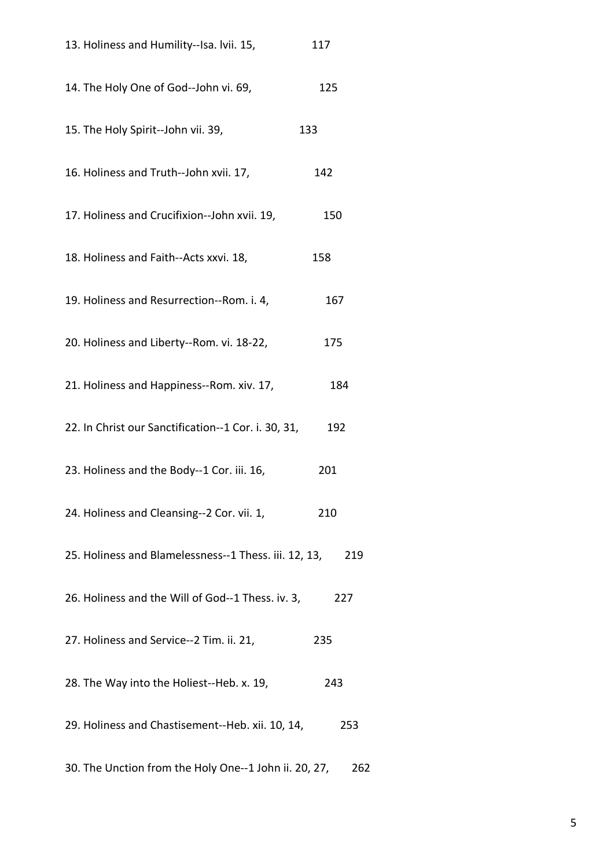| 13. Holiness and Humility--Isa. Ivii. 15,             | 117 |
|-------------------------------------------------------|-----|
| 14. The Holy One of God--John vi. 69,                 | 125 |
| 15. The Holy Spirit--John vii. 39,                    | 133 |
| 16. Holiness and Truth--John xvii. 17,                | 142 |
| 17. Holiness and Crucifixion--John xvii. 19,          | 150 |
| 18. Holiness and Faith--Acts xxvi. 18,                | 158 |
| 19. Holiness and Resurrection--Rom. i. 4,             | 167 |
| 20. Holiness and Liberty--Rom. vi. 18-22,             | 175 |
| 21. Holiness and Happiness--Rom. xiv. 17,             | 184 |
| 22. In Christ our Sanctification--1 Cor. i. 30, 31,   | 192 |
| 23. Holiness and the Body--1 Cor. iii. 16,            | 201 |
| 24. Holiness and Cleansing--2 Cor. vii. 1,            | 210 |
| 25. Holiness and Blamelessness--1 Thess. iii. 12, 13, | 219 |
| 26. Holiness and the Will of God--1 Thess. iv. 3,     | 227 |
| 27. Holiness and Service--2 Tim. ii. 21,              | 235 |
| 28. The Way into the Holiest--Heb. x. 19,             | 243 |
| 29. Holiness and Chastisement--Heb. xii. 10, 14,      | 253 |
| 30. The Unction from the Holy One--1 John ii. 20, 27, | 262 |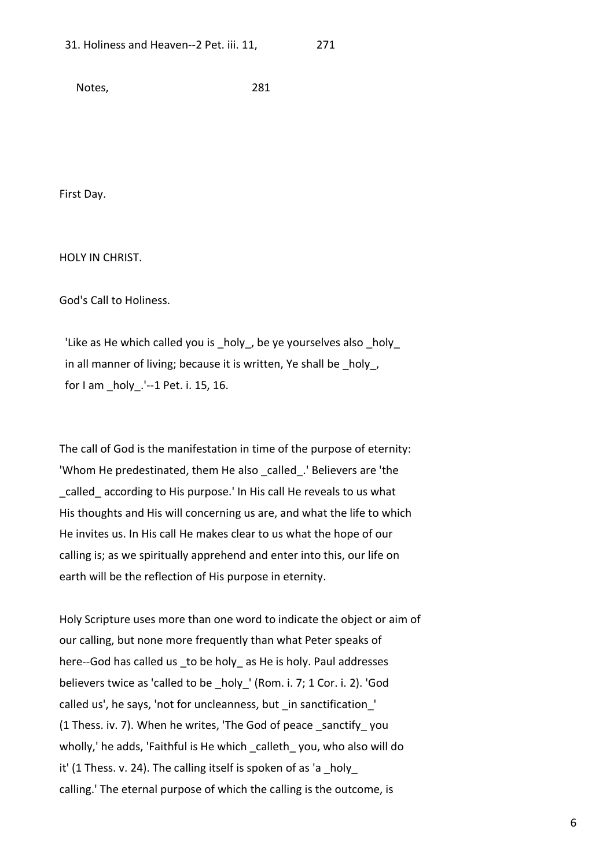Notes, 281

First Day.

HOLY IN CHRIST.

God's Call to Holiness.

 'Like as He which called you is \_holy\_, be ye yourselves also \_holy\_ in all manner of living; because it is written, Ye shall be \_holy\_, for I am \_holy\_.'--1 Pet. i. 15, 16.

The call of God is the manifestation in time of the purpose of eternity: 'Whom He predestinated, them He also \_called\_.' Believers are 'the called according to His purpose.' In His call He reveals to us what His thoughts and His will concerning us are, and what the life to which He invites us. In His call He makes clear to us what the hope of our calling is; as we spiritually apprehend and enter into this, our life on earth will be the reflection of His purpose in eternity.

Holy Scripture uses more than one word to indicate the object or aim of our calling, but none more frequently than what Peter speaks of here--God has called us to be holy as He is holy. Paul addresses believers twice as 'called to be \_holy ' (Rom. i. 7; 1 Cor. i. 2). 'God called us', he says, 'not for uncleanness, but \_in sanctification\_' (1 Thess. iv. 7). When he writes, 'The God of peace \_sanctify\_ you wholly,' he adds, 'Faithful is He which calleth you, who also will do it' (1 Thess. v. 24). The calling itself is spoken of as 'a holy calling.' The eternal purpose of which the calling is the outcome, is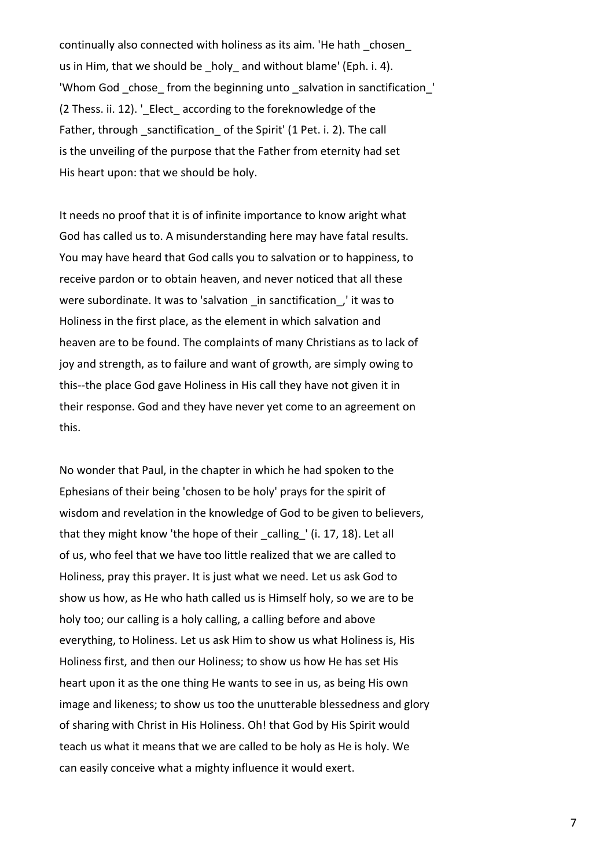continually also connected with holiness as its aim. 'He hath \_chosen\_ us in Him, that we should be holy and without blame' (Eph. i. 4). 'Whom God \_chose\_ from the beginning unto \_salvation in sanctification\_' (2 Thess. ii. 12). ' Elect according to the foreknowledge of the Father, through sanctification of the Spirit' (1 Pet. i. 2). The call is the unveiling of the purpose that the Father from eternity had set His heart upon: that we should be holy.

It needs no proof that it is of infinite importance to know aright what God has called us to. A misunderstanding here may have fatal results. You may have heard that God calls you to salvation or to happiness, to receive pardon or to obtain heaven, and never noticed that all these were subordinate. It was to 'salvation in sanctification, it was to Holiness in the first place, as the element in which salvation and heaven are to be found. The complaints of many Christians as to lack of joy and strength, as to failure and want of growth, are simply owing to this--the place God gave Holiness in His call they have not given it in their response. God and they have never yet come to an agreement on this.

No wonder that Paul, in the chapter in which he had spoken to the Ephesians of their being 'chosen to be holy' prays for the spirit of wisdom and revelation in the knowledge of God to be given to believers, that they might know 'the hope of their calling ' (i. 17, 18). Let all of us, who feel that we have too little realized that we are called to Holiness, pray this prayer. It is just what we need. Let us ask God to show us how, as He who hath called us is Himself holy, so we are to be holy too; our calling is a holy calling, a calling before and above everything, to Holiness. Let us ask Him to show us what Holiness is, His Holiness first, and then our Holiness; to show us how He has set His heart upon it as the one thing He wants to see in us, as being His own image and likeness; to show us too the unutterable blessedness and glory of sharing with Christ in His Holiness. Oh! that God by His Spirit would teach us what it means that we are called to be holy as He is holy. We can easily conceive what a mighty influence it would exert.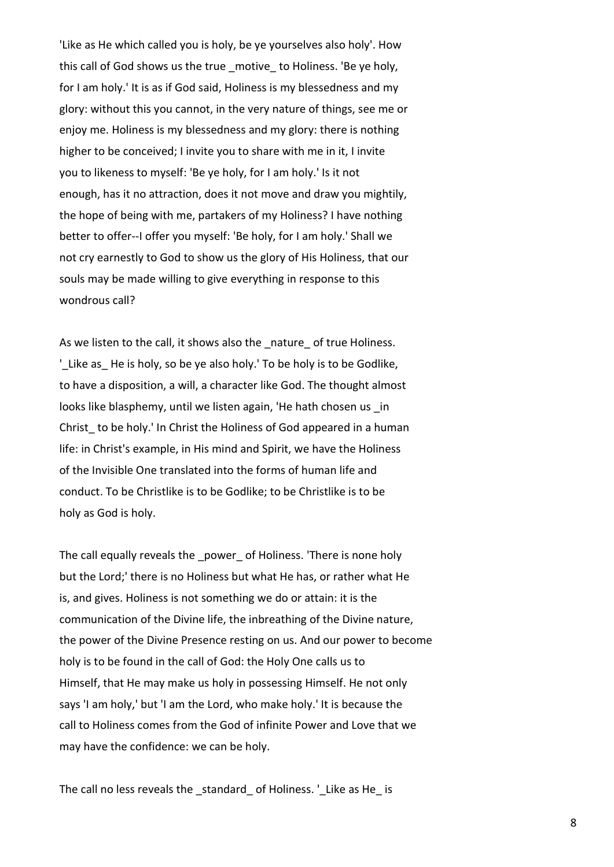'Like as He which called you is holy, be ye yourselves also holy'. How this call of God shows us the true motive to Holiness. 'Be ye holy, for I am holy.' It is as if God said, Holiness is my blessedness and my glory: without this you cannot, in the very nature of things, see me or enjoy me. Holiness is my blessedness and my glory: there is nothing higher to be conceived; I invite you to share with me in it, I invite you to likeness to myself: 'Be ye holy, for I am holy.' Is it not enough, has it no attraction, does it not move and draw you mightily, the hope of being with me, partakers of my Holiness? I have nothing better to offer--I offer you myself: 'Be holy, for I am holy.' Shall we not cry earnestly to God to show us the glory of His Holiness, that our souls may be made willing to give everything in response to this wondrous call?

As we listen to the call, it shows also the nature of true Holiness. 'Like as He is holy, so be ye also holy.' To be holy is to be Godlike, to have a disposition, a will, a character like God. The thought almost looks like blasphemy, until we listen again, 'He hath chosen us \_in Christ to be holy.' In Christ the Holiness of God appeared in a human life: in Christ's example, in His mind and Spirit, we have the Holiness of the Invisible One translated into the forms of human life and conduct. To be Christlike is to be Godlike; to be Christlike is to be holy as God is holy.

The call equally reveals the power of Holiness. 'There is none holy but the Lord;' there is no Holiness but what He has, or rather what He is, and gives. Holiness is not something we do or attain: it is the communication of the Divine life, the inbreathing of the Divine nature, the power of the Divine Presence resting on us. And our power to become holy is to be found in the call of God: the Holy One calls us to Himself, that He may make us holy in possessing Himself. He not only says 'I am holy,' but 'I am the Lord, who make holy.' It is because the call to Holiness comes from the God of infinite Power and Love that we may have the confidence: we can be holy.

The call no less reveals the standard of Holiness. 'Like as He is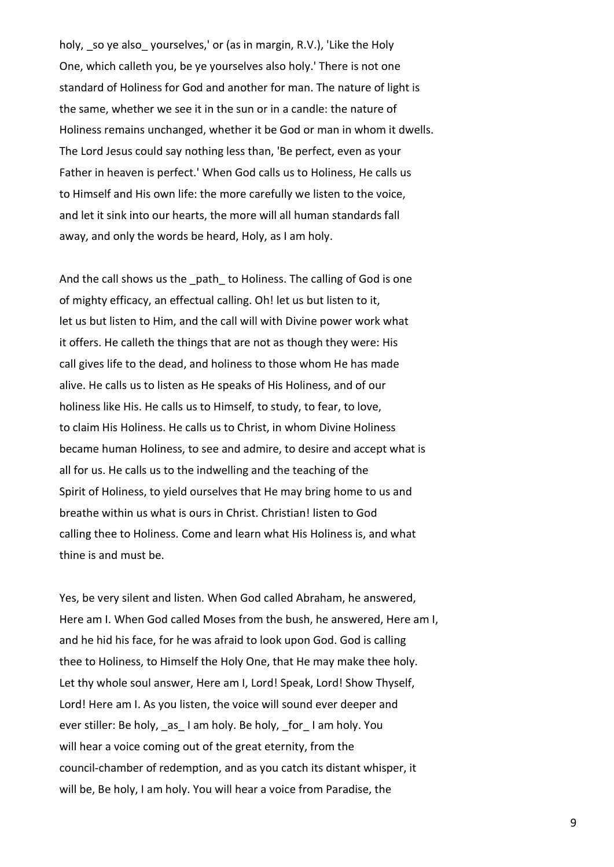holy, so ye also yourselves,' or (as in margin, R.V.), 'Like the Holy One, which calleth you, be ye yourselves also holy.' There is not one standard of Holiness for God and another for man. The nature of light is the same, whether we see it in the sun or in a candle: the nature of Holiness remains unchanged, whether it be God or man in whom it dwells. The Lord Jesus could say nothing less than, 'Be perfect, even as your Father in heaven is perfect.' When God calls us to Holiness, He calls us to Himself and His own life: the more carefully we listen to the voice, and let it sink into our hearts, the more will all human standards fall away, and only the words be heard, Holy, as I am holy.

And the call shows us the path to Holiness. The calling of God is one of mighty efficacy, an effectual calling. Oh! let us but listen to it, let us but listen to Him, and the call will with Divine power work what it offers. He calleth the things that are not as though they were: His call gives life to the dead, and holiness to those whom He has made alive. He calls us to listen as He speaks of His Holiness, and of our holiness like His. He calls us to Himself, to study, to fear, to love, to claim His Holiness. He calls us to Christ, in whom Divine Holiness became human Holiness, to see and admire, to desire and accept what is all for us. He calls us to the indwelling and the teaching of the Spirit of Holiness, to yield ourselves that He may bring home to us and breathe within us what is ours in Christ. Christian! listen to God calling thee to Holiness. Come and learn what His Holiness is, and what thine is and must be.

Yes, be very silent and listen. When God called Abraham, he answered, Here am I. When God called Moses from the bush, he answered, Here am I, and he hid his face, for he was afraid to look upon God. God is calling thee to Holiness, to Himself the Holy One, that He may make thee holy. Let thy whole soul answer, Here am I, Lord! Speak, Lord! Show Thyself, Lord! Here am I. As you listen, the voice will sound ever deeper and ever stiller: Be holy, \_as\_ I am holy. Be holy, \_for\_ I am holy. You will hear a voice coming out of the great eternity, from the council-chamber of redemption, and as you catch its distant whisper, it will be, Be holy, I am holy. You will hear a voice from Paradise, the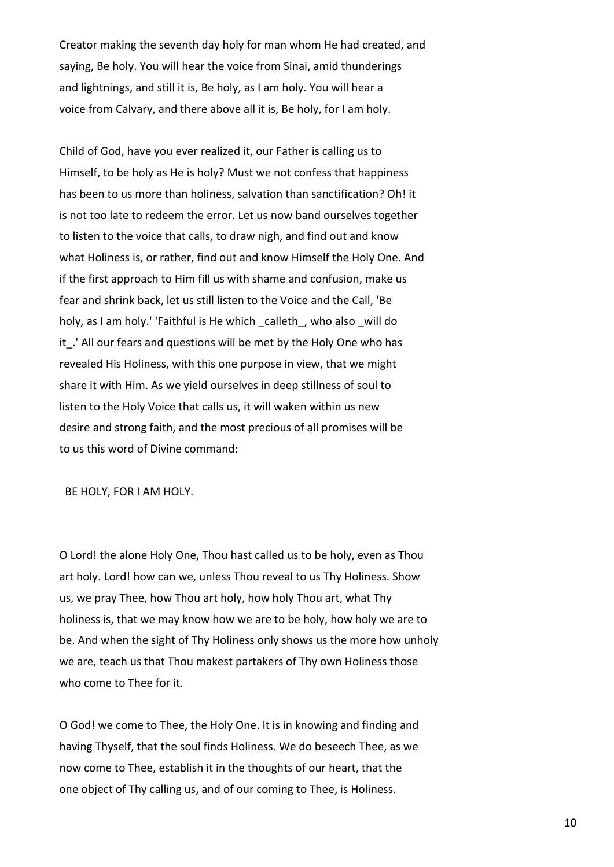Creator making the seventh day holy for man whom He had created, and saying, Be holy. You will hear the voice from Sinai, amid thunderings and lightnings, and still it is, Be holy, as I am holy. You will hear a voice from Calvary, and there above all it is, Be holy, for I am holy.

Child of God, have you ever realized it, our Father is calling us to Himself, to be holy as He is holy? Must we not confess that happiness has been to us more than holiness, salvation than sanctification? Oh! it is not too late to redeem the error. Let us now band ourselves together to listen to the voice that calls, to draw nigh, and find out and know what Holiness is, or rather, find out and know Himself the Holy One. And if the first approach to Him fill us with shame and confusion, make us fear and shrink back, let us still listen to the Voice and the Call, 'Be holy, as I am holy.' 'Faithful is He which calleth, who also will do it. ' All our fears and questions will be met by the Holy One who has revealed His Holiness, with this one purpose in view, that we might share it with Him. As we yield ourselves in deep stillness of soul to listen to the Holy Voice that calls us, it will waken within us new desire and strong faith, and the most precious of all promises will be to us this word of Divine command:

BE HOLY, FOR I AM HOLY.

O Lord! the alone Holy One, Thou hast called us to be holy, even as Thou art holy. Lord! how can we, unless Thou reveal to us Thy Holiness. Show us, we pray Thee, how Thou art holy, how holy Thou art, what Thy holiness is, that we may know how we are to be holy, how holy we are to be. And when the sight of Thy Holiness only shows us the more how unholy we are, teach us that Thou makest partakers of Thy own Holiness those who come to Thee for it.

O God! we come to Thee, the Holy One. It is in knowing and finding and having Thyself, that the soul finds Holiness. We do beseech Thee, as we now come to Thee, establish it in the thoughts of our heart, that the one object of Thy calling us, and of our coming to Thee, is Holiness.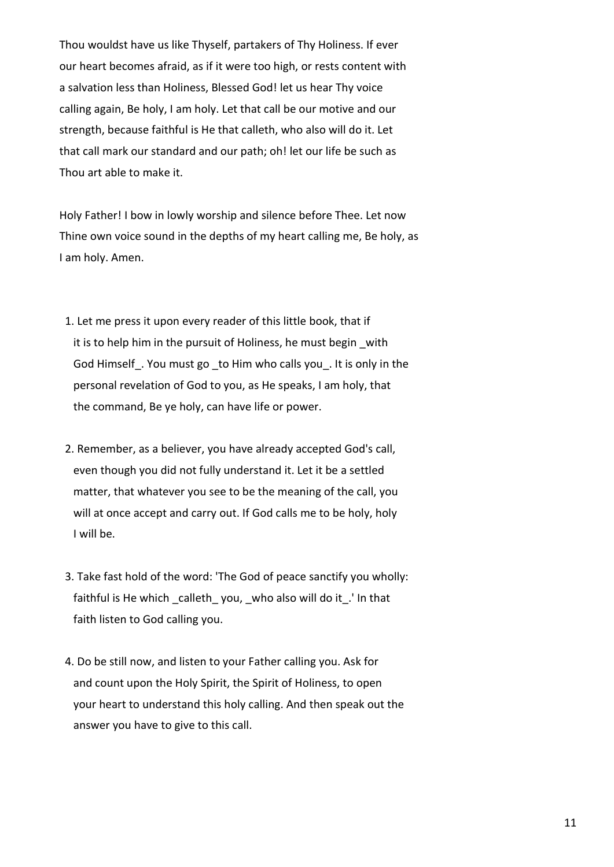Thou wouldst have us like Thyself, partakers of Thy Holiness. If ever our heart becomes afraid, as if it were too high, or rests content with a salvation less than Holiness, Blessed God! let us hear Thy voice calling again, Be holy, I am holy. Let that call be our motive and our strength, because faithful is He that calleth, who also will do it. Let that call mark our standard and our path; oh! let our life be such as Thou art able to make it.

Holy Father! I bow in lowly worship and silence before Thee. Let now Thine own voice sound in the depths of my heart calling me, Be holy, as I am holy. Amen.

- 1. Let me press it upon every reader of this little book, that if it is to help him in the pursuit of Holiness, he must begin with God Himself. You must go to Him who calls you. It is only in the personal revelation of God to you, as He speaks, I am holy, that the command, Be ye holy, can have life or power.
- 2. Remember, as a believer, you have already accepted God's call, even though you did not fully understand it. Let it be a settled matter, that whatever you see to be the meaning of the call, you will at once accept and carry out. If God calls me to be holy, holy I will be.
- 3. Take fast hold of the word: 'The God of peace sanctify you wholly: faithful is He which calleth you, who also will do it. ' In that faith listen to God calling you.
- 4. Do be still now, and listen to your Father calling you. Ask for and count upon the Holy Spirit, the Spirit of Holiness, to open your heart to understand this holy calling. And then speak out the answer you have to give to this call.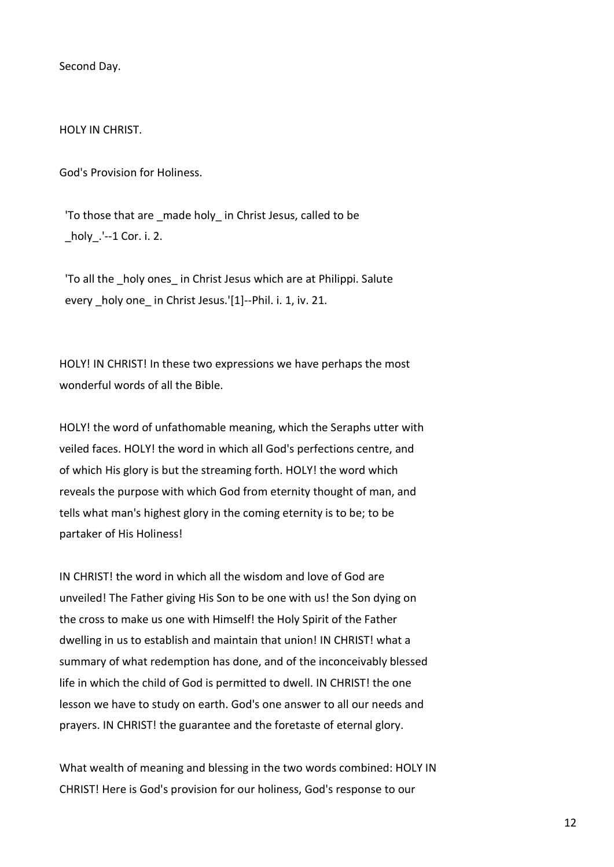Second Day.

HOLY IN CHRIST.

God's Provision for Holiness.

'To those that are made holy in Christ Jesus, called to be \_holy\_.'--1 Cor. i. 2.

'To all the holy ones in Christ Jesus which are at Philippi. Salute every holy one in Christ Jesus.'[1]--Phil. i. 1, iv. 21.

HOLY! IN CHRIST! In these two expressions we have perhaps the most wonderful words of all the Bible.

HOLY! the word of unfathomable meaning, which the Seraphs utter with veiled faces. HOLY! the word in which all God's perfections centre, and of which His glory is but the streaming forth. HOLY! the word which reveals the purpose with which God from eternity thought of man, and tells what man's highest glory in the coming eternity is to be; to be partaker of His Holiness!

IN CHRIST! the word in which all the wisdom and love of God are unveiled! The Father giving His Son to be one with us! the Son dying on the cross to make us one with Himself! the Holy Spirit of the Father dwelling in us to establish and maintain that union! IN CHRIST! what a summary of what redemption has done, and of the inconceivably blessed life in which the child of God is permitted to dwell. IN CHRIST! the one lesson we have to study on earth. God's one answer to all our needs and prayers. IN CHRIST! the guarantee and the foretaste of eternal glory.

What wealth of meaning and blessing in the two words combined: HOLY IN CHRIST! Here is God's provision for our holiness, God's response to our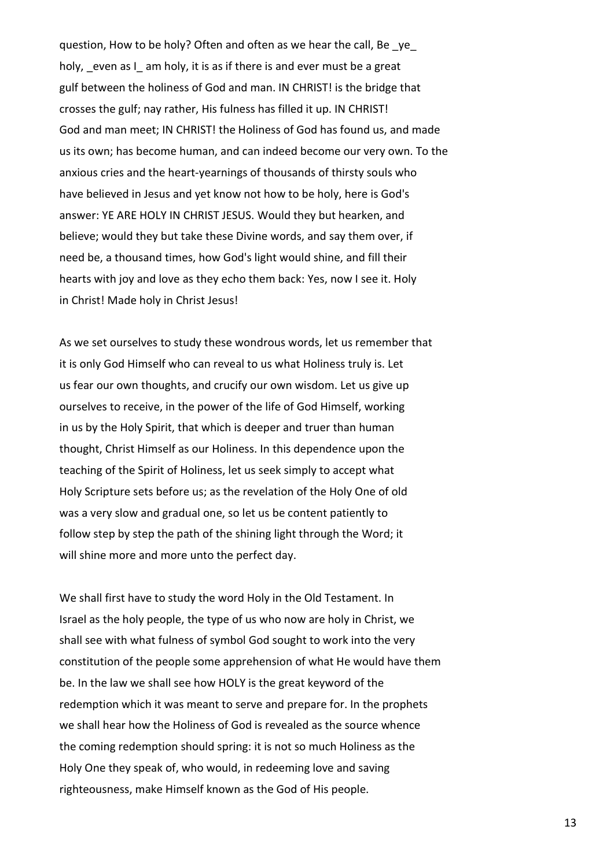question, How to be holy? Often and often as we hear the call, Be ye holy, even as I am holy, it is as if there is and ever must be a great gulf between the holiness of God and man. IN CHRIST! is the bridge that crosses the gulf; nay rather, His fulness has filled it up. IN CHRIST! God and man meet; IN CHRIST! the Holiness of God has found us, and made us its own; has become human, and can indeed become our very own. To the anxious cries and the heart-yearnings of thousands of thirsty souls who have believed in Jesus and yet know not how to be holy, here is God's answer: YE ARE HOLY IN CHRIST JESUS. Would they but hearken, and believe; would they but take these Divine words, and say them over, if need be, a thousand times, how God's light would shine, and fill their hearts with joy and love as they echo them back: Yes, now I see it. Holy in Christ! Made holy in Christ Jesus!

As we set ourselves to study these wondrous words, let us remember that it is only God Himself who can reveal to us what Holiness truly is. Let us fear our own thoughts, and crucify our own wisdom. Let us give up ourselves to receive, in the power of the life of God Himself, working in us by the Holy Spirit, that which is deeper and truer than human thought, Christ Himself as our Holiness. In this dependence upon the teaching of the Spirit of Holiness, let us seek simply to accept what Holy Scripture sets before us; as the revelation of the Holy One of old was a very slow and gradual one, so let us be content patiently to follow step by step the path of the shining light through the Word; it will shine more and more unto the perfect day.

We shall first have to study the word Holy in the Old Testament. In Israel as the holy people, the type of us who now are holy in Christ, we shall see with what fulness of symbol God sought to work into the very constitution of the people some apprehension of what He would have them be. In the law we shall see how HOLY is the great keyword of the redemption which it was meant to serve and prepare for. In the prophets we shall hear how the Holiness of God is revealed as the source whence the coming redemption should spring: it is not so much Holiness as the Holy One they speak of, who would, in redeeming love and saving righteousness, make Himself known as the God of His people.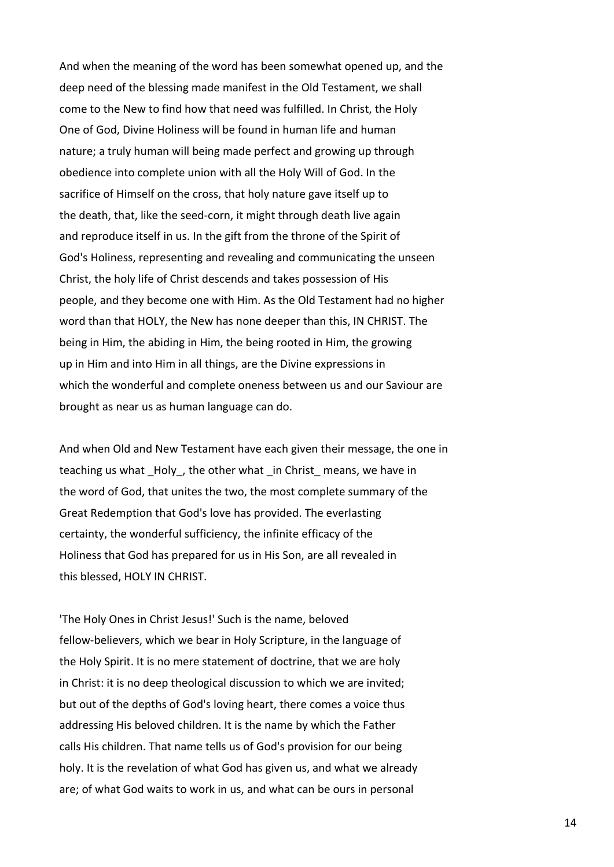And when the meaning of the word has been somewhat opened up, and the deep need of the blessing made manifest in the Old Testament, we shall come to the New to find how that need was fulfilled. In Christ, the Holy One of God, Divine Holiness will be found in human life and human nature; a truly human will being made perfect and growing up through obedience into complete union with all the Holy Will of God. In the sacrifice of Himself on the cross, that holy nature gave itself up to the death, that, like the seed-corn, it might through death live again and reproduce itself in us. In the gift from the throne of the Spirit of God's Holiness, representing and revealing and communicating the unseen Christ, the holy life of Christ descends and takes possession of His people, and they become one with Him. As the Old Testament had no higher word than that HOLY, the New has none deeper than this, IN CHRIST. The being in Him, the abiding in Him, the being rooted in Him, the growing up in Him and into Him in all things, are the Divine expressions in which the wonderful and complete oneness between us and our Saviour are brought as near us as human language can do.

And when Old and New Testament have each given their message, the one in teaching us what Holy, the other what in Christ means, we have in the word of God, that unites the two, the most complete summary of the Great Redemption that God's love has provided. The everlasting certainty, the wonderful sufficiency, the infinite efficacy of the Holiness that God has prepared for us in His Son, are all revealed in this blessed, HOLY IN CHRIST.

'The Holy Ones in Christ Jesus!' Such is the name, beloved fellow-believers, which we bear in Holy Scripture, in the language of the Holy Spirit. It is no mere statement of doctrine, that we are holy in Christ: it is no deep theological discussion to which we are invited; but out of the depths of God's loving heart, there comes a voice thus addressing His beloved children. It is the name by which the Father calls His children. That name tells us of God's provision for our being holy. It is the revelation of what God has given us, and what we already are; of what God waits to work in us, and what can be ours in personal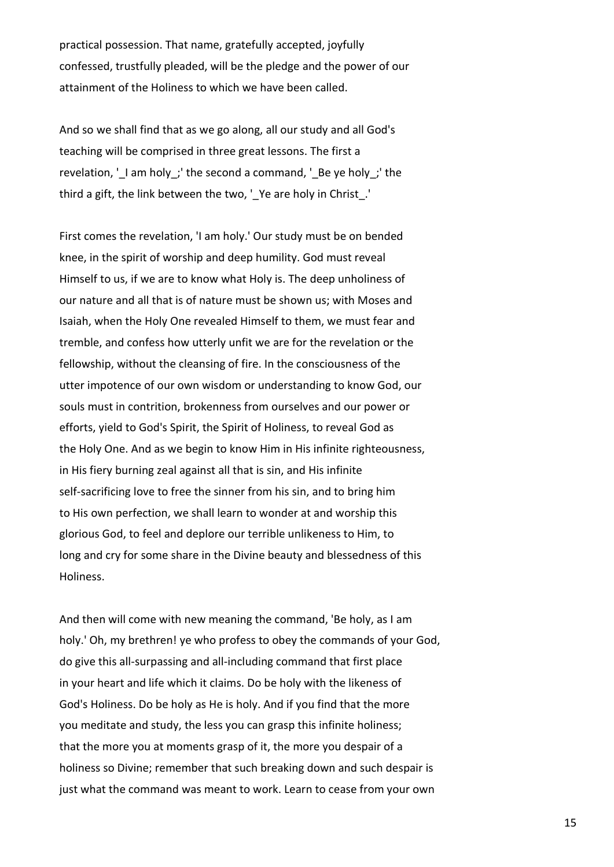practical possession. That name, gratefully accepted, joyfully confessed, trustfully pleaded, will be the pledge and the power of our attainment of the Holiness to which we have been called.

And so we shall find that as we go along, all our study and all God's teaching will be comprised in three great lessons. The first a revelation, '\_I am holy\_;' the second a command, '\_Be ye holy\_;' the third a gift, the link between the two, '\_Ye are holy in Christ\_.'

First comes the revelation, 'I am holy.' Our study must be on bended knee, in the spirit of worship and deep humility. God must reveal Himself to us, if we are to know what Holy is. The deep unholiness of our nature and all that is of nature must be shown us; with Moses and Isaiah, when the Holy One revealed Himself to them, we must fear and tremble, and confess how utterly unfit we are for the revelation or the fellowship, without the cleansing of fire. In the consciousness of the utter impotence of our own wisdom or understanding to know God, our souls must in contrition, brokenness from ourselves and our power or efforts, yield to God's Spirit, the Spirit of Holiness, to reveal God as the Holy One. And as we begin to know Him in His infinite righteousness, in His fiery burning zeal against all that is sin, and His infinite self-sacrificing love to free the sinner from his sin, and to bring him to His own perfection, we shall learn to wonder at and worship this glorious God, to feel and deplore our terrible unlikeness to Him, to long and cry for some share in the Divine beauty and blessedness of this Holiness.

And then will come with new meaning the command, 'Be holy, as I am holy.' Oh, my brethren! ye who profess to obey the commands of your God, do give this all-surpassing and all-including command that first place in your heart and life which it claims. Do be holy with the likeness of God's Holiness. Do be holy as He is holy. And if you find that the more you meditate and study, the less you can grasp this infinite holiness; that the more you at moments grasp of it, the more you despair of a holiness so Divine; remember that such breaking down and such despair is just what the command was meant to work. Learn to cease from your own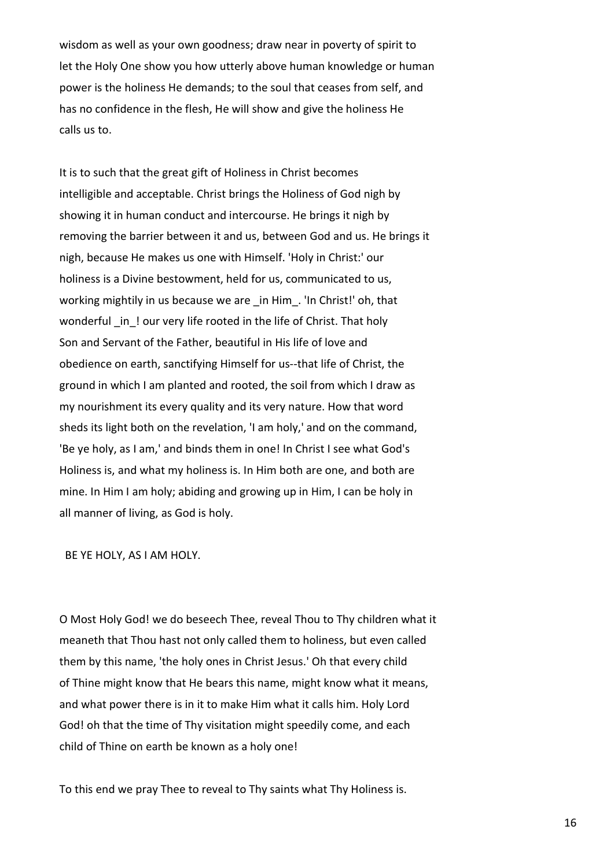wisdom as well as your own goodness; draw near in poverty of spirit to let the Holy One show you how utterly above human knowledge or human power is the holiness He demands; to the soul that ceases from self, and has no confidence in the flesh, He will show and give the holiness He calls us to.

It is to such that the great gift of Holiness in Christ becomes intelligible and acceptable. Christ brings the Holiness of God nigh by showing it in human conduct and intercourse. He brings it nigh by removing the barrier between it and us, between God and us. He brings it nigh, because He makes us one with Himself. 'Holy in Christ:' our holiness is a Divine bestowment, held for us, communicated to us, working mightily in us because we are in Him. 'In Christ!' oh, that wonderful in ! our very life rooted in the life of Christ. That holy Son and Servant of the Father, beautiful in His life of love and obedience on earth, sanctifying Himself for us--that life of Christ, the ground in which I am planted and rooted, the soil from which I draw as my nourishment its every quality and its very nature. How that word sheds its light both on the revelation, 'I am holy,' and on the command, 'Be ye holy, as I am,' and binds them in one! In Christ I see what God's Holiness is, and what my holiness is. In Him both are one, and both are mine. In Him I am holy; abiding and growing up in Him, I can be holy in all manner of living, as God is holy.

BE YE HOLY, AS I AM HOLY.

O Most Holy God! we do beseech Thee, reveal Thou to Thy children what it meaneth that Thou hast not only called them to holiness, but even called them by this name, 'the holy ones in Christ Jesus.' Oh that every child of Thine might know that He bears this name, might know what it means, and what power there is in it to make Him what it calls him. Holy Lord God! oh that the time of Thy visitation might speedily come, and each child of Thine on earth be known as a holy one!

To this end we pray Thee to reveal to Thy saints what Thy Holiness is.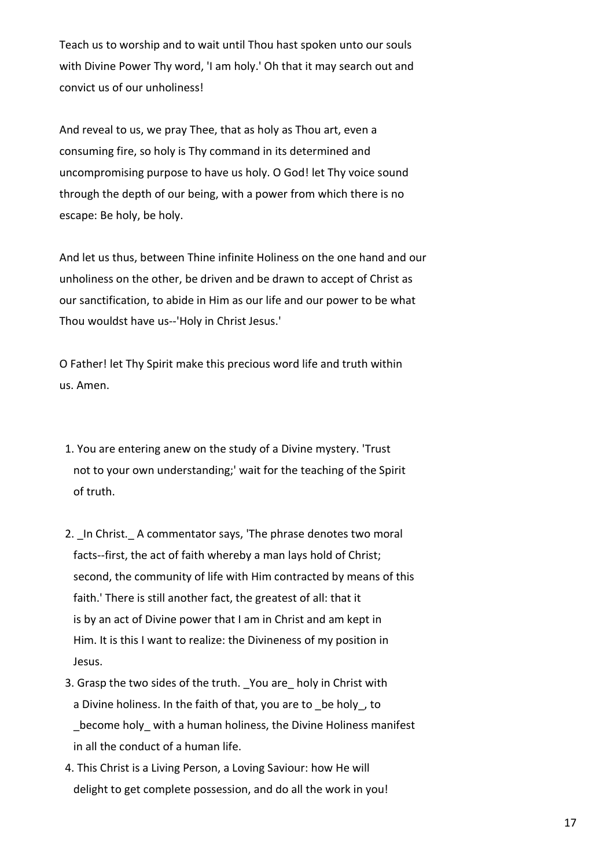Teach us to worship and to wait until Thou hast spoken unto our souls with Divine Power Thy word, 'I am holy.' Oh that it may search out and convict us of our unholiness!

And reveal to us, we pray Thee, that as holy as Thou art, even a consuming fire, so holy is Thy command in its determined and uncompromising purpose to have us holy. O God! let Thy voice sound through the depth of our being, with a power from which there is no escape: Be holy, be holy.

And let us thus, between Thine infinite Holiness on the one hand and our unholiness on the other, be driven and be drawn to accept of Christ as our sanctification, to abide in Him as our life and our power to be what Thou wouldst have us--'Holy in Christ Jesus.'

O Father! let Thy Spirit make this precious word life and truth within us. Amen.

- 1. You are entering anew on the study of a Divine mystery. 'Trust not to your own understanding;' wait for the teaching of the Spirit of truth.
- 2. In Christ. A commentator says, 'The phrase denotes two moral facts--first, the act of faith whereby a man lays hold of Christ; second, the community of life with Him contracted by means of this faith.' There is still another fact, the greatest of all: that it is by an act of Divine power that I am in Christ and am kept in Him. It is this I want to realize: the Divineness of my position in Jesus.
- 3. Grasp the two sides of the truth. You are holy in Christ with a Divine holiness. In the faith of that, you are to be holy, to \_become holy\_ with a human holiness, the Divine Holiness manifest in all the conduct of a human life.
- 4. This Christ is a Living Person, a Loving Saviour: how He will delight to get complete possession, and do all the work in you!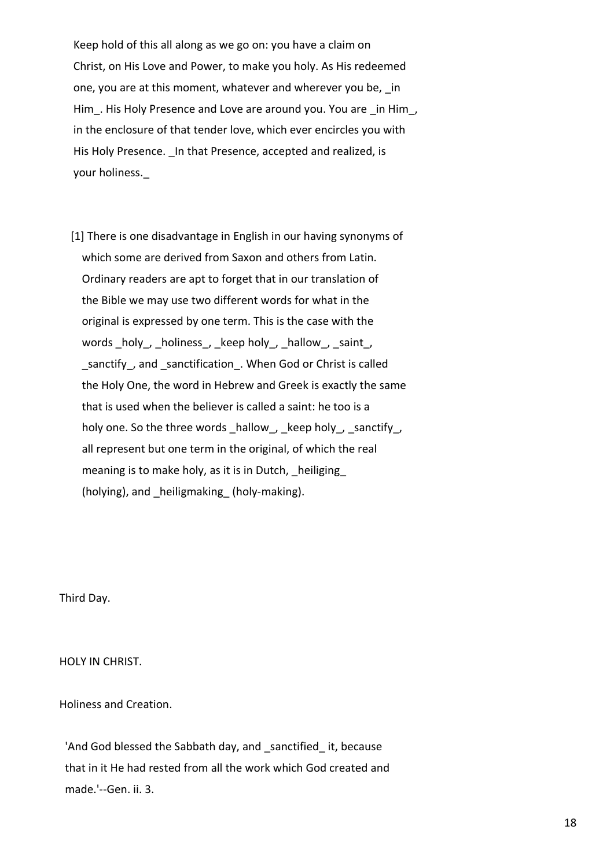Keep hold of this all along as we go on: you have a claim on Christ, on His Love and Power, to make you holy. As His redeemed one, you are at this moment, whatever and wherever you be, in Him. His Holy Presence and Love are around you. You are in Him, in the enclosure of that tender love, which ever encircles you with His Holy Presence. In that Presence, accepted and realized, is your holiness.\_

 [1] There is one disadvantage in English in our having synonyms of which some are derived from Saxon and others from Latin. Ordinary readers are apt to forget that in our translation of the Bible we may use two different words for what in the original is expressed by one term. This is the case with the words \_holy\_, \_holiness\_, \_keep holy\_, \_hallow\_, \_saint\_, \_sanctify\_, and \_sanctification\_. When God or Christ is called the Holy One, the word in Hebrew and Greek is exactly the same that is used when the believer is called a saint: he too is a holy one. So the three words hallow, keep holy, sanctify, all represent but one term in the original, of which the real meaning is to make holy, as it is in Dutch, heiliging (holying), and heiligmaking (holy-making).

Third Day.

HOLY IN CHRIST.

Holiness and Creation.

'And God blessed the Sabbath day, and sanctified it, because that in it He had rested from all the work which God created and made.'--Gen. ii. 3.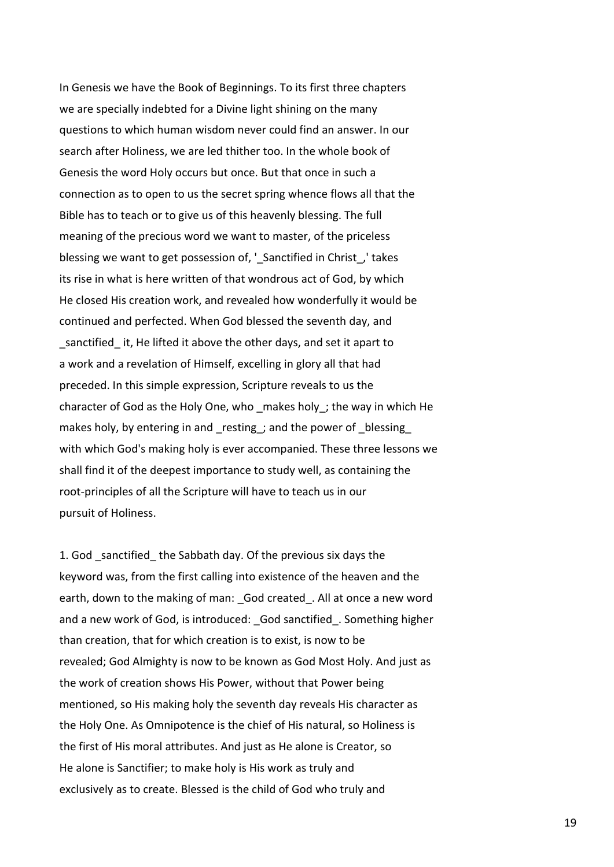In Genesis we have the Book of Beginnings. To its first three chapters we are specially indebted for a Divine light shining on the many questions to which human wisdom never could find an answer. In our search after Holiness, we are led thither too. In the whole book of Genesis the word Holy occurs but once. But that once in such a connection as to open to us the secret spring whence flows all that the Bible has to teach or to give us of this heavenly blessing. The full meaning of the precious word we want to master, of the priceless blessing we want to get possession of, ' Sanctified in Christ, ' takes its rise in what is here written of that wondrous act of God, by which He closed His creation work, and revealed how wonderfully it would be continued and perfected. When God blessed the seventh day, and sanctified it, He lifted it above the other days, and set it apart to a work and a revelation of Himself, excelling in glory all that had preceded. In this simple expression, Scripture reveals to us the character of God as the Holy One, who \_makes holy\_; the way in which He makes holy, by entering in and resting; and the power of blessing with which God's making holy is ever accompanied. These three lessons we shall find it of the deepest importance to study well, as containing the root-principles of all the Scripture will have to teach us in our pursuit of Holiness.

1. God sanctified the Sabbath day. Of the previous six days the keyword was, from the first calling into existence of the heaven and the earth, down to the making of man: God created. All at once a new word and a new work of God, is introduced: God sanctified . Something higher than creation, that for which creation is to exist, is now to be revealed; God Almighty is now to be known as God Most Holy. And just as the work of creation shows His Power, without that Power being mentioned, so His making holy the seventh day reveals His character as the Holy One. As Omnipotence is the chief of His natural, so Holiness is the first of His moral attributes. And just as He alone is Creator, so He alone is Sanctifier; to make holy is His work as truly and exclusively as to create. Blessed is the child of God who truly and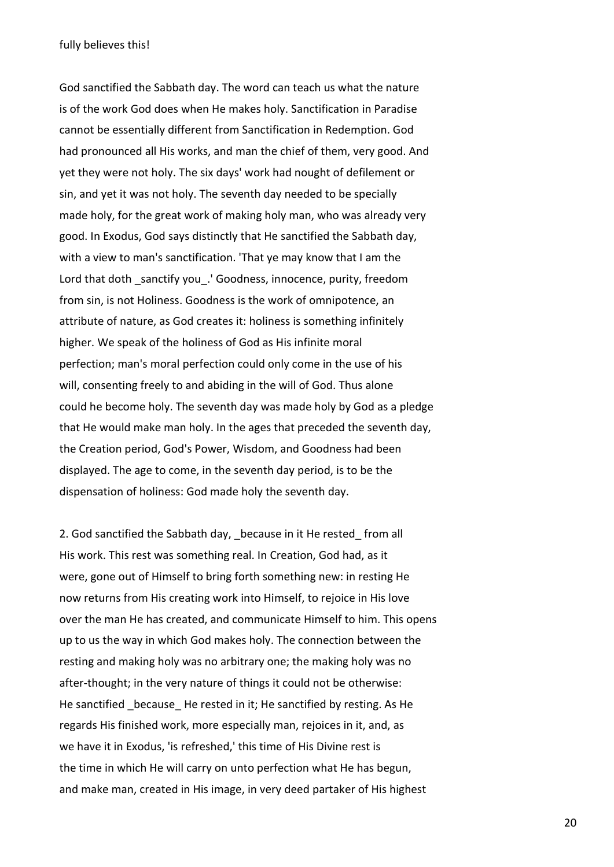God sanctified the Sabbath day. The word can teach us what the nature is of the work God does when He makes holy. Sanctification in Paradise cannot be essentially different from Sanctification in Redemption. God had pronounced all His works, and man the chief of them, very good. And yet they were not holy. The six days' work had nought of defilement or sin, and yet it was not holy. The seventh day needed to be specially made holy, for the great work of making holy man, who was already very good. In Exodus, God says distinctly that He sanctified the Sabbath day, with a view to man's sanctification. 'That ye may know that I am the Lord that doth sanctify you. ' Goodness, innocence, purity, freedom from sin, is not Holiness. Goodness is the work of omnipotence, an attribute of nature, as God creates it: holiness is something infinitely higher. We speak of the holiness of God as His infinite moral perfection; man's moral perfection could only come in the use of his will, consenting freely to and abiding in the will of God. Thus alone could he become holy. The seventh day was made holy by God as a pledge that He would make man holy. In the ages that preceded the seventh day, the Creation period, God's Power, Wisdom, and Goodness had been displayed. The age to come, in the seventh day period, is to be the dispensation of holiness: God made holy the seventh day.

2. God sanctified the Sabbath day, because in it He rested from all His work. This rest was something real. In Creation, God had, as it were, gone out of Himself to bring forth something new: in resting He now returns from His creating work into Himself, to rejoice in His love over the man He has created, and communicate Himself to him. This opens up to us the way in which God makes holy. The connection between the resting and making holy was no arbitrary one; the making holy was no after-thought; in the very nature of things it could not be otherwise: He sanctified because He rested in it; He sanctified by resting. As He regards His finished work, more especially man, rejoices in it, and, as we have it in Exodus, 'is refreshed,' this time of His Divine rest is the time in which He will carry on unto perfection what He has begun, and make man, created in His image, in very deed partaker of His highest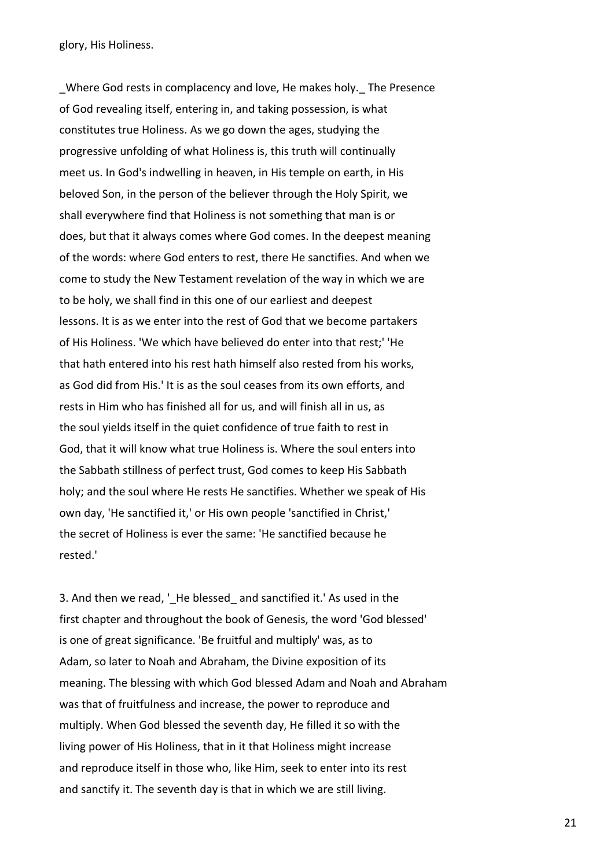glory, His Holiness.

Where God rests in complacency and love, He makes holy. The Presence of God revealing itself, entering in, and taking possession, is what constitutes true Holiness. As we go down the ages, studying the progressive unfolding of what Holiness is, this truth will continually meet us. In God's indwelling in heaven, in His temple on earth, in His beloved Son, in the person of the believer through the Holy Spirit, we shall everywhere find that Holiness is not something that man is or does, but that it always comes where God comes. In the deepest meaning of the words: where God enters to rest, there He sanctifies. And when we come to study the New Testament revelation of the way in which we are to be holy, we shall find in this one of our earliest and deepest lessons. It is as we enter into the rest of God that we become partakers of His Holiness. 'We which have believed do enter into that rest;' 'He that hath entered into his rest hath himself also rested from his works, as God did from His.' It is as the soul ceases from its own efforts, and rests in Him who has finished all for us, and will finish all in us, as the soul yields itself in the quiet confidence of true faith to rest in God, that it will know what true Holiness is. Where the soul enters into the Sabbath stillness of perfect trust, God comes to keep His Sabbath holy; and the soul where He rests He sanctifies. Whether we speak of His own day, 'He sanctified it,' or His own people 'sanctified in Christ,' the secret of Holiness is ever the same: 'He sanctified because he rested.'

3. And then we read, 'He blessed and sanctified it.' As used in the first chapter and throughout the book of Genesis, the word 'God blessed' is one of great significance. 'Be fruitful and multiply' was, as to Adam, so later to Noah and Abraham, the Divine exposition of its meaning. The blessing with which God blessed Adam and Noah and Abraham was that of fruitfulness and increase, the power to reproduce and multiply. When God blessed the seventh day, He filled it so with the living power of His Holiness, that in it that Holiness might increase and reproduce itself in those who, like Him, seek to enter into its rest and sanctify it. The seventh day is that in which we are still living.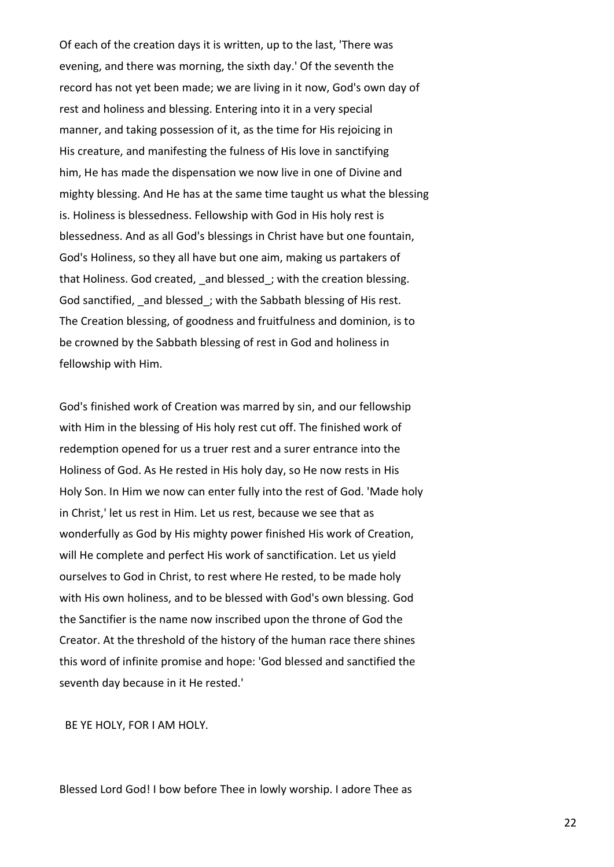Of each of the creation days it is written, up to the last, 'There was evening, and there was morning, the sixth day.' Of the seventh the record has not yet been made; we are living in it now, God's own day of rest and holiness and blessing. Entering into it in a very special manner, and taking possession of it, as the time for His rejoicing in His creature, and manifesting the fulness of His love in sanctifying him, He has made the dispensation we now live in one of Divine and mighty blessing. And He has at the same time taught us what the blessing is. Holiness is blessedness. Fellowship with God in His holy rest is blessedness. And as all God's blessings in Christ have but one fountain, God's Holiness, so they all have but one aim, making us partakers of that Holiness. God created, and blessed; with the creation blessing. God sanctified, and blessed; with the Sabbath blessing of His rest. The Creation blessing, of goodness and fruitfulness and dominion, is to be crowned by the Sabbath blessing of rest in God and holiness in fellowship with Him.

God's finished work of Creation was marred by sin, and our fellowship with Him in the blessing of His holy rest cut off. The finished work of redemption opened for us a truer rest and a surer entrance into the Holiness of God. As He rested in His holy day, so He now rests in His Holy Son. In Him we now can enter fully into the rest of God. 'Made holy in Christ,' let us rest in Him. Let us rest, because we see that as wonderfully as God by His mighty power finished His work of Creation, will He complete and perfect His work of sanctification. Let us yield ourselves to God in Christ, to rest where He rested, to be made holy with His own holiness, and to be blessed with God's own blessing. God the Sanctifier is the name now inscribed upon the throne of God the Creator. At the threshold of the history of the human race there shines this word of infinite promise and hope: 'God blessed and sanctified the seventh day because in it He rested.'

BE YE HOLY, FOR I AM HOLY.

Blessed Lord God! I bow before Thee in lowly worship. I adore Thee as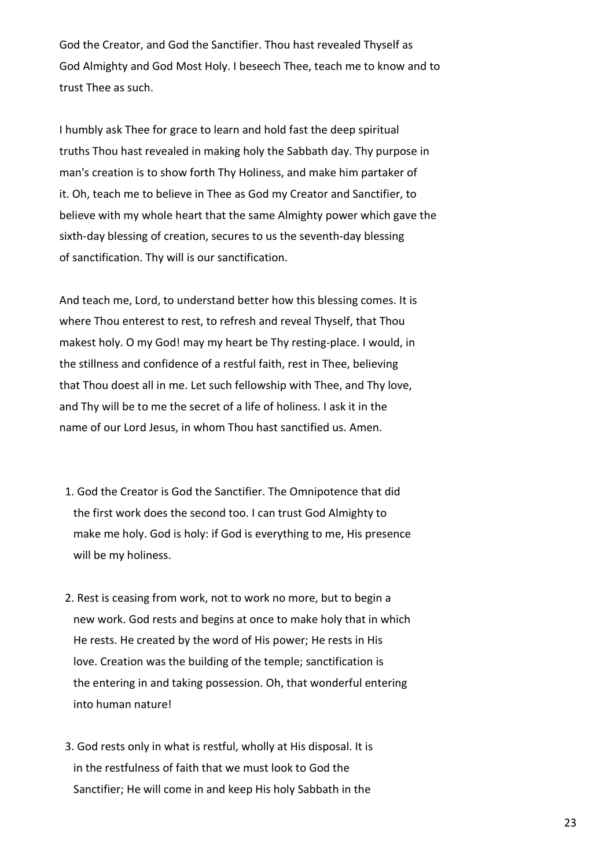God the Creator, and God the Sanctifier. Thou hast revealed Thyself as God Almighty and God Most Holy. I beseech Thee, teach me to know and to trust Thee as such.

I humbly ask Thee for grace to learn and hold fast the deep spiritual truths Thou hast revealed in making holy the Sabbath day. Thy purpose in man's creation is to show forth Thy Holiness, and make him partaker of it. Oh, teach me to believe in Thee as God my Creator and Sanctifier, to believe with my whole heart that the same Almighty power which gave the sixth-day blessing of creation, secures to us the seventh-day blessing of sanctification. Thy will is our sanctification.

And teach me, Lord, to understand better how this blessing comes. It is where Thou enterest to rest, to refresh and reveal Thyself, that Thou makest holy. O my God! may my heart be Thy resting-place. I would, in the stillness and confidence of a restful faith, rest in Thee, believing that Thou doest all in me. Let such fellowship with Thee, and Thy love, and Thy will be to me the secret of a life of holiness. I ask it in the name of our Lord Jesus, in whom Thou hast sanctified us. Amen.

- 1. God the Creator is God the Sanctifier. The Omnipotence that did the first work does the second too. I can trust God Almighty to make me holy. God is holy: if God is everything to me, His presence will be my holiness.
- 2. Rest is ceasing from work, not to work no more, but to begin a new work. God rests and begins at once to make holy that in which He rests. He created by the word of His power; He rests in His love. Creation was the building of the temple; sanctification is the entering in and taking possession. Oh, that wonderful entering into human nature!
- 3. God rests only in what is restful, wholly at His disposal. It is in the restfulness of faith that we must look to God the Sanctifier; He will come in and keep His holy Sabbath in the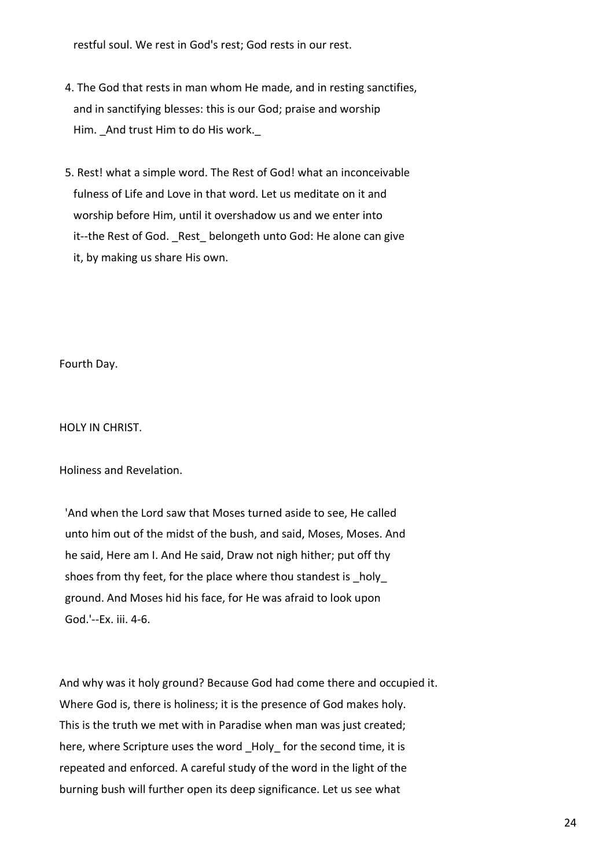restful soul. We rest in God's rest; God rests in our rest.

- 4. The God that rests in man whom He made, and in resting sanctifies, and in sanctifying blesses: this is our God; praise and worship Him. And trust Him to do His work.
- 5. Rest! what a simple word. The Rest of God! what an inconceivable fulness of Life and Love in that word. Let us meditate on it and worship before Him, until it overshadow us and we enter into it--the Rest of God. Rest belongeth unto God: He alone can give it, by making us share His own.

Fourth Day.

HOLY IN CHRIST.

Holiness and Revelation.

 'And when the Lord saw that Moses turned aside to see, He called unto him out of the midst of the bush, and said, Moses, Moses. And he said, Here am I. And He said, Draw not nigh hither; put off thy shoes from thy feet, for the place where thou standest is \_holy ground. And Moses hid his face, for He was afraid to look upon God.'--Ex. iii. 4-6.

And why was it holy ground? Because God had come there and occupied it. Where God is, there is holiness; it is the presence of God makes holy. This is the truth we met with in Paradise when man was just created; here, where Scripture uses the word Holy for the second time, it is repeated and enforced. A careful study of the word in the light of the burning bush will further open its deep significance. Let us see what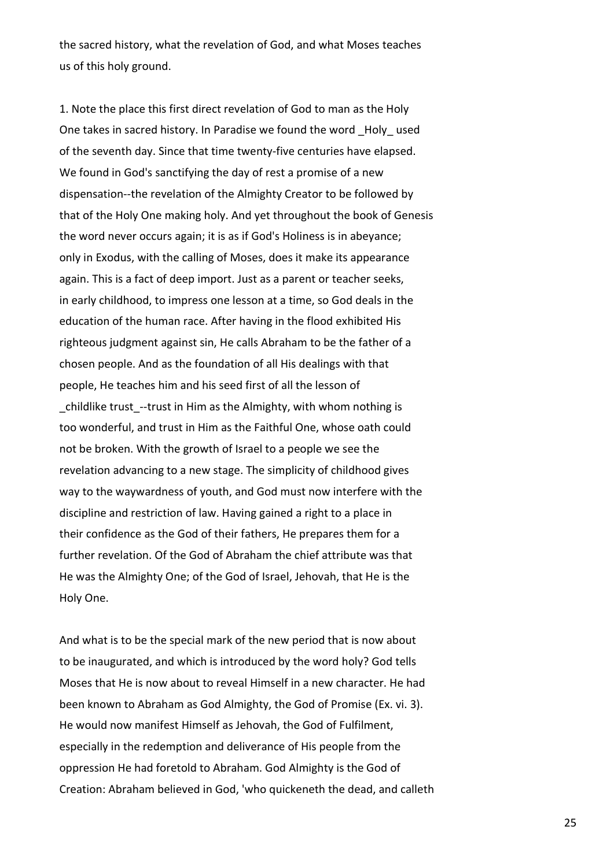the sacred history, what the revelation of God, and what Moses teaches us of this holy ground.

1. Note the place this first direct revelation of God to man as the Holy One takes in sacred history. In Paradise we found the word Holy used of the seventh day. Since that time twenty-five centuries have elapsed. We found in God's sanctifying the day of rest a promise of a new dispensation--the revelation of the Almighty Creator to be followed by that of the Holy One making holy. And yet throughout the book of Genesis the word never occurs again; it is as if God's Holiness is in abeyance; only in Exodus, with the calling of Moses, does it make its appearance again. This is a fact of deep import. Just as a parent or teacher seeks, in early childhood, to impress one lesson at a time, so God deals in the education of the human race. After having in the flood exhibited His righteous judgment against sin, He calls Abraham to be the father of a chosen people. And as the foundation of all His dealings with that people, He teaches him and his seed first of all the lesson of \_childlike trust\_--trust in Him as the Almighty, with whom nothing is too wonderful, and trust in Him as the Faithful One, whose oath could not be broken. With the growth of Israel to a people we see the revelation advancing to a new stage. The simplicity of childhood gives way to the waywardness of youth, and God must now interfere with the discipline and restriction of law. Having gained a right to a place in their confidence as the God of their fathers, He prepares them for a further revelation. Of the God of Abraham the chief attribute was that He was the Almighty One; of the God of Israel, Jehovah, that He is the Holy One.

And what is to be the special mark of the new period that is now about to be inaugurated, and which is introduced by the word holy? God tells Moses that He is now about to reveal Himself in a new character. He had been known to Abraham as God Almighty, the God of Promise (Ex. vi. 3). He would now manifest Himself as Jehovah, the God of Fulfilment, especially in the redemption and deliverance of His people from the oppression He had foretold to Abraham. God Almighty is the God of Creation: Abraham believed in God, 'who quickeneth the dead, and calleth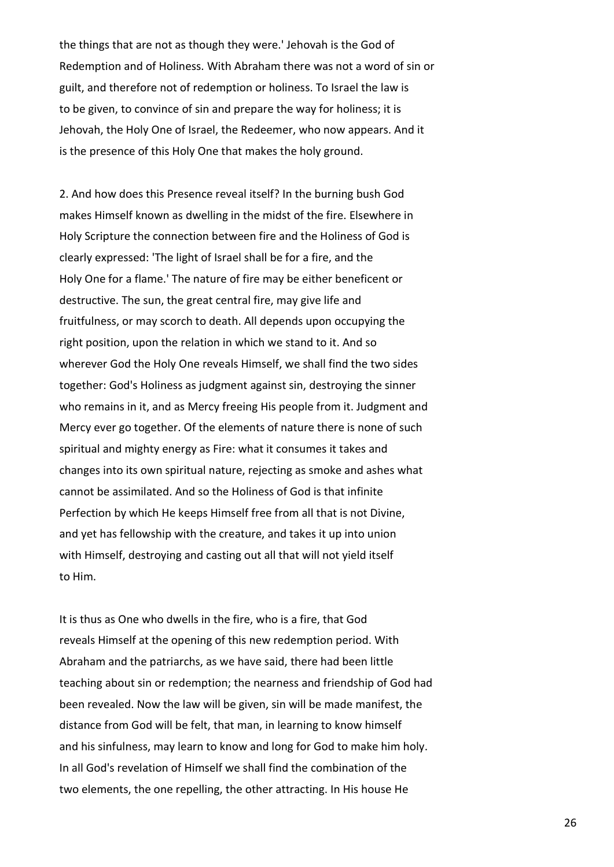the things that are not as though they were.' Jehovah is the God of Redemption and of Holiness. With Abraham there was not a word of sin or guilt, and therefore not of redemption or holiness. To Israel the law is to be given, to convince of sin and prepare the way for holiness; it is Jehovah, the Holy One of Israel, the Redeemer, who now appears. And it is the presence of this Holy One that makes the holy ground.

2. And how does this Presence reveal itself? In the burning bush God makes Himself known as dwelling in the midst of the fire. Elsewhere in Holy Scripture the connection between fire and the Holiness of God is clearly expressed: 'The light of Israel shall be for a fire, and the Holy One for a flame.' The nature of fire may be either beneficent or destructive. The sun, the great central fire, may give life and fruitfulness, or may scorch to death. All depends upon occupying the right position, upon the relation in which we stand to it. And so wherever God the Holy One reveals Himself, we shall find the two sides together: God's Holiness as judgment against sin, destroying the sinner who remains in it, and as Mercy freeing His people from it. Judgment and Mercy ever go together. Of the elements of nature there is none of such spiritual and mighty energy as Fire: what it consumes it takes and changes into its own spiritual nature, rejecting as smoke and ashes what cannot be assimilated. And so the Holiness of God is that infinite Perfection by which He keeps Himself free from all that is not Divine, and yet has fellowship with the creature, and takes it up into union with Himself, destroying and casting out all that will not yield itself to Him.

It is thus as One who dwells in the fire, who is a fire, that God reveals Himself at the opening of this new redemption period. With Abraham and the patriarchs, as we have said, there had been little teaching about sin or redemption; the nearness and friendship of God had been revealed. Now the law will be given, sin will be made manifest, the distance from God will be felt, that man, in learning to know himself and his sinfulness, may learn to know and long for God to make him holy. In all God's revelation of Himself we shall find the combination of the two elements, the one repelling, the other attracting. In His house He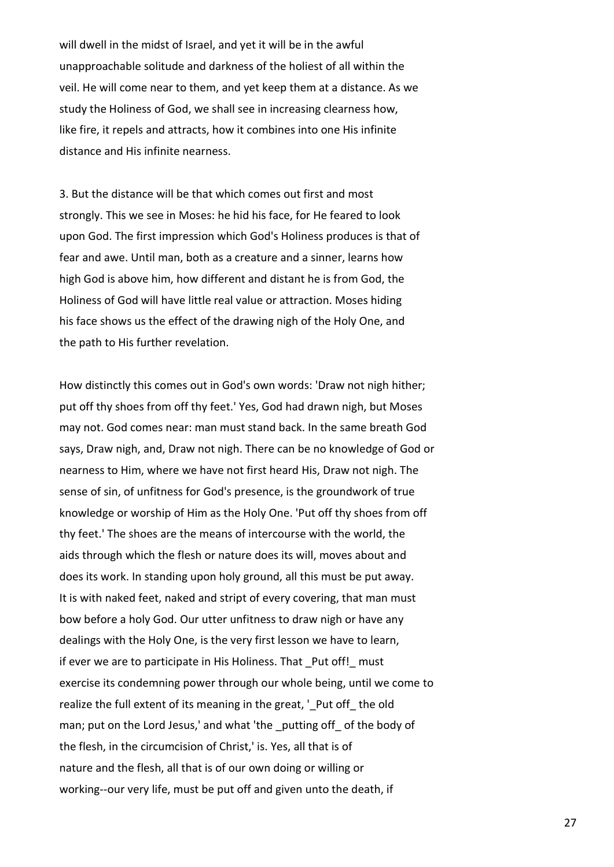will dwell in the midst of Israel, and yet it will be in the awful unapproachable solitude and darkness of the holiest of all within the veil. He will come near to them, and yet keep them at a distance. As we study the Holiness of God, we shall see in increasing clearness how, like fire, it repels and attracts, how it combines into one His infinite distance and His infinite nearness.

3. But the distance will be that which comes out first and most strongly. This we see in Moses: he hid his face, for He feared to look upon God. The first impression which God's Holiness produces is that of fear and awe. Until man, both as a creature and a sinner, learns how high God is above him, how different and distant he is from God, the Holiness of God will have little real value or attraction. Moses hiding his face shows us the effect of the drawing nigh of the Holy One, and the path to His further revelation.

How distinctly this comes out in God's own words: 'Draw not nigh hither; put off thy shoes from off thy feet.' Yes, God had drawn nigh, but Moses may not. God comes near: man must stand back. In the same breath God says, Draw nigh, and, Draw not nigh. There can be no knowledge of God or nearness to Him, where we have not first heard His, Draw not nigh. The sense of sin, of unfitness for God's presence, is the groundwork of true knowledge or worship of Him as the Holy One. 'Put off thy shoes from off thy feet.' The shoes are the means of intercourse with the world, the aids through which the flesh or nature does its will, moves about and does its work. In standing upon holy ground, all this must be put away. It is with naked feet, naked and stript of every covering, that man must bow before a holy God. Our utter unfitness to draw nigh or have any dealings with the Holy One, is the very first lesson we have to learn, if ever we are to participate in His Holiness. That Put off! must exercise its condemning power through our whole being, until we come to realize the full extent of its meaning in the great, ' Put off the old man; put on the Lord Jesus,' and what 'the \_putting off\_ of the body of the flesh, in the circumcision of Christ,' is. Yes, all that is of nature and the flesh, all that is of our own doing or willing or working--our very life, must be put off and given unto the death, if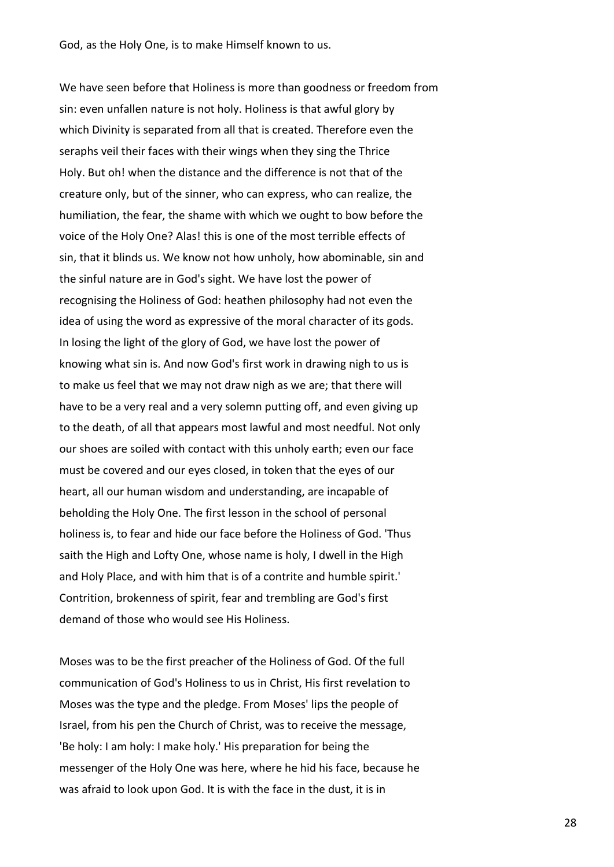God, as the Holy One, is to make Himself known to us.

We have seen before that Holiness is more than goodness or freedom from sin: even unfallen nature is not holy. Holiness is that awful glory by which Divinity is separated from all that is created. Therefore even the seraphs veil their faces with their wings when they sing the Thrice Holy. But oh! when the distance and the difference is not that of the creature only, but of the sinner, who can express, who can realize, the humiliation, the fear, the shame with which we ought to bow before the voice of the Holy One? Alas! this is one of the most terrible effects of sin, that it blinds us. We know not how unholy, how abominable, sin and the sinful nature are in God's sight. We have lost the power of recognising the Holiness of God: heathen philosophy had not even the idea of using the word as expressive of the moral character of its gods. In losing the light of the glory of God, we have lost the power of knowing what sin is. And now God's first work in drawing nigh to us is to make us feel that we may not draw nigh as we are; that there will have to be a very real and a very solemn putting off, and even giving up to the death, of all that appears most lawful and most needful. Not only our shoes are soiled with contact with this unholy earth; even our face must be covered and our eyes closed, in token that the eyes of our heart, all our human wisdom and understanding, are incapable of beholding the Holy One. The first lesson in the school of personal holiness is, to fear and hide our face before the Holiness of God. 'Thus saith the High and Lofty One, whose name is holy, I dwell in the High and Holy Place, and with him that is of a contrite and humble spirit.' Contrition, brokenness of spirit, fear and trembling are God's first demand of those who would see His Holiness.

Moses was to be the first preacher of the Holiness of God. Of the full communication of God's Holiness to us in Christ, His first revelation to Moses was the type and the pledge. From Moses' lips the people of Israel, from his pen the Church of Christ, was to receive the message, 'Be holy: I am holy: I make holy.' His preparation for being the messenger of the Holy One was here, where he hid his face, because he was afraid to look upon God. It is with the face in the dust, it is in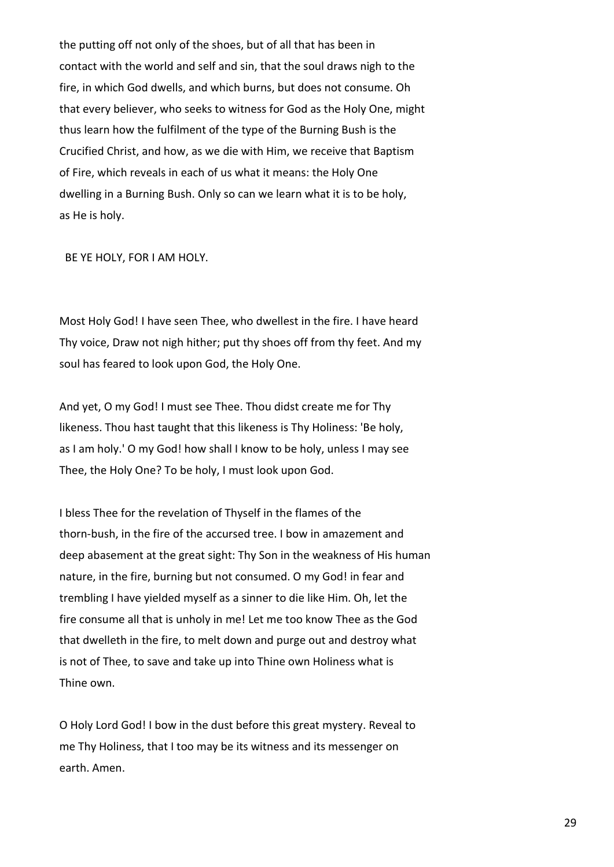the putting off not only of the shoes, but of all that has been in contact with the world and self and sin, that the soul draws nigh to the fire, in which God dwells, and which burns, but does not consume. Oh that every believer, who seeks to witness for God as the Holy One, might thus learn how the fulfilment of the type of the Burning Bush is the Crucified Christ, and how, as we die with Him, we receive that Baptism of Fire, which reveals in each of us what it means: the Holy One dwelling in a Burning Bush. Only so can we learn what it is to be holy, as He is holy.

BE YE HOLY, FOR I AM HOLY.

Most Holy God! I have seen Thee, who dwellest in the fire. I have heard Thy voice, Draw not nigh hither; put thy shoes off from thy feet. And my soul has feared to look upon God, the Holy One.

And yet, O my God! I must see Thee. Thou didst create me for Thy likeness. Thou hast taught that this likeness is Thy Holiness: 'Be holy, as I am holy.' O my God! how shall I know to be holy, unless I may see Thee, the Holy One? To be holy, I must look upon God.

I bless Thee for the revelation of Thyself in the flames of the thorn-bush, in the fire of the accursed tree. I bow in amazement and deep abasement at the great sight: Thy Son in the weakness of His human nature, in the fire, burning but not consumed. O my God! in fear and trembling I have yielded myself as a sinner to die like Him. Oh, let the fire consume all that is unholy in me! Let me too know Thee as the God that dwelleth in the fire, to melt down and purge out and destroy what is not of Thee, to save and take up into Thine own Holiness what is Thine own.

O Holy Lord God! I bow in the dust before this great mystery. Reveal to me Thy Holiness, that I too may be its witness and its messenger on earth. Amen.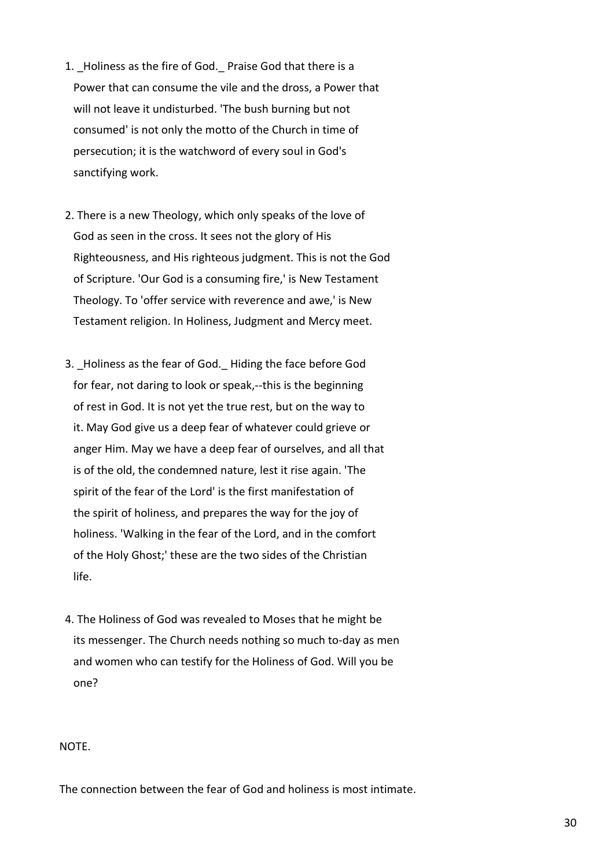- 1. Holiness as the fire of God. Praise God that there is a Power that can consume the vile and the dross, a Power that will not leave it undisturbed. 'The bush burning but not consumed' is not only the motto of the Church in time of persecution; it is the watchword of every soul in God's sanctifying work.
- 2. There is a new Theology, which only speaks of the love of God as seen in the cross. It sees not the glory of His Righteousness, and His righteous judgment. This is not the God of Scripture. 'Our God is a consuming fire,' is New Testament Theology. To 'offer service with reverence and awe,' is New Testament religion. In Holiness, Judgment and Mercy meet.
- 3. Holiness as the fear of God. Hiding the face before God for fear, not daring to look or speak,--this is the beginning of rest in God. It is not yet the true rest, but on the way to it. May God give us a deep fear of whatever could grieve or anger Him. May we have a deep fear of ourselves, and all that is of the old, the condemned nature, lest it rise again. 'The spirit of the fear of the Lord' is the first manifestation of the spirit of holiness, and prepares the way for the joy of holiness. 'Walking in the fear of the Lord, and in the comfort of the Holy Ghost;' these are the two sides of the Christian life.
- 4. The Holiness of God was revealed to Moses that he might be its messenger. The Church needs nothing so much to-day as men and women who can testify for the Holiness of God. Will you be one?

## NOTE.

The connection between the fear of God and holiness is most intimate.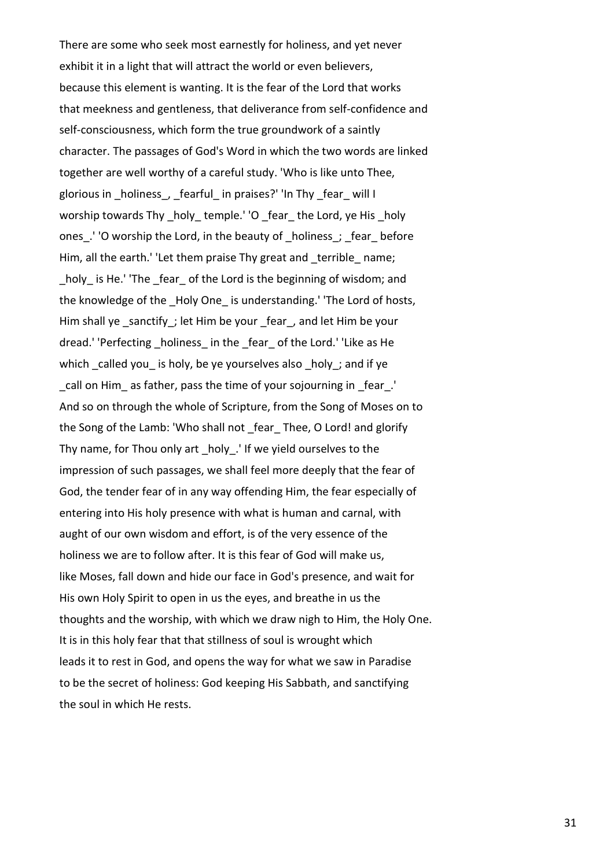There are some who seek most earnestly for holiness, and yet never exhibit it in a light that will attract the world or even believers, because this element is wanting. It is the fear of the Lord that works that meekness and gentleness, that deliverance from self-confidence and self-consciousness, which form the true groundwork of a saintly character. The passages of God's Word in which the two words are linked together are well worthy of a careful study. 'Who is like unto Thee, glorious in holiness, fearful in praises?' 'In Thy fear will I worship towards Thy holy temple.' 'O fear the Lord, ye His holy ones. ' 'O worship the Lord, in the beauty of holiness; fear before Him, all the earth.' 'Let them praise Thy great and terrible name; holy is He.' 'The fear of the Lord is the beginning of wisdom; and the knowledge of the Holy One is understanding.' 'The Lord of hosts, Him shall ye sanctify; let Him be your fear, and let Him be your dread.' 'Perfecting holiness in the fear of the Lord.' 'Like as He which called you is holy, be ye yourselves also  $\Delta$  holy ; and if ye call on Him as father, pass the time of your sojourning in fear. And so on through the whole of Scripture, from the Song of Moses on to the Song of the Lamb: 'Who shall not fear Thee, O Lord! and glorify Thy name, for Thou only art holy. 'If we yield ourselves to the impression of such passages, we shall feel more deeply that the fear of God, the tender fear of in any way offending Him, the fear especially of entering into His holy presence with what is human and carnal, with aught of our own wisdom and effort, is of the very essence of the holiness we are to follow after. It is this fear of God will make us, like Moses, fall down and hide our face in God's presence, and wait for His own Holy Spirit to open in us the eyes, and breathe in us the thoughts and the worship, with which we draw nigh to Him, the Holy One. It is in this holy fear that that stillness of soul is wrought which leads it to rest in God, and opens the way for what we saw in Paradise to be the secret of holiness: God keeping His Sabbath, and sanctifying the soul in which He rests.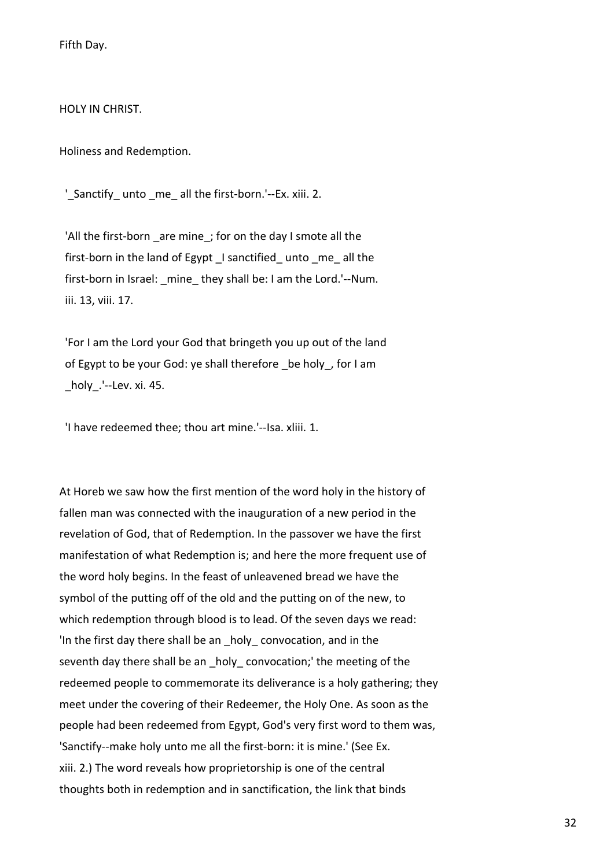Fifth Day.

HOLY IN CHRIST.

Holiness and Redemption.

'\_Sanctify\_ unto \_me\_ all the first-born.'--Ex. xiii. 2.

'All the first-born are mine ; for on the day I smote all the first-born in the land of Egypt I sanctified unto me all the first-born in Israel: mine they shall be: I am the Lord.'--Num. iii. 13, viii. 17.

 'For I am the Lord your God that bringeth you up out of the land of Egypt to be your God: ye shall therefore \_be holy\_, for I am \_holy\_.'--Lev. xi. 45.

'I have redeemed thee; thou art mine.'--Isa. xliii. 1.

At Horeb we saw how the first mention of the word holy in the history of fallen man was connected with the inauguration of a new period in the revelation of God, that of Redemption. In the passover we have the first manifestation of what Redemption is; and here the more frequent use of the word holy begins. In the feast of unleavened bread we have the symbol of the putting off of the old and the putting on of the new, to which redemption through blood is to lead. Of the seven days we read: 'In the first day there shall be an \_holy\_ convocation, and in the seventh day there shall be an holy convocation;' the meeting of the redeemed people to commemorate its deliverance is a holy gathering; they meet under the covering of their Redeemer, the Holy One. As soon as the people had been redeemed from Egypt, God's very first word to them was, 'Sanctify--make holy unto me all the first-born: it is mine.' (See Ex. xiii. 2.) The word reveals how proprietorship is one of the central thoughts both in redemption and in sanctification, the link that binds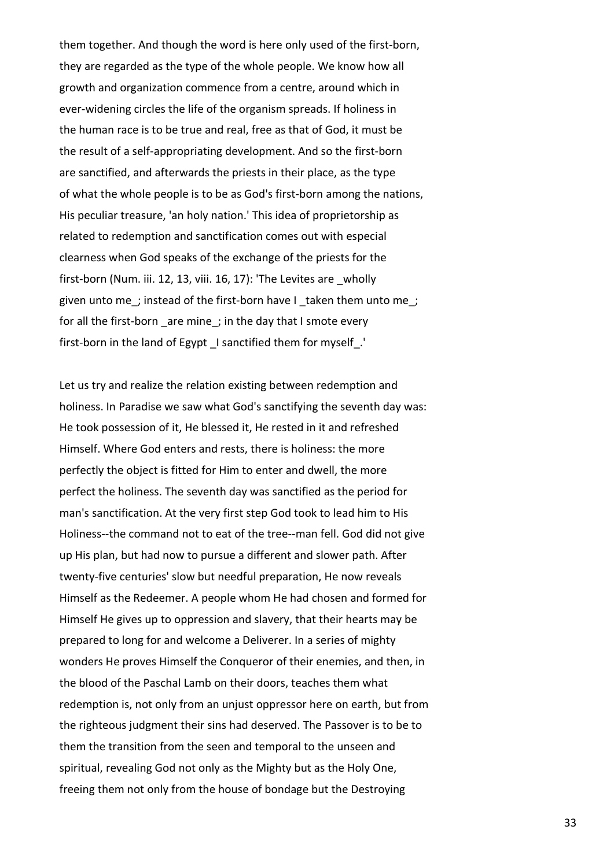them together. And though the word is here only used of the first-born, they are regarded as the type of the whole people. We know how all growth and organization commence from a centre, around which in ever-widening circles the life of the organism spreads. If holiness in the human race is to be true and real, free as that of God, it must be the result of a self-appropriating development. And so the first-born are sanctified, and afterwards the priests in their place, as the type of what the whole people is to be as God's first-born among the nations, His peculiar treasure, 'an holy nation.' This idea of proprietorship as related to redemption and sanctification comes out with especial clearness when God speaks of the exchange of the priests for the first-born (Num. iii. 12, 13, viii. 16, 17): 'The Levites are wholly given unto me; instead of the first-born have I taken them unto me; for all the first-born are mine; in the day that I smote every first-born in the land of Egypt I sanctified them for myself.

Let us try and realize the relation existing between redemption and holiness. In Paradise we saw what God's sanctifying the seventh day was: He took possession of it, He blessed it, He rested in it and refreshed Himself. Where God enters and rests, there is holiness: the more perfectly the object is fitted for Him to enter and dwell, the more perfect the holiness. The seventh day was sanctified as the period for man's sanctification. At the very first step God took to lead him to His Holiness--the command not to eat of the tree--man fell. God did not give up His plan, but had now to pursue a different and slower path. After twenty-five centuries' slow but needful preparation, He now reveals Himself as the Redeemer. A people whom He had chosen and formed for Himself He gives up to oppression and slavery, that their hearts may be prepared to long for and welcome a Deliverer. In a series of mighty wonders He proves Himself the Conqueror of their enemies, and then, in the blood of the Paschal Lamb on their doors, teaches them what redemption is, not only from an unjust oppressor here on earth, but from the righteous judgment their sins had deserved. The Passover is to be to them the transition from the seen and temporal to the unseen and spiritual, revealing God not only as the Mighty but as the Holy One, freeing them not only from the house of bondage but the Destroying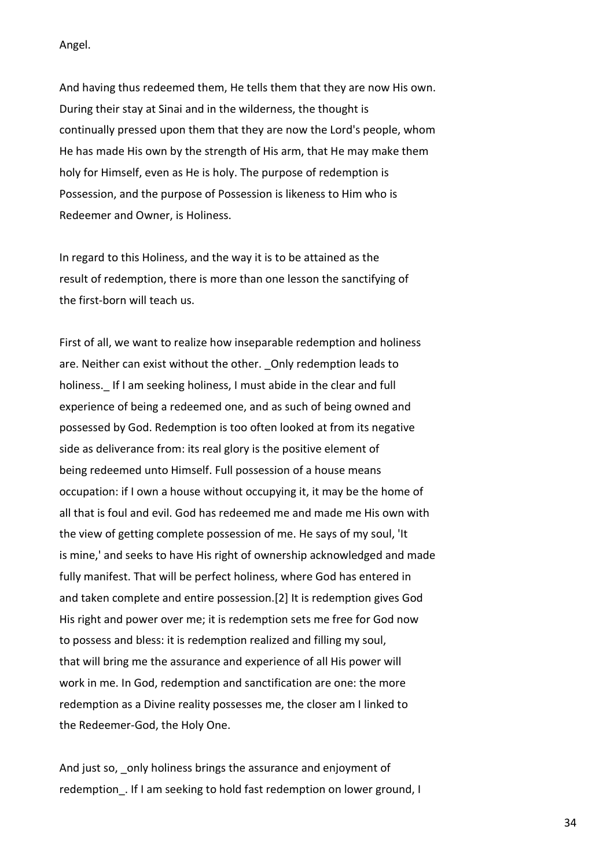Angel.

And having thus redeemed them, He tells them that they are now His own. During their stay at Sinai and in the wilderness, the thought is continually pressed upon them that they are now the Lord's people, whom He has made His own by the strength of His arm, that He may make them holy for Himself, even as He is holy. The purpose of redemption is Possession, and the purpose of Possession is likeness to Him who is Redeemer and Owner, is Holiness.

In regard to this Holiness, and the way it is to be attained as the result of redemption, there is more than one lesson the sanctifying of the first-born will teach us.

First of all, we want to realize how inseparable redemption and holiness are. Neither can exist without the other. \_Only redemption leads to holiness. If I am seeking holiness, I must abide in the clear and full experience of being a redeemed one, and as such of being owned and possessed by God. Redemption is too often looked at from its negative side as deliverance from: its real glory is the positive element of being redeemed unto Himself. Full possession of a house means occupation: if I own a house without occupying it, it may be the home of all that is foul and evil. God has redeemed me and made me His own with the view of getting complete possession of me. He says of my soul, 'It is mine,' and seeks to have His right of ownership acknowledged and made fully manifest. That will be perfect holiness, where God has entered in and taken complete and entire possession.[2] It is redemption gives God His right and power over me; it is redemption sets me free for God now to possess and bless: it is redemption realized and filling my soul, that will bring me the assurance and experience of all His power will work in me. In God, redemption and sanctification are one: the more redemption as a Divine reality possesses me, the closer am I linked to the Redeemer-God, the Holy One.

And just so, only holiness brings the assurance and enjoyment of redemption. If I am seeking to hold fast redemption on lower ground, I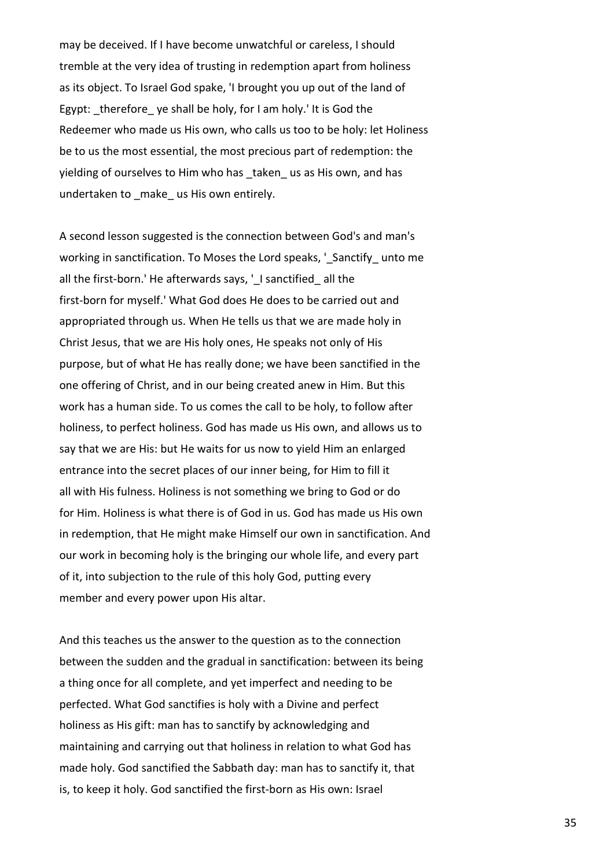may be deceived. If I have become unwatchful or careless, I should tremble at the very idea of trusting in redemption apart from holiness as its object. To Israel God spake, 'I brought you up out of the land of Egypt: therefore ye shall be holy, for I am holy.' It is God the Redeemer who made us His own, who calls us too to be holy: let Holiness be to us the most essential, the most precious part of redemption: the yielding of ourselves to Him who has taken us as His own, and has undertaken to \_make\_ us His own entirely.

A second lesson suggested is the connection between God's and man's working in sanctification. To Moses the Lord speaks, '\_Sanctify\_ unto me all the first-born.' He afterwards says, '\_I sanctified \_ all the first-born for myself.' What God does He does to be carried out and appropriated through us. When He tells us that we are made holy in Christ Jesus, that we are His holy ones, He speaks not only of His purpose, but of what He has really done; we have been sanctified in the one offering of Christ, and in our being created anew in Him. But this work has a human side. To us comes the call to be holy, to follow after holiness, to perfect holiness. God has made us His own, and allows us to say that we are His: but He waits for us now to yield Him an enlarged entrance into the secret places of our inner being, for Him to fill it all with His fulness. Holiness is not something we bring to God or do for Him. Holiness is what there is of God in us. God has made us His own in redemption, that He might make Himself our own in sanctification. And our work in becoming holy is the bringing our whole life, and every part of it, into subjection to the rule of this holy God, putting every member and every power upon His altar.

And this teaches us the answer to the question as to the connection between the sudden and the gradual in sanctification: between its being a thing once for all complete, and yet imperfect and needing to be perfected. What God sanctifies is holy with a Divine and perfect holiness as His gift: man has to sanctify by acknowledging and maintaining and carrying out that holiness in relation to what God has made holy. God sanctified the Sabbath day: man has to sanctify it, that is, to keep it holy. God sanctified the first-born as His own: Israel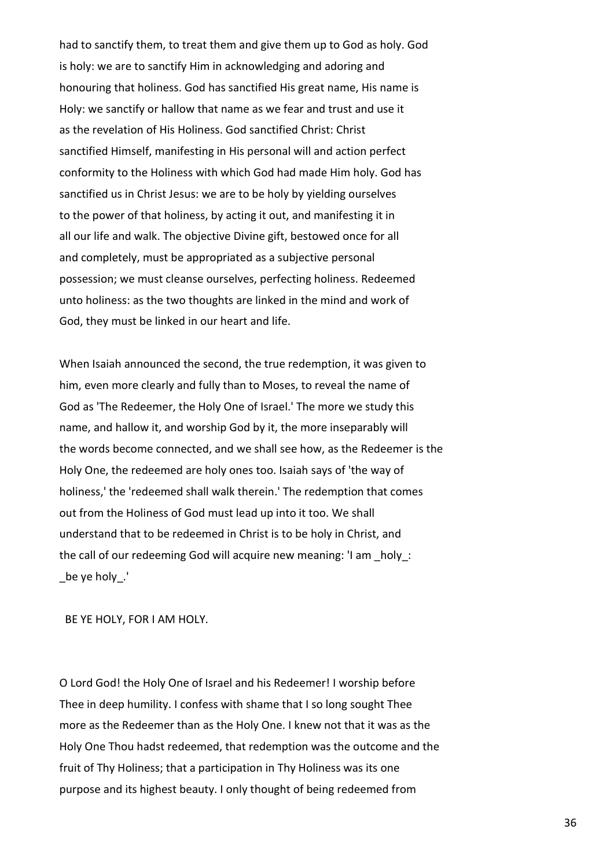had to sanctify them, to treat them and give them up to God as holy. God is holy: we are to sanctify Him in acknowledging and adoring and honouring that holiness. God has sanctified His great name, His name is Holy: we sanctify or hallow that name as we fear and trust and use it as the revelation of His Holiness. God sanctified Christ: Christ sanctified Himself, manifesting in His personal will and action perfect conformity to the Holiness with which God had made Him holy. God has sanctified us in Christ Jesus: we are to be holy by yielding ourselves to the power of that holiness, by acting it out, and manifesting it in all our life and walk. The objective Divine gift, bestowed once for all and completely, must be appropriated as a subjective personal possession; we must cleanse ourselves, perfecting holiness. Redeemed unto holiness: as the two thoughts are linked in the mind and work of God, they must be linked in our heart and life.

When Isaiah announced the second, the true redemption, it was given to him, even more clearly and fully than to Moses, to reveal the name of God as 'The Redeemer, the Holy One of Israel.' The more we study this name, and hallow it, and worship God by it, the more inseparably will the words become connected, and we shall see how, as the Redeemer is the Holy One, the redeemed are holy ones too. Isaiah says of 'the way of holiness,' the 'redeemed shall walk therein.' The redemption that comes out from the Holiness of God must lead up into it too. We shall understand that to be redeemed in Christ is to be holy in Christ, and the call of our redeeming God will acquire new meaning: 'I am \_holy\_: \_be ye holy\_.'

BE YE HOLY, FOR I AM HOLY.

O Lord God! the Holy One of Israel and his Redeemer! I worship before Thee in deep humility. I confess with shame that I so long sought Thee more as the Redeemer than as the Holy One. I knew not that it was as the Holy One Thou hadst redeemed, that redemption was the outcome and the fruit of Thy Holiness; that a participation in Thy Holiness was its one purpose and its highest beauty. I only thought of being redeemed from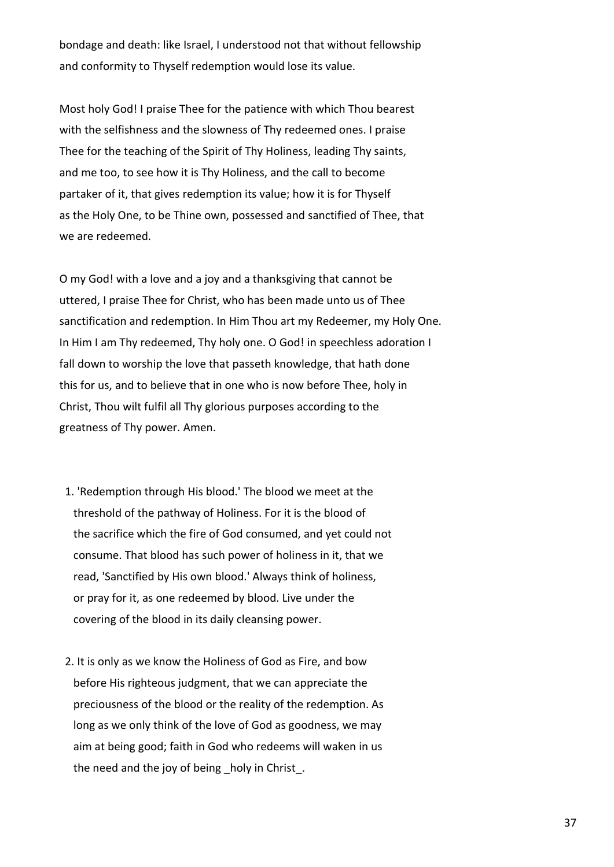bondage and death: like Israel, I understood not that without fellowship and conformity to Thyself redemption would lose its value.

Most holy God! I praise Thee for the patience with which Thou bearest with the selfishness and the slowness of Thy redeemed ones. I praise Thee for the teaching of the Spirit of Thy Holiness, leading Thy saints, and me too, to see how it is Thy Holiness, and the call to become partaker of it, that gives redemption its value; how it is for Thyself as the Holy One, to be Thine own, possessed and sanctified of Thee, that we are redeemed.

O my God! with a love and a joy and a thanksgiving that cannot be uttered, I praise Thee for Christ, who has been made unto us of Thee sanctification and redemption. In Him Thou art my Redeemer, my Holy One. In Him I am Thy redeemed, Thy holy one. O God! in speechless adoration I fall down to worship the love that passeth knowledge, that hath done this for us, and to believe that in one who is now before Thee, holy in Christ, Thou wilt fulfil all Thy glorious purposes according to the greatness of Thy power. Amen.

- 1. 'Redemption through His blood.' The blood we meet at the threshold of the pathway of Holiness. For it is the blood of the sacrifice which the fire of God consumed, and yet could not consume. That blood has such power of holiness in it, that we read, 'Sanctified by His own blood.' Always think of holiness, or pray for it, as one redeemed by blood. Live under the covering of the blood in its daily cleansing power.
- 2. It is only as we know the Holiness of God as Fire, and bow before His righteous judgment, that we can appreciate the preciousness of the blood or the reality of the redemption. As long as we only think of the love of God as goodness, we may aim at being good; faith in God who redeems will waken in us the need and the joy of being holy in Christ.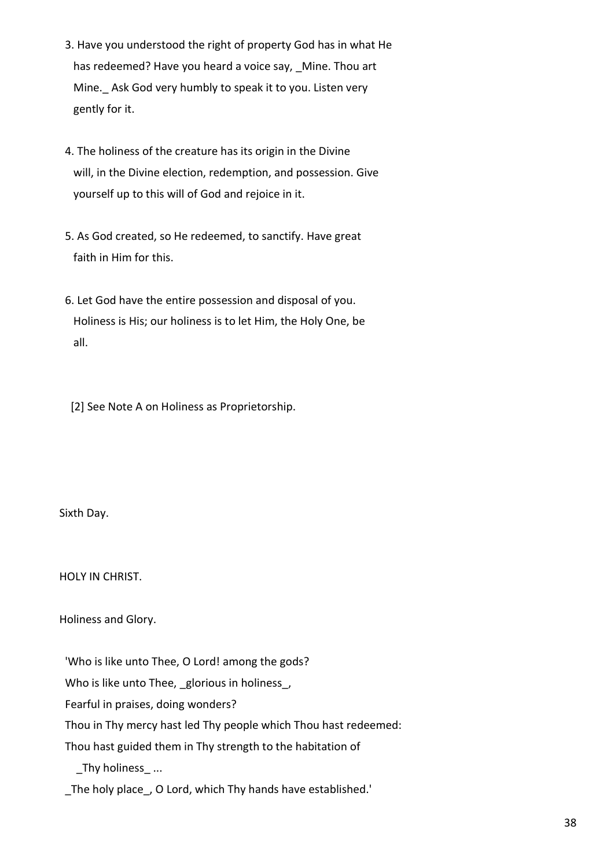- 3. Have you understood the right of property God has in what He has redeemed? Have you heard a voice say, Mine. Thou art Mine. Ask God very humbly to speak it to you. Listen very gently for it.
- 4. The holiness of the creature has its origin in the Divine will, in the Divine election, redemption, and possession. Give yourself up to this will of God and rejoice in it.
- 5. As God created, so He redeemed, to sanctify. Have great faith in Him for this.
- 6. Let God have the entire possession and disposal of you. Holiness is His; our holiness is to let Him, the Holy One, be all.

[2] See Note A on Holiness as Proprietorship.

Sixth Day.

HOLY IN CHRIST.

Holiness and Glory.

'Who is like unto Thee, O Lord! among the gods?

Who is like unto Thee, \_glorious in holiness\_,

Fearful in praises, doing wonders?

Thou in Thy mercy hast led Thy people which Thou hast redeemed:

Thou hast guided them in Thy strength to the habitation of

\_Thy holiness\_ ...

The holy place, O Lord, which Thy hands have established.'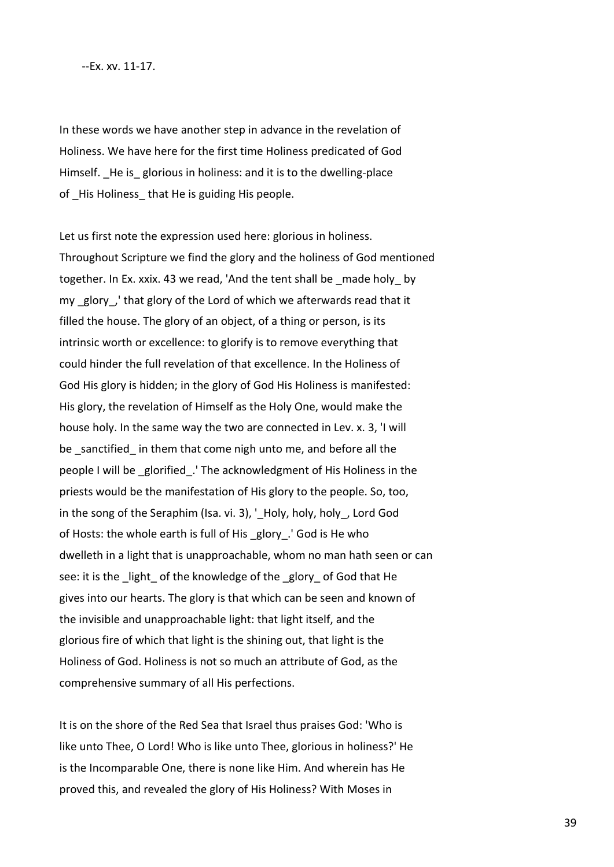## --Ex. xv. 11-17.

In these words we have another step in advance in the revelation of Holiness. We have here for the first time Holiness predicated of God Himself. He is glorious in holiness: and it is to the dwelling-place of His Holiness that He is guiding His people.

Let us first note the expression used here: glorious in holiness. Throughout Scripture we find the glory and the holiness of God mentioned together. In Ex. xxix. 43 we read, 'And the tent shall be \_made holy\_ by my glory, that glory of the Lord of which we afterwards read that it filled the house. The glory of an object, of a thing or person, is its intrinsic worth or excellence: to glorify is to remove everything that could hinder the full revelation of that excellence. In the Holiness of God His glory is hidden; in the glory of God His Holiness is manifested: His glory, the revelation of Himself as the Holy One, would make the house holy. In the same way the two are connected in Lev. x. 3, 'I will be sanctified in them that come nigh unto me, and before all the people I will be \_glorified\_.' The acknowledgment of His Holiness in the priests would be the manifestation of His glory to the people. So, too, in the song of the Seraphim (Isa. vi. 3), '\_Holy, holy, holy, Lord God of Hosts: the whole earth is full of His \_glory\_.' God is He who dwelleth in a light that is unapproachable, whom no man hath seen or can see: it is the light of the knowledge of the glory of God that He gives into our hearts. The glory is that which can be seen and known of the invisible and unapproachable light: that light itself, and the glorious fire of which that light is the shining out, that light is the Holiness of God. Holiness is not so much an attribute of God, as the comprehensive summary of all His perfections.

It is on the shore of the Red Sea that Israel thus praises God: 'Who is like unto Thee, O Lord! Who is like unto Thee, glorious in holiness?' He is the Incomparable One, there is none like Him. And wherein has He proved this, and revealed the glory of His Holiness? With Moses in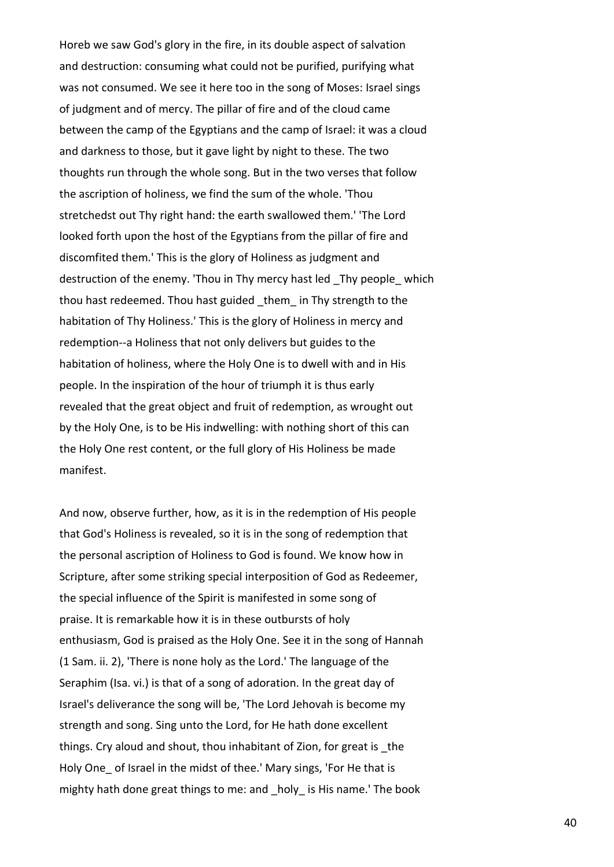Horeb we saw God's glory in the fire, in its double aspect of salvation and destruction: consuming what could not be purified, purifying what was not consumed. We see it here too in the song of Moses: Israel sings of judgment and of mercy. The pillar of fire and of the cloud came between the camp of the Egyptians and the camp of Israel: it was a cloud and darkness to those, but it gave light by night to these. The two thoughts run through the whole song. But in the two verses that follow the ascription of holiness, we find the sum of the whole. 'Thou stretchedst out Thy right hand: the earth swallowed them.' 'The Lord looked forth upon the host of the Egyptians from the pillar of fire and discomfited them.' This is the glory of Holiness as judgment and destruction of the enemy. 'Thou in Thy mercy hast led Thy people which thou hast redeemed. Thou hast guided \_them\_ in Thy strength to the habitation of Thy Holiness.' This is the glory of Holiness in mercy and redemption--a Holiness that not only delivers but guides to the habitation of holiness, where the Holy One is to dwell with and in His people. In the inspiration of the hour of triumph it is thus early revealed that the great object and fruit of redemption, as wrought out by the Holy One, is to be His indwelling: with nothing short of this can the Holy One rest content, or the full glory of His Holiness be made manifest.

And now, observe further, how, as it is in the redemption of His people that God's Holiness is revealed, so it is in the song of redemption that the personal ascription of Holiness to God is found. We know how in Scripture, after some striking special interposition of God as Redeemer, the special influence of the Spirit is manifested in some song of praise. It is remarkable how it is in these outbursts of holy enthusiasm, God is praised as the Holy One. See it in the song of Hannah (1 Sam. ii. 2), 'There is none holy as the Lord.' The language of the Seraphim (Isa. vi.) is that of a song of adoration. In the great day of Israel's deliverance the song will be, 'The Lord Jehovah is become my strength and song. Sing unto the Lord, for He hath done excellent things. Cry aloud and shout, thou inhabitant of Zion, for great is \_the Holy One of Israel in the midst of thee.' Mary sings, 'For He that is mighty hath done great things to me: and holy is His name.' The book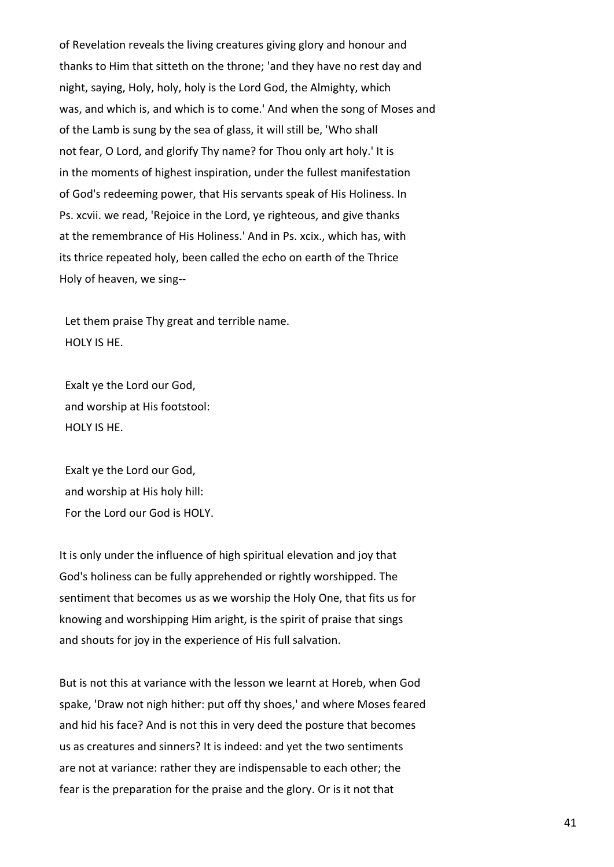of Revelation reveals the living creatures giving glory and honour and thanks to Him that sitteth on the throne; 'and they have no rest day and night, saying, Holy, holy, holy is the Lord God, the Almighty, which was, and which is, and which is to come.' And when the song of Moses and of the Lamb is sung by the sea of glass, it will still be, 'Who shall not fear, O Lord, and glorify Thy name? for Thou only art holy.' It is in the moments of highest inspiration, under the fullest manifestation of God's redeeming power, that His servants speak of His Holiness. In Ps. xcvii. we read, 'Rejoice in the Lord, ye righteous, and give thanks at the remembrance of His Holiness.' And in Ps. xcix., which has, with its thrice repeated holy, been called the echo on earth of the Thrice Holy of heaven, we sing--

 Let them praise Thy great and terrible name. HOLY IS HE.

 Exalt ye the Lord our God, and worship at His footstool: HOLY IS HE.

 Exalt ye the Lord our God, and worship at His holy hill: For the Lord our God is HOLY.

It is only under the influence of high spiritual elevation and joy that God's holiness can be fully apprehended or rightly worshipped. The sentiment that becomes us as we worship the Holy One, that fits us for knowing and worshipping Him aright, is the spirit of praise that sings and shouts for joy in the experience of His full salvation.

But is not this at variance with the lesson we learnt at Horeb, when God spake, 'Draw not nigh hither: put off thy shoes,' and where Moses feared and hid his face? And is not this in very deed the posture that becomes us as creatures and sinners? It is indeed: and yet the two sentiments are not at variance: rather they are indispensable to each other; the fear is the preparation for the praise and the glory. Or is it not that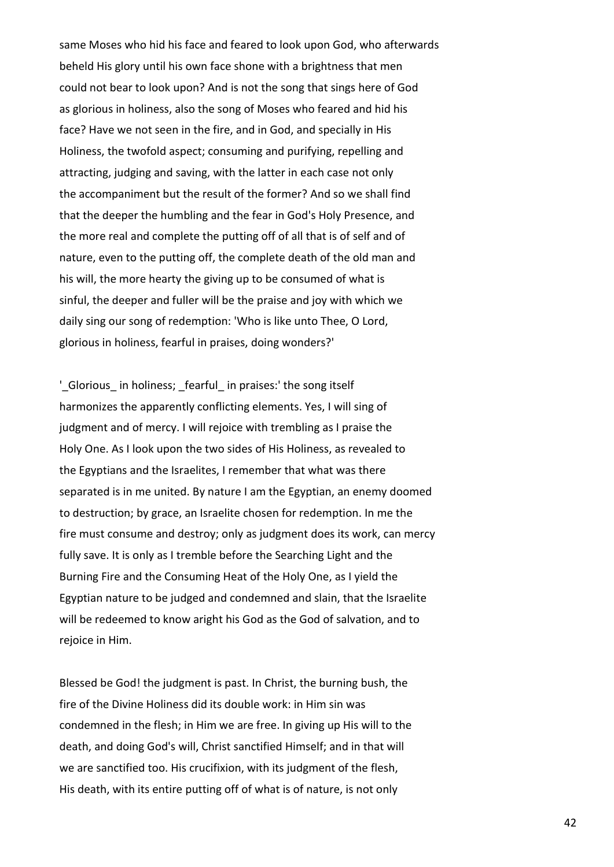same Moses who hid his face and feared to look upon God, who afterwards beheld His glory until his own face shone with a brightness that men could not bear to look upon? And is not the song that sings here of God as glorious in holiness, also the song of Moses who feared and hid his face? Have we not seen in the fire, and in God, and specially in His Holiness, the twofold aspect; consuming and purifying, repelling and attracting, judging and saving, with the latter in each case not only the accompaniment but the result of the former? And so we shall find that the deeper the humbling and the fear in God's Holy Presence, and the more real and complete the putting off of all that is of self and of nature, even to the putting off, the complete death of the old man and his will, the more hearty the giving up to be consumed of what is sinful, the deeper and fuller will be the praise and joy with which we daily sing our song of redemption: 'Who is like unto Thee, O Lord, glorious in holiness, fearful in praises, doing wonders?'

' Glorious in holiness; fearful in praises: the song itself harmonizes the apparently conflicting elements. Yes, I will sing of judgment and of mercy. I will rejoice with trembling as I praise the Holy One. As I look upon the two sides of His Holiness, as revealed to the Egyptians and the Israelites, I remember that what was there separated is in me united. By nature I am the Egyptian, an enemy doomed to destruction; by grace, an Israelite chosen for redemption. In me the fire must consume and destroy; only as judgment does its work, can mercy fully save. It is only as I tremble before the Searching Light and the Burning Fire and the Consuming Heat of the Holy One, as I yield the Egyptian nature to be judged and condemned and slain, that the Israelite will be redeemed to know aright his God as the God of salvation, and to rejoice in Him.

Blessed be God! the judgment is past. In Christ, the burning bush, the fire of the Divine Holiness did its double work: in Him sin was condemned in the flesh; in Him we are free. In giving up His will to the death, and doing God's will, Christ sanctified Himself; and in that will we are sanctified too. His crucifixion, with its judgment of the flesh, His death, with its entire putting off of what is of nature, is not only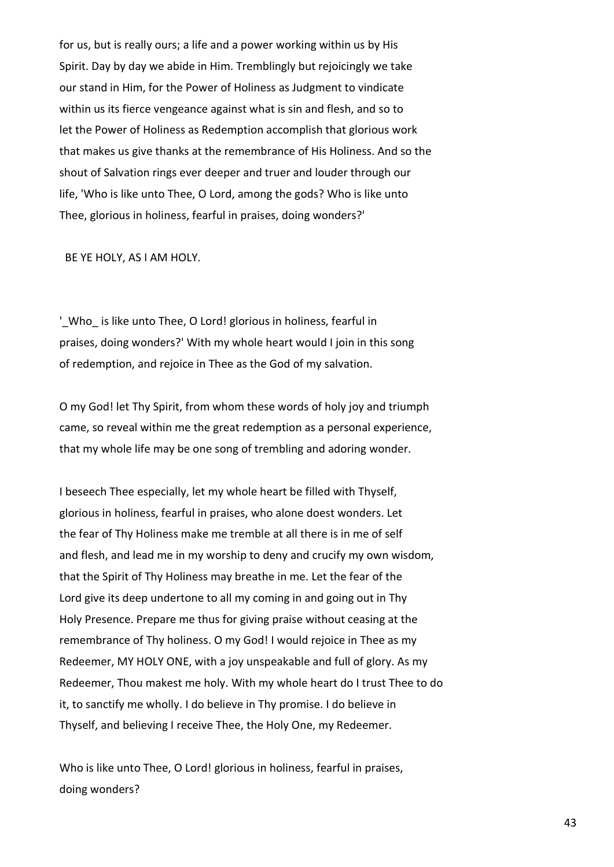for us, but is really ours; a life and a power working within us by His Spirit. Day by day we abide in Him. Tremblingly but rejoicingly we take our stand in Him, for the Power of Holiness as Judgment to vindicate within us its fierce vengeance against what is sin and flesh, and so to let the Power of Holiness as Redemption accomplish that glorious work that makes us give thanks at the remembrance of His Holiness. And so the shout of Salvation rings ever deeper and truer and louder through our life, 'Who is like unto Thee, O Lord, among the gods? Who is like unto Thee, glorious in holiness, fearful in praises, doing wonders?'

BE YE HOLY, AS I AM HOLY.

' Who is like unto Thee, O Lord! glorious in holiness, fearful in praises, doing wonders?' With my whole heart would I join in this song of redemption, and rejoice in Thee as the God of my salvation.

O my God! let Thy Spirit, from whom these words of holy joy and triumph came, so reveal within me the great redemption as a personal experience, that my whole life may be one song of trembling and adoring wonder.

I beseech Thee especially, let my whole heart be filled with Thyself, glorious in holiness, fearful in praises, who alone doest wonders. Let the fear of Thy Holiness make me tremble at all there is in me of self and flesh, and lead me in my worship to deny and crucify my own wisdom, that the Spirit of Thy Holiness may breathe in me. Let the fear of the Lord give its deep undertone to all my coming in and going out in Thy Holy Presence. Prepare me thus for giving praise without ceasing at the remembrance of Thy holiness. O my God! I would rejoice in Thee as my Redeemer, MY HOLY ONE, with a joy unspeakable and full of glory. As my Redeemer, Thou makest me holy. With my whole heart do I trust Thee to do it, to sanctify me wholly. I do believe in Thy promise. I do believe in Thyself, and believing I receive Thee, the Holy One, my Redeemer.

Who is like unto Thee, O Lord! glorious in holiness, fearful in praises, doing wonders?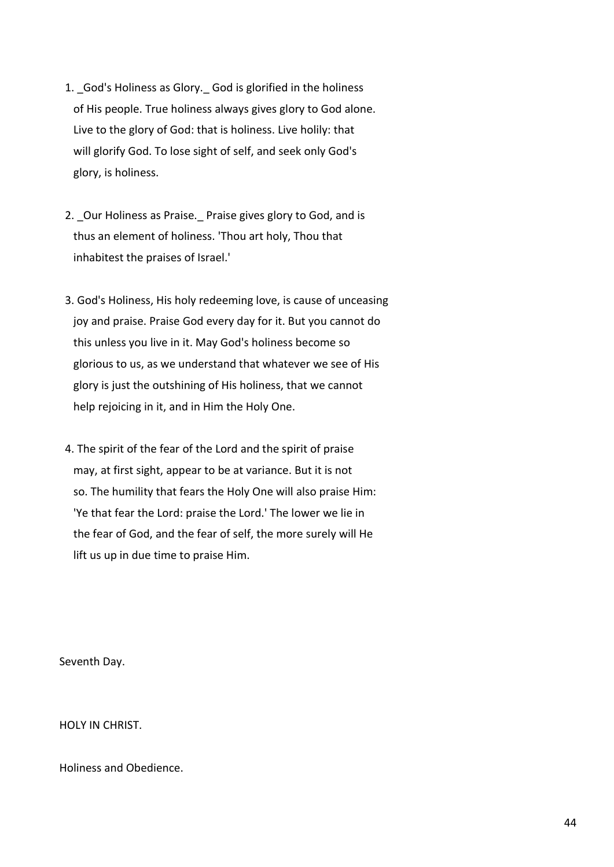- 1. God's Holiness as Glory. God is glorified in the holiness of His people. True holiness always gives glory to God alone. Live to the glory of God: that is holiness. Live holily: that will glorify God. To lose sight of self, and seek only God's glory, is holiness.
- 2. Our Holiness as Praise. Praise gives glory to God, and is thus an element of holiness. 'Thou art holy, Thou that inhabitest the praises of Israel.'
- 3. God's Holiness, His holy redeeming love, is cause of unceasing joy and praise. Praise God every day for it. But you cannot do this unless you live in it. May God's holiness become so glorious to us, as we understand that whatever we see of His glory is just the outshining of His holiness, that we cannot help rejoicing in it, and in Him the Holy One.
- 4. The spirit of the fear of the Lord and the spirit of praise may, at first sight, appear to be at variance. But it is not so. The humility that fears the Holy One will also praise Him: 'Ye that fear the Lord: praise the Lord.' The lower we lie in the fear of God, and the fear of self, the more surely will He lift us up in due time to praise Him.

Seventh Day.

HOLY IN CHRIST.

Holiness and Obedience.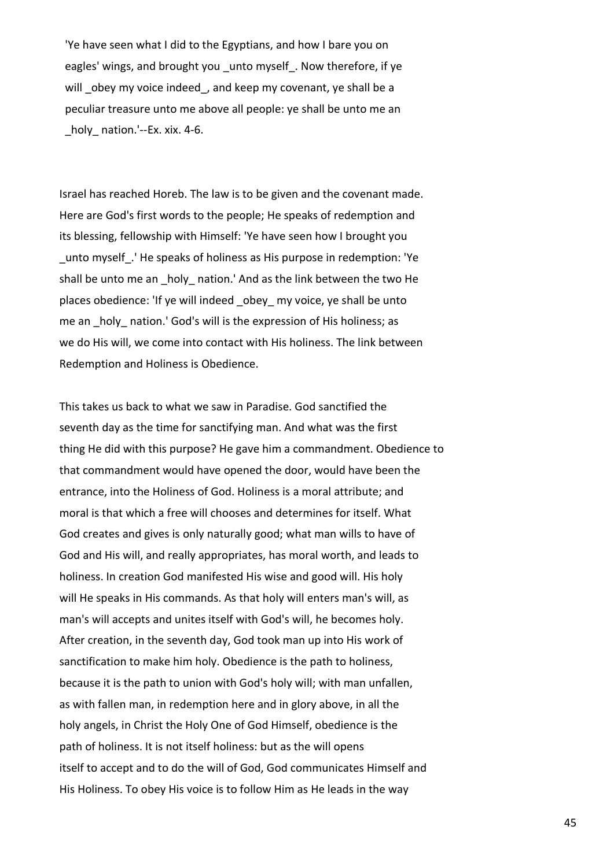'Ye have seen what I did to the Egyptians, and how I bare you on eagles' wings, and brought you unto myself. Now therefore, if ye will obey my voice indeed, and keep my covenant, ye shall be a peculiar treasure unto me above all people: ye shall be unto me an holy nation.'--Ex. xix. 4-6.

Israel has reached Horeb. The law is to be given and the covenant made. Here are God's first words to the people; He speaks of redemption and its blessing, fellowship with Himself: 'Ye have seen how I brought you \_unto myself\_.' He speaks of holiness as His purpose in redemption: 'Ye shall be unto me an holy nation.' And as the link between the two He places obedience: 'If ye will indeed obey my voice, ye shall be unto me an holy nation.' God's will is the expression of His holiness; as we do His will, we come into contact with His holiness. The link between Redemption and Holiness is Obedience.

This takes us back to what we saw in Paradise. God sanctified the seventh day as the time for sanctifying man. And what was the first thing He did with this purpose? He gave him a commandment. Obedience to that commandment would have opened the door, would have been the entrance, into the Holiness of God. Holiness is a moral attribute; and moral is that which a free will chooses and determines for itself. What God creates and gives is only naturally good; what man wills to have of God and His will, and really appropriates, has moral worth, and leads to holiness. In creation God manifested His wise and good will. His holy will He speaks in His commands. As that holy will enters man's will, as man's will accepts and unites itself with God's will, he becomes holy. After creation, in the seventh day, God took man up into His work of sanctification to make him holy. Obedience is the path to holiness, because it is the path to union with God's holy will; with man unfallen, as with fallen man, in redemption here and in glory above, in all the holy angels, in Christ the Holy One of God Himself, obedience is the path of holiness. It is not itself holiness: but as the will opens itself to accept and to do the will of God, God communicates Himself and His Holiness. To obey His voice is to follow Him as He leads in the way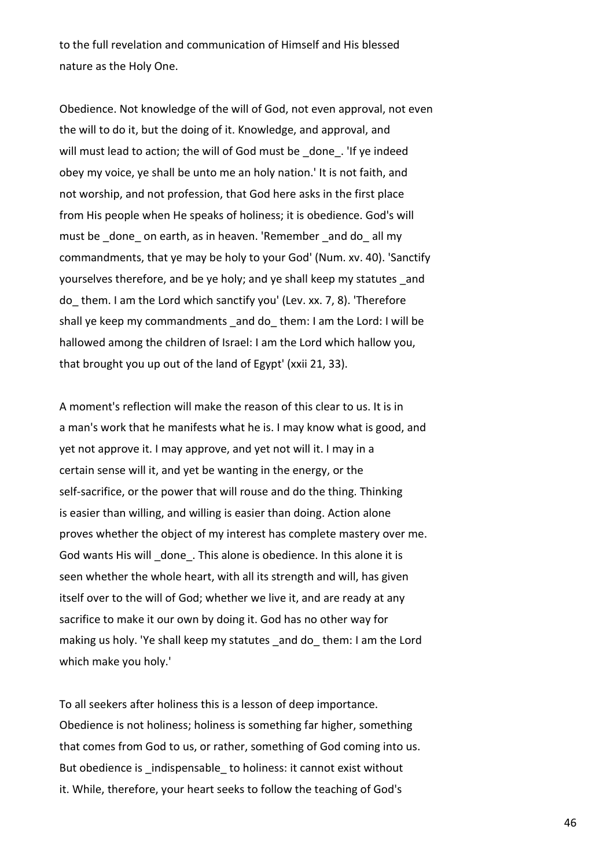to the full revelation and communication of Himself and His blessed nature as the Holy One.

Obedience. Not knowledge of the will of God, not even approval, not even the will to do it, but the doing of it. Knowledge, and approval, and will must lead to action; the will of God must be \_done\_. 'If ye indeed obey my voice, ye shall be unto me an holy nation.' It is not faith, and not worship, and not profession, that God here asks in the first place from His people when He speaks of holiness; it is obedience. God's will must be done on earth, as in heaven. 'Remember and do all my commandments, that ye may be holy to your God' (Num. xv. 40). 'Sanctify yourselves therefore, and be ye holy; and ye shall keep my statutes \_and do\_ them. I am the Lord which sanctify you' (Lev. xx. 7, 8). 'Therefore shall ye keep my commandments and do them: I am the Lord: I will be hallowed among the children of Israel: I am the Lord which hallow you, that brought you up out of the land of Egypt' (xxii 21, 33).

A moment's reflection will make the reason of this clear to us. It is in a man's work that he manifests what he is. I may know what is good, and yet not approve it. I may approve, and yet not will it. I may in a certain sense will it, and yet be wanting in the energy, or the self-sacrifice, or the power that will rouse and do the thing. Thinking is easier than willing, and willing is easier than doing. Action alone proves whether the object of my interest has complete mastery over me. God wants His will done. This alone is obedience. In this alone it is seen whether the whole heart, with all its strength and will, has given itself over to the will of God; whether we live it, and are ready at any sacrifice to make it our own by doing it. God has no other way for making us holy. 'Ye shall keep my statutes and do them: I am the Lord which make you holy.'

To all seekers after holiness this is a lesson of deep importance. Obedience is not holiness; holiness is something far higher, something that comes from God to us, or rather, something of God coming into us. But obedience is \_indispensable \_to holiness: it cannot exist without it. While, therefore, your heart seeks to follow the teaching of God's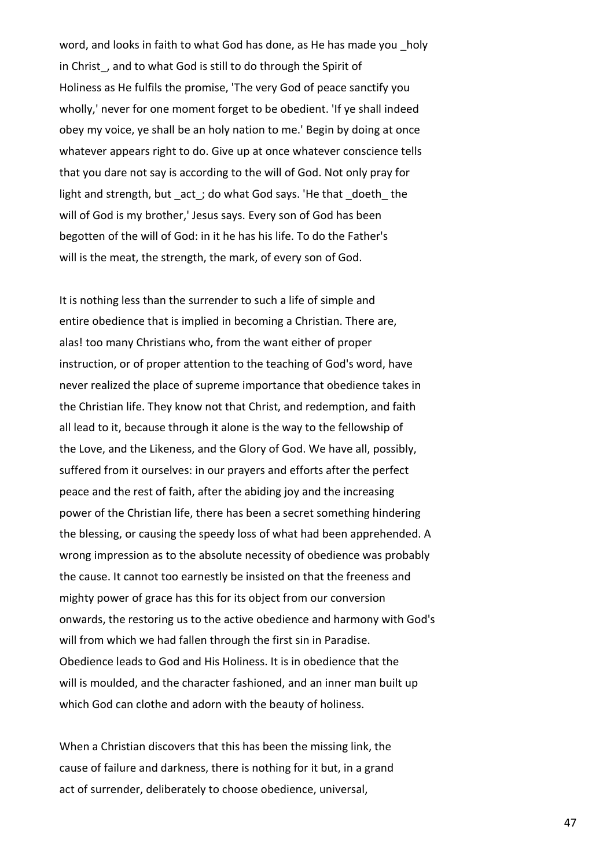word, and looks in faith to what God has done, as He has made you holy in Christ, and to what God is still to do through the Spirit of Holiness as He fulfils the promise, 'The very God of peace sanctify you wholly,' never for one moment forget to be obedient. 'If ye shall indeed obey my voice, ye shall be an holy nation to me.' Begin by doing at once whatever appears right to do. Give up at once whatever conscience tells that you dare not say is according to the will of God. Not only pray for light and strength, but \_act\_; do what God says. 'He that \_doeth\_ the will of God is my brother,' Jesus says. Every son of God has been begotten of the will of God: in it he has his life. To do the Father's will is the meat, the strength, the mark, of every son of God.

It is nothing less than the surrender to such a life of simple and entire obedience that is implied in becoming a Christian. There are, alas! too many Christians who, from the want either of proper instruction, or of proper attention to the teaching of God's word, have never realized the place of supreme importance that obedience takes in the Christian life. They know not that Christ, and redemption, and faith all lead to it, because through it alone is the way to the fellowship of the Love, and the Likeness, and the Glory of God. We have all, possibly, suffered from it ourselves: in our prayers and efforts after the perfect peace and the rest of faith, after the abiding joy and the increasing power of the Christian life, there has been a secret something hindering the blessing, or causing the speedy loss of what had been apprehended. A wrong impression as to the absolute necessity of obedience was probably the cause. It cannot too earnestly be insisted on that the freeness and mighty power of grace has this for its object from our conversion onwards, the restoring us to the active obedience and harmony with God's will from which we had fallen through the first sin in Paradise. Obedience leads to God and His Holiness. It is in obedience that the will is moulded, and the character fashioned, and an inner man built up which God can clothe and adorn with the beauty of holiness.

When a Christian discovers that this has been the missing link, the cause of failure and darkness, there is nothing for it but, in a grand act of surrender, deliberately to choose obedience, universal,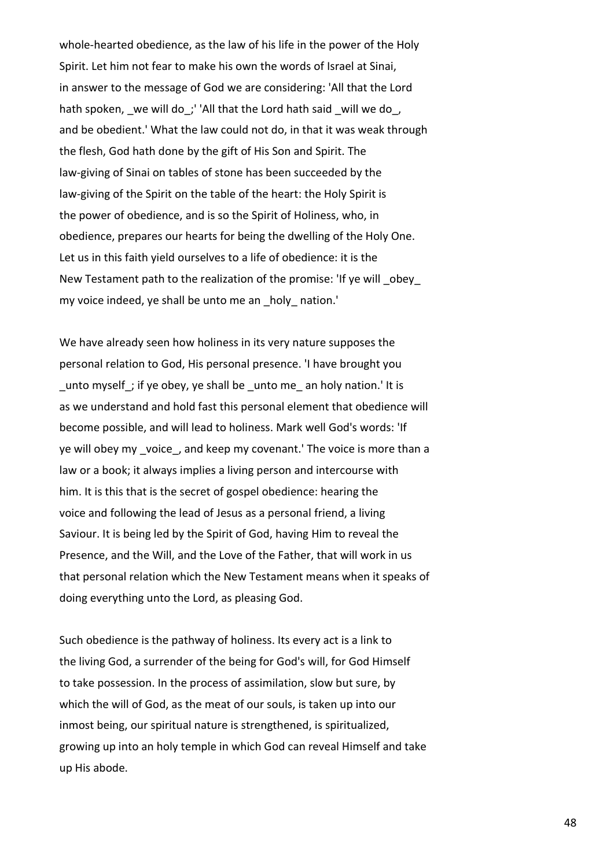whole-hearted obedience, as the law of his life in the power of the Holy Spirit. Let him not fear to make his own the words of Israel at Sinai, in answer to the message of God we are considering: 'All that the Lord hath spoken, we will do; 'All that the Lord hath said will we do, and be obedient.' What the law could not do, in that it was weak through the flesh, God hath done by the gift of His Son and Spirit. The law-giving of Sinai on tables of stone has been succeeded by the law-giving of the Spirit on the table of the heart: the Holy Spirit is the power of obedience, and is so the Spirit of Holiness, who, in obedience, prepares our hearts for being the dwelling of the Holy One. Let us in this faith yield ourselves to a life of obedience: it is the New Testament path to the realization of the promise: 'If ye will obey my voice indeed, ye shall be unto me an holy nation.'

We have already seen how holiness in its very nature supposes the personal relation to God, His personal presence. 'I have brought you unto myself; if ye obey, ye shall be unto me an holy nation.' It is as we understand and hold fast this personal element that obedience will become possible, and will lead to holiness. Mark well God's words: 'If ye will obey my voice, and keep my covenant.' The voice is more than a law or a book; it always implies a living person and intercourse with him. It is this that is the secret of gospel obedience: hearing the voice and following the lead of Jesus as a personal friend, a living Saviour. It is being led by the Spirit of God, having Him to reveal the Presence, and the Will, and the Love of the Father, that will work in us that personal relation which the New Testament means when it speaks of doing everything unto the Lord, as pleasing God.

Such obedience is the pathway of holiness. Its every act is a link to the living God, a surrender of the being for God's will, for God Himself to take possession. In the process of assimilation, slow but sure, by which the will of God, as the meat of our souls, is taken up into our inmost being, our spiritual nature is strengthened, is spiritualized, growing up into an holy temple in which God can reveal Himself and take up His abode.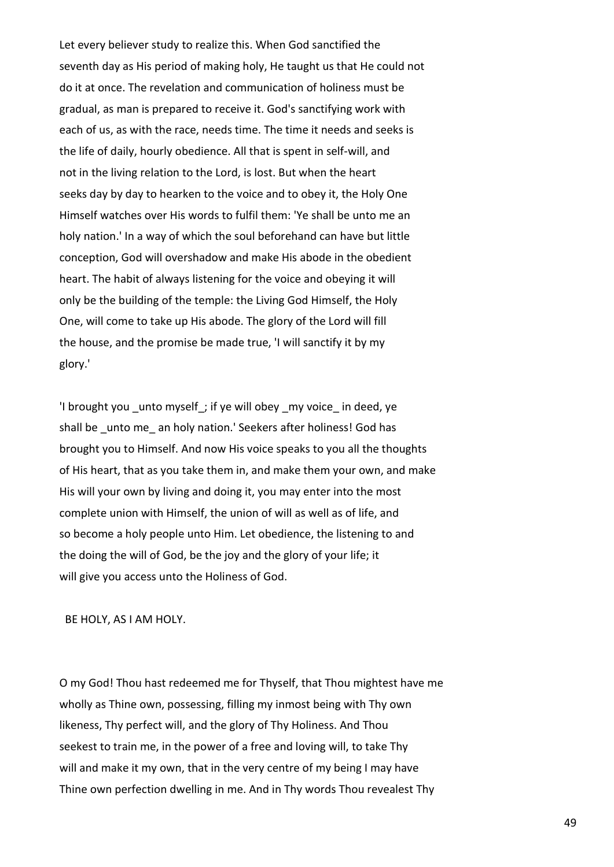Let every believer study to realize this. When God sanctified the seventh day as His period of making holy, He taught us that He could not do it at once. The revelation and communication of holiness must be gradual, as man is prepared to receive it. God's sanctifying work with each of us, as with the race, needs time. The time it needs and seeks is the life of daily, hourly obedience. All that is spent in self-will, and not in the living relation to the Lord, is lost. But when the heart seeks day by day to hearken to the voice and to obey it, the Holy One Himself watches over His words to fulfil them: 'Ye shall be unto me an holy nation.' In a way of which the soul beforehand can have but little conception, God will overshadow and make His abode in the obedient heart. The habit of always listening for the voice and obeying it will only be the building of the temple: the Living God Himself, the Holy One, will come to take up His abode. The glory of the Lord will fill the house, and the promise be made true, 'I will sanctify it by my glory.'

'I brought you \_unto myself\_; if ye will obey \_my voice\_ in deed, ye shall be unto me an holy nation.' Seekers after holiness! God has brought you to Himself. And now His voice speaks to you all the thoughts of His heart, that as you take them in, and make them your own, and make His will your own by living and doing it, you may enter into the most complete union with Himself, the union of will as well as of life, and so become a holy people unto Him. Let obedience, the listening to and the doing the will of God, be the joy and the glory of your life; it will give you access unto the Holiness of God.

BE HOLY, AS I AM HOLY.

O my God! Thou hast redeemed me for Thyself, that Thou mightest have me wholly as Thine own, possessing, filling my inmost being with Thy own likeness, Thy perfect will, and the glory of Thy Holiness. And Thou seekest to train me, in the power of a free and loving will, to take Thy will and make it my own, that in the very centre of my being I may have Thine own perfection dwelling in me. And in Thy words Thou revealest Thy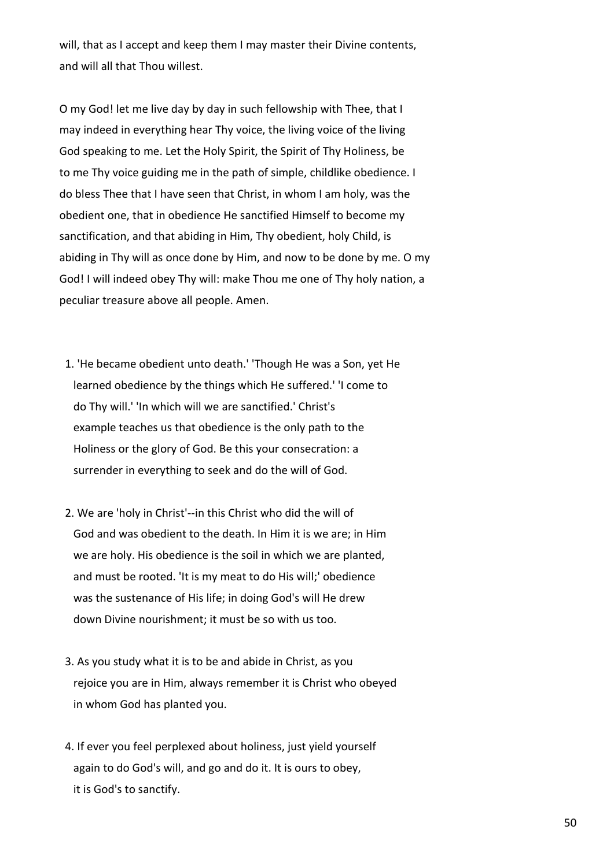will, that as I accept and keep them I may master their Divine contents, and will all that Thou willest.

O my God! let me live day by day in such fellowship with Thee, that I may indeed in everything hear Thy voice, the living voice of the living God speaking to me. Let the Holy Spirit, the Spirit of Thy Holiness, be to me Thy voice guiding me in the path of simple, childlike obedience. I do bless Thee that I have seen that Christ, in whom I am holy, was the obedient one, that in obedience He sanctified Himself to become my sanctification, and that abiding in Him, Thy obedient, holy Child, is abiding in Thy will as once done by Him, and now to be done by me. O my God! I will indeed obey Thy will: make Thou me one of Thy holy nation, a peculiar treasure above all people. Amen.

- 1. 'He became obedient unto death.' 'Though He was a Son, yet He learned obedience by the things which He suffered.' 'I come to do Thy will.' 'In which will we are sanctified.' Christ's example teaches us that obedience is the only path to the Holiness or the glory of God. Be this your consecration: a surrender in everything to seek and do the will of God.
- 2. We are 'holy in Christ'--in this Christ who did the will of God and was obedient to the death. In Him it is we are; in Him we are holy. His obedience is the soil in which we are planted, and must be rooted. 'It is my meat to do His will;' obedience was the sustenance of His life; in doing God's will He drew down Divine nourishment; it must be so with us too.
- 3. As you study what it is to be and abide in Christ, as you rejoice you are in Him, always remember it is Christ who obeyed in whom God has planted you.
- 4. If ever you feel perplexed about holiness, just yield yourself again to do God's will, and go and do it. It is ours to obey, it is God's to sanctify.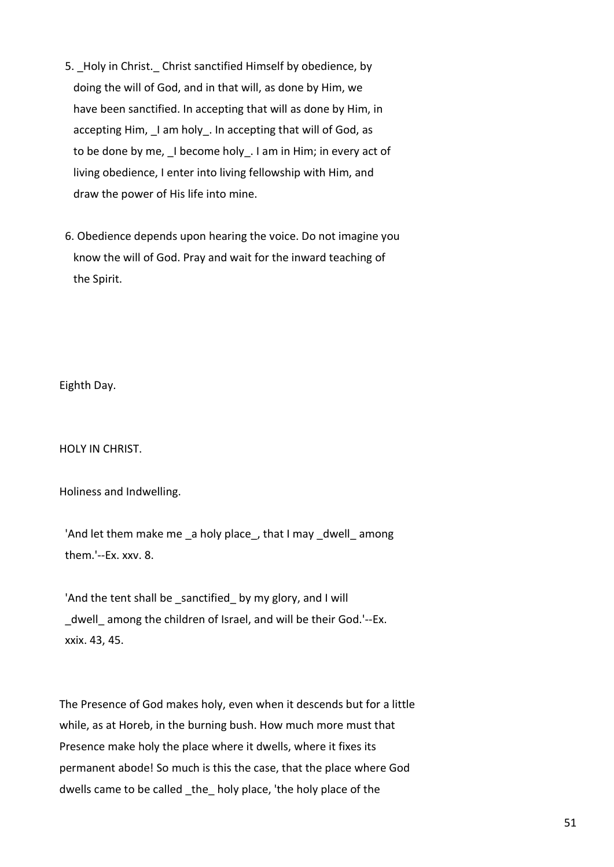- 5. Holy in Christ. Christ sanctified Himself by obedience, by doing the will of God, and in that will, as done by Him, we have been sanctified. In accepting that will as done by Him, in accepting Him, Lam holy. In accepting that will of God, as to be done by me, \_I become holy\_. I am in Him; in every act of living obedience, I enter into living fellowship with Him, and draw the power of His life into mine.
- 6. Obedience depends upon hearing the voice. Do not imagine you know the will of God. Pray and wait for the inward teaching of the Spirit.

Eighth Day.

HOLY IN CHRIST.

Holiness and Indwelling.

'And let them make me \_a holy place\_, that I may \_dwell\_among them.'--Ex. xxv. 8.

'And the tent shall be \_sanctified\_ by my glory, and I will \_dwell\_ among the children of Israel, and will be their God.'--Ex. xxix. 43, 45.

The Presence of God makes holy, even when it descends but for a little while, as at Horeb, in the burning bush. How much more must that Presence make holy the place where it dwells, where it fixes its permanent abode! So much is this the case, that the place where God dwells came to be called the holy place, 'the holy place of the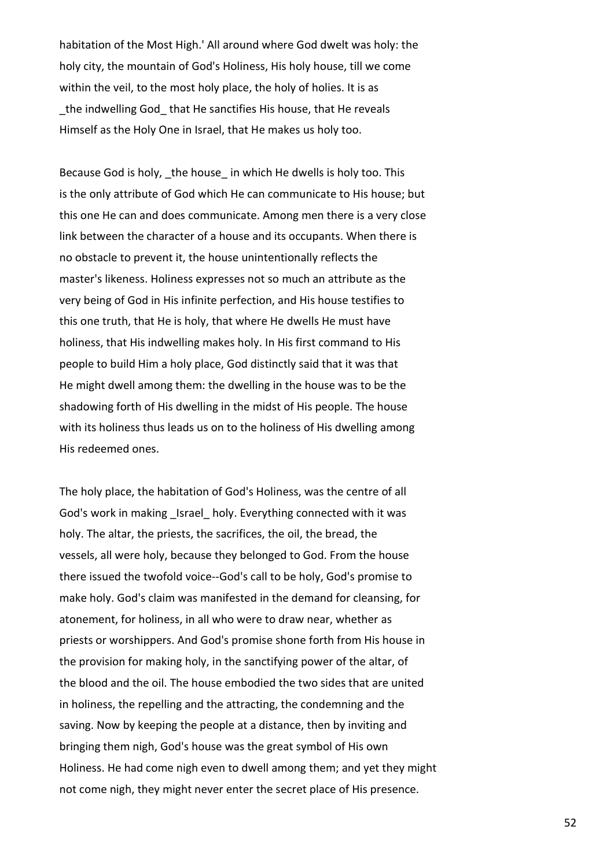habitation of the Most High.' All around where God dwelt was holy: the holy city, the mountain of God's Holiness, His holy house, till we come within the veil, to the most holy place, the holy of holies. It is as the indwelling God that He sanctifies His house, that He reveals Himself as the Holy One in Israel, that He makes us holy too.

Because God is holy, the house in which He dwells is holy too. This is the only attribute of God which He can communicate to His house; but this one He can and does communicate. Among men there is a very close link between the character of a house and its occupants. When there is no obstacle to prevent it, the house unintentionally reflects the master's likeness. Holiness expresses not so much an attribute as the very being of God in His infinite perfection, and His house testifies to this one truth, that He is holy, that where He dwells He must have holiness, that His indwelling makes holy. In His first command to His people to build Him a holy place, God distinctly said that it was that He might dwell among them: the dwelling in the house was to be the shadowing forth of His dwelling in the midst of His people. The house with its holiness thus leads us on to the holiness of His dwelling among His redeemed ones.

The holy place, the habitation of God's Holiness, was the centre of all God's work in making Israel holy. Everything connected with it was holy. The altar, the priests, the sacrifices, the oil, the bread, the vessels, all were holy, because they belonged to God. From the house there issued the twofold voice--God's call to be holy, God's promise to make holy. God's claim was manifested in the demand for cleansing, for atonement, for holiness, in all who were to draw near, whether as priests or worshippers. And God's promise shone forth from His house in the provision for making holy, in the sanctifying power of the altar, of the blood and the oil. The house embodied the two sides that are united in holiness, the repelling and the attracting, the condemning and the saving. Now by keeping the people at a distance, then by inviting and bringing them nigh, God's house was the great symbol of His own Holiness. He had come nigh even to dwell among them; and yet they might not come nigh, they might never enter the secret place of His presence.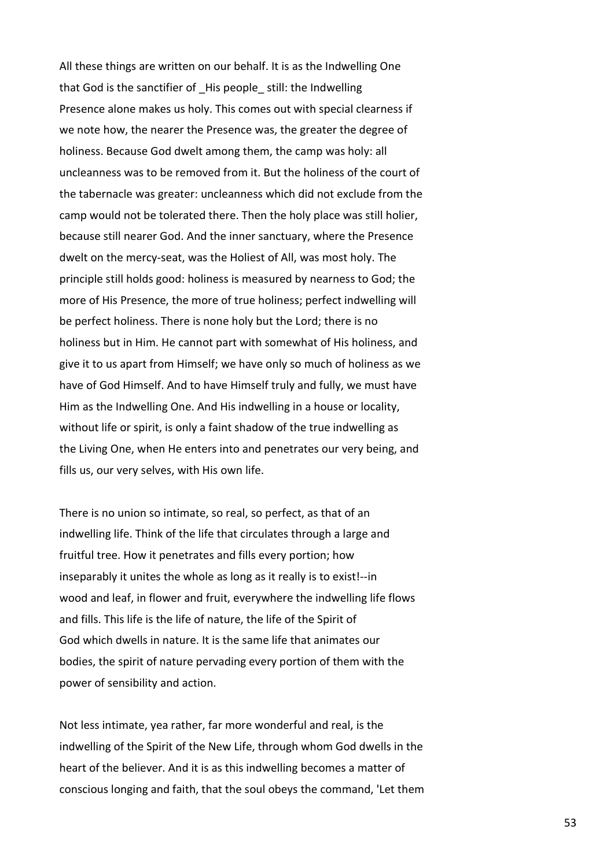All these things are written on our behalf. It is as the Indwelling One that God is the sanctifier of \_His people\_ still: the Indwelling Presence alone makes us holy. This comes out with special clearness if we note how, the nearer the Presence was, the greater the degree of holiness. Because God dwelt among them, the camp was holy: all uncleanness was to be removed from it. But the holiness of the court of the tabernacle was greater: uncleanness which did not exclude from the camp would not be tolerated there. Then the holy place was still holier, because still nearer God. And the inner sanctuary, where the Presence dwelt on the mercy-seat, was the Holiest of All, was most holy. The principle still holds good: holiness is measured by nearness to God; the more of His Presence, the more of true holiness; perfect indwelling will be perfect holiness. There is none holy but the Lord; there is no holiness but in Him. He cannot part with somewhat of His holiness, and give it to us apart from Himself; we have only so much of holiness as we have of God Himself. And to have Himself truly and fully, we must have Him as the Indwelling One. And His indwelling in a house or locality, without life or spirit, is only a faint shadow of the true indwelling as the Living One, when He enters into and penetrates our very being, and fills us, our very selves, with His own life.

There is no union so intimate, so real, so perfect, as that of an indwelling life. Think of the life that circulates through a large and fruitful tree. How it penetrates and fills every portion; how inseparably it unites the whole as long as it really is to exist!--in wood and leaf, in flower and fruit, everywhere the indwelling life flows and fills. This life is the life of nature, the life of the Spirit of God which dwells in nature. It is the same life that animates our bodies, the spirit of nature pervading every portion of them with the power of sensibility and action.

Not less intimate, yea rather, far more wonderful and real, is the indwelling of the Spirit of the New Life, through whom God dwells in the heart of the believer. And it is as this indwelling becomes a matter of conscious longing and faith, that the soul obeys the command, 'Let them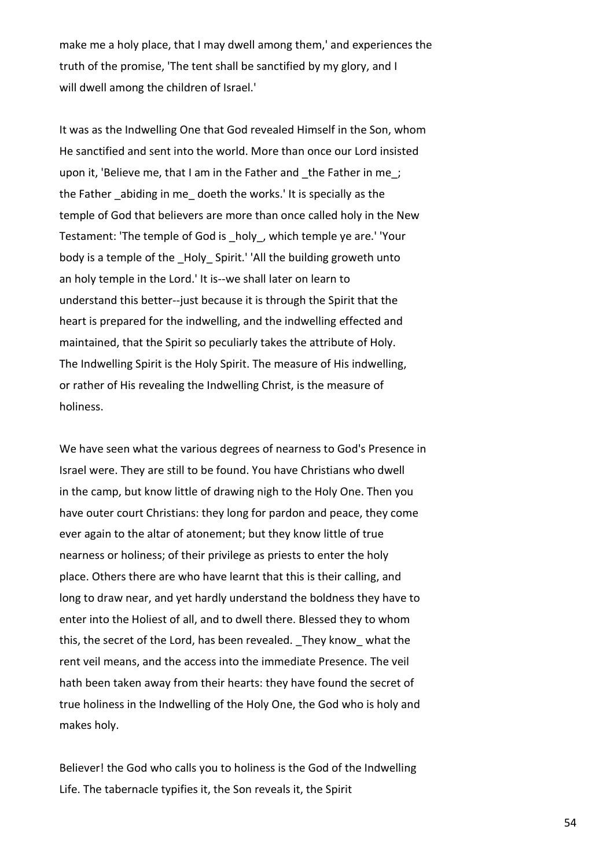make me a holy place, that I may dwell among them,' and experiences the truth of the promise, 'The tent shall be sanctified by my glory, and I will dwell among the children of Israel.'

It was as the Indwelling One that God revealed Himself in the Son, whom He sanctified and sent into the world. More than once our Lord insisted upon it, 'Believe me, that I am in the Father and the Father in me ; the Father \_abiding in me\_ doeth the works.' It is specially as the temple of God that believers are more than once called holy in the New Testament: 'The temple of God is \_holy\_, which temple ye are.' 'Your body is a temple of the Holy Spirit.' 'All the building groweth unto an holy temple in the Lord.' It is--we shall later on learn to understand this better--just because it is through the Spirit that the heart is prepared for the indwelling, and the indwelling effected and maintained, that the Spirit so peculiarly takes the attribute of Holy. The Indwelling Spirit is the Holy Spirit. The measure of His indwelling, or rather of His revealing the Indwelling Christ, is the measure of holiness.

We have seen what the various degrees of nearness to God's Presence in Israel were. They are still to be found. You have Christians who dwell in the camp, but know little of drawing nigh to the Holy One. Then you have outer court Christians: they long for pardon and peace, they come ever again to the altar of atonement; but they know little of true nearness or holiness; of their privilege as priests to enter the holy place. Others there are who have learnt that this is their calling, and long to draw near, and yet hardly understand the boldness they have to enter into the Holiest of all, and to dwell there. Blessed they to whom this, the secret of the Lord, has been revealed. \_They know\_ what the rent veil means, and the access into the immediate Presence. The veil hath been taken away from their hearts: they have found the secret of true holiness in the Indwelling of the Holy One, the God who is holy and makes holy.

Believer! the God who calls you to holiness is the God of the Indwelling Life. The tabernacle typifies it, the Son reveals it, the Spirit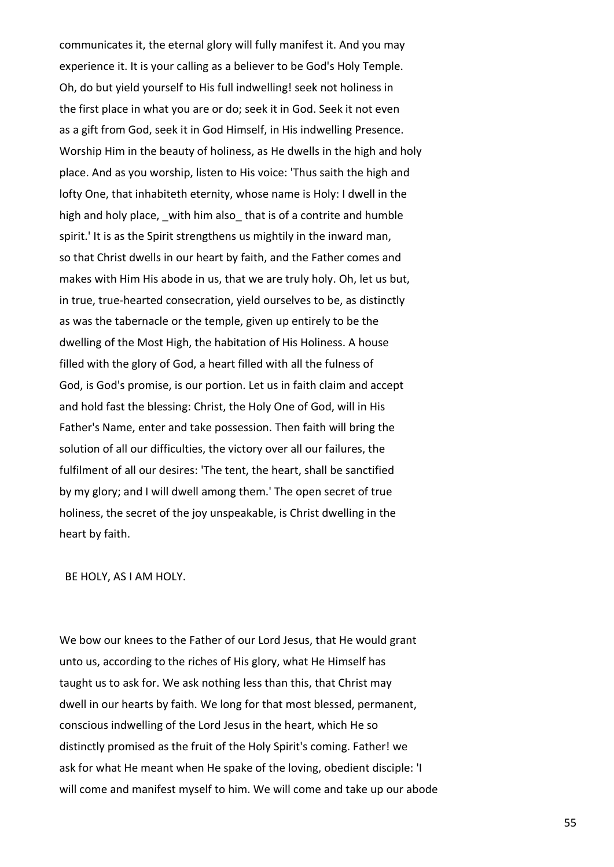communicates it, the eternal glory will fully manifest it. And you may experience it. It is your calling as a believer to be God's Holy Temple. Oh, do but yield yourself to His full indwelling! seek not holiness in the first place in what you are or do; seek it in God. Seek it not even as a gift from God, seek it in God Himself, in His indwelling Presence. Worship Him in the beauty of holiness, as He dwells in the high and holy place. And as you worship, listen to His voice: 'Thus saith the high and lofty One, that inhabiteth eternity, whose name is Holy: I dwell in the high and holy place, with him also that is of a contrite and humble spirit.' It is as the Spirit strengthens us mightily in the inward man, so that Christ dwells in our heart by faith, and the Father comes and makes with Him His abode in us, that we are truly holy. Oh, let us but, in true, true-hearted consecration, yield ourselves to be, as distinctly as was the tabernacle or the temple, given up entirely to be the dwelling of the Most High, the habitation of His Holiness. A house filled with the glory of God, a heart filled with all the fulness of God, is God's promise, is our portion. Let us in faith claim and accept and hold fast the blessing: Christ, the Holy One of God, will in His Father's Name, enter and take possession. Then faith will bring the solution of all our difficulties, the victory over all our failures, the fulfilment of all our desires: 'The tent, the heart, shall be sanctified by my glory; and I will dwell among them.' The open secret of true holiness, the secret of the joy unspeakable, is Christ dwelling in the heart by faith.

BE HOLY, AS I AM HOLY.

We bow our knees to the Father of our Lord Jesus, that He would grant unto us, according to the riches of His glory, what He Himself has taught us to ask for. We ask nothing less than this, that Christ may dwell in our hearts by faith. We long for that most blessed, permanent, conscious indwelling of the Lord Jesus in the heart, which He so distinctly promised as the fruit of the Holy Spirit's coming. Father! we ask for what He meant when He spake of the loving, obedient disciple: 'I will come and manifest myself to him. We will come and take up our abode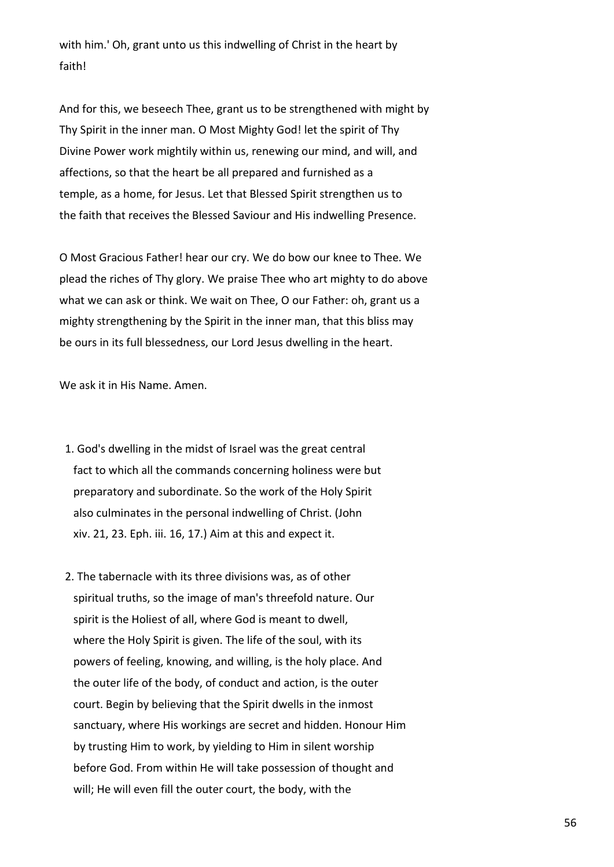with him.' Oh, grant unto us this indwelling of Christ in the heart by faith!

And for this, we beseech Thee, grant us to be strengthened with might by Thy Spirit in the inner man. O Most Mighty God! let the spirit of Thy Divine Power work mightily within us, renewing our mind, and will, and affections, so that the heart be all prepared and furnished as a temple, as a home, for Jesus. Let that Blessed Spirit strengthen us to the faith that receives the Blessed Saviour and His indwelling Presence.

O Most Gracious Father! hear our cry. We do bow our knee to Thee. We plead the riches of Thy glory. We praise Thee who art mighty to do above what we can ask or think. We wait on Thee, O our Father: oh, grant us a mighty strengthening by the Spirit in the inner man, that this bliss may be ours in its full blessedness, our Lord Jesus dwelling in the heart.

We ask it in His Name. Amen.

- 1. God's dwelling in the midst of Israel was the great central fact to which all the commands concerning holiness were but preparatory and subordinate. So the work of the Holy Spirit also culminates in the personal indwelling of Christ. (John xiv. 21, 23. Eph. iii. 16, 17.) Aim at this and expect it.
- 2. The tabernacle with its three divisions was, as of other spiritual truths, so the image of man's threefold nature. Our spirit is the Holiest of all, where God is meant to dwell, where the Holy Spirit is given. The life of the soul, with its powers of feeling, knowing, and willing, is the holy place. And the outer life of the body, of conduct and action, is the outer court. Begin by believing that the Spirit dwells in the inmost sanctuary, where His workings are secret and hidden. Honour Him by trusting Him to work, by yielding to Him in silent worship before God. From within He will take possession of thought and will; He will even fill the outer court, the body, with the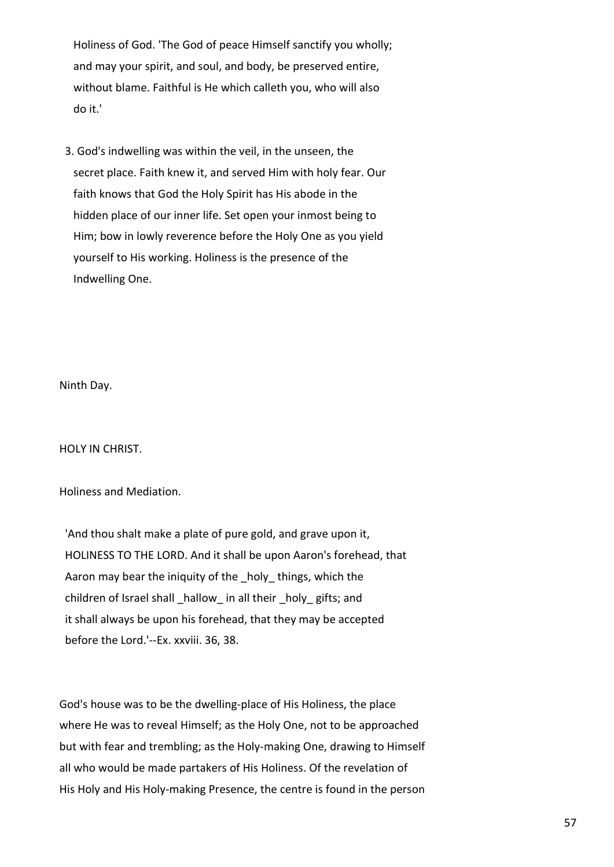Holiness of God. 'The God of peace Himself sanctify you wholly; and may your spirit, and soul, and body, be preserved entire, without blame. Faithful is He which calleth you, who will also do it.'

 3. God's indwelling was within the veil, in the unseen, the secret place. Faith knew it, and served Him with holy fear. Our faith knows that God the Holy Spirit has His abode in the hidden place of our inner life. Set open your inmost being to Him; bow in lowly reverence before the Holy One as you yield yourself to His working. Holiness is the presence of the Indwelling One.

Ninth Day.

HOLY IN CHRIST.

Holiness and Mediation.

 'And thou shalt make a plate of pure gold, and grave upon it, HOLINESS TO THE LORD. And it shall be upon Aaron's forehead, that Aaron may bear the iniquity of the holy things, which the children of Israel shall hallow in all their holy gifts; and it shall always be upon his forehead, that they may be accepted before the Lord.'--Ex. xxviii. 36, 38.

God's house was to be the dwelling-place of His Holiness, the place where He was to reveal Himself; as the Holy One, not to be approached but with fear and trembling; as the Holy-making One, drawing to Himself all who would be made partakers of His Holiness. Of the revelation of His Holy and His Holy-making Presence, the centre is found in the person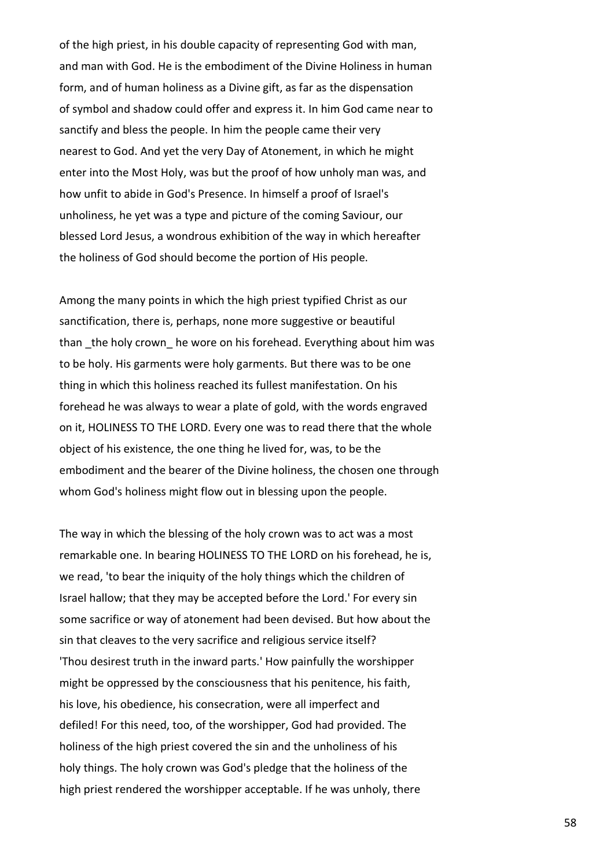of the high priest, in his double capacity of representing God with man, and man with God. He is the embodiment of the Divine Holiness in human form, and of human holiness as a Divine gift, as far as the dispensation of symbol and shadow could offer and express it. In him God came near to sanctify and bless the people. In him the people came their very nearest to God. And yet the very Day of Atonement, in which he might enter into the Most Holy, was but the proof of how unholy man was, and how unfit to abide in God's Presence. In himself a proof of Israel's unholiness, he yet was a type and picture of the coming Saviour, our blessed Lord Jesus, a wondrous exhibition of the way in which hereafter the holiness of God should become the portion of His people.

Among the many points in which the high priest typified Christ as our sanctification, there is, perhaps, none more suggestive or beautiful than the holy crown he wore on his forehead. Everything about him was to be holy. His garments were holy garments. But there was to be one thing in which this holiness reached its fullest manifestation. On his forehead he was always to wear a plate of gold, with the words engraved on it, HOLINESS TO THE LORD. Every one was to read there that the whole object of his existence, the one thing he lived for, was, to be the embodiment and the bearer of the Divine holiness, the chosen one through whom God's holiness might flow out in blessing upon the people.

The way in which the blessing of the holy crown was to act was a most remarkable one. In bearing HOLINESS TO THE LORD on his forehead, he is, we read, 'to bear the iniquity of the holy things which the children of Israel hallow; that they may be accepted before the Lord.' For every sin some sacrifice or way of atonement had been devised. But how about the sin that cleaves to the very sacrifice and religious service itself? 'Thou desirest truth in the inward parts.' How painfully the worshipper might be oppressed by the consciousness that his penitence, his faith, his love, his obedience, his consecration, were all imperfect and defiled! For this need, too, of the worshipper, God had provided. The holiness of the high priest covered the sin and the unholiness of his holy things. The holy crown was God's pledge that the holiness of the high priest rendered the worshipper acceptable. If he was unholy, there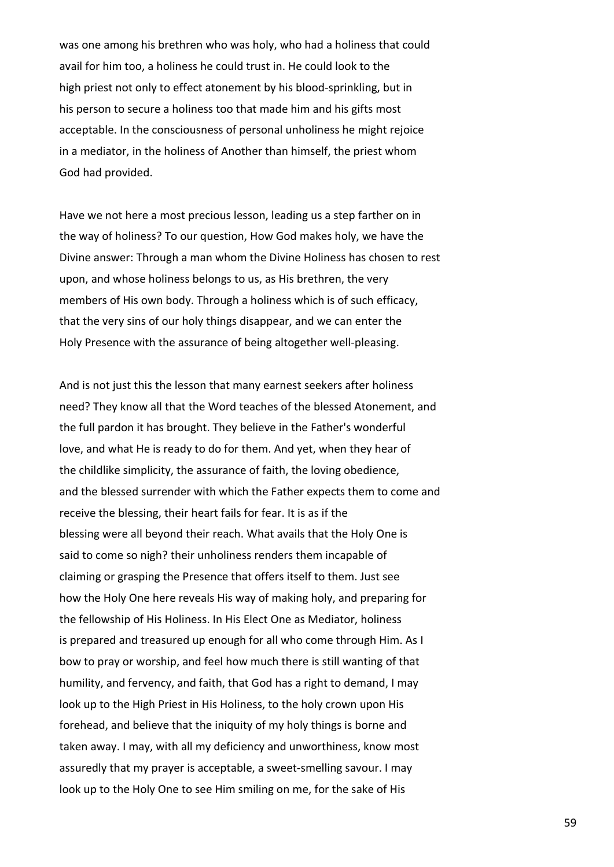was one among his brethren who was holy, who had a holiness that could avail for him too, a holiness he could trust in. He could look to the high priest not only to effect atonement by his blood-sprinkling, but in his person to secure a holiness too that made him and his gifts most acceptable. In the consciousness of personal unholiness he might rejoice in a mediator, in the holiness of Another than himself, the priest whom God had provided.

Have we not here a most precious lesson, leading us a step farther on in the way of holiness? To our question, How God makes holy, we have the Divine answer: Through a man whom the Divine Holiness has chosen to rest upon, and whose holiness belongs to us, as His brethren, the very members of His own body. Through a holiness which is of such efficacy, that the very sins of our holy things disappear, and we can enter the Holy Presence with the assurance of being altogether well-pleasing.

And is not just this the lesson that many earnest seekers after holiness need? They know all that the Word teaches of the blessed Atonement, and the full pardon it has brought. They believe in the Father's wonderful love, and what He is ready to do for them. And yet, when they hear of the childlike simplicity, the assurance of faith, the loving obedience, and the blessed surrender with which the Father expects them to come and receive the blessing, their heart fails for fear. It is as if the blessing were all beyond their reach. What avails that the Holy One is said to come so nigh? their unholiness renders them incapable of claiming or grasping the Presence that offers itself to them. Just see how the Holy One here reveals His way of making holy, and preparing for the fellowship of His Holiness. In His Elect One as Mediator, holiness is prepared and treasured up enough for all who come through Him. As I bow to pray or worship, and feel how much there is still wanting of that humility, and fervency, and faith, that God has a right to demand, I may look up to the High Priest in His Holiness, to the holy crown upon His forehead, and believe that the iniquity of my holy things is borne and taken away. I may, with all my deficiency and unworthiness, know most assuredly that my prayer is acceptable, a sweet-smelling savour. I may look up to the Holy One to see Him smiling on me, for the sake of His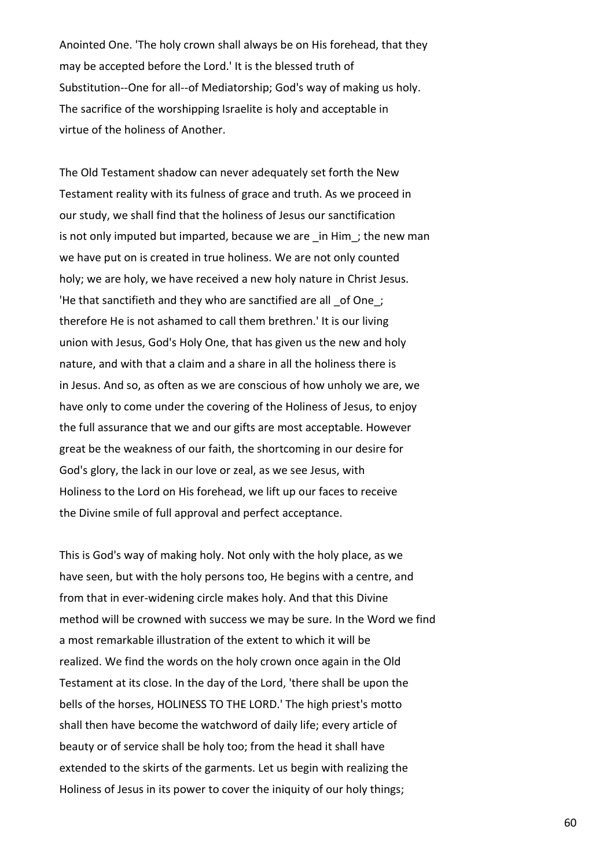Anointed One. 'The holy crown shall always be on His forehead, that they may be accepted before the Lord.' It is the blessed truth of Substitution--One for all--of Mediatorship; God's way of making us holy. The sacrifice of the worshipping Israelite is holy and acceptable in virtue of the holiness of Another.

The Old Testament shadow can never adequately set forth the New Testament reality with its fulness of grace and truth. As we proceed in our study, we shall find that the holiness of Jesus our sanctification is not only imputed but imparted, because we are in Him; the new man we have put on is created in true holiness. We are not only counted holy; we are holy, we have received a new holy nature in Christ Jesus. 'He that sanctifieth and they who are sanctified are all \_of One\_; therefore He is not ashamed to call them brethren.' It is our living union with Jesus, God's Holy One, that has given us the new and holy nature, and with that a claim and a share in all the holiness there is in Jesus. And so, as often as we are conscious of how unholy we are, we have only to come under the covering of the Holiness of Jesus, to enjoy the full assurance that we and our gifts are most acceptable. However great be the weakness of our faith, the shortcoming in our desire for God's glory, the lack in our love or zeal, as we see Jesus, with Holiness to the Lord on His forehead, we lift up our faces to receive the Divine smile of full approval and perfect acceptance.

This is God's way of making holy. Not only with the holy place, as we have seen, but with the holy persons too, He begins with a centre, and from that in ever-widening circle makes holy. And that this Divine method will be crowned with success we may be sure. In the Word we find a most remarkable illustration of the extent to which it will be realized. We find the words on the holy crown once again in the Old Testament at its close. In the day of the Lord, 'there shall be upon the bells of the horses, HOLINESS TO THE LORD.' The high priest's motto shall then have become the watchword of daily life; every article of beauty or of service shall be holy too; from the head it shall have extended to the skirts of the garments. Let us begin with realizing the Holiness of Jesus in its power to cover the iniquity of our holy things;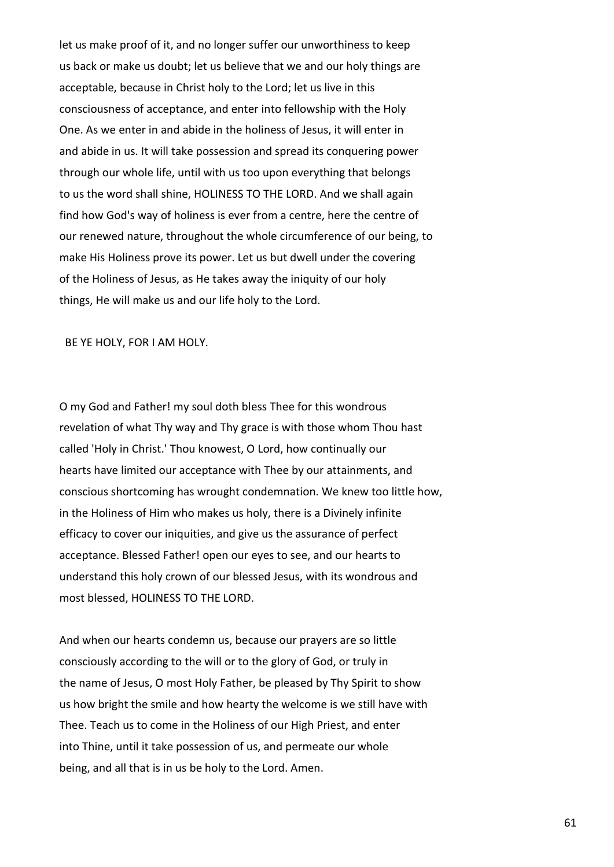let us make proof of it, and no longer suffer our unworthiness to keep us back or make us doubt; let us believe that we and our holy things are acceptable, because in Christ holy to the Lord; let us live in this consciousness of acceptance, and enter into fellowship with the Holy One. As we enter in and abide in the holiness of Jesus, it will enter in and abide in us. It will take possession and spread its conquering power through our whole life, until with us too upon everything that belongs to us the word shall shine, HOLINESS TO THE LORD. And we shall again find how God's way of holiness is ever from a centre, here the centre of our renewed nature, throughout the whole circumference of our being, to make His Holiness prove its power. Let us but dwell under the covering of the Holiness of Jesus, as He takes away the iniquity of our holy things, He will make us and our life holy to the Lord.

BE YE HOLY, FOR I AM HOLY.

O my God and Father! my soul doth bless Thee for this wondrous revelation of what Thy way and Thy grace is with those whom Thou hast called 'Holy in Christ.' Thou knowest, O Lord, how continually our hearts have limited our acceptance with Thee by our attainments, and conscious shortcoming has wrought condemnation. We knew too little how, in the Holiness of Him who makes us holy, there is a Divinely infinite efficacy to cover our iniquities, and give us the assurance of perfect acceptance. Blessed Father! open our eyes to see, and our hearts to understand this holy crown of our blessed Jesus, with its wondrous and most blessed, HOLINESS TO THE LORD.

And when our hearts condemn us, because our prayers are so little consciously according to the will or to the glory of God, or truly in the name of Jesus, O most Holy Father, be pleased by Thy Spirit to show us how bright the smile and how hearty the welcome is we still have with Thee. Teach us to come in the Holiness of our High Priest, and enter into Thine, until it take possession of us, and permeate our whole being, and all that is in us be holy to the Lord. Amen.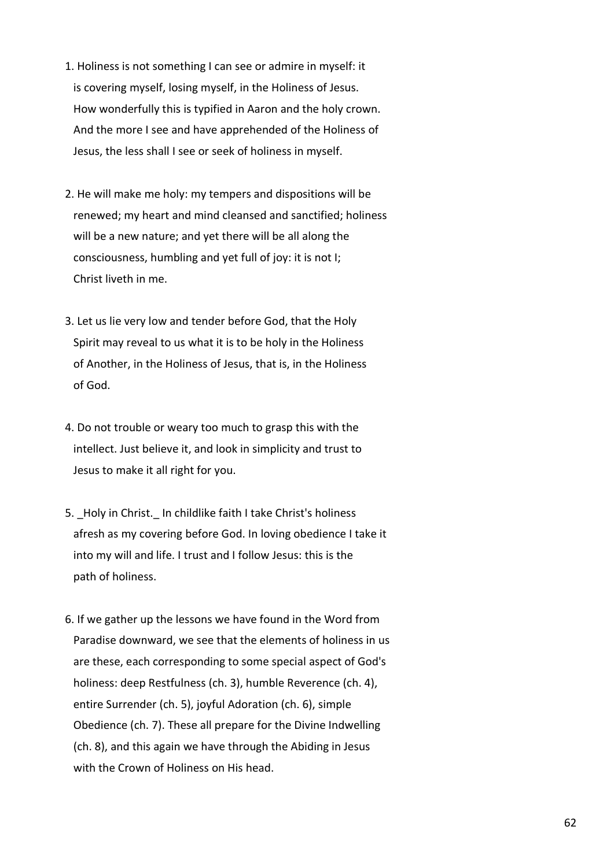- 1. Holiness is not something I can see or admire in myself: it is covering myself, losing myself, in the Holiness of Jesus. How wonderfully this is typified in Aaron and the holy crown. And the more I see and have apprehended of the Holiness of Jesus, the less shall I see or seek of holiness in myself.
- 2. He will make me holy: my tempers and dispositions will be renewed; my heart and mind cleansed and sanctified; holiness will be a new nature; and yet there will be all along the consciousness, humbling and yet full of joy: it is not I; Christ liveth in me.
- 3. Let us lie very low and tender before God, that the Holy Spirit may reveal to us what it is to be holy in the Holiness of Another, in the Holiness of Jesus, that is, in the Holiness of God.
- 4. Do not trouble or weary too much to grasp this with the intellect. Just believe it, and look in simplicity and trust to Jesus to make it all right for you.
- 5. Holy in Christ. In childlike faith I take Christ's holiness afresh as my covering before God. In loving obedience I take it into my will and life. I trust and I follow Jesus: this is the path of holiness.
- 6. If we gather up the lessons we have found in the Word from Paradise downward, we see that the elements of holiness in us are these, each corresponding to some special aspect of God's holiness: deep Restfulness (ch. 3), humble Reverence (ch. 4), entire Surrender (ch. 5), joyful Adoration (ch. 6), simple Obedience (ch. 7). These all prepare for the Divine Indwelling (ch. 8), and this again we have through the Abiding in Jesus with the Crown of Holiness on His head.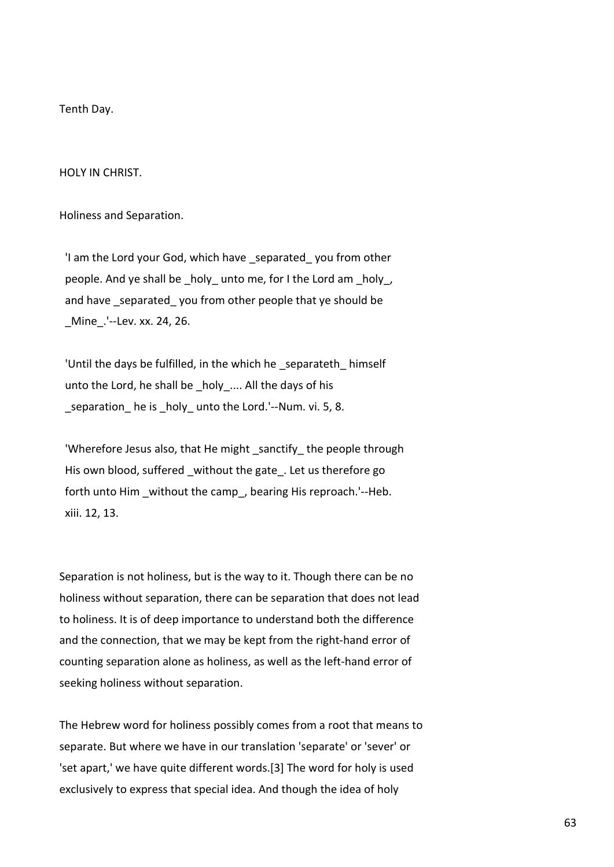Tenth Day.

HOLY IN CHRIST.

Holiness and Separation.

'I am the Lord your God, which have separated you from other people. And ye shall be \_holy\_ unto me, for I the Lord am \_holy\_, and have separated you from other people that ye should be \_Mine\_.'--Lev. xx. 24, 26.

 'Until the days be fulfilled, in the which he \_separateth\_ himself unto the Lord, he shall be \_holy\_.... All the days of his \_separation\_ he is \_holy\_ unto the Lord.'--Num. vi. 5, 8.

'Wherefore Jesus also, that He might sanctify the people through His own blood, suffered without the gate. Let us therefore go forth unto Him without the camp, bearing His reproach.'--Heb. xiii. 12, 13.

Separation is not holiness, but is the way to it. Though there can be no holiness without separation, there can be separation that does not lead to holiness. It is of deep importance to understand both the difference and the connection, that we may be kept from the right-hand error of counting separation alone as holiness, as well as the left-hand error of seeking holiness without separation.

The Hebrew word for holiness possibly comes from a root that means to separate. But where we have in our translation 'separate' or 'sever' or 'set apart,' we have quite different words.[3] The word for holy is used exclusively to express that special idea. And though the idea of holy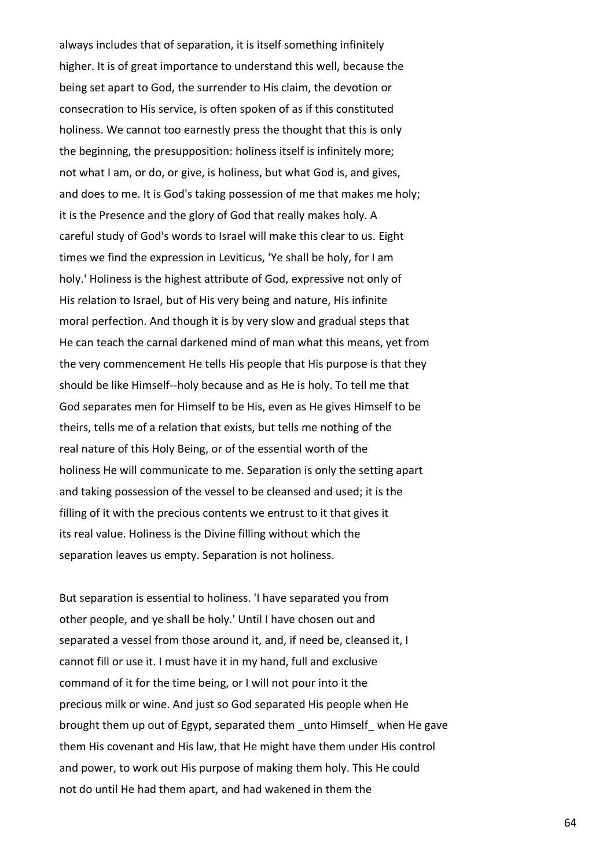always includes that of separation, it is itself something infinitely higher. It is of great importance to understand this well, because the being set apart to God, the surrender to His claim, the devotion or consecration to His service, is often spoken of as if this constituted holiness. We cannot too earnestly press the thought that this is only the beginning, the presupposition: holiness itself is infinitely more; not what I am, or do, or give, is holiness, but what God is, and gives, and does to me. It is God's taking possession of me that makes me holy; it is the Presence and the glory of God that really makes holy. A careful study of God's words to Israel will make this clear to us. Eight times we find the expression in Leviticus, 'Ye shall be holy, for I am holy.' Holiness is the highest attribute of God, expressive not only of His relation to Israel, but of His very being and nature, His infinite moral perfection. And though it is by very slow and gradual steps that He can teach the carnal darkened mind of man what this means, yet from the very commencement He tells His people that His purpose is that they should be like Himself--holy because and as He is holy. To tell me that God separates men for Himself to be His, even as He gives Himself to be theirs, tells me of a relation that exists, but tells me nothing of the real nature of this Holy Being, or of the essential worth of the holiness He will communicate to me. Separation is only the setting apart and taking possession of the vessel to be cleansed and used; it is the filling of it with the precious contents we entrust to it that gives it its real value. Holiness is the Divine filling without which the separation leaves us empty. Separation is not holiness.

But separation is essential to holiness. 'I have separated you from other people, and ye shall be holy.' Until I have chosen out and separated a vessel from those around it, and, if need be, cleansed it, I cannot fill or use it. I must have it in my hand, full and exclusive command of it for the time being, or I will not pour into it the precious milk or wine. And just so God separated His people when He brought them up out of Egypt, separated them \_unto Himself\_ when He gave them His covenant and His law, that He might have them under His control and power, to work out His purpose of making them holy. This He could not do until He had them apart, and had wakened in them the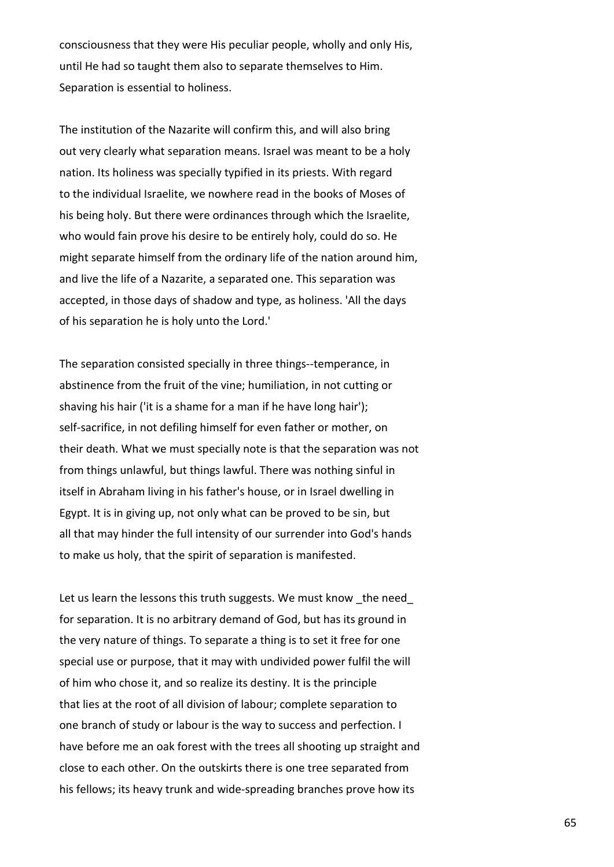consciousness that they were His peculiar people, wholly and only His, until He had so taught them also to separate themselves to Him. Separation is essential to holiness.

The institution of the Nazarite will confirm this, and will also bring out very clearly what separation means. Israel was meant to be a holy nation. Its holiness was specially typified in its priests. With regard to the individual Israelite, we nowhere read in the books of Moses of his being holy. But there were ordinances through which the Israelite, who would fain prove his desire to be entirely holy, could do so. He might separate himself from the ordinary life of the nation around him, and live the life of a Nazarite, a separated one. This separation was accepted, in those days of shadow and type, as holiness. 'All the days of his separation he is holy unto the Lord.'

The separation consisted specially in three things--temperance, in abstinence from the fruit of the vine; humiliation, in not cutting or shaving his hair ('it is a shame for a man if he have long hair'); self-sacrifice, in not defiling himself for even father or mother, on their death. What we must specially note is that the separation was not from things unlawful, but things lawful. There was nothing sinful in itself in Abraham living in his father's house, or in Israel dwelling in Egypt. It is in giving up, not only what can be proved to be sin, but all that may hinder the full intensity of our surrender into God's hands to make us holy, that the spirit of separation is manifested.

Let us learn the lessons this truth suggests. We must know the need for separation. It is no arbitrary demand of God, but has its ground in the very nature of things. To separate a thing is to set it free for one special use or purpose, that it may with undivided power fulfil the will of him who chose it, and so realize its destiny. It is the principle that lies at the root of all division of labour; complete separation to one branch of study or labour is the way to success and perfection. I have before me an oak forest with the trees all shooting up straight and close to each other. On the outskirts there is one tree separated from his fellows; its heavy trunk and wide-spreading branches prove how its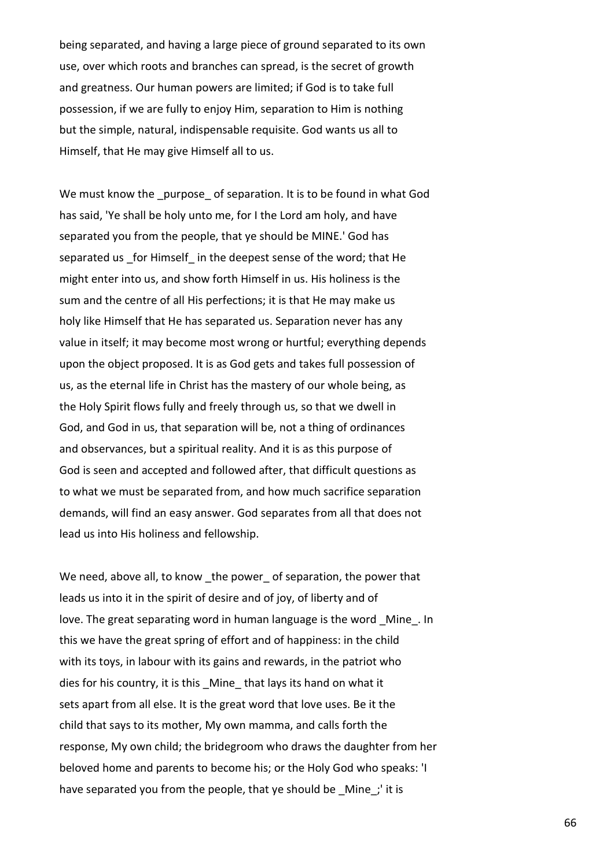being separated, and having a large piece of ground separated to its own use, over which roots and branches can spread, is the secret of growth and greatness. Our human powers are limited; if God is to take full possession, if we are fully to enjoy Him, separation to Him is nothing but the simple, natural, indispensable requisite. God wants us all to Himself, that He may give Himself all to us.

We must know the purpose of separation. It is to be found in what God has said, 'Ye shall be holy unto me, for I the Lord am holy, and have separated you from the people, that ye should be MINE.' God has separated us for Himself in the deepest sense of the word; that He might enter into us, and show forth Himself in us. His holiness is the sum and the centre of all His perfections; it is that He may make us holy like Himself that He has separated us. Separation never has any value in itself; it may become most wrong or hurtful; everything depends upon the object proposed. It is as God gets and takes full possession of us, as the eternal life in Christ has the mastery of our whole being, as the Holy Spirit flows fully and freely through us, so that we dwell in God, and God in us, that separation will be, not a thing of ordinances and observances, but a spiritual reality. And it is as this purpose of God is seen and accepted and followed after, that difficult questions as to what we must be separated from, and how much sacrifice separation demands, will find an easy answer. God separates from all that does not lead us into His holiness and fellowship.

We need, above all, to know the power of separation, the power that leads us into it in the spirit of desire and of joy, of liberty and of love. The great separating word in human language is the word \_Mine\_. In this we have the great spring of effort and of happiness: in the child with its toys, in labour with its gains and rewards, in the patriot who dies for his country, it is this Mine that lays its hand on what it sets apart from all else. It is the great word that love uses. Be it the child that says to its mother, My own mamma, and calls forth the response, My own child; the bridegroom who draws the daughter from her beloved home and parents to become his; or the Holy God who speaks: 'I have separated you from the people, that ye should be Mine; it is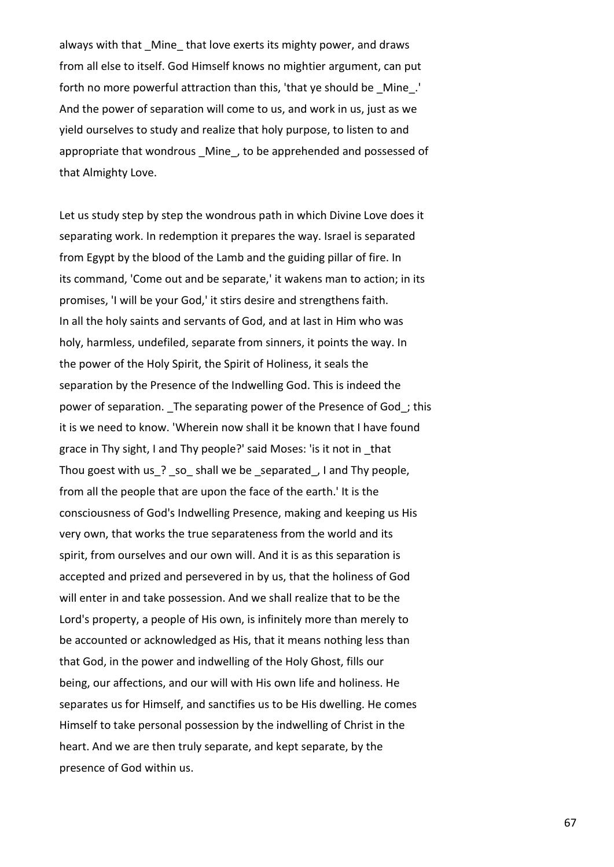always with that Mine that love exerts its mighty power, and draws from all else to itself. God Himself knows no mightier argument, can put forth no more powerful attraction than this, 'that ye should be \_Mine\_.' And the power of separation will come to us, and work in us, just as we yield ourselves to study and realize that holy purpose, to listen to and appropriate that wondrous Mine, to be apprehended and possessed of that Almighty Love.

Let us study step by step the wondrous path in which Divine Love does it separating work. In redemption it prepares the way. Israel is separated from Egypt by the blood of the Lamb and the guiding pillar of fire. In its command, 'Come out and be separate,' it wakens man to action; in its promises, 'I will be your God,' it stirs desire and strengthens faith. In all the holy saints and servants of God, and at last in Him who was holy, harmless, undefiled, separate from sinners, it points the way. In the power of the Holy Spirit, the Spirit of Holiness, it seals the separation by the Presence of the Indwelling God. This is indeed the power of separation. \_The separating power of the Presence of God\_; this it is we need to know. 'Wherein now shall it be known that I have found grace in Thy sight, I and Thy people?' said Moses: 'is it not in \_that Thou goest with us ? so shall we be separated, I and Thy people, from all the people that are upon the face of the earth.' It is the consciousness of God's Indwelling Presence, making and keeping us His very own, that works the true separateness from the world and its spirit, from ourselves and our own will. And it is as this separation is accepted and prized and persevered in by us, that the holiness of God will enter in and take possession. And we shall realize that to be the Lord's property, a people of His own, is infinitely more than merely to be accounted or acknowledged as His, that it means nothing less than that God, in the power and indwelling of the Holy Ghost, fills our being, our affections, and our will with His own life and holiness. He separates us for Himself, and sanctifies us to be His dwelling. He comes Himself to take personal possession by the indwelling of Christ in the heart. And we are then truly separate, and kept separate, by the presence of God within us.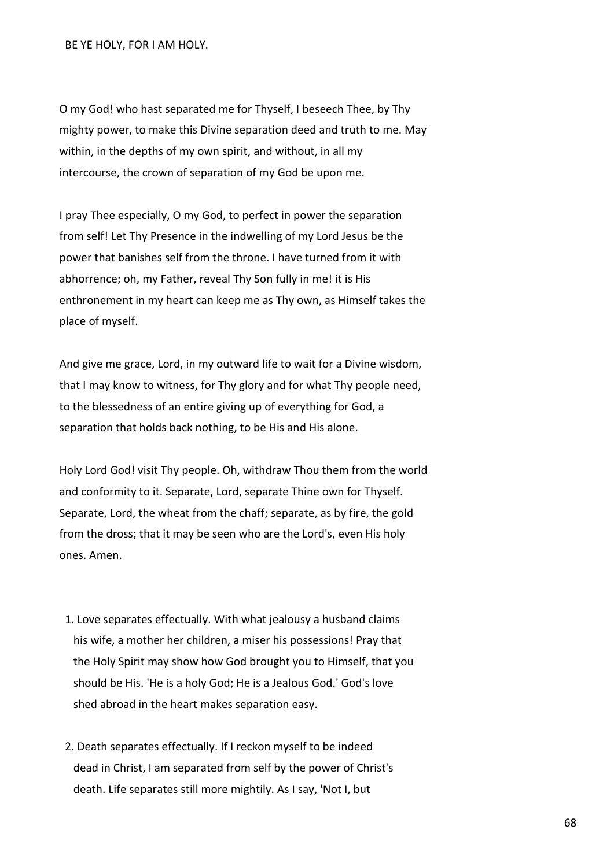BE YE HOLY, FOR I AM HOLY.

O my God! who hast separated me for Thyself, I beseech Thee, by Thy mighty power, to make this Divine separation deed and truth to me. May within, in the depths of my own spirit, and without, in all my intercourse, the crown of separation of my God be upon me.

I pray Thee especially, O my God, to perfect in power the separation from self! Let Thy Presence in the indwelling of my Lord Jesus be the power that banishes self from the throne. I have turned from it with abhorrence; oh, my Father, reveal Thy Son fully in me! it is His enthronement in my heart can keep me as Thy own, as Himself takes the place of myself.

And give me grace, Lord, in my outward life to wait for a Divine wisdom, that I may know to witness, for Thy glory and for what Thy people need, to the blessedness of an entire giving up of everything for God, a separation that holds back nothing, to be His and His alone.

Holy Lord God! visit Thy people. Oh, withdraw Thou them from the world and conformity to it. Separate, Lord, separate Thine own for Thyself. Separate, Lord, the wheat from the chaff; separate, as by fire, the gold from the dross; that it may be seen who are the Lord's, even His holy ones. Amen.

- 1. Love separates effectually. With what jealousy a husband claims his wife, a mother her children, a miser his possessions! Pray that the Holy Spirit may show how God brought you to Himself, that you should be His. 'He is a holy God; He is a Jealous God.' God's love shed abroad in the heart makes separation easy.
- 2. Death separates effectually. If I reckon myself to be indeed dead in Christ, I am separated from self by the power of Christ's death. Life separates still more mightily. As I say, 'Not I, but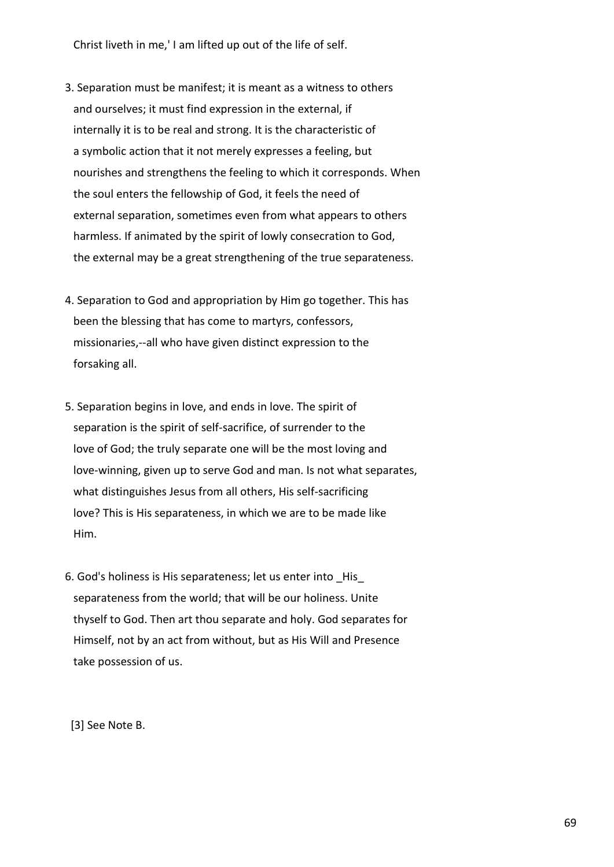Christ liveth in me,' I am lifted up out of the life of self.

- 3. Separation must be manifest; it is meant as a witness to others and ourselves; it must find expression in the external, if internally it is to be real and strong. It is the characteristic of a symbolic action that it not merely expresses a feeling, but nourishes and strengthens the feeling to which it corresponds. When the soul enters the fellowship of God, it feels the need of external separation, sometimes even from what appears to others harmless. If animated by the spirit of lowly consecration to God, the external may be a great strengthening of the true separateness.
- 4. Separation to God and appropriation by Him go together. This has been the blessing that has come to martyrs, confessors, missionaries,--all who have given distinct expression to the forsaking all.
- 5. Separation begins in love, and ends in love. The spirit of separation is the spirit of self-sacrifice, of surrender to the love of God; the truly separate one will be the most loving and love-winning, given up to serve God and man. Is not what separates, what distinguishes Jesus from all others, His self-sacrificing love? This is His separateness, in which we are to be made like Him.
- 6. God's holiness is His separateness; let us enter into \_His\_ separateness from the world; that will be our holiness. Unite thyself to God. Then art thou separate and holy. God separates for Himself, not by an act from without, but as His Will and Presence take possession of us.

[3] See Note B.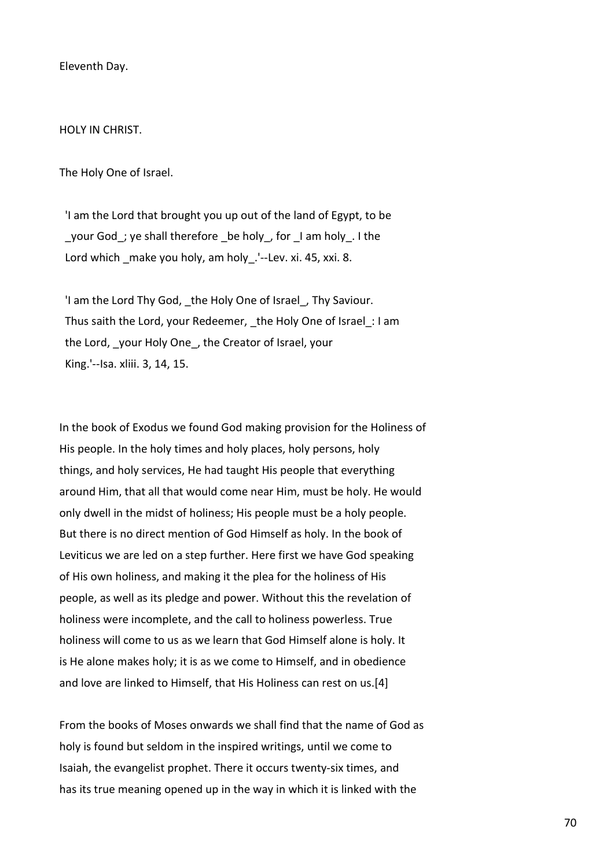Eleventh Day.

HOLY IN CHRIST.

The Holy One of Israel.

 'I am the Lord that brought you up out of the land of Egypt, to be \_your God\_; ye shall therefore \_be holy\_, for \_I am holy\_. I the Lord which make you holy, am holy. '--Lev. xi. 45, xxi. 8.

'I am the Lord Thy God, the Holy One of Israel, Thy Saviour. Thus saith the Lord, your Redeemer, the Holy One of Israel: I am the Lord, your Holy One, the Creator of Israel, your King.'--Isa. xliii. 3, 14, 15.

In the book of Exodus we found God making provision for the Holiness of His people. In the holy times and holy places, holy persons, holy things, and holy services, He had taught His people that everything around Him, that all that would come near Him, must be holy. He would only dwell in the midst of holiness; His people must be a holy people. But there is no direct mention of God Himself as holy. In the book of Leviticus we are led on a step further. Here first we have God speaking of His own holiness, and making it the plea for the holiness of His people, as well as its pledge and power. Without this the revelation of holiness were incomplete, and the call to holiness powerless. True holiness will come to us as we learn that God Himself alone is holy. It is He alone makes holy; it is as we come to Himself, and in obedience and love are linked to Himself, that His Holiness can rest on us.[4]

From the books of Moses onwards we shall find that the name of God as holy is found but seldom in the inspired writings, until we come to Isaiah, the evangelist prophet. There it occurs twenty-six times, and has its true meaning opened up in the way in which it is linked with the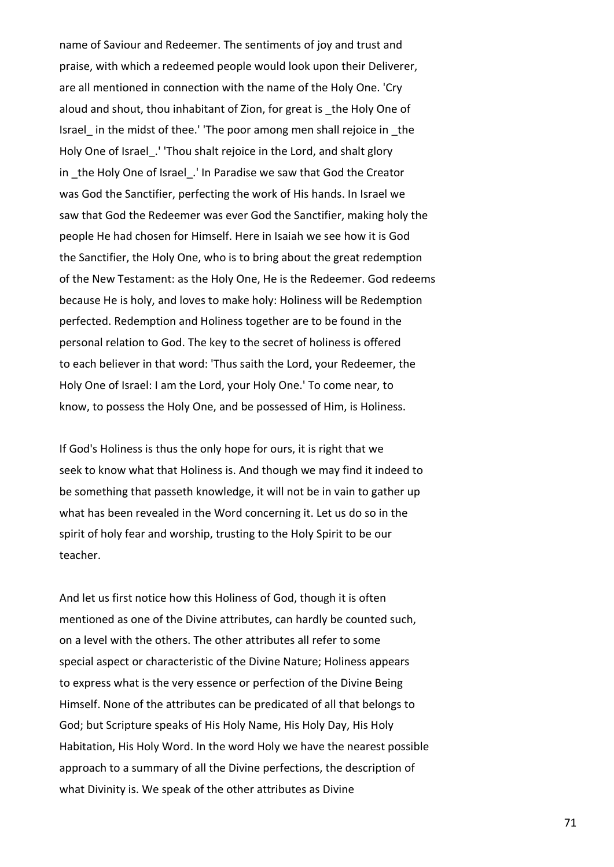name of Saviour and Redeemer. The sentiments of joy and trust and praise, with which a redeemed people would look upon their Deliverer, are all mentioned in connection with the name of the Holy One. 'Cry aloud and shout, thou inhabitant of Zion, for great is the Holy One of Israel\_ in the midst of thee.' 'The poor among men shall rejoice in \_the Holy One of Israel\_.' 'Thou shalt rejoice in the Lord, and shalt glory in the Holy One of Israel. ' In Paradise we saw that God the Creator was God the Sanctifier, perfecting the work of His hands. In Israel we saw that God the Redeemer was ever God the Sanctifier, making holy the people He had chosen for Himself. Here in Isaiah we see how it is God the Sanctifier, the Holy One, who is to bring about the great redemption of the New Testament: as the Holy One, He is the Redeemer. God redeems because He is holy, and loves to make holy: Holiness will be Redemption perfected. Redemption and Holiness together are to be found in the personal relation to God. The key to the secret of holiness is offered to each believer in that word: 'Thus saith the Lord, your Redeemer, the Holy One of Israel: I am the Lord, your Holy One.' To come near, to know, to possess the Holy One, and be possessed of Him, is Holiness.

If God's Holiness is thus the only hope for ours, it is right that we seek to know what that Holiness is. And though we may find it indeed to be something that passeth knowledge, it will not be in vain to gather up what has been revealed in the Word concerning it. Let us do so in the spirit of holy fear and worship, trusting to the Holy Spirit to be our teacher.

And let us first notice how this Holiness of God, though it is often mentioned as one of the Divine attributes, can hardly be counted such, on a level with the others. The other attributes all refer to some special aspect or characteristic of the Divine Nature; Holiness appears to express what is the very essence or perfection of the Divine Being Himself. None of the attributes can be predicated of all that belongs to God; but Scripture speaks of His Holy Name, His Holy Day, His Holy Habitation, His Holy Word. In the word Holy we have the nearest possible approach to a summary of all the Divine perfections, the description of what Divinity is. We speak of the other attributes as Divine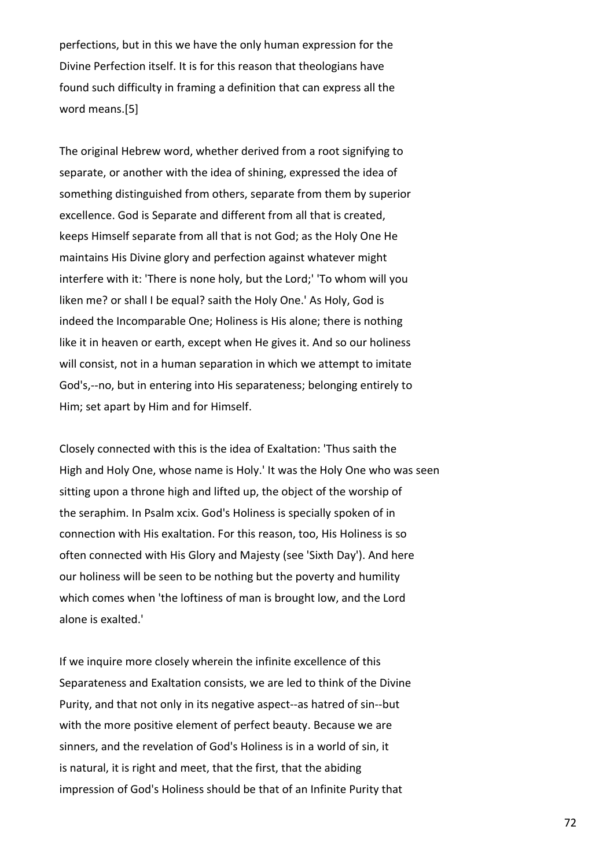perfections, but in this we have the only human expression for the Divine Perfection itself. It is for this reason that theologians have found such difficulty in framing a definition that can express all the word means.[5]

The original Hebrew word, whether derived from a root signifying to separate, or another with the idea of shining, expressed the idea of something distinguished from others, separate from them by superior excellence. God is Separate and different from all that is created, keeps Himself separate from all that is not God; as the Holy One He maintains His Divine glory and perfection against whatever might interfere with it: 'There is none holy, but the Lord;' 'To whom will you liken me? or shall I be equal? saith the Holy One.' As Holy, God is indeed the Incomparable One; Holiness is His alone; there is nothing like it in heaven or earth, except when He gives it. And so our holiness will consist, not in a human separation in which we attempt to imitate God's,--no, but in entering into His separateness; belonging entirely to Him; set apart by Him and for Himself.

Closely connected with this is the idea of Exaltation: 'Thus saith the High and Holy One, whose name is Holy.' It was the Holy One who was seen sitting upon a throne high and lifted up, the object of the worship of the seraphim. In Psalm xcix. God's Holiness is specially spoken of in connection with His exaltation. For this reason, too, His Holiness is so often connected with His Glory and Majesty (see 'Sixth Day'). And here our holiness will be seen to be nothing but the poverty and humility which comes when 'the loftiness of man is brought low, and the Lord alone is exalted.'

If we inquire more closely wherein the infinite excellence of this Separateness and Exaltation consists, we are led to think of the Divine Purity, and that not only in its negative aspect--as hatred of sin--but with the more positive element of perfect beauty. Because we are sinners, and the revelation of God's Holiness is in a world of sin, it is natural, it is right and meet, that the first, that the abiding impression of God's Holiness should be that of an Infinite Purity that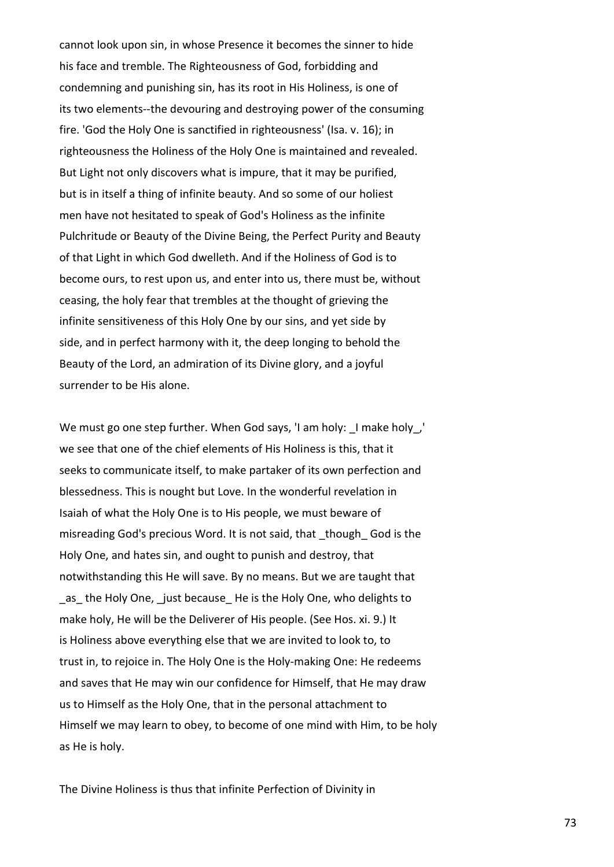cannot look upon sin, in whose Presence it becomes the sinner to hide his face and tremble. The Righteousness of God, forbidding and condemning and punishing sin, has its root in His Holiness, is one of its two elements--the devouring and destroying power of the consuming fire. 'God the Holy One is sanctified in righteousness' (Isa. v. 16); in righteousness the Holiness of the Holy One is maintained and revealed. But Light not only discovers what is impure, that it may be purified, but is in itself a thing of infinite beauty. And so some of our holiest men have not hesitated to speak of God's Holiness as the infinite Pulchritude or Beauty of the Divine Being, the Perfect Purity and Beauty of that Light in which God dwelleth. And if the Holiness of God is to become ours, to rest upon us, and enter into us, there must be, without ceasing, the holy fear that trembles at the thought of grieving the infinite sensitiveness of this Holy One by our sins, and yet side by side, and in perfect harmony with it, the deep longing to behold the Beauty of the Lord, an admiration of its Divine glory, and a joyful surrender to be His alone.

We must go one step further. When God says, 'I am holy: I make holy, we see that one of the chief elements of His Holiness is this, that it seeks to communicate itself, to make partaker of its own perfection and blessedness. This is nought but Love. In the wonderful revelation in Isaiah of what the Holy One is to His people, we must beware of misreading God's precious Word. It is not said, that \_though\_ God is the Holy One, and hates sin, and ought to punish and destroy, that notwithstanding this He will save. By no means. But we are taught that as the Holy One, just because He is the Holy One, who delights to make holy, He will be the Deliverer of His people. (See Hos. xi. 9.) It is Holiness above everything else that we are invited to look to, to trust in, to rejoice in. The Holy One is the Holy-making One: He redeems and saves that He may win our confidence for Himself, that He may draw us to Himself as the Holy One, that in the personal attachment to Himself we may learn to obey, to become of one mind with Him, to be holy as He is holy.

The Divine Holiness is thus that infinite Perfection of Divinity in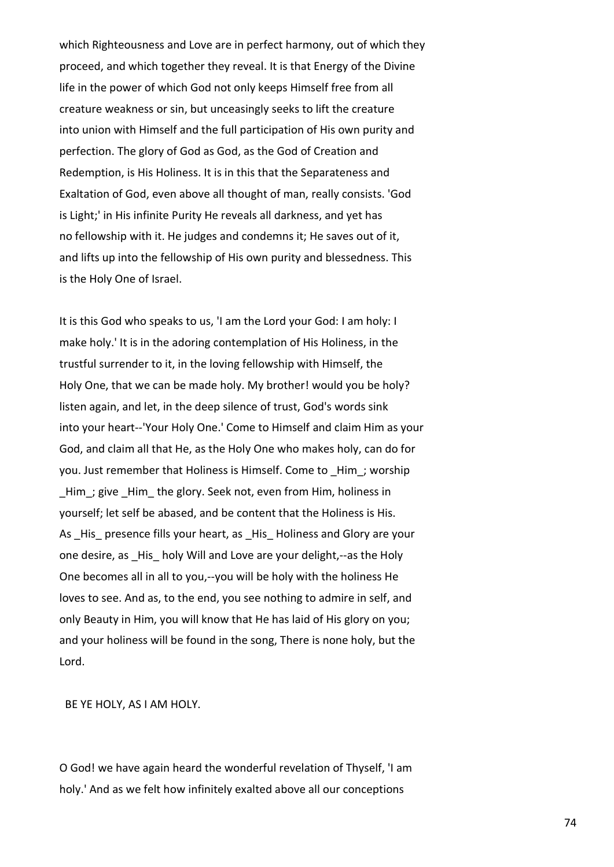which Righteousness and Love are in perfect harmony, out of which they proceed, and which together they reveal. It is that Energy of the Divine life in the power of which God not only keeps Himself free from all creature weakness or sin, but unceasingly seeks to lift the creature into union with Himself and the full participation of His own purity and perfection. The glory of God as God, as the God of Creation and Redemption, is His Holiness. It is in this that the Separateness and Exaltation of God, even above all thought of man, really consists. 'God is Light;' in His infinite Purity He reveals all darkness, and yet has no fellowship with it. He judges and condemns it; He saves out of it, and lifts up into the fellowship of His own purity and blessedness. This is the Holy One of Israel.

It is this God who speaks to us, 'I am the Lord your God: I am holy: I make holy.' It is in the adoring contemplation of His Holiness, in the trustful surrender to it, in the loving fellowship with Himself, the Holy One, that we can be made holy. My brother! would you be holy? listen again, and let, in the deep silence of trust, God's words sink into your heart--'Your Holy One.' Come to Himself and claim Him as your God, and claim all that He, as the Holy One who makes holy, can do for you. Just remember that Holiness is Himself. Come to \_Him\_; worship Him; give Him the glory. Seek not, even from Him, holiness in yourself; let self be abased, and be content that the Holiness is His. As His presence fills your heart, as His Holiness and Glory are your one desire, as His holy Will and Love are your delight,--as the Holy One becomes all in all to you,--you will be holy with the holiness He loves to see. And as, to the end, you see nothing to admire in self, and only Beauty in Him, you will know that He has laid of His glory on you; and your holiness will be found in the song, There is none holy, but the Lord.

BE YE HOLY, AS I AM HOLY.

O God! we have again heard the wonderful revelation of Thyself, 'I am holy.' And as we felt how infinitely exalted above all our conceptions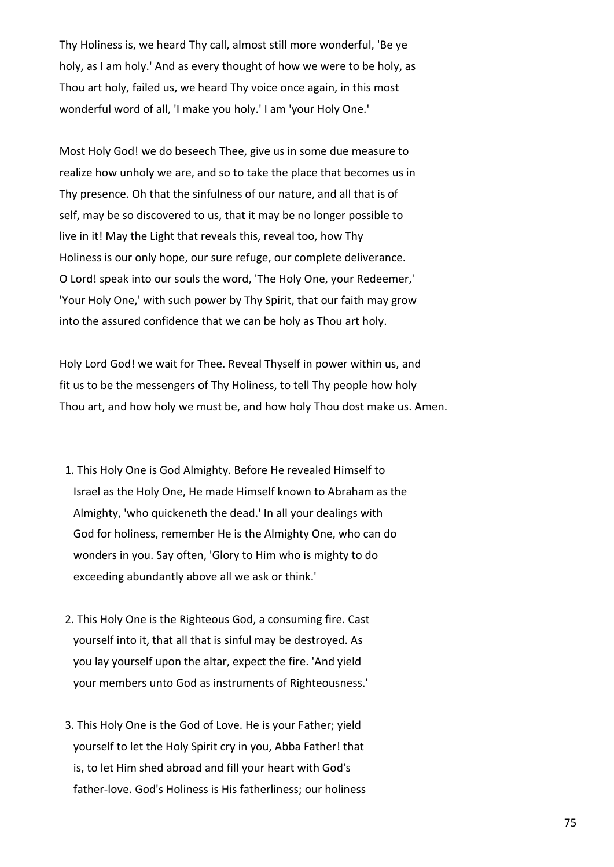Thy Holiness is, we heard Thy call, almost still more wonderful, 'Be ye holy, as I am holy.' And as every thought of how we were to be holy, as Thou art holy, failed us, we heard Thy voice once again, in this most wonderful word of all, 'I make you holy.' I am 'your Holy One.'

Most Holy God! we do beseech Thee, give us in some due measure to realize how unholy we are, and so to take the place that becomes us in Thy presence. Oh that the sinfulness of our nature, and all that is of self, may be so discovered to us, that it may be no longer possible to live in it! May the Light that reveals this, reveal too, how Thy Holiness is our only hope, our sure refuge, our complete deliverance. O Lord! speak into our souls the word, 'The Holy One, your Redeemer,' 'Your Holy One,' with such power by Thy Spirit, that our faith may grow into the assured confidence that we can be holy as Thou art holy.

Holy Lord God! we wait for Thee. Reveal Thyself in power within us, and fit us to be the messengers of Thy Holiness, to tell Thy people how holy Thou art, and how holy we must be, and how holy Thou dost make us. Amen.

- 1. This Holy One is God Almighty. Before He revealed Himself to Israel as the Holy One, He made Himself known to Abraham as the Almighty, 'who quickeneth the dead.' In all your dealings with God for holiness, remember He is the Almighty One, who can do wonders in you. Say often, 'Glory to Him who is mighty to do exceeding abundantly above all we ask or think.'
- 2. This Holy One is the Righteous God, a consuming fire. Cast yourself into it, that all that is sinful may be destroyed. As you lay yourself upon the altar, expect the fire. 'And yield your members unto God as instruments of Righteousness.'
- 3. This Holy One is the God of Love. He is your Father; yield yourself to let the Holy Spirit cry in you, Abba Father! that is, to let Him shed abroad and fill your heart with God's father-love. God's Holiness is His fatherliness; our holiness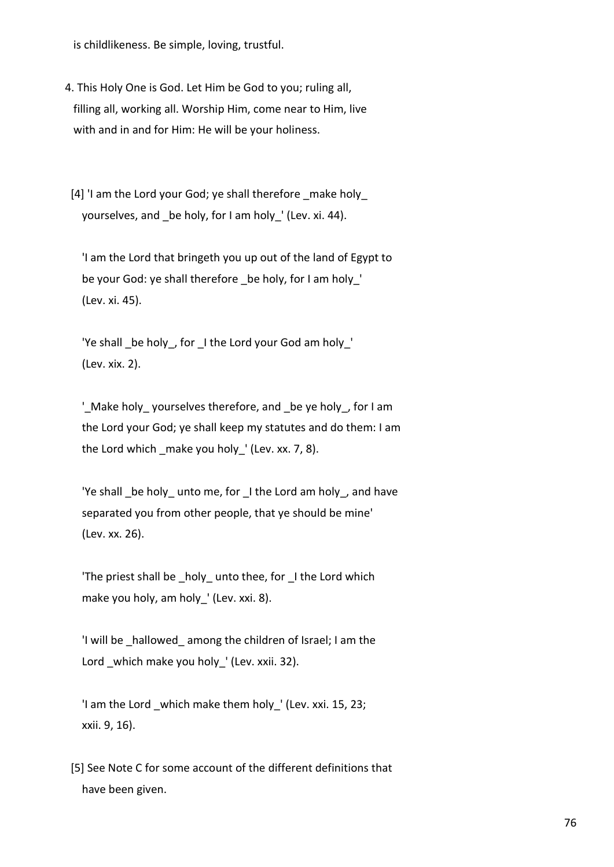is childlikeness. Be simple, loving, trustful.

 4. This Holy One is God. Let Him be God to you; ruling all, filling all, working all. Worship Him, come near to Him, live with and in and for Him: He will be your holiness.

 [4] 'I am the Lord your God; ye shall therefore \_make holy\_ yourselves, and be holy, for I am holy ' (Lev. xi. 44).

 'I am the Lord that bringeth you up out of the land of Egypt to be your God: ye shall therefore be holy, for I am holy ' (Lev. xi. 45).

 'Ye shall \_be holy\_, for \_I the Lord your God am holy\_' (Lev. xix. 2).

 '\_Make holy\_ yourselves therefore, and \_be ye holy\_, for I am the Lord your God; ye shall keep my statutes and do them: I am the Lord which make you holy  $'$  (Lev. xx. 7, 8).

'Ye shall be holy unto me, for I the Lord am holy, and have separated you from other people, that ye should be mine' (Lev. xx. 26).

'The priest shall be holy unto thee, for I the Lord which make you holy, am holy\_' (Lev. xxi. 8).

 'I will be \_hallowed\_ among the children of Israel; I am the Lord which make you holy ' (Lev. xxii. 32).

 'I am the Lord \_which make them holy\_' (Lev. xxi. 15, 23; xxii. 9, 16).

 [5] See Note C for some account of the different definitions that have been given.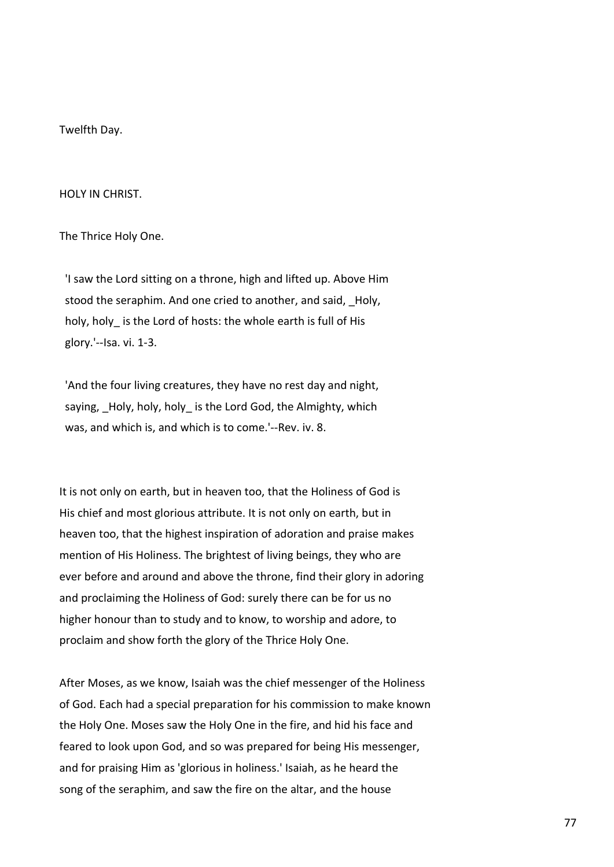Twelfth Day.

HOLY IN CHRIST.

The Thrice Holy One.

 'I saw the Lord sitting on a throne, high and lifted up. Above Him stood the seraphim. And one cried to another, and said, Holy, holy, holy is the Lord of hosts: the whole earth is full of His glory.'--Isa. vi. 1-3.

 'And the four living creatures, they have no rest day and night, saying, \_Holy, holy, holy\_ is the Lord God, the Almighty, which was, and which is, and which is to come.'--Rev. iv. 8.

It is not only on earth, but in heaven too, that the Holiness of God is His chief and most glorious attribute. It is not only on earth, but in heaven too, that the highest inspiration of adoration and praise makes mention of His Holiness. The brightest of living beings, they who are ever before and around and above the throne, find their glory in adoring and proclaiming the Holiness of God: surely there can be for us no higher honour than to study and to know, to worship and adore, to proclaim and show forth the glory of the Thrice Holy One.

After Moses, as we know, Isaiah was the chief messenger of the Holiness of God. Each had a special preparation for his commission to make known the Holy One. Moses saw the Holy One in the fire, and hid his face and feared to look upon God, and so was prepared for being His messenger, and for praising Him as 'glorious in holiness.' Isaiah, as he heard the song of the seraphim, and saw the fire on the altar, and the house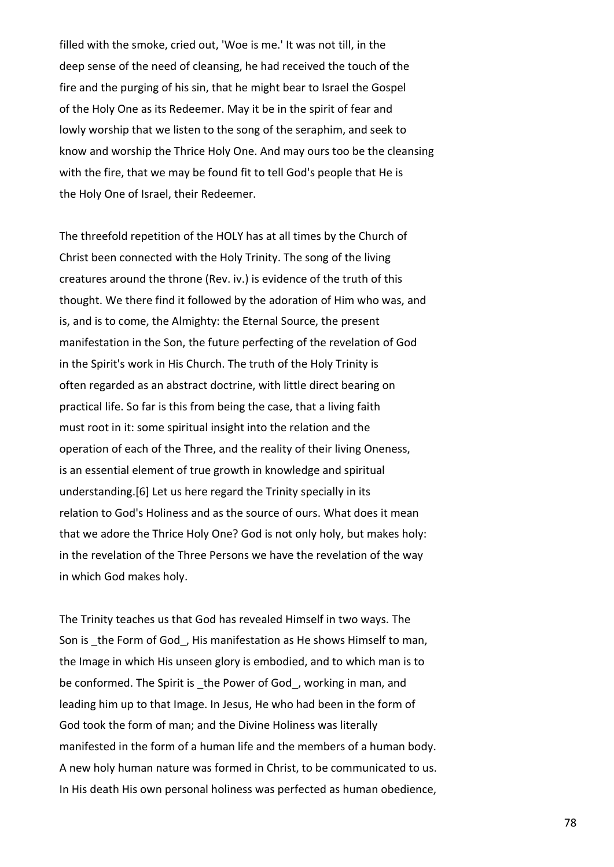filled with the smoke, cried out, 'Woe is me.' It was not till, in the deep sense of the need of cleansing, he had received the touch of the fire and the purging of his sin, that he might bear to Israel the Gospel of the Holy One as its Redeemer. May it be in the spirit of fear and lowly worship that we listen to the song of the seraphim, and seek to know and worship the Thrice Holy One. And may ours too be the cleansing with the fire, that we may be found fit to tell God's people that He is the Holy One of Israel, their Redeemer.

The threefold repetition of the HOLY has at all times by the Church of Christ been connected with the Holy Trinity. The song of the living creatures around the throne (Rev. iv.) is evidence of the truth of this thought. We there find it followed by the adoration of Him who was, and is, and is to come, the Almighty: the Eternal Source, the present manifestation in the Son, the future perfecting of the revelation of God in the Spirit's work in His Church. The truth of the Holy Trinity is often regarded as an abstract doctrine, with little direct bearing on practical life. So far is this from being the case, that a living faith must root in it: some spiritual insight into the relation and the operation of each of the Three, and the reality of their living Oneness, is an essential element of true growth in knowledge and spiritual understanding.[6] Let us here regard the Trinity specially in its relation to God's Holiness and as the source of ours. What does it mean that we adore the Thrice Holy One? God is not only holy, but makes holy: in the revelation of the Three Persons we have the revelation of the way in which God makes holy.

The Trinity teaches us that God has revealed Himself in two ways. The Son is the Form of God, His manifestation as He shows Himself to man, the Image in which His unseen glory is embodied, and to which man is to be conformed. The Spirit is the Power of God, working in man, and leading him up to that Image. In Jesus, He who had been in the form of God took the form of man; and the Divine Holiness was literally manifested in the form of a human life and the members of a human body. A new holy human nature was formed in Christ, to be communicated to us. In His death His own personal holiness was perfected as human obedience,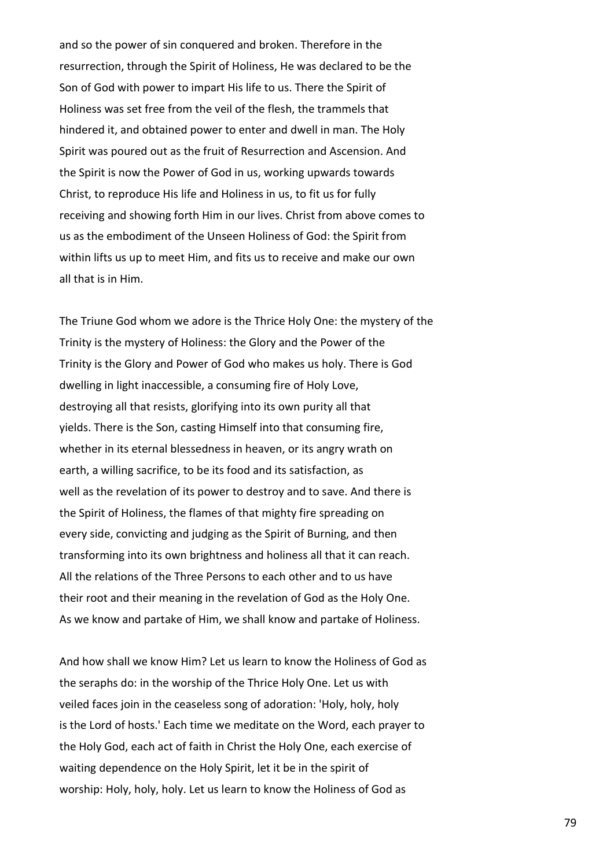and so the power of sin conquered and broken. Therefore in the resurrection, through the Spirit of Holiness, He was declared to be the Son of God with power to impart His life to us. There the Spirit of Holiness was set free from the veil of the flesh, the trammels that hindered it, and obtained power to enter and dwell in man. The Holy Spirit was poured out as the fruit of Resurrection and Ascension. And the Spirit is now the Power of God in us, working upwards towards Christ, to reproduce His life and Holiness in us, to fit us for fully receiving and showing forth Him in our lives. Christ from above comes to us as the embodiment of the Unseen Holiness of God: the Spirit from within lifts us up to meet Him, and fits us to receive and make our own all that is in Him.

The Triune God whom we adore is the Thrice Holy One: the mystery of the Trinity is the mystery of Holiness: the Glory and the Power of the Trinity is the Glory and Power of God who makes us holy. There is God dwelling in light inaccessible, a consuming fire of Holy Love, destroying all that resists, glorifying into its own purity all that yields. There is the Son, casting Himself into that consuming fire, whether in its eternal blessedness in heaven, or its angry wrath on earth, a willing sacrifice, to be its food and its satisfaction, as well as the revelation of its power to destroy and to save. And there is the Spirit of Holiness, the flames of that mighty fire spreading on every side, convicting and judging as the Spirit of Burning, and then transforming into its own brightness and holiness all that it can reach. All the relations of the Three Persons to each other and to us have their root and their meaning in the revelation of God as the Holy One. As we know and partake of Him, we shall know and partake of Holiness.

And how shall we know Him? Let us learn to know the Holiness of God as the seraphs do: in the worship of the Thrice Holy One. Let us with veiled faces join in the ceaseless song of adoration: 'Holy, holy, holy is the Lord of hosts.' Each time we meditate on the Word, each prayer to the Holy God, each act of faith in Christ the Holy One, each exercise of waiting dependence on the Holy Spirit, let it be in the spirit of worship: Holy, holy, holy. Let us learn to know the Holiness of God as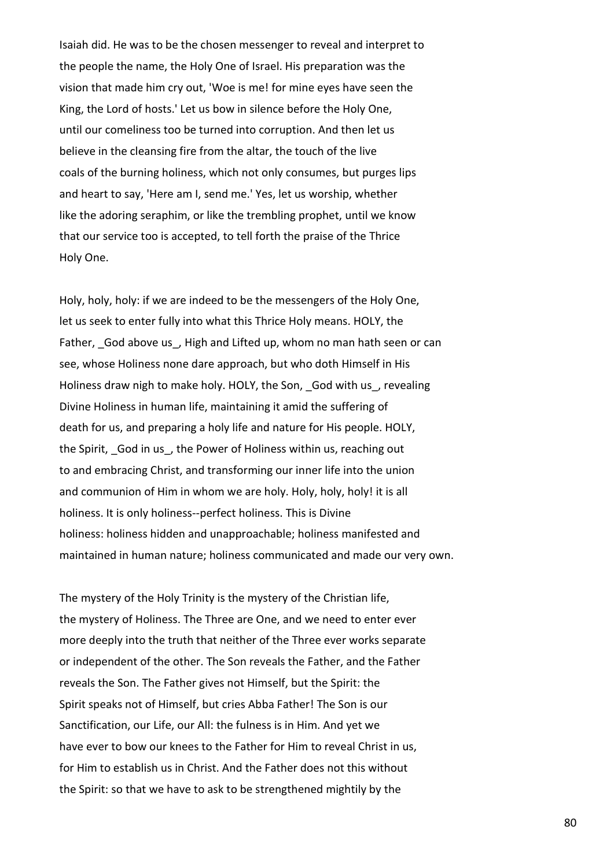Isaiah did. He was to be the chosen messenger to reveal and interpret to the people the name, the Holy One of Israel. His preparation was the vision that made him cry out, 'Woe is me! for mine eyes have seen the King, the Lord of hosts.' Let us bow in silence before the Holy One, until our comeliness too be turned into corruption. And then let us believe in the cleansing fire from the altar, the touch of the live coals of the burning holiness, which not only consumes, but purges lips and heart to say, 'Here am I, send me.' Yes, let us worship, whether like the adoring seraphim, or like the trembling prophet, until we know that our service too is accepted, to tell forth the praise of the Thrice Holy One.

Holy, holy, holy: if we are indeed to be the messengers of the Holy One, let us seek to enter fully into what this Thrice Holy means. HOLY, the Father, God above us \_, High and Lifted up, whom no man hath seen or can see, whose Holiness none dare approach, but who doth Himself in His Holiness draw nigh to make holy. HOLY, the Son, God with us, revealing Divine Holiness in human life, maintaining it amid the suffering of death for us, and preparing a holy life and nature for His people. HOLY, the Spirit, God in us, the Power of Holiness within us, reaching out to and embracing Christ, and transforming our inner life into the union and communion of Him in whom we are holy. Holy, holy, holy! it is all holiness. It is only holiness--perfect holiness. This is Divine holiness: holiness hidden and unapproachable; holiness manifested and maintained in human nature; holiness communicated and made our very own.

The mystery of the Holy Trinity is the mystery of the Christian life, the mystery of Holiness. The Three are One, and we need to enter ever more deeply into the truth that neither of the Three ever works separate or independent of the other. The Son reveals the Father, and the Father reveals the Son. The Father gives not Himself, but the Spirit: the Spirit speaks not of Himself, but cries Abba Father! The Son is our Sanctification, our Life, our All: the fulness is in Him. And yet we have ever to bow our knees to the Father for Him to reveal Christ in us, for Him to establish us in Christ. And the Father does not this without the Spirit: so that we have to ask to be strengthened mightily by the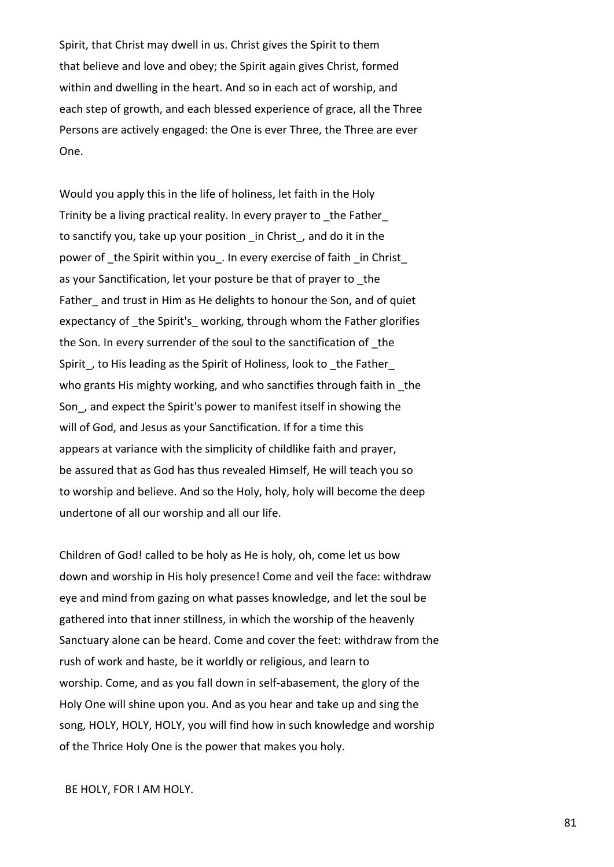Spirit, that Christ may dwell in us. Christ gives the Spirit to them that believe and love and obey; the Spirit again gives Christ, formed within and dwelling in the heart. And so in each act of worship, and each step of growth, and each blessed experience of grace, all the Three Persons are actively engaged: the One is ever Three, the Three are ever One.

Would you apply this in the life of holiness, let faith in the Holy Trinity be a living practical reality. In every prayer to the Father to sanctify you, take up your position in Christ, and do it in the power of the Spirit within you. In every exercise of faith in Christ as your Sanctification, let your posture be that of prayer to the Father and trust in Him as He delights to honour the Son, and of quiet expectancy of the Spirit's working, through whom the Father glorifies the Son. In every surrender of the soul to the sanctification of \_the Spirit, to His leading as the Spirit of Holiness, look to the Father who grants His mighty working, and who sanctifies through faith in the Son\_, and expect the Spirit's power to manifest itself in showing the will of God, and Jesus as your Sanctification. If for a time this appears at variance with the simplicity of childlike faith and prayer, be assured that as God has thus revealed Himself, He will teach you so to worship and believe. And so the Holy, holy, holy will become the deep undertone of all our worship and all our life.

Children of God! called to be holy as He is holy, oh, come let us bow down and worship in His holy presence! Come and veil the face: withdraw eye and mind from gazing on what passes knowledge, and let the soul be gathered into that inner stillness, in which the worship of the heavenly Sanctuary alone can be heard. Come and cover the feet: withdraw from the rush of work and haste, be it worldly or religious, and learn to worship. Come, and as you fall down in self-abasement, the glory of the Holy One will shine upon you. And as you hear and take up and sing the song, HOLY, HOLY, HOLY, you will find how in such knowledge and worship of the Thrice Holy One is the power that makes you holy.

## BE HOLY, FOR I AM HOLY.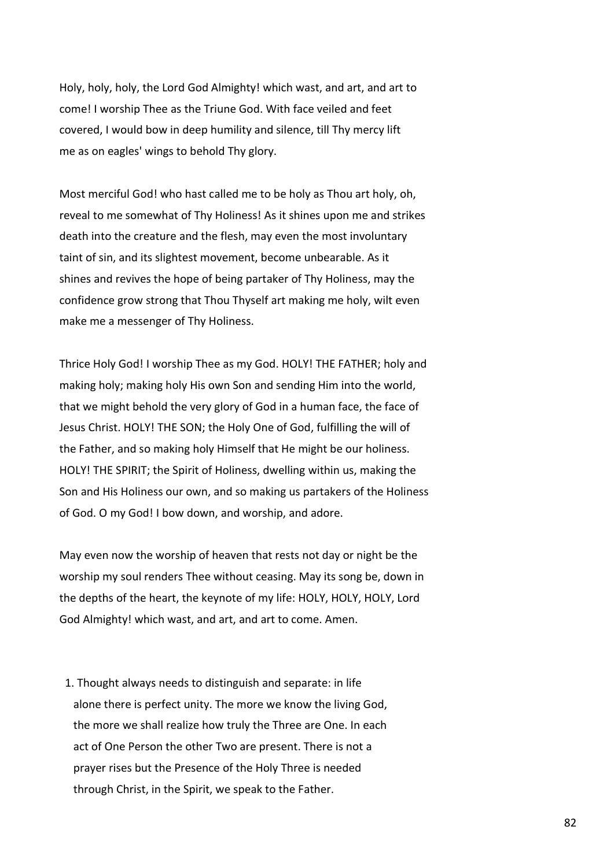Holy, holy, holy, the Lord God Almighty! which wast, and art, and art to come! I worship Thee as the Triune God. With face veiled and feet covered, I would bow in deep humility and silence, till Thy mercy lift me as on eagles' wings to behold Thy glory.

Most merciful God! who hast called me to be holy as Thou art holy, oh, reveal to me somewhat of Thy Holiness! As it shines upon me and strikes death into the creature and the flesh, may even the most involuntary taint of sin, and its slightest movement, become unbearable. As it shines and revives the hope of being partaker of Thy Holiness, may the confidence grow strong that Thou Thyself art making me holy, wilt even make me a messenger of Thy Holiness.

Thrice Holy God! I worship Thee as my God. HOLY! THE FATHER; holy and making holy; making holy His own Son and sending Him into the world, that we might behold the very glory of God in a human face, the face of Jesus Christ. HOLY! THE SON; the Holy One of God, fulfilling the will of the Father, and so making holy Himself that He might be our holiness. HOLY! THE SPIRIT; the Spirit of Holiness, dwelling within us, making the Son and His Holiness our own, and so making us partakers of the Holiness of God. O my God! I bow down, and worship, and adore.

May even now the worship of heaven that rests not day or night be the worship my soul renders Thee without ceasing. May its song be, down in the depths of the heart, the keynote of my life: HOLY, HOLY, HOLY, Lord God Almighty! which wast, and art, and art to come. Amen.

 1. Thought always needs to distinguish and separate: in life alone there is perfect unity. The more we know the living God, the more we shall realize how truly the Three are One. In each act of One Person the other Two are present. There is not a prayer rises but the Presence of the Holy Three is needed through Christ, in the Spirit, we speak to the Father.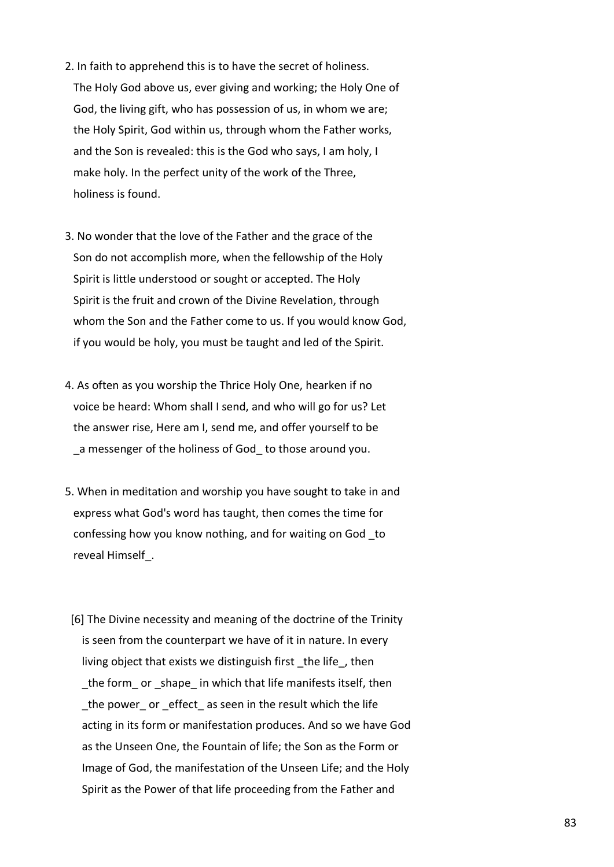- 2. In faith to apprehend this is to have the secret of holiness. The Holy God above us, ever giving and working; the Holy One of God, the living gift, who has possession of us, in whom we are; the Holy Spirit, God within us, through whom the Father works, and the Son is revealed: this is the God who says, I am holy, I make holy. In the perfect unity of the work of the Three, holiness is found.
- 3. No wonder that the love of the Father and the grace of the Son do not accomplish more, when the fellowship of the Holy Spirit is little understood or sought or accepted. The Holy Spirit is the fruit and crown of the Divine Revelation, through whom the Son and the Father come to us. If you would know God, if you would be holy, you must be taught and led of the Spirit.
- 4. As often as you worship the Thrice Holy One, hearken if no voice be heard: Whom shall I send, and who will go for us? Let the answer rise, Here am I, send me, and offer yourself to be a messenger of the holiness of God to those around you.
- 5. When in meditation and worship you have sought to take in and express what God's word has taught, then comes the time for confessing how you know nothing, and for waiting on God \_to reveal Himself\_.
- [6] The Divine necessity and meaning of the doctrine of the Trinity is seen from the counterpart we have of it in nature. In every living object that exists we distinguish first the life, then the form or shape in which that life manifests itself, then the power or effect as seen in the result which the life acting in its form or manifestation produces. And so we have God as the Unseen One, the Fountain of life; the Son as the Form or Image of God, the manifestation of the Unseen Life; and the Holy Spirit as the Power of that life proceeding from the Father and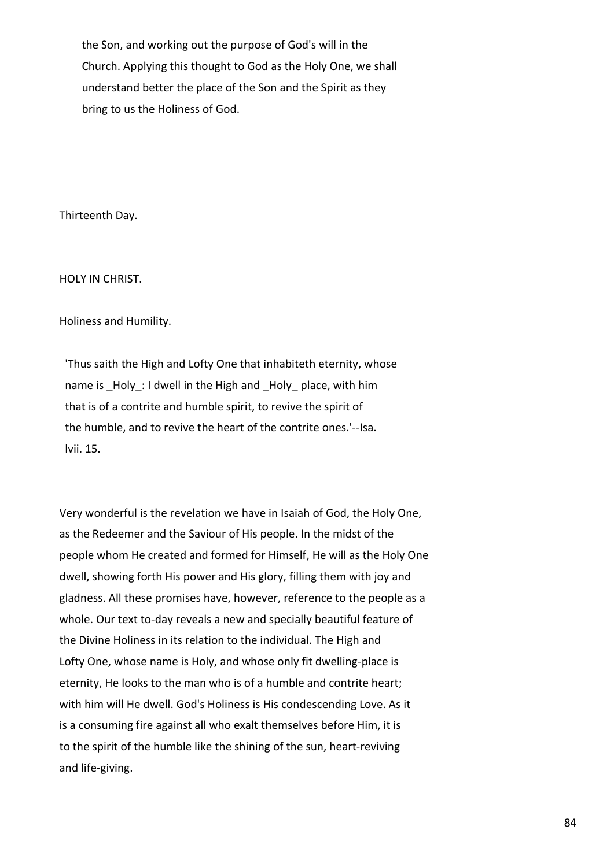the Son, and working out the purpose of God's will in the Church. Applying this thought to God as the Holy One, we shall understand better the place of the Son and the Spirit as they bring to us the Holiness of God.

Thirteenth Day.

HOLY IN CHRIST.

Holiness and Humility.

 'Thus saith the High and Lofty One that inhabiteth eternity, whose name is \_Holy\_: I dwell in the High and \_Holy\_ place, with him that is of a contrite and humble spirit, to revive the spirit of the humble, and to revive the heart of the contrite ones.'--Isa. lvii. 15.

Very wonderful is the revelation we have in Isaiah of God, the Holy One, as the Redeemer and the Saviour of His people. In the midst of the people whom He created and formed for Himself, He will as the Holy One dwell, showing forth His power and His glory, filling them with joy and gladness. All these promises have, however, reference to the people as a whole. Our text to-day reveals a new and specially beautiful feature of the Divine Holiness in its relation to the individual. The High and Lofty One, whose name is Holy, and whose only fit dwelling-place is eternity, He looks to the man who is of a humble and contrite heart; with him will He dwell. God's Holiness is His condescending Love. As it is a consuming fire against all who exalt themselves before Him, it is to the spirit of the humble like the shining of the sun, heart-reviving and life-giving.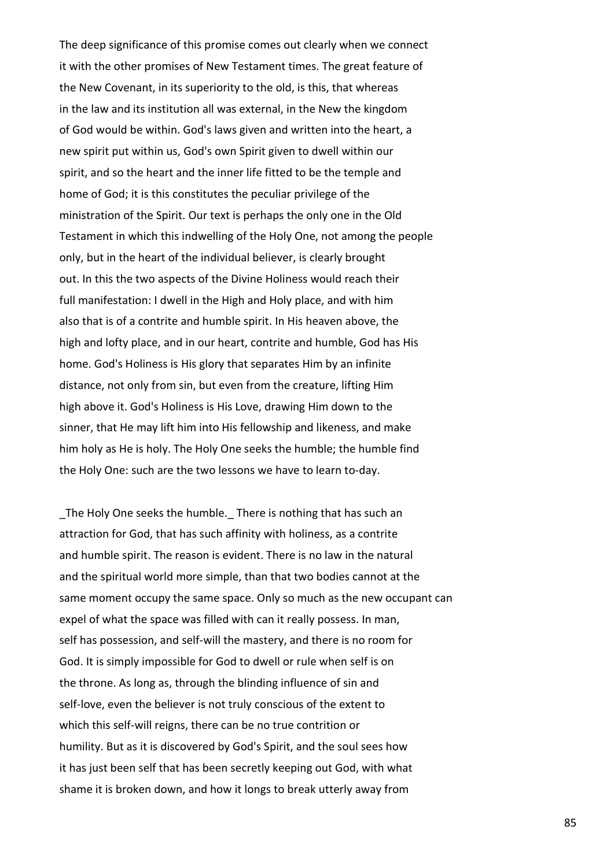The deep significance of this promise comes out clearly when we connect it with the other promises of New Testament times. The great feature of the New Covenant, in its superiority to the old, is this, that whereas in the law and its institution all was external, in the New the kingdom of God would be within. God's laws given and written into the heart, a new spirit put within us, God's own Spirit given to dwell within our spirit, and so the heart and the inner life fitted to be the temple and home of God; it is this constitutes the peculiar privilege of the ministration of the Spirit. Our text is perhaps the only one in the Old Testament in which this indwelling of the Holy One, not among the people only, but in the heart of the individual believer, is clearly brought out. In this the two aspects of the Divine Holiness would reach their full manifestation: I dwell in the High and Holy place, and with him also that is of a contrite and humble spirit. In His heaven above, the high and lofty place, and in our heart, contrite and humble, God has His home. God's Holiness is His glory that separates Him by an infinite distance, not only from sin, but even from the creature, lifting Him high above it. God's Holiness is His Love, drawing Him down to the sinner, that He may lift him into His fellowship and likeness, and make him holy as He is holy. The Holy One seeks the humble; the humble find the Holy One: such are the two lessons we have to learn to-day.

The Holy One seeks the humble. There is nothing that has such an attraction for God, that has such affinity with holiness, as a contrite and humble spirit. The reason is evident. There is no law in the natural and the spiritual world more simple, than that two bodies cannot at the same moment occupy the same space. Only so much as the new occupant can expel of what the space was filled with can it really possess. In man, self has possession, and self-will the mastery, and there is no room for God. It is simply impossible for God to dwell or rule when self is on the throne. As long as, through the blinding influence of sin and self-love, even the believer is not truly conscious of the extent to which this self-will reigns, there can be no true contrition or humility. But as it is discovered by God's Spirit, and the soul sees how it has just been self that has been secretly keeping out God, with what shame it is broken down, and how it longs to break utterly away from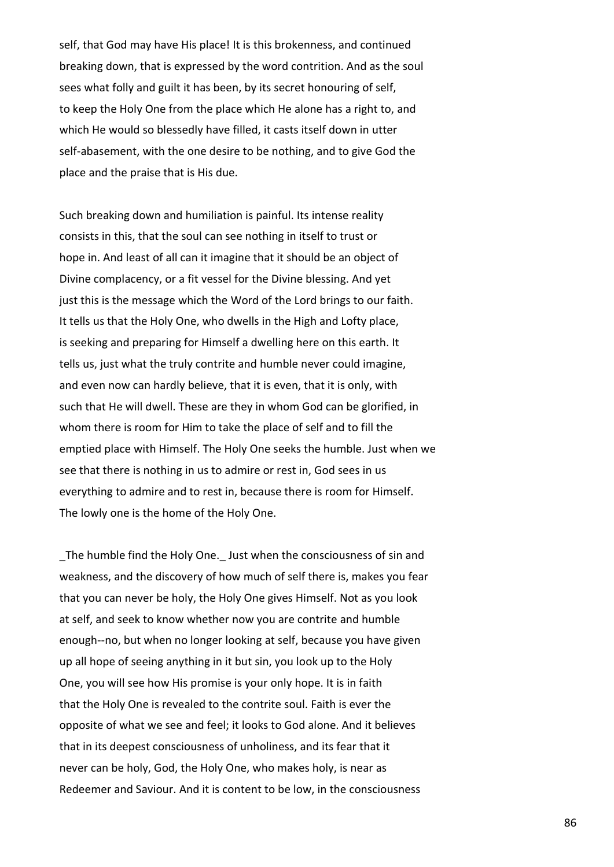self, that God may have His place! It is this brokenness, and continued breaking down, that is expressed by the word contrition. And as the soul sees what folly and guilt it has been, by its secret honouring of self, to keep the Holy One from the place which He alone has a right to, and which He would so blessedly have filled, it casts itself down in utter self-abasement, with the one desire to be nothing, and to give God the place and the praise that is His due.

Such breaking down and humiliation is painful. Its intense reality consists in this, that the soul can see nothing in itself to trust or hope in. And least of all can it imagine that it should be an object of Divine complacency, or a fit vessel for the Divine blessing. And yet just this is the message which the Word of the Lord brings to our faith. It tells us that the Holy One, who dwells in the High and Lofty place, is seeking and preparing for Himself a dwelling here on this earth. It tells us, just what the truly contrite and humble never could imagine, and even now can hardly believe, that it is even, that it is only, with such that He will dwell. These are they in whom God can be glorified, in whom there is room for Him to take the place of self and to fill the emptied place with Himself. The Holy One seeks the humble. Just when we see that there is nothing in us to admire or rest in, God sees in us everything to admire and to rest in, because there is room for Himself. The lowly one is the home of the Holy One.

The humble find the Holy One. Just when the consciousness of sin and weakness, and the discovery of how much of self there is, makes you fear that you can never be holy, the Holy One gives Himself. Not as you look at self, and seek to know whether now you are contrite and humble enough--no, but when no longer looking at self, because you have given up all hope of seeing anything in it but sin, you look up to the Holy One, you will see how His promise is your only hope. It is in faith that the Holy One is revealed to the contrite soul. Faith is ever the opposite of what we see and feel; it looks to God alone. And it believes that in its deepest consciousness of unholiness, and its fear that it never can be holy, God, the Holy One, who makes holy, is near as Redeemer and Saviour. And it is content to be low, in the consciousness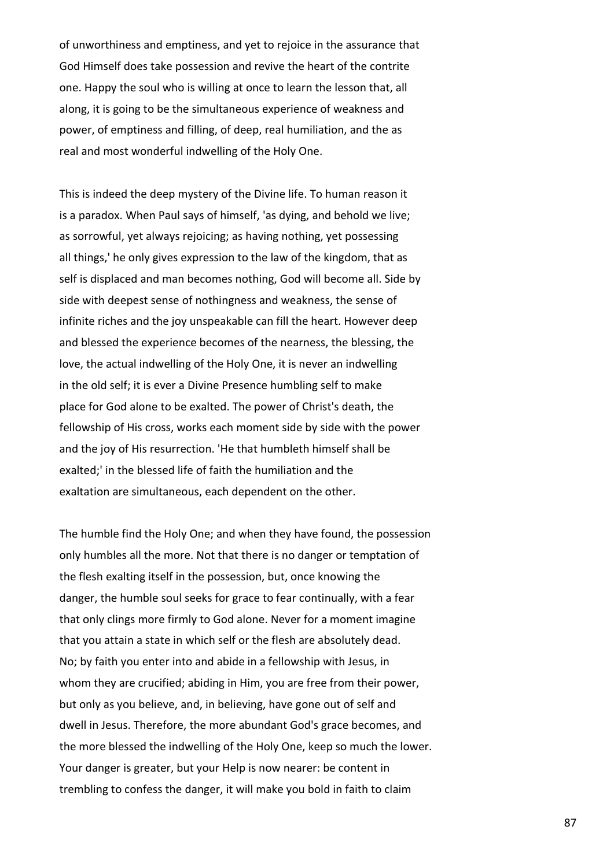of unworthiness and emptiness, and yet to rejoice in the assurance that God Himself does take possession and revive the heart of the contrite one. Happy the soul who is willing at once to learn the lesson that, all along, it is going to be the simultaneous experience of weakness and power, of emptiness and filling, of deep, real humiliation, and the as real and most wonderful indwelling of the Holy One.

This is indeed the deep mystery of the Divine life. To human reason it is a paradox. When Paul says of himself, 'as dying, and behold we live; as sorrowful, yet always rejoicing; as having nothing, yet possessing all things,' he only gives expression to the law of the kingdom, that as self is displaced and man becomes nothing, God will become all. Side by side with deepest sense of nothingness and weakness, the sense of infinite riches and the joy unspeakable can fill the heart. However deep and blessed the experience becomes of the nearness, the blessing, the love, the actual indwelling of the Holy One, it is never an indwelling in the old self; it is ever a Divine Presence humbling self to make place for God alone to be exalted. The power of Christ's death, the fellowship of His cross, works each moment side by side with the power and the joy of His resurrection. 'He that humbleth himself shall be exalted;' in the blessed life of faith the humiliation and the exaltation are simultaneous, each dependent on the other.

The humble find the Holy One; and when they have found, the possession only humbles all the more. Not that there is no danger or temptation of the flesh exalting itself in the possession, but, once knowing the danger, the humble soul seeks for grace to fear continually, with a fear that only clings more firmly to God alone. Never for a moment imagine that you attain a state in which self or the flesh are absolutely dead. No; by faith you enter into and abide in a fellowship with Jesus, in whom they are crucified; abiding in Him, you are free from their power, but only as you believe, and, in believing, have gone out of self and dwell in Jesus. Therefore, the more abundant God's grace becomes, and the more blessed the indwelling of the Holy One, keep so much the lower. Your danger is greater, but your Help is now nearer: be content in trembling to confess the danger, it will make you bold in faith to claim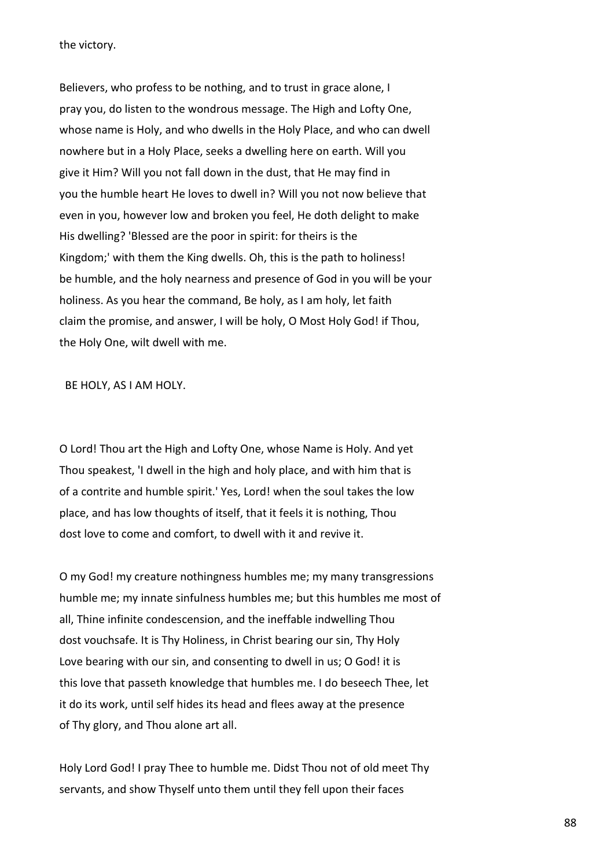the victory.

Believers, who profess to be nothing, and to trust in grace alone, I pray you, do listen to the wondrous message. The High and Lofty One, whose name is Holy, and who dwells in the Holy Place, and who can dwell nowhere but in a Holy Place, seeks a dwelling here on earth. Will you give it Him? Will you not fall down in the dust, that He may find in you the humble heart He loves to dwell in? Will you not now believe that even in you, however low and broken you feel, He doth delight to make His dwelling? 'Blessed are the poor in spirit: for theirs is the Kingdom;' with them the King dwells. Oh, this is the path to holiness! be humble, and the holy nearness and presence of God in you will be your holiness. As you hear the command, Be holy, as I am holy, let faith claim the promise, and answer, I will be holy, O Most Holy God! if Thou, the Holy One, wilt dwell with me.

BE HOLY, AS I AM HOLY.

O Lord! Thou art the High and Lofty One, whose Name is Holy. And yet Thou speakest, 'I dwell in the high and holy place, and with him that is of a contrite and humble spirit.' Yes, Lord! when the soul takes the low place, and has low thoughts of itself, that it feels it is nothing, Thou dost love to come and comfort, to dwell with it and revive it.

O my God! my creature nothingness humbles me; my many transgressions humble me; my innate sinfulness humbles me; but this humbles me most of all, Thine infinite condescension, and the ineffable indwelling Thou dost vouchsafe. It is Thy Holiness, in Christ bearing our sin, Thy Holy Love bearing with our sin, and consenting to dwell in us; O God! it is this love that passeth knowledge that humbles me. I do beseech Thee, let it do its work, until self hides its head and flees away at the presence of Thy glory, and Thou alone art all.

Holy Lord God! I pray Thee to humble me. Didst Thou not of old meet Thy servants, and show Thyself unto them until they fell upon their faces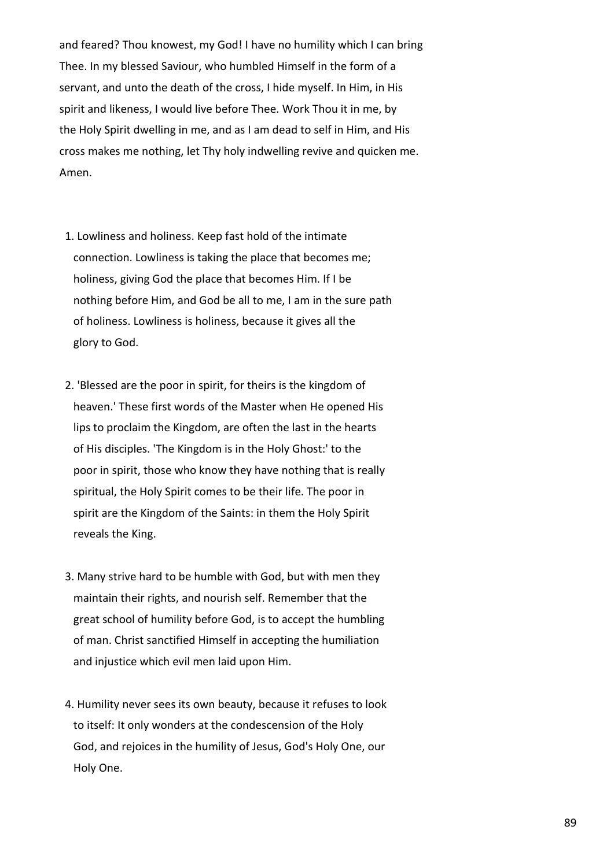and feared? Thou knowest, my God! I have no humility which I can bring Thee. In my blessed Saviour, who humbled Himself in the form of a servant, and unto the death of the cross, I hide myself. In Him, in His spirit and likeness, I would live before Thee. Work Thou it in me, by the Holy Spirit dwelling in me, and as I am dead to self in Him, and His cross makes me nothing, let Thy holy indwelling revive and quicken me. Amen.

- 1. Lowliness and holiness. Keep fast hold of the intimate connection. Lowliness is taking the place that becomes me; holiness, giving God the place that becomes Him. If I be nothing before Him, and God be all to me, I am in the sure path of holiness. Lowliness is holiness, because it gives all the glory to God.
- 2. 'Blessed are the poor in spirit, for theirs is the kingdom of heaven.' These first words of the Master when He opened His lips to proclaim the Kingdom, are often the last in the hearts of His disciples. 'The Kingdom is in the Holy Ghost:' to the poor in spirit, those who know they have nothing that is really spiritual, the Holy Spirit comes to be their life. The poor in spirit are the Kingdom of the Saints: in them the Holy Spirit reveals the King.
- 3. Many strive hard to be humble with God, but with men they maintain their rights, and nourish self. Remember that the great school of humility before God, is to accept the humbling of man. Christ sanctified Himself in accepting the humiliation and injustice which evil men laid upon Him.
- 4. Humility never sees its own beauty, because it refuses to look to itself: It only wonders at the condescension of the Holy God, and rejoices in the humility of Jesus, God's Holy One, our Holy One.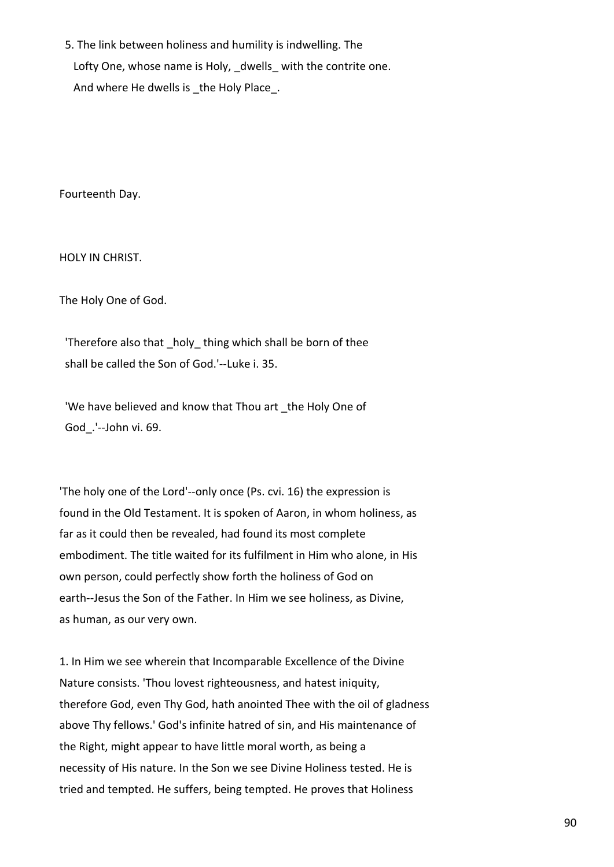5. The link between holiness and humility is indwelling. The Lofty One, whose name is Holy, dwells with the contrite one. And where He dwells is the Holy Place.

Fourteenth Day.

HOLY IN CHRIST.

The Holy One of God.

'Therefore also that holy thing which shall be born of thee shall be called the Son of God.'--Luke i. 35.

'We have believed and know that Thou art \_the Holy One of God\_.'--John vi. 69.

'The holy one of the Lord'--only once (Ps. cvi. 16) the expression is found in the Old Testament. It is spoken of Aaron, in whom holiness, as far as it could then be revealed, had found its most complete embodiment. The title waited for its fulfilment in Him who alone, in His own person, could perfectly show forth the holiness of God on earth--Jesus the Son of the Father. In Him we see holiness, as Divine, as human, as our very own.

1. In Him we see wherein that Incomparable Excellence of the Divine Nature consists. 'Thou lovest righteousness, and hatest iniquity, therefore God, even Thy God, hath anointed Thee with the oil of gladness above Thy fellows.' God's infinite hatred of sin, and His maintenance of the Right, might appear to have little moral worth, as being a necessity of His nature. In the Son we see Divine Holiness tested. He is tried and tempted. He suffers, being tempted. He proves that Holiness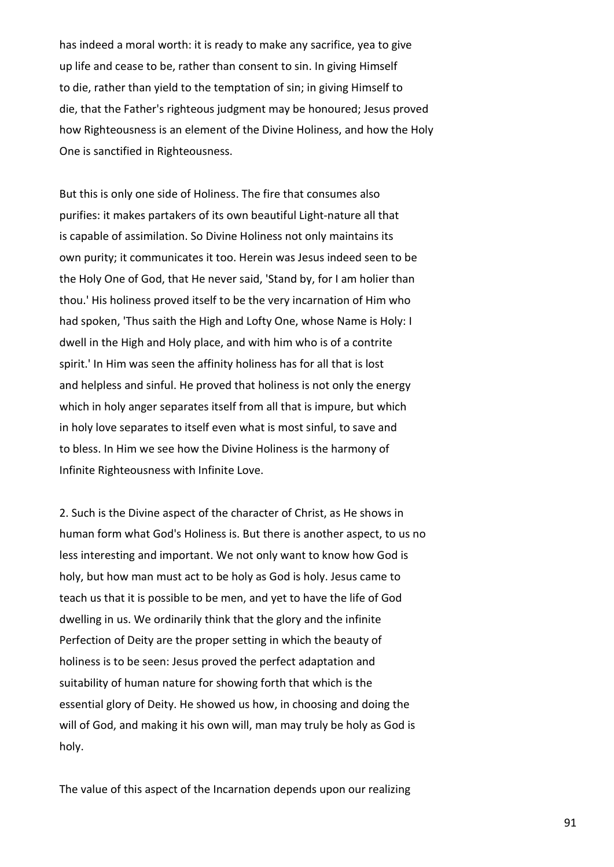has indeed a moral worth: it is ready to make any sacrifice, yea to give up life and cease to be, rather than consent to sin. In giving Himself to die, rather than yield to the temptation of sin; in giving Himself to die, that the Father's righteous judgment may be honoured; Jesus proved how Righteousness is an element of the Divine Holiness, and how the Holy One is sanctified in Righteousness.

But this is only one side of Holiness. The fire that consumes also purifies: it makes partakers of its own beautiful Light-nature all that is capable of assimilation. So Divine Holiness not only maintains its own purity; it communicates it too. Herein was Jesus indeed seen to be the Holy One of God, that He never said, 'Stand by, for I am holier than thou.' His holiness proved itself to be the very incarnation of Him who had spoken, 'Thus saith the High and Lofty One, whose Name is Holy: I dwell in the High and Holy place, and with him who is of a contrite spirit.' In Him was seen the affinity holiness has for all that is lost and helpless and sinful. He proved that holiness is not only the energy which in holy anger separates itself from all that is impure, but which in holy love separates to itself even what is most sinful, to save and to bless. In Him we see how the Divine Holiness is the harmony of Infinite Righteousness with Infinite Love.

2. Such is the Divine aspect of the character of Christ, as He shows in human form what God's Holiness is. But there is another aspect, to us no less interesting and important. We not only want to know how God is holy, but how man must act to be holy as God is holy. Jesus came to teach us that it is possible to be men, and yet to have the life of God dwelling in us. We ordinarily think that the glory and the infinite Perfection of Deity are the proper setting in which the beauty of holiness is to be seen: Jesus proved the perfect adaptation and suitability of human nature for showing forth that which is the essential glory of Deity. He showed us how, in choosing and doing the will of God, and making it his own will, man may truly be holy as God is holy.

The value of this aspect of the Incarnation depends upon our realizing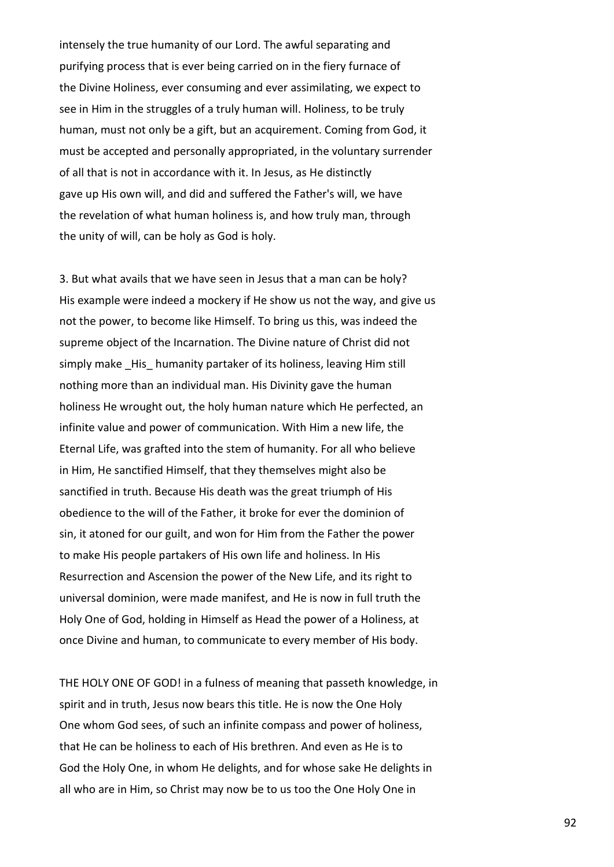intensely the true humanity of our Lord. The awful separating and purifying process that is ever being carried on in the fiery furnace of the Divine Holiness, ever consuming and ever assimilating, we expect to see in Him in the struggles of a truly human will. Holiness, to be truly human, must not only be a gift, but an acquirement. Coming from God, it must be accepted and personally appropriated, in the voluntary surrender of all that is not in accordance with it. In Jesus, as He distinctly gave up His own will, and did and suffered the Father's will, we have the revelation of what human holiness is, and how truly man, through the unity of will, can be holy as God is holy.

3. But what avails that we have seen in Jesus that a man can be holy? His example were indeed a mockery if He show us not the way, and give us not the power, to become like Himself. To bring us this, was indeed the supreme object of the Incarnation. The Divine nature of Christ did not simply make His humanity partaker of its holiness, leaving Him still nothing more than an individual man. His Divinity gave the human holiness He wrought out, the holy human nature which He perfected, an infinite value and power of communication. With Him a new life, the Eternal Life, was grafted into the stem of humanity. For all who believe in Him, He sanctified Himself, that they themselves might also be sanctified in truth. Because His death was the great triumph of His obedience to the will of the Father, it broke for ever the dominion of sin, it atoned for our guilt, and won for Him from the Father the power to make His people partakers of His own life and holiness. In His Resurrection and Ascension the power of the New Life, and its right to universal dominion, were made manifest, and He is now in full truth the Holy One of God, holding in Himself as Head the power of a Holiness, at once Divine and human, to communicate to every member of His body.

THE HOLY ONE OF GOD! in a fulness of meaning that passeth knowledge, in spirit and in truth, Jesus now bears this title. He is now the One Holy One whom God sees, of such an infinite compass and power of holiness, that He can be holiness to each of His brethren. And even as He is to God the Holy One, in whom He delights, and for whose sake He delights in all who are in Him, so Christ may now be to us too the One Holy One in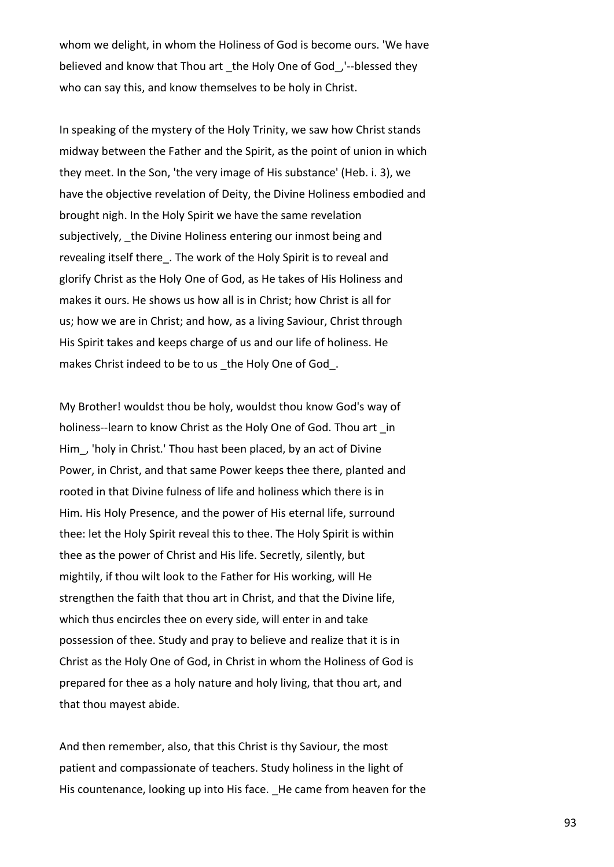whom we delight, in whom the Holiness of God is become ours. 'We have believed and know that Thou art the Holy One of God, '--blessed they who can say this, and know themselves to be holy in Christ.

In speaking of the mystery of the Holy Trinity, we saw how Christ stands midway between the Father and the Spirit, as the point of union in which they meet. In the Son, 'the very image of His substance' (Heb. i. 3), we have the objective revelation of Deity, the Divine Holiness embodied and brought nigh. In the Holy Spirit we have the same revelation subjectively, the Divine Holiness entering our inmost being and revealing itself there. The work of the Holy Spirit is to reveal and glorify Christ as the Holy One of God, as He takes of His Holiness and makes it ours. He shows us how all is in Christ; how Christ is all for us; how we are in Christ; and how, as a living Saviour, Christ through His Spirit takes and keeps charge of us and our life of holiness. He makes Christ indeed to be to us the Holy One of God.

My Brother! wouldst thou be holy, wouldst thou know God's way of holiness--learn to know Christ as the Holy One of God. Thou art in Him\_, 'holy in Christ.' Thou hast been placed, by an act of Divine Power, in Christ, and that same Power keeps thee there, planted and rooted in that Divine fulness of life and holiness which there is in Him. His Holy Presence, and the power of His eternal life, surround thee: let the Holy Spirit reveal this to thee. The Holy Spirit is within thee as the power of Christ and His life. Secretly, silently, but mightily, if thou wilt look to the Father for His working, will He strengthen the faith that thou art in Christ, and that the Divine life, which thus encircles thee on every side, will enter in and take possession of thee. Study and pray to believe and realize that it is in Christ as the Holy One of God, in Christ in whom the Holiness of God is prepared for thee as a holy nature and holy living, that thou art, and that thou mayest abide.

And then remember, also, that this Christ is thy Saviour, the most patient and compassionate of teachers. Study holiness in the light of His countenance, looking up into His face. He came from heaven for the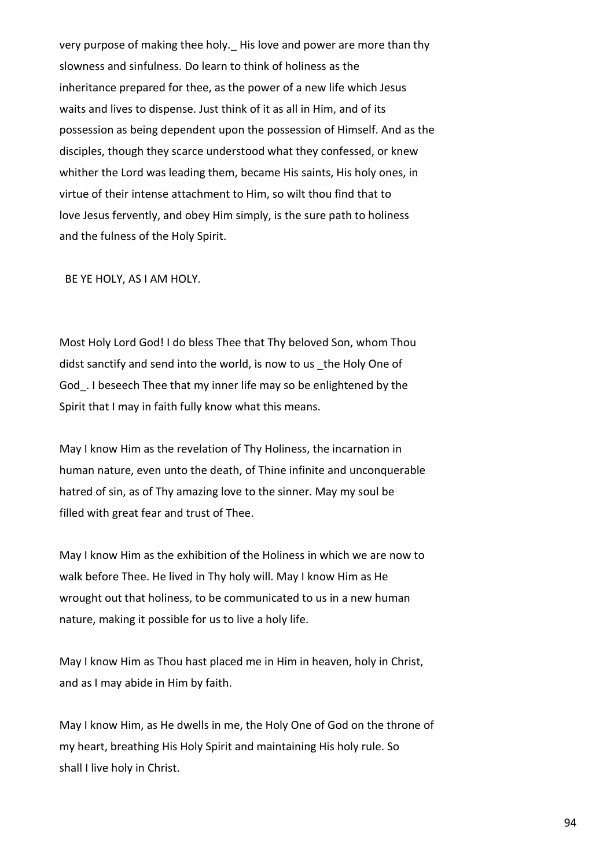very purpose of making thee holy. His love and power are more than thy slowness and sinfulness. Do learn to think of holiness as the inheritance prepared for thee, as the power of a new life which Jesus waits and lives to dispense. Just think of it as all in Him, and of its possession as being dependent upon the possession of Himself. And as the disciples, though they scarce understood what they confessed, or knew whither the Lord was leading them, became His saints, His holy ones, in virtue of their intense attachment to Him, so wilt thou find that to love Jesus fervently, and obey Him simply, is the sure path to holiness and the fulness of the Holy Spirit.

BE YE HOLY, AS I AM HOLY.

Most Holy Lord God! I do bless Thee that Thy beloved Son, whom Thou didst sanctify and send into the world, is now to us the Holy One of God. I beseech Thee that my inner life may so be enlightened by the Spirit that I may in faith fully know what this means.

May I know Him as the revelation of Thy Holiness, the incarnation in human nature, even unto the death, of Thine infinite and unconquerable hatred of sin, as of Thy amazing love to the sinner. May my soul be filled with great fear and trust of Thee.

May I know Him as the exhibition of the Holiness in which we are now to walk before Thee. He lived in Thy holy will. May I know Him as He wrought out that holiness, to be communicated to us in a new human nature, making it possible for us to live a holy life.

May I know Him as Thou hast placed me in Him in heaven, holy in Christ, and as I may abide in Him by faith.

May I know Him, as He dwells in me, the Holy One of God on the throne of my heart, breathing His Holy Spirit and maintaining His holy rule. So shall I live holy in Christ.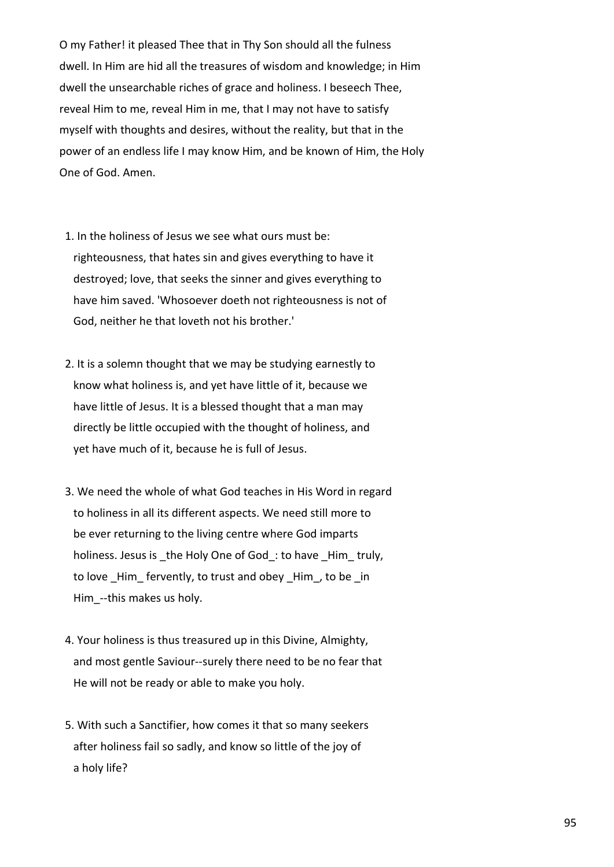O my Father! it pleased Thee that in Thy Son should all the fulness dwell. In Him are hid all the treasures of wisdom and knowledge; in Him dwell the unsearchable riches of grace and holiness. I beseech Thee, reveal Him to me, reveal Him in me, that I may not have to satisfy myself with thoughts and desires, without the reality, but that in the power of an endless life I may know Him, and be known of Him, the Holy One of God. Amen.

- 1. In the holiness of Jesus we see what ours must be: righteousness, that hates sin and gives everything to have it destroyed; love, that seeks the sinner and gives everything to have him saved. 'Whosoever doeth not righteousness is not of God, neither he that loveth not his brother.'
- 2. It is a solemn thought that we may be studying earnestly to know what holiness is, and yet have little of it, because we have little of Jesus. It is a blessed thought that a man may directly be little occupied with the thought of holiness, and yet have much of it, because he is full of Jesus.
- 3. We need the whole of what God teaches in His Word in regard to holiness in all its different aspects. We need still more to be ever returning to the living centre where God imparts holiness. Jesus is the Holy One of God: to have Him truly, to love Him fervently, to trust and obey Him, to be in Him --this makes us holy.
- 4. Your holiness is thus treasured up in this Divine, Almighty, and most gentle Saviour--surely there need to be no fear that He will not be ready or able to make you holy.
- 5. With such a Sanctifier, how comes it that so many seekers after holiness fail so sadly, and know so little of the joy of a holy life?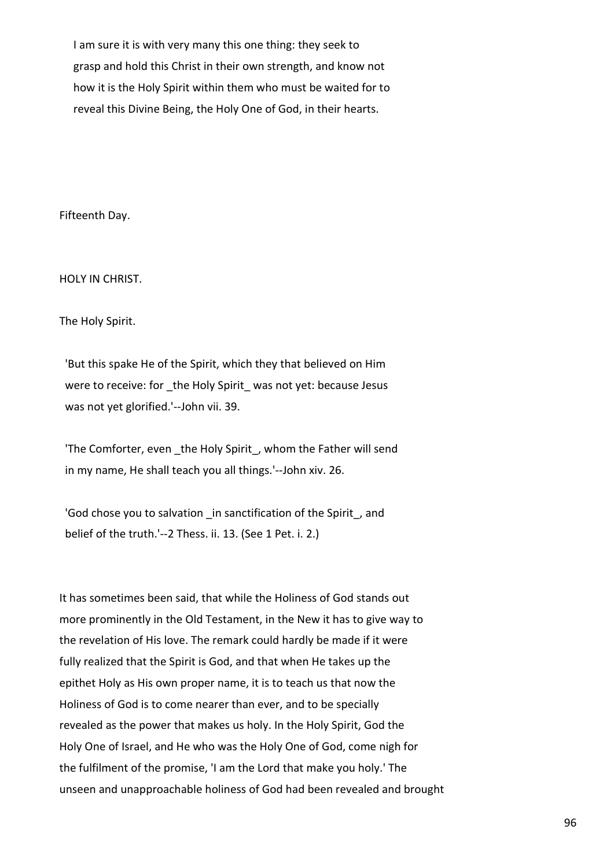I am sure it is with very many this one thing: they seek to grasp and hold this Christ in their own strength, and know not how it is the Holy Spirit within them who must be waited for to reveal this Divine Being, the Holy One of God, in their hearts.

Fifteenth Day.

HOLY IN CHRIST.

The Holy Spirit.

 'But this spake He of the Spirit, which they that believed on Him were to receive: for \_the Holy Spirit\_ was not yet: because Jesus was not yet glorified.'--John vii. 39.

'The Comforter, even \_the Holy Spirit\_, whom the Father will send in my name, He shall teach you all things.'--John xiv. 26.

'God chose you to salvation in sanctification of the Spirit, and belief of the truth.'--2 Thess. ii. 13. (See 1 Pet. i. 2.)

It has sometimes been said, that while the Holiness of God stands out more prominently in the Old Testament, in the New it has to give way to the revelation of His love. The remark could hardly be made if it were fully realized that the Spirit is God, and that when He takes up the epithet Holy as His own proper name, it is to teach us that now the Holiness of God is to come nearer than ever, and to be specially revealed as the power that makes us holy. In the Holy Spirit, God the Holy One of Israel, and He who was the Holy One of God, come nigh for the fulfilment of the promise, 'I am the Lord that make you holy.' The unseen and unapproachable holiness of God had been revealed and brought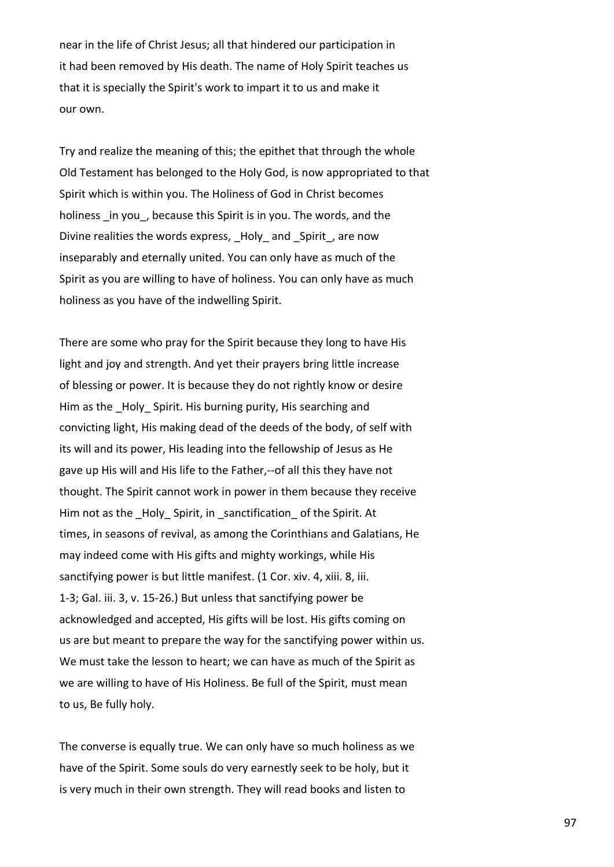near in the life of Christ Jesus; all that hindered our participation in it had been removed by His death. The name of Holy Spirit teaches us that it is specially the Spirit's work to impart it to us and make it our own.

Try and realize the meaning of this; the epithet that through the whole Old Testament has belonged to the Holy God, is now appropriated to that Spirit which is within you. The Holiness of God in Christ becomes holiness in you, because this Spirit is in you. The words, and the Divine realities the words express, Holy and Spirit, are now inseparably and eternally united. You can only have as much of the Spirit as you are willing to have of holiness. You can only have as much holiness as you have of the indwelling Spirit.

There are some who pray for the Spirit because they long to have His light and joy and strength. And yet their prayers bring little increase of blessing or power. It is because they do not rightly know or desire Him as the \_Holy\_ Spirit. His burning purity, His searching and convicting light, His making dead of the deeds of the body, of self with its will and its power, His leading into the fellowship of Jesus as He gave up His will and His life to the Father,--of all this they have not thought. The Spirit cannot work in power in them because they receive Him not as the Holy Spirit, in sanctification of the Spirit. At times, in seasons of revival, as among the Corinthians and Galatians, He may indeed come with His gifts and mighty workings, while His sanctifying power is but little manifest. (1 Cor. xiv. 4, xiii. 8, iii. 1-3; Gal. iii. 3, v. 15-26.) But unless that sanctifying power be acknowledged and accepted, His gifts will be lost. His gifts coming on us are but meant to prepare the way for the sanctifying power within us. We must take the lesson to heart; we can have as much of the Spirit as we are willing to have of His Holiness. Be full of the Spirit, must mean to us, Be fully holy.

The converse is equally true. We can only have so much holiness as we have of the Spirit. Some souls do very earnestly seek to be holy, but it is very much in their own strength. They will read books and listen to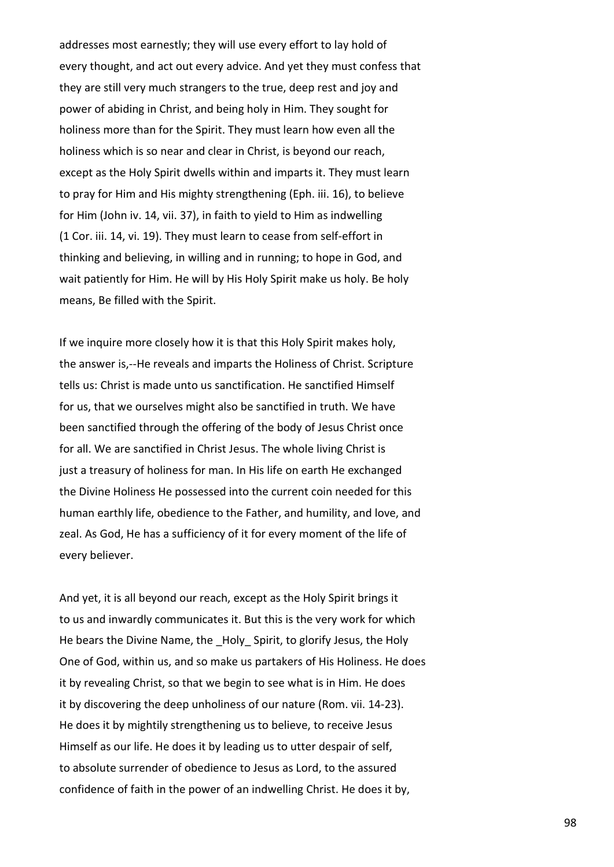addresses most earnestly; they will use every effort to lay hold of every thought, and act out every advice. And yet they must confess that they are still very much strangers to the true, deep rest and joy and power of abiding in Christ, and being holy in Him. They sought for holiness more than for the Spirit. They must learn how even all the holiness which is so near and clear in Christ, is beyond our reach, except as the Holy Spirit dwells within and imparts it. They must learn to pray for Him and His mighty strengthening (Eph. iii. 16), to believe for Him (John iv. 14, vii. 37), in faith to yield to Him as indwelling (1 Cor. iii. 14, vi. 19). They must learn to cease from self-effort in thinking and believing, in willing and in running; to hope in God, and wait patiently for Him. He will by His Holy Spirit make us holy. Be holy means, Be filled with the Spirit.

If we inquire more closely how it is that this Holy Spirit makes holy, the answer is,--He reveals and imparts the Holiness of Christ. Scripture tells us: Christ is made unto us sanctification. He sanctified Himself for us, that we ourselves might also be sanctified in truth. We have been sanctified through the offering of the body of Jesus Christ once for all. We are sanctified in Christ Jesus. The whole living Christ is just a treasury of holiness for man. In His life on earth He exchanged the Divine Holiness He possessed into the current coin needed for this human earthly life, obedience to the Father, and humility, and love, and zeal. As God, He has a sufficiency of it for every moment of the life of every believer.

And yet, it is all beyond our reach, except as the Holy Spirit brings it to us and inwardly communicates it. But this is the very work for which He bears the Divine Name, the Holy Spirit, to glorify Jesus, the Holy One of God, within us, and so make us partakers of His Holiness. He does it by revealing Christ, so that we begin to see what is in Him. He does it by discovering the deep unholiness of our nature (Rom. vii. 14-23). He does it by mightily strengthening us to believe, to receive Jesus Himself as our life. He does it by leading us to utter despair of self, to absolute surrender of obedience to Jesus as Lord, to the assured confidence of faith in the power of an indwelling Christ. He does it by,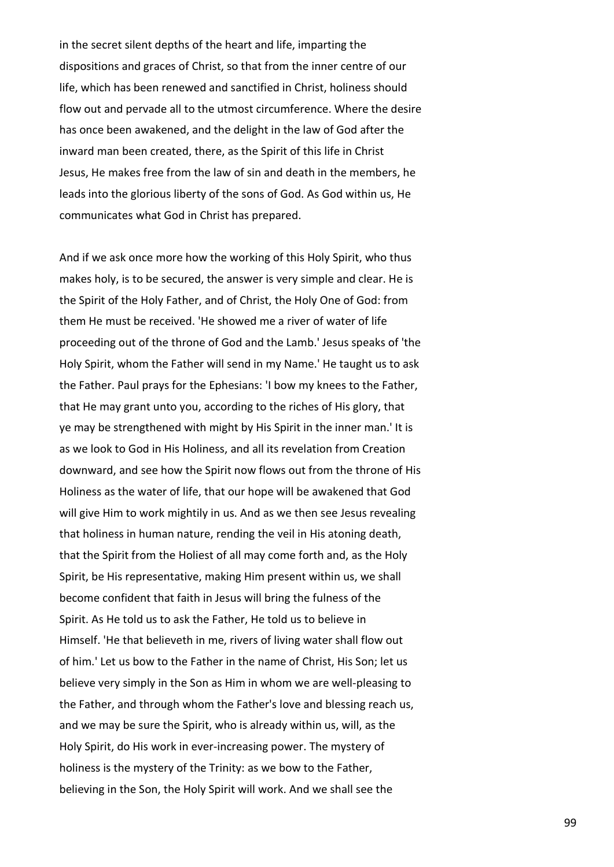in the secret silent depths of the heart and life, imparting the dispositions and graces of Christ, so that from the inner centre of our life, which has been renewed and sanctified in Christ, holiness should flow out and pervade all to the utmost circumference. Where the desire has once been awakened, and the delight in the law of God after the inward man been created, there, as the Spirit of this life in Christ Jesus, He makes free from the law of sin and death in the members, he leads into the glorious liberty of the sons of God. As God within us, He communicates what God in Christ has prepared.

And if we ask once more how the working of this Holy Spirit, who thus makes holy, is to be secured, the answer is very simple and clear. He is the Spirit of the Holy Father, and of Christ, the Holy One of God: from them He must be received. 'He showed me a river of water of life proceeding out of the throne of God and the Lamb.' Jesus speaks of 'the Holy Spirit, whom the Father will send in my Name.' He taught us to ask the Father. Paul prays for the Ephesians: 'I bow my knees to the Father, that He may grant unto you, according to the riches of His glory, that ye may be strengthened with might by His Spirit in the inner man.' It is as we look to God in His Holiness, and all its revelation from Creation downward, and see how the Spirit now flows out from the throne of His Holiness as the water of life, that our hope will be awakened that God will give Him to work mightily in us. And as we then see Jesus revealing that holiness in human nature, rending the veil in His atoning death, that the Spirit from the Holiest of all may come forth and, as the Holy Spirit, be His representative, making Him present within us, we shall become confident that faith in Jesus will bring the fulness of the Spirit. As He told us to ask the Father, He told us to believe in Himself. 'He that believeth in me, rivers of living water shall flow out of him.' Let us bow to the Father in the name of Christ, His Son; let us believe very simply in the Son as Him in whom we are well-pleasing to the Father, and through whom the Father's love and blessing reach us, and we may be sure the Spirit, who is already within us, will, as the Holy Spirit, do His work in ever-increasing power. The mystery of holiness is the mystery of the Trinity: as we bow to the Father, believing in the Son, the Holy Spirit will work. And we shall see the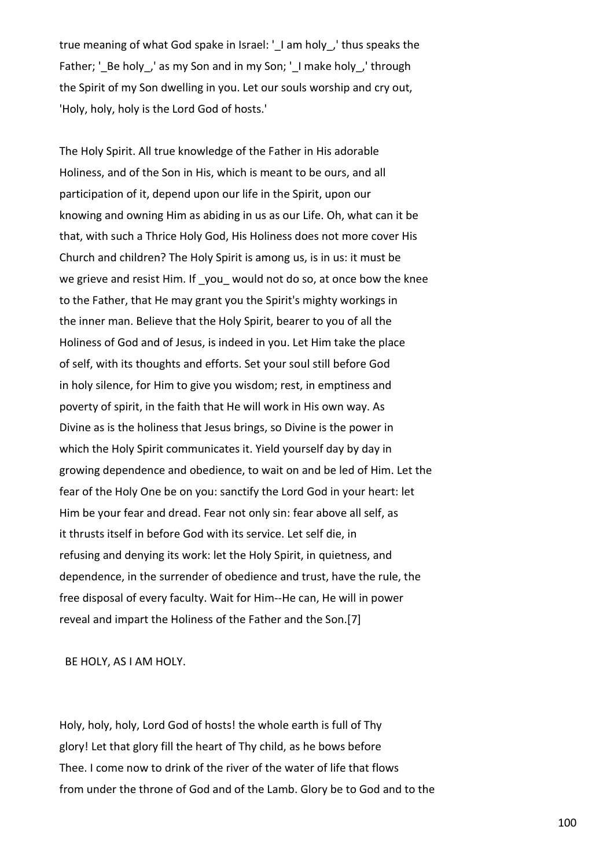true meaning of what God spake in Israel: ' I am holy, ' thus speaks the Father; '\_Be holy\_,' as my Son and in my Son; '\_I make holy\_,' through the Spirit of my Son dwelling in you. Let our souls worship and cry out, 'Holy, holy, holy is the Lord God of hosts.'

The Holy Spirit. All true knowledge of the Father in His adorable Holiness, and of the Son in His, which is meant to be ours, and all participation of it, depend upon our life in the Spirit, upon our knowing and owning Him as abiding in us as our Life. Oh, what can it be that, with such a Thrice Holy God, His Holiness does not more cover His Church and children? The Holy Spirit is among us, is in us: it must be we grieve and resist Him. If you would not do so, at once bow the knee to the Father, that He may grant you the Spirit's mighty workings in the inner man. Believe that the Holy Spirit, bearer to you of all the Holiness of God and of Jesus, is indeed in you. Let Him take the place of self, with its thoughts and efforts. Set your soul still before God in holy silence, for Him to give you wisdom; rest, in emptiness and poverty of spirit, in the faith that He will work in His own way. As Divine as is the holiness that Jesus brings, so Divine is the power in which the Holy Spirit communicates it. Yield yourself day by day in growing dependence and obedience, to wait on and be led of Him. Let the fear of the Holy One be on you: sanctify the Lord God in your heart: let Him be your fear and dread. Fear not only sin: fear above all self, as it thrusts itself in before God with its service. Let self die, in refusing and denying its work: let the Holy Spirit, in quietness, and dependence, in the surrender of obedience and trust, have the rule, the free disposal of every faculty. Wait for Him--He can, He will in power reveal and impart the Holiness of the Father and the Son.[7]

BE HOLY, AS I AM HOLY.

Holy, holy, holy, Lord God of hosts! the whole earth is full of Thy glory! Let that glory fill the heart of Thy child, as he bows before Thee. I come now to drink of the river of the water of life that flows from under the throne of God and of the Lamb. Glory be to God and to the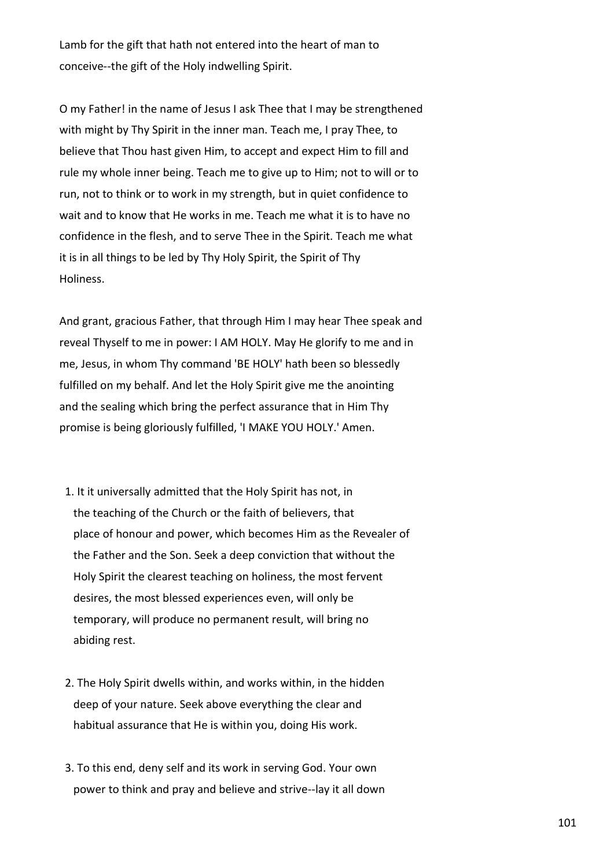Lamb for the gift that hath not entered into the heart of man to conceive--the gift of the Holy indwelling Spirit.

O my Father! in the name of Jesus I ask Thee that I may be strengthened with might by Thy Spirit in the inner man. Teach me, I pray Thee, to believe that Thou hast given Him, to accept and expect Him to fill and rule my whole inner being. Teach me to give up to Him; not to will or to run, not to think or to work in my strength, but in quiet confidence to wait and to know that He works in me. Teach me what it is to have no confidence in the flesh, and to serve Thee in the Spirit. Teach me what it is in all things to be led by Thy Holy Spirit, the Spirit of Thy Holiness.

And grant, gracious Father, that through Him I may hear Thee speak and reveal Thyself to me in power: I AM HOLY. May He glorify to me and in me, Jesus, in whom Thy command 'BE HOLY' hath been so blessedly fulfilled on my behalf. And let the Holy Spirit give me the anointing and the sealing which bring the perfect assurance that in Him Thy promise is being gloriously fulfilled, 'I MAKE YOU HOLY.' Amen.

- 1. It it universally admitted that the Holy Spirit has not, in the teaching of the Church or the faith of believers, that place of honour and power, which becomes Him as the Revealer of the Father and the Son. Seek a deep conviction that without the Holy Spirit the clearest teaching on holiness, the most fervent desires, the most blessed experiences even, will only be temporary, will produce no permanent result, will bring no abiding rest.
- 2. The Holy Spirit dwells within, and works within, in the hidden deep of your nature. Seek above everything the clear and habitual assurance that He is within you, doing His work.
- 3. To this end, deny self and its work in serving God. Your own power to think and pray and believe and strive--lay it all down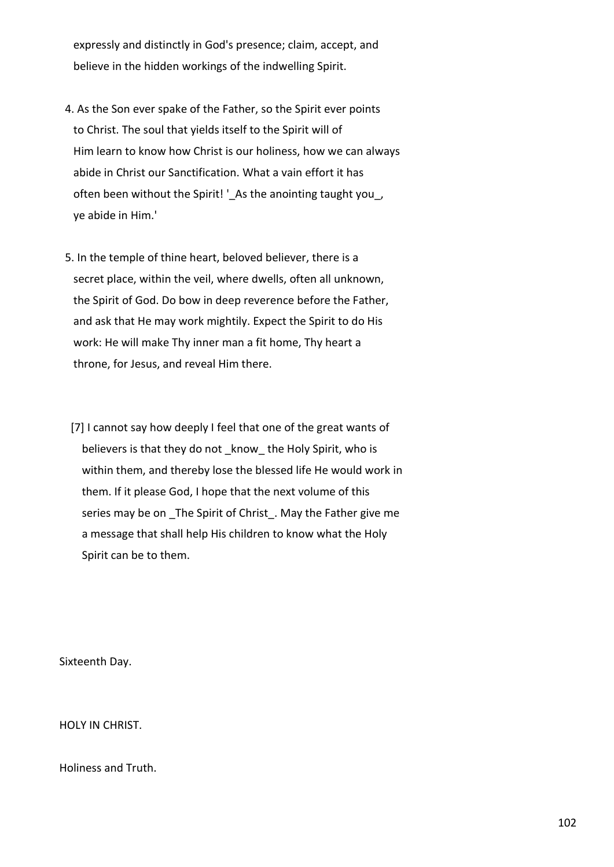expressly and distinctly in God's presence; claim, accept, and believe in the hidden workings of the indwelling Spirit.

- 4. As the Son ever spake of the Father, so the Spirit ever points to Christ. The soul that yields itself to the Spirit will of Him learn to know how Christ is our holiness, how we can always abide in Christ our Sanctification. What a vain effort it has often been without the Spirit! '\_As the anointing taught you\_, ye abide in Him.'
- 5. In the temple of thine heart, beloved believer, there is a secret place, within the veil, where dwells, often all unknown, the Spirit of God. Do bow in deep reverence before the Father, and ask that He may work mightily. Expect the Spirit to do His work: He will make Thy inner man a fit home, Thy heart a throne, for Jesus, and reveal Him there.
- [7] I cannot say how deeply I feel that one of the great wants of believers is that they do not know the Holy Spirit, who is within them, and thereby lose the blessed life He would work in them. If it please God, I hope that the next volume of this series may be on The Spirit of Christ. May the Father give me a message that shall help His children to know what the Holy Spirit can be to them.

Sixteenth Day.

HOLY IN CHRIST.

Holiness and Truth.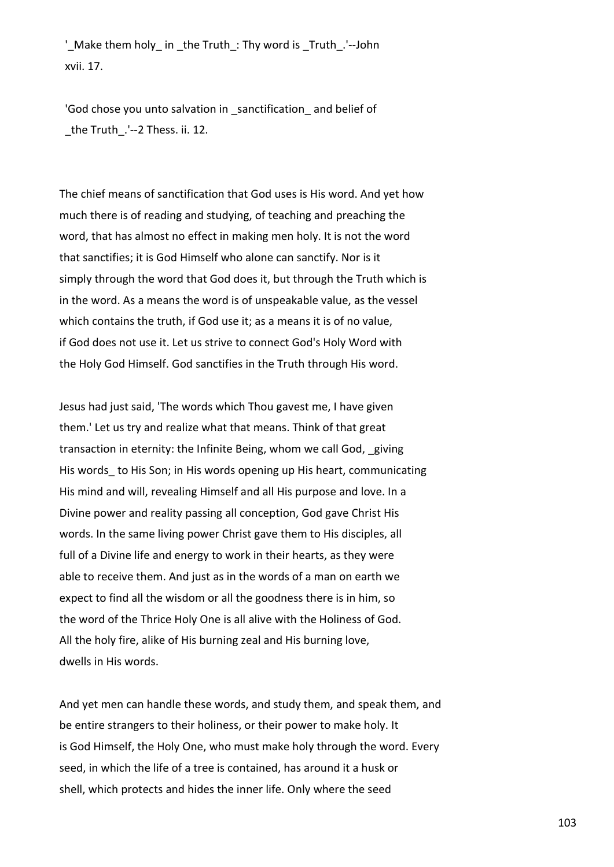' Make them holy in the Truth: Thy word is Truth.'--John xvii. 17.

 'God chose you unto salvation in \_sanctification\_ and belief of \_the Truth\_.'--2 Thess. ii. 12.

The chief means of sanctification that God uses is His word. And yet how much there is of reading and studying, of teaching and preaching the word, that has almost no effect in making men holy. It is not the word that sanctifies; it is God Himself who alone can sanctify. Nor is it simply through the word that God does it, but through the Truth which is in the word. As a means the word is of unspeakable value, as the vessel which contains the truth, if God use it; as a means it is of no value, if God does not use it. Let us strive to connect God's Holy Word with the Holy God Himself. God sanctifies in the Truth through His word.

Jesus had just said, 'The words which Thou gavest me, I have given them.' Let us try and realize what that means. Think of that great transaction in eternity: the Infinite Being, whom we call God, \_giving His words to His Son; in His words opening up His heart, communicating His mind and will, revealing Himself and all His purpose and love. In a Divine power and reality passing all conception, God gave Christ His words. In the same living power Christ gave them to His disciples, all full of a Divine life and energy to work in their hearts, as they were able to receive them. And just as in the words of a man on earth we expect to find all the wisdom or all the goodness there is in him, so the word of the Thrice Holy One is all alive with the Holiness of God. All the holy fire, alike of His burning zeal and His burning love, dwells in His words.

And yet men can handle these words, and study them, and speak them, and be entire strangers to their holiness, or their power to make holy. It is God Himself, the Holy One, who must make holy through the word. Every seed, in which the life of a tree is contained, has around it a husk or shell, which protects and hides the inner life. Only where the seed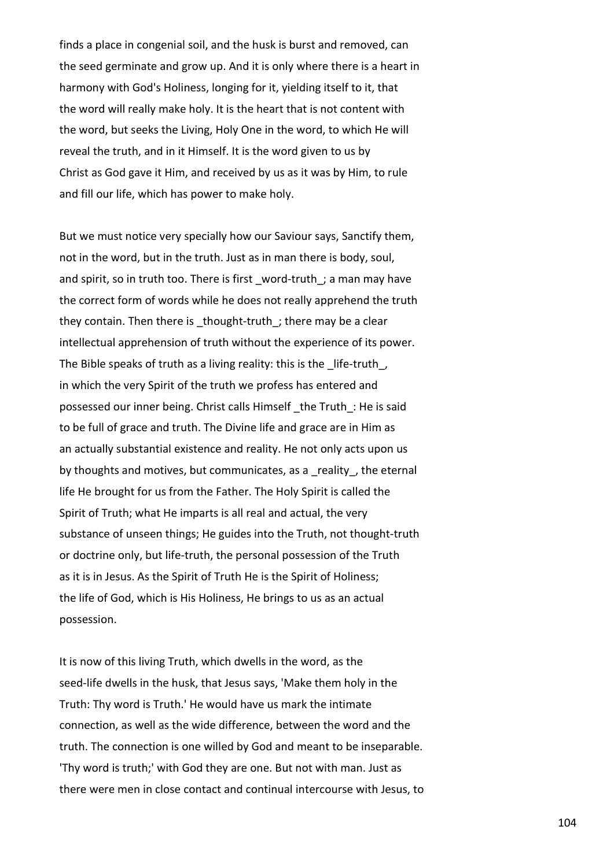finds a place in congenial soil, and the husk is burst and removed, can the seed germinate and grow up. And it is only where there is a heart in harmony with God's Holiness, longing for it, yielding itself to it, that the word will really make holy. It is the heart that is not content with the word, but seeks the Living, Holy One in the word, to which He will reveal the truth, and in it Himself. It is the word given to us by Christ as God gave it Him, and received by us as it was by Him, to rule and fill our life, which has power to make holy.

But we must notice very specially how our Saviour says, Sanctify them, not in the word, but in the truth. Just as in man there is body, soul, and spirit, so in truth too. There is first word-truth; a man may have the correct form of words while he does not really apprehend the truth they contain. Then there is thought-truth; there may be a clear intellectual apprehension of truth without the experience of its power. The Bible speaks of truth as a living reality: this is the life-truth, in which the very Spirit of the truth we profess has entered and possessed our inner being. Christ calls Himself \_the Truth\_: He is said to be full of grace and truth. The Divine life and grace are in Him as an actually substantial existence and reality. He not only acts upon us by thoughts and motives, but communicates, as a reality, the eternal life He brought for us from the Father. The Holy Spirit is called the Spirit of Truth; what He imparts is all real and actual, the very substance of unseen things; He guides into the Truth, not thought-truth or doctrine only, but life-truth, the personal possession of the Truth as it is in Jesus. As the Spirit of Truth He is the Spirit of Holiness; the life of God, which is His Holiness, He brings to us as an actual possession.

It is now of this living Truth, which dwells in the word, as the seed-life dwells in the husk, that Jesus says, 'Make them holy in the Truth: Thy word is Truth.' He would have us mark the intimate connection, as well as the wide difference, between the word and the truth. The connection is one willed by God and meant to be inseparable. 'Thy word is truth;' with God they are one. But not with man. Just as there were men in close contact and continual intercourse with Jesus, to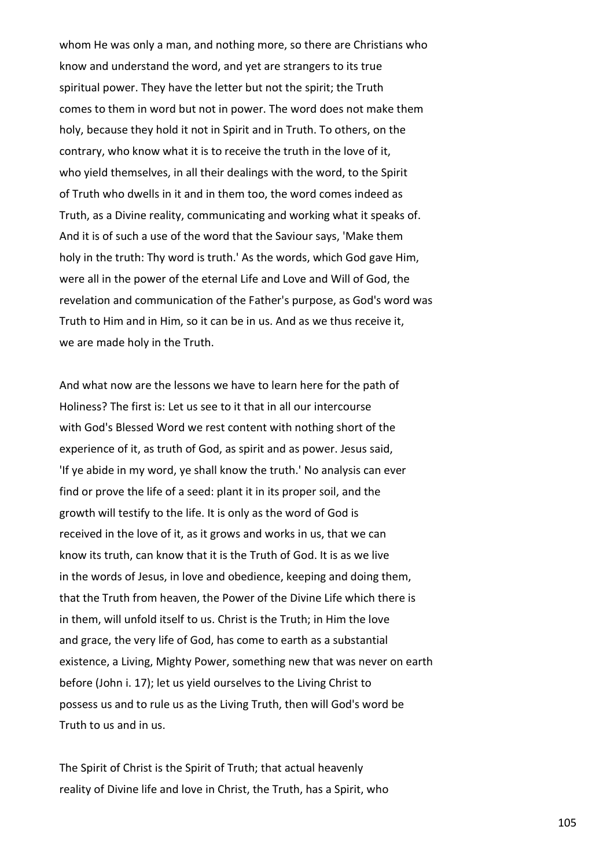whom He was only a man, and nothing more, so there are Christians who know and understand the word, and yet are strangers to its true spiritual power. They have the letter but not the spirit; the Truth comes to them in word but not in power. The word does not make them holy, because they hold it not in Spirit and in Truth. To others, on the contrary, who know what it is to receive the truth in the love of it, who yield themselves, in all their dealings with the word, to the Spirit of Truth who dwells in it and in them too, the word comes indeed as Truth, as a Divine reality, communicating and working what it speaks of. And it is of such a use of the word that the Saviour says, 'Make them holy in the truth: Thy word is truth.' As the words, which God gave Him, were all in the power of the eternal Life and Love and Will of God, the revelation and communication of the Father's purpose, as God's word was Truth to Him and in Him, so it can be in us. And as we thus receive it, we are made holy in the Truth.

And what now are the lessons we have to learn here for the path of Holiness? The first is: Let us see to it that in all our intercourse with God's Blessed Word we rest content with nothing short of the experience of it, as truth of God, as spirit and as power. Jesus said, 'If ye abide in my word, ye shall know the truth.' No analysis can ever find or prove the life of a seed: plant it in its proper soil, and the growth will testify to the life. It is only as the word of God is received in the love of it, as it grows and works in us, that we can know its truth, can know that it is the Truth of God. It is as we live in the words of Jesus, in love and obedience, keeping and doing them, that the Truth from heaven, the Power of the Divine Life which there is in them, will unfold itself to us. Christ is the Truth; in Him the love and grace, the very life of God, has come to earth as a substantial existence, a Living, Mighty Power, something new that was never on earth before (John i. 17); let us yield ourselves to the Living Christ to possess us and to rule us as the Living Truth, then will God's word be Truth to us and in us.

The Spirit of Christ is the Spirit of Truth; that actual heavenly reality of Divine life and love in Christ, the Truth, has a Spirit, who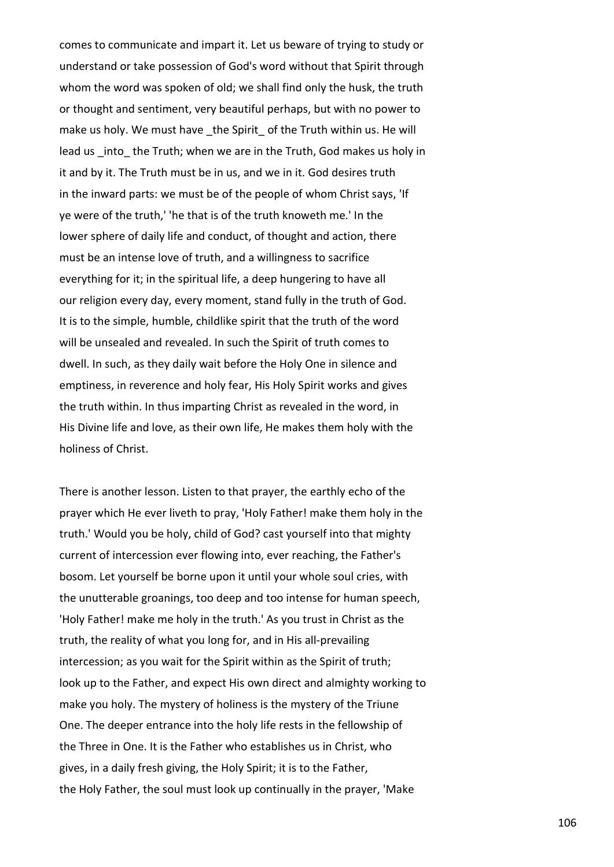comes to communicate and impart it. Let us beware of trying to study or understand or take possession of God's word without that Spirit through whom the word was spoken of old; we shall find only the husk, the truth or thought and sentiment, very beautiful perhaps, but with no power to make us holy. We must have the Spirit of the Truth within us. He will lead us into the Truth; when we are in the Truth, God makes us holy in it and by it. The Truth must be in us, and we in it. God desires truth in the inward parts: we must be of the people of whom Christ says, 'If ye were of the truth,' 'he that is of the truth knoweth me.' In the lower sphere of daily life and conduct, of thought and action, there must be an intense love of truth, and a willingness to sacrifice everything for it; in the spiritual life, a deep hungering to have all our religion every day, every moment, stand fully in the truth of God. It is to the simple, humble, childlike spirit that the truth of the word will be unsealed and revealed. In such the Spirit of truth comes to dwell. In such, as they daily wait before the Holy One in silence and emptiness, in reverence and holy fear, His Holy Spirit works and gives the truth within. In thus imparting Christ as revealed in the word, in His Divine life and love, as their own life, He makes them holy with the holiness of Christ.

There is another lesson. Listen to that prayer, the earthly echo of the prayer which He ever liveth to pray, 'Holy Father! make them holy in the truth.' Would you be holy, child of God? cast yourself into that mighty current of intercession ever flowing into, ever reaching, the Father's bosom. Let yourself be borne upon it until your whole soul cries, with the unutterable groanings, too deep and too intense for human speech, 'Holy Father! make me holy in the truth.' As you trust in Christ as the truth, the reality of what you long for, and in His all-prevailing intercession; as you wait for the Spirit within as the Spirit of truth; look up to the Father, and expect His own direct and almighty working to make you holy. The mystery of holiness is the mystery of the Triune One. The deeper entrance into the holy life rests in the fellowship of the Three in One. It is the Father who establishes us in Christ, who gives, in a daily fresh giving, the Holy Spirit; it is to the Father, the Holy Father, the soul must look up continually in the prayer, 'Make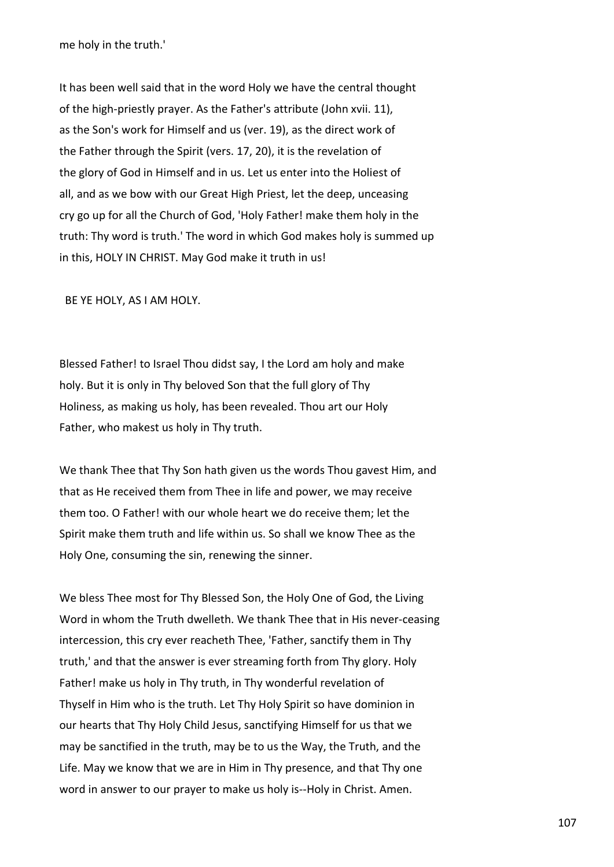me holy in the truth.'

It has been well said that in the word Holy we have the central thought of the high-priestly prayer. As the Father's attribute (John xvii. 11), as the Son's work for Himself and us (ver. 19), as the direct work of the Father through the Spirit (vers. 17, 20), it is the revelation of the glory of God in Himself and in us. Let us enter into the Holiest of all, and as we bow with our Great High Priest, let the deep, unceasing cry go up for all the Church of God, 'Holy Father! make them holy in the truth: Thy word is truth.' The word in which God makes holy is summed up in this, HOLY IN CHRIST. May God make it truth in us!

BE YE HOLY, AS I AM HOLY.

Blessed Father! to Israel Thou didst say, I the Lord am holy and make holy. But it is only in Thy beloved Son that the full glory of Thy Holiness, as making us holy, has been revealed. Thou art our Holy Father, who makest us holy in Thy truth.

We thank Thee that Thy Son hath given us the words Thou gavest Him, and that as He received them from Thee in life and power, we may receive them too. O Father! with our whole heart we do receive them; let the Spirit make them truth and life within us. So shall we know Thee as the Holy One, consuming the sin, renewing the sinner.

We bless Thee most for Thy Blessed Son, the Holy One of God, the Living Word in whom the Truth dwelleth. We thank Thee that in His never-ceasing intercession, this cry ever reacheth Thee, 'Father, sanctify them in Thy truth,' and that the answer is ever streaming forth from Thy glory. Holy Father! make us holy in Thy truth, in Thy wonderful revelation of Thyself in Him who is the truth. Let Thy Holy Spirit so have dominion in our hearts that Thy Holy Child Jesus, sanctifying Himself for us that we may be sanctified in the truth, may be to us the Way, the Truth, and the Life. May we know that we are in Him in Thy presence, and that Thy one word in answer to our prayer to make us holy is--Holy in Christ. Amen.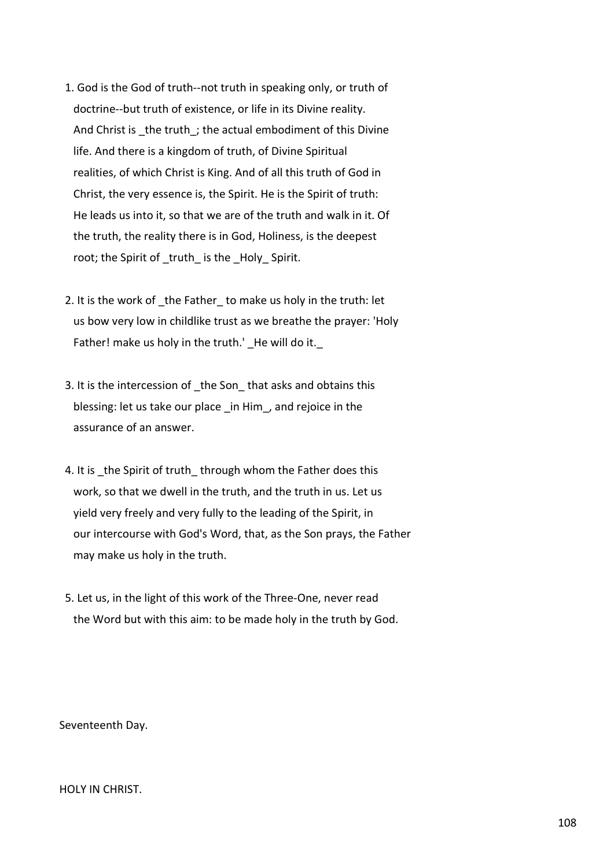- 1. God is the God of truth--not truth in speaking only, or truth of doctrine--but truth of existence, or life in its Divine reality. And Christ is the truth; the actual embodiment of this Divine life. And there is a kingdom of truth, of Divine Spiritual realities, of which Christ is King. And of all this truth of God in Christ, the very essence is, the Spirit. He is the Spirit of truth: He leads us into it, so that we are of the truth and walk in it. Of the truth, the reality there is in God, Holiness, is the deepest root; the Spirit of truth is the Holy Spirit.
- 2. It is the work of the Father to make us holy in the truth: let us bow very low in childlike trust as we breathe the prayer: 'Holy Father! make us holy in the truth.' He will do it.
- 3. It is the intercession of the Son that asks and obtains this blessing: let us take our place \_in Him\_, and rejoice in the assurance of an answer.
- 4. It is the Spirit of truth through whom the Father does this work, so that we dwell in the truth, and the truth in us. Let us yield very freely and very fully to the leading of the Spirit, in our intercourse with God's Word, that, as the Son prays, the Father may make us holy in the truth.
- 5. Let us, in the light of this work of the Three-One, never read the Word but with this aim: to be made holy in the truth by God.

Seventeenth Day.

HOLY IN CHRIST.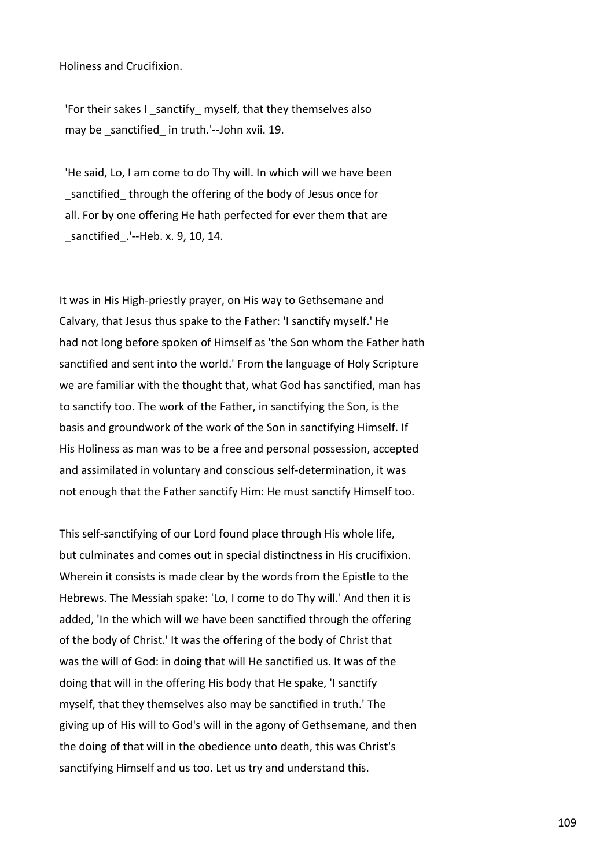Holiness and Crucifixion.

 'For their sakes I \_sanctify\_ myself, that they themselves also may be sanctified in truth.'--John xvii. 19.

 'He said, Lo, I am come to do Thy will. In which will we have been sanctified through the offering of the body of Jesus once for all. For by one offering He hath perfected for ever them that are \_sanctified\_.'--Heb. x. 9, 10, 14.

It was in His High-priestly prayer, on His way to Gethsemane and Calvary, that Jesus thus spake to the Father: 'I sanctify myself.' He had not long before spoken of Himself as 'the Son whom the Father hath sanctified and sent into the world.' From the language of Holy Scripture we are familiar with the thought that, what God has sanctified, man has to sanctify too. The work of the Father, in sanctifying the Son, is the basis and groundwork of the work of the Son in sanctifying Himself. If His Holiness as man was to be a free and personal possession, accepted and assimilated in voluntary and conscious self-determination, it was not enough that the Father sanctify Him: He must sanctify Himself too.

This self-sanctifying of our Lord found place through His whole life, but culminates and comes out in special distinctness in His crucifixion. Wherein it consists is made clear by the words from the Epistle to the Hebrews. The Messiah spake: 'Lo, I come to do Thy will.' And then it is added, 'In the which will we have been sanctified through the offering of the body of Christ.' It was the offering of the body of Christ that was the will of God: in doing that will He sanctified us. It was of the doing that will in the offering His body that He spake, 'I sanctify myself, that they themselves also may be sanctified in truth.' The giving up of His will to God's will in the agony of Gethsemane, and then the doing of that will in the obedience unto death, this was Christ's sanctifying Himself and us too. Let us try and understand this.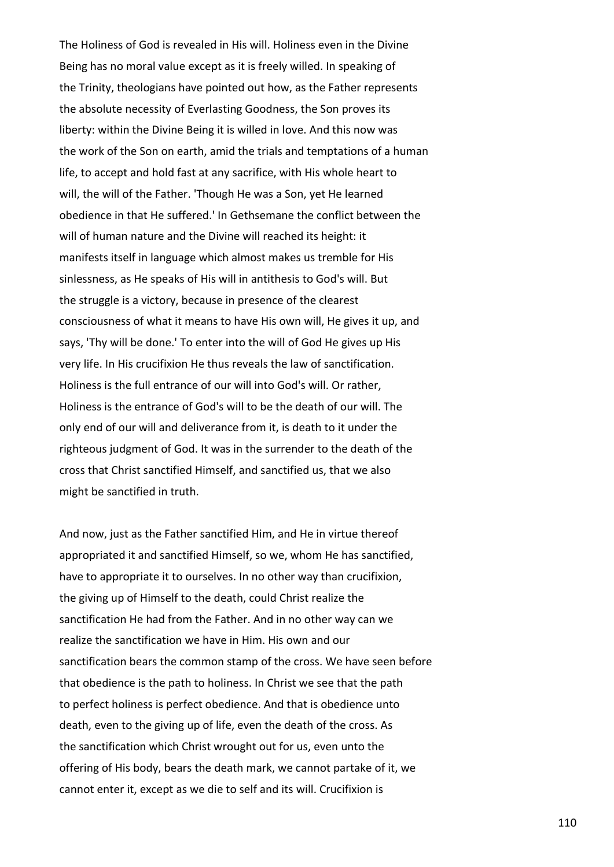The Holiness of God is revealed in His will. Holiness even in the Divine Being has no moral value except as it is freely willed. In speaking of the Trinity, theologians have pointed out how, as the Father represents the absolute necessity of Everlasting Goodness, the Son proves its liberty: within the Divine Being it is willed in love. And this now was the work of the Son on earth, amid the trials and temptations of a human life, to accept and hold fast at any sacrifice, with His whole heart to will, the will of the Father. 'Though He was a Son, yet He learned obedience in that He suffered.' In Gethsemane the conflict between the will of human nature and the Divine will reached its height: it manifests itself in language which almost makes us tremble for His sinlessness, as He speaks of His will in antithesis to God's will. But the struggle is a victory, because in presence of the clearest consciousness of what it means to have His own will, He gives it up, and says, 'Thy will be done.' To enter into the will of God He gives up His very life. In His crucifixion He thus reveals the law of sanctification. Holiness is the full entrance of our will into God's will. Or rather, Holiness is the entrance of God's will to be the death of our will. The only end of our will and deliverance from it, is death to it under the righteous judgment of God. It was in the surrender to the death of the cross that Christ sanctified Himself, and sanctified us, that we also might be sanctified in truth.

And now, just as the Father sanctified Him, and He in virtue thereof appropriated it and sanctified Himself, so we, whom He has sanctified, have to appropriate it to ourselves. In no other way than crucifixion, the giving up of Himself to the death, could Christ realize the sanctification He had from the Father. And in no other way can we realize the sanctification we have in Him. His own and our sanctification bears the common stamp of the cross. We have seen before that obedience is the path to holiness. In Christ we see that the path to perfect holiness is perfect obedience. And that is obedience unto death, even to the giving up of life, even the death of the cross. As the sanctification which Christ wrought out for us, even unto the offering of His body, bears the death mark, we cannot partake of it, we cannot enter it, except as we die to self and its will. Crucifixion is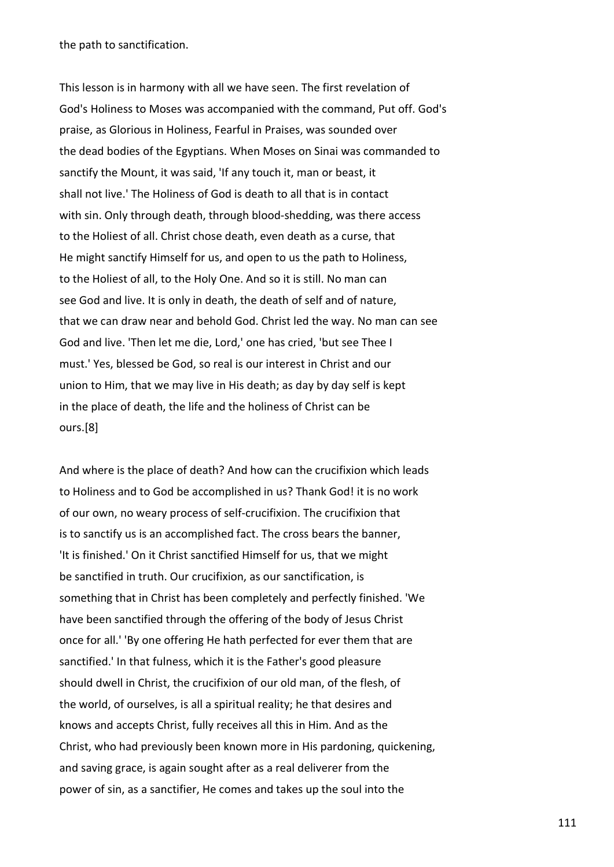the path to sanctification.

This lesson is in harmony with all we have seen. The first revelation of God's Holiness to Moses was accompanied with the command, Put off. God's praise, as Glorious in Holiness, Fearful in Praises, was sounded over the dead bodies of the Egyptians. When Moses on Sinai was commanded to sanctify the Mount, it was said, 'If any touch it, man or beast, it shall not live.' The Holiness of God is death to all that is in contact with sin. Only through death, through blood-shedding, was there access to the Holiest of all. Christ chose death, even death as a curse, that He might sanctify Himself for us, and open to us the path to Holiness, to the Holiest of all, to the Holy One. And so it is still. No man can see God and live. It is only in death, the death of self and of nature, that we can draw near and behold God. Christ led the way. No man can see God and live. 'Then let me die, Lord,' one has cried, 'but see Thee I must.' Yes, blessed be God, so real is our interest in Christ and our union to Him, that we may live in His death; as day by day self is kept in the place of death, the life and the holiness of Christ can be ours.[8]

And where is the place of death? And how can the crucifixion which leads to Holiness and to God be accomplished in us? Thank God! it is no work of our own, no weary process of self-crucifixion. The crucifixion that is to sanctify us is an accomplished fact. The cross bears the banner, 'It is finished.' On it Christ sanctified Himself for us, that we might be sanctified in truth. Our crucifixion, as our sanctification, is something that in Christ has been completely and perfectly finished. 'We have been sanctified through the offering of the body of Jesus Christ once for all.' 'By one offering He hath perfected for ever them that are sanctified.' In that fulness, which it is the Father's good pleasure should dwell in Christ, the crucifixion of our old man, of the flesh, of the world, of ourselves, is all a spiritual reality; he that desires and knows and accepts Christ, fully receives all this in Him. And as the Christ, who had previously been known more in His pardoning, quickening, and saving grace, is again sought after as a real deliverer from the power of sin, as a sanctifier, He comes and takes up the soul into the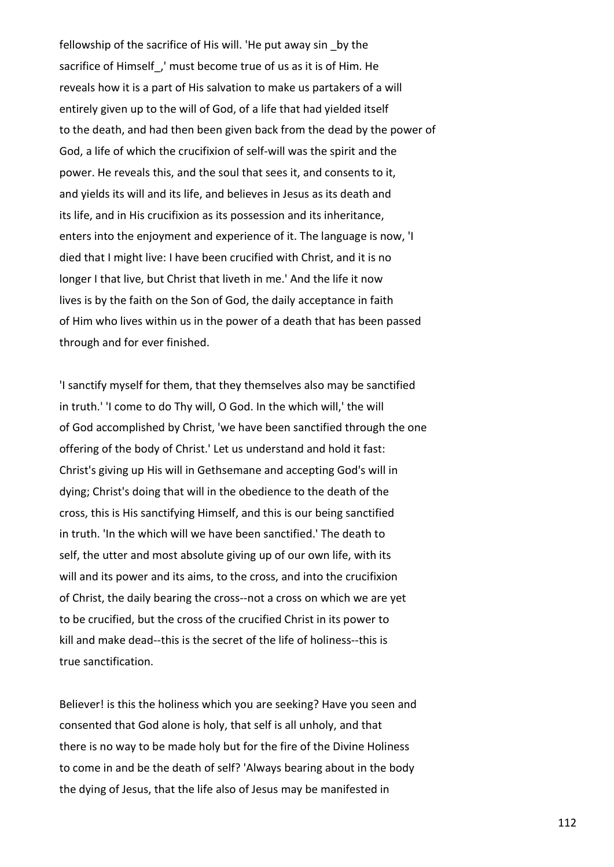fellowship of the sacrifice of His will. 'He put away sin by the sacrifice of Himself, ' must become true of us as it is of Him. He reveals how it is a part of His salvation to make us partakers of a will entirely given up to the will of God, of a life that had yielded itself to the death, and had then been given back from the dead by the power of God, a life of which the crucifixion of self-will was the spirit and the power. He reveals this, and the soul that sees it, and consents to it, and yields its will and its life, and believes in Jesus as its death and its life, and in His crucifixion as its possession and its inheritance, enters into the enjoyment and experience of it. The language is now, 'I died that I might live: I have been crucified with Christ, and it is no longer I that live, but Christ that liveth in me.' And the life it now lives is by the faith on the Son of God, the daily acceptance in faith of Him who lives within us in the power of a death that has been passed through and for ever finished.

'I sanctify myself for them, that they themselves also may be sanctified in truth.' 'I come to do Thy will, O God. In the which will,' the will of God accomplished by Christ, 'we have been sanctified through the one offering of the body of Christ.' Let us understand and hold it fast: Christ's giving up His will in Gethsemane and accepting God's will in dying; Christ's doing that will in the obedience to the death of the cross, this is His sanctifying Himself, and this is our being sanctified in truth. 'In the which will we have been sanctified.' The death to self, the utter and most absolute giving up of our own life, with its will and its power and its aims, to the cross, and into the crucifixion of Christ, the daily bearing the cross--not a cross on which we are yet to be crucified, but the cross of the crucified Christ in its power to kill and make dead--this is the secret of the life of holiness--this is true sanctification.

Believer! is this the holiness which you are seeking? Have you seen and consented that God alone is holy, that self is all unholy, and that there is no way to be made holy but for the fire of the Divine Holiness to come in and be the death of self? 'Always bearing about in the body the dying of Jesus, that the life also of Jesus may be manifested in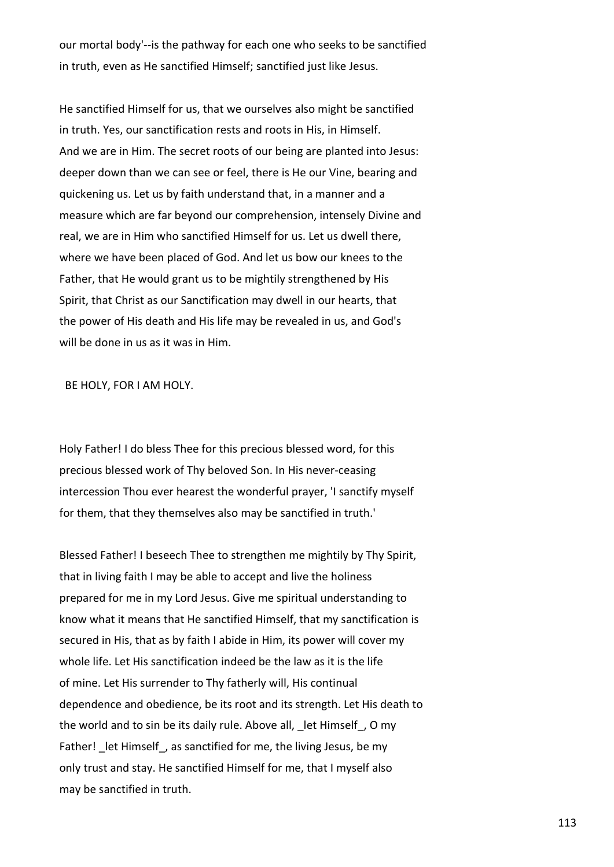our mortal body'--is the pathway for each one who seeks to be sanctified in truth, even as He sanctified Himself; sanctified just like Jesus.

He sanctified Himself for us, that we ourselves also might be sanctified in truth. Yes, our sanctification rests and roots in His, in Himself. And we are in Him. The secret roots of our being are planted into Jesus: deeper down than we can see or feel, there is He our Vine, bearing and quickening us. Let us by faith understand that, in a manner and a measure which are far beyond our comprehension, intensely Divine and real, we are in Him who sanctified Himself for us. Let us dwell there, where we have been placed of God. And let us bow our knees to the Father, that He would grant us to be mightily strengthened by His Spirit, that Christ as our Sanctification may dwell in our hearts, that the power of His death and His life may be revealed in us, and God's will be done in us as it was in Him.

BE HOLY, FOR I AM HOLY.

Holy Father! I do bless Thee for this precious blessed word, for this precious blessed work of Thy beloved Son. In His never-ceasing intercession Thou ever hearest the wonderful prayer, 'I sanctify myself for them, that they themselves also may be sanctified in truth.'

Blessed Father! I beseech Thee to strengthen me mightily by Thy Spirit, that in living faith I may be able to accept and live the holiness prepared for me in my Lord Jesus. Give me spiritual understanding to know what it means that He sanctified Himself, that my sanctification is secured in His, that as by faith I abide in Him, its power will cover my whole life. Let His sanctification indeed be the law as it is the life of mine. Let His surrender to Thy fatherly will, His continual dependence and obedience, be its root and its strength. Let His death to the world and to sin be its daily rule. Above all, \_let Himself\_, O my Father! let Himself, as sanctified for me, the living Jesus, be my only trust and stay. He sanctified Himself for me, that I myself also may be sanctified in truth.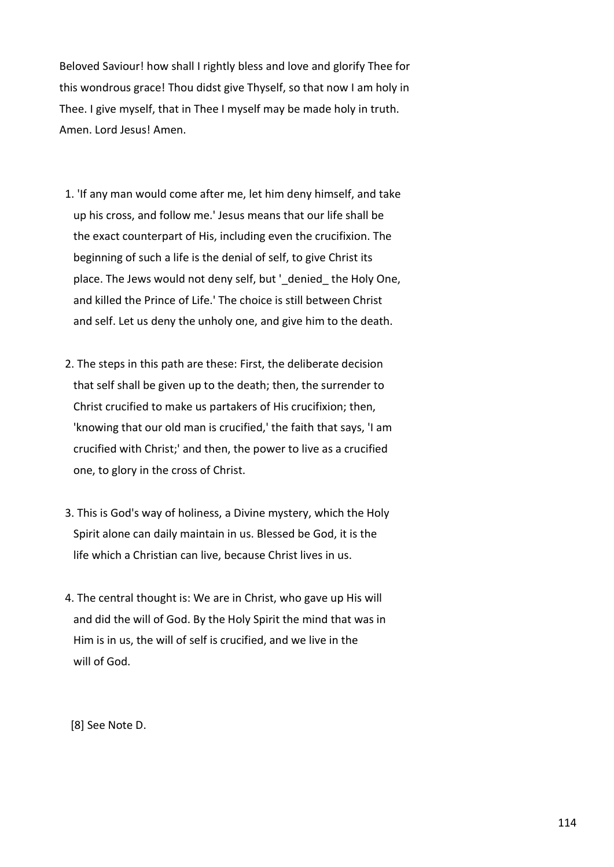Beloved Saviour! how shall I rightly bless and love and glorify Thee for this wondrous grace! Thou didst give Thyself, so that now I am holy in Thee. I give myself, that in Thee I myself may be made holy in truth. Amen. Lord Jesus! Amen.

- 1. 'If any man would come after me, let him deny himself, and take up his cross, and follow me.' Jesus means that our life shall be the exact counterpart of His, including even the crucifixion. The beginning of such a life is the denial of self, to give Christ its place. The Jews would not deny self, but '\_denied\_the Holy One, and killed the Prince of Life.' The choice is still between Christ and self. Let us deny the unholy one, and give him to the death.
- 2. The steps in this path are these: First, the deliberate decision that self shall be given up to the death; then, the surrender to Christ crucified to make us partakers of His crucifixion; then, 'knowing that our old man is crucified,' the faith that says, 'I am crucified with Christ;' and then, the power to live as a crucified one, to glory in the cross of Christ.
- 3. This is God's way of holiness, a Divine mystery, which the Holy Spirit alone can daily maintain in us. Blessed be God, it is the life which a Christian can live, because Christ lives in us.
- 4. The central thought is: We are in Christ, who gave up His will and did the will of God. By the Holy Spirit the mind that was in Him is in us, the will of self is crucified, and we live in the will of God.

[8] See Note D.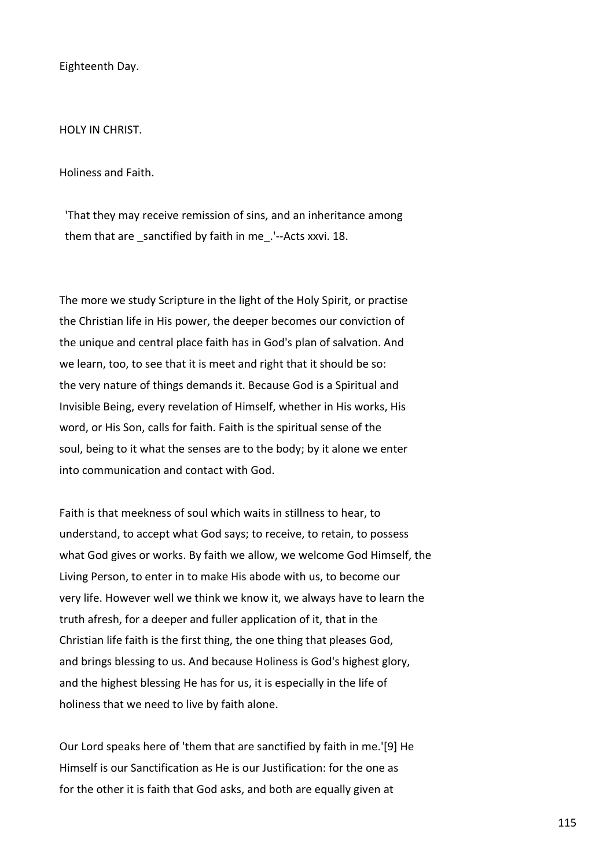Eighteenth Day.

HOLY IN CHRIST.

Holiness and Faith.

 'That they may receive remission of sins, and an inheritance among them that are sanctified by faith in me. '--Acts xxvi. 18.

The more we study Scripture in the light of the Holy Spirit, or practise the Christian life in His power, the deeper becomes our conviction of the unique and central place faith has in God's plan of salvation. And we learn, too, to see that it is meet and right that it should be so: the very nature of things demands it. Because God is a Spiritual and Invisible Being, every revelation of Himself, whether in His works, His word, or His Son, calls for faith. Faith is the spiritual sense of the soul, being to it what the senses are to the body; by it alone we enter into communication and contact with God.

Faith is that meekness of soul which waits in stillness to hear, to understand, to accept what God says; to receive, to retain, to possess what God gives or works. By faith we allow, we welcome God Himself, the Living Person, to enter in to make His abode with us, to become our very life. However well we think we know it, we always have to learn the truth afresh, for a deeper and fuller application of it, that in the Christian life faith is the first thing, the one thing that pleases God, and brings blessing to us. And because Holiness is God's highest glory, and the highest blessing He has for us, it is especially in the life of holiness that we need to live by faith alone.

Our Lord speaks here of 'them that are sanctified by faith in me.'[9] He Himself is our Sanctification as He is our Justification: for the one as for the other it is faith that God asks, and both are equally given at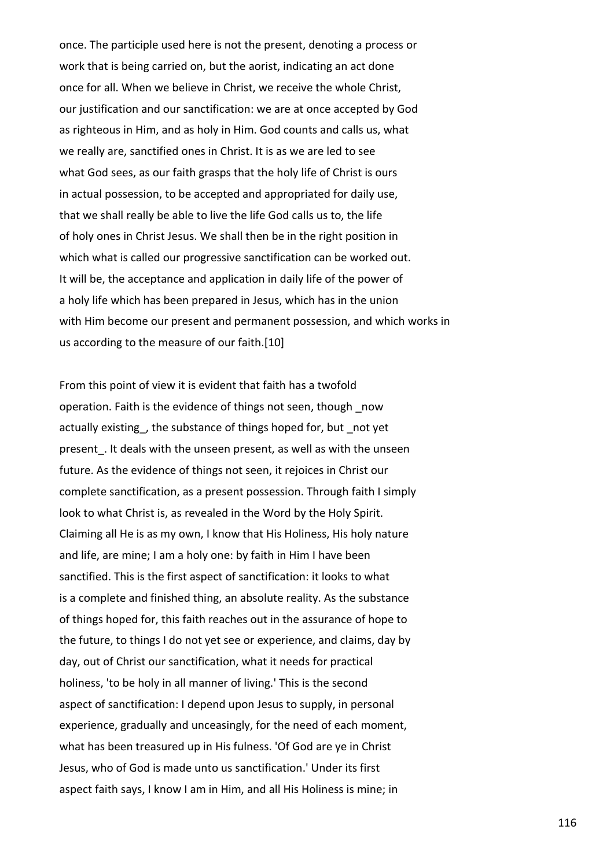once. The participle used here is not the present, denoting a process or work that is being carried on, but the aorist, indicating an act done once for all. When we believe in Christ, we receive the whole Christ, our justification and our sanctification: we are at once accepted by God as righteous in Him, and as holy in Him. God counts and calls us, what we really are, sanctified ones in Christ. It is as we are led to see what God sees, as our faith grasps that the holy life of Christ is ours in actual possession, to be accepted and appropriated for daily use, that we shall really be able to live the life God calls us to, the life of holy ones in Christ Jesus. We shall then be in the right position in which what is called our progressive sanctification can be worked out. It will be, the acceptance and application in daily life of the power of a holy life which has been prepared in Jesus, which has in the union with Him become our present and permanent possession, and which works in us according to the measure of our faith.[10]

From this point of view it is evident that faith has a twofold operation. Faith is the evidence of things not seen, though \_now actually existing, the substance of things hoped for, but not yet present. It deals with the unseen present, as well as with the unseen future. As the evidence of things not seen, it rejoices in Christ our complete sanctification, as a present possession. Through faith I simply look to what Christ is, as revealed in the Word by the Holy Spirit. Claiming all He is as my own, I know that His Holiness, His holy nature and life, are mine; I am a holy one: by faith in Him I have been sanctified. This is the first aspect of sanctification: it looks to what is a complete and finished thing, an absolute reality. As the substance of things hoped for, this faith reaches out in the assurance of hope to the future, to things I do not yet see or experience, and claims, day by day, out of Christ our sanctification, what it needs for practical holiness, 'to be holy in all manner of living.' This is the second aspect of sanctification: I depend upon Jesus to supply, in personal experience, gradually and unceasingly, for the need of each moment, what has been treasured up in His fulness. 'Of God are ye in Christ Jesus, who of God is made unto us sanctification.' Under its first aspect faith says, I know I am in Him, and all His Holiness is mine; in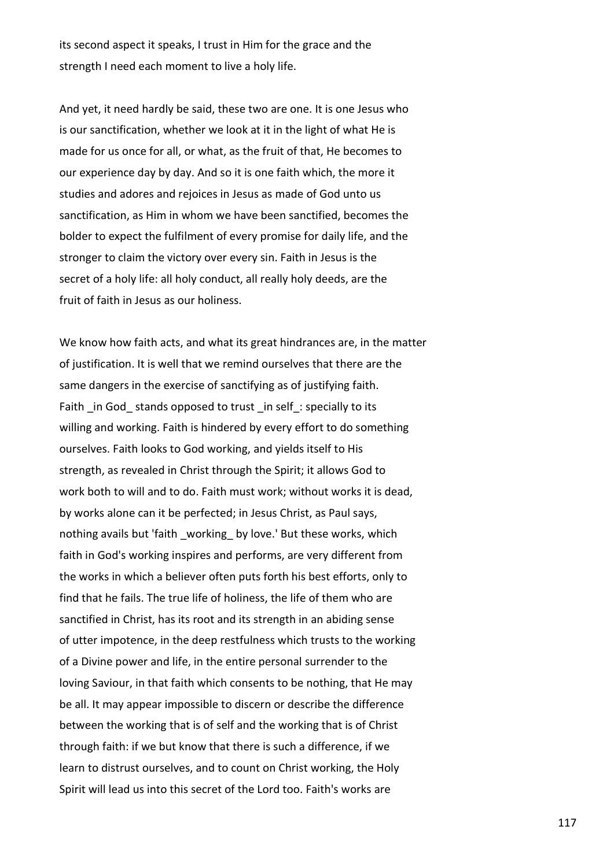its second aspect it speaks, I trust in Him for the grace and the strength I need each moment to live a holy life.

And yet, it need hardly be said, these two are one. It is one Jesus who is our sanctification, whether we look at it in the light of what He is made for us once for all, or what, as the fruit of that, He becomes to our experience day by day. And so it is one faith which, the more it studies and adores and rejoices in Jesus as made of God unto us sanctification, as Him in whom we have been sanctified, becomes the bolder to expect the fulfilment of every promise for daily life, and the stronger to claim the victory over every sin. Faith in Jesus is the secret of a holy life: all holy conduct, all really holy deeds, are the fruit of faith in Jesus as our holiness.

We know how faith acts, and what its great hindrances are, in the matter of justification. It is well that we remind ourselves that there are the same dangers in the exercise of sanctifying as of justifying faith. Faith \_in God\_stands opposed to trust \_in self\_: specially to its willing and working. Faith is hindered by every effort to do something ourselves. Faith looks to God working, and yields itself to His strength, as revealed in Christ through the Spirit; it allows God to work both to will and to do. Faith must work; without works it is dead, by works alone can it be perfected; in Jesus Christ, as Paul says, nothing avails but 'faith working by love.' But these works, which faith in God's working inspires and performs, are very different from the works in which a believer often puts forth his best efforts, only to find that he fails. The true life of holiness, the life of them who are sanctified in Christ, has its root and its strength in an abiding sense of utter impotence, in the deep restfulness which trusts to the working of a Divine power and life, in the entire personal surrender to the loving Saviour, in that faith which consents to be nothing, that He may be all. It may appear impossible to discern or describe the difference between the working that is of self and the working that is of Christ through faith: if we but know that there is such a difference, if we learn to distrust ourselves, and to count on Christ working, the Holy Spirit will lead us into this secret of the Lord too. Faith's works are

117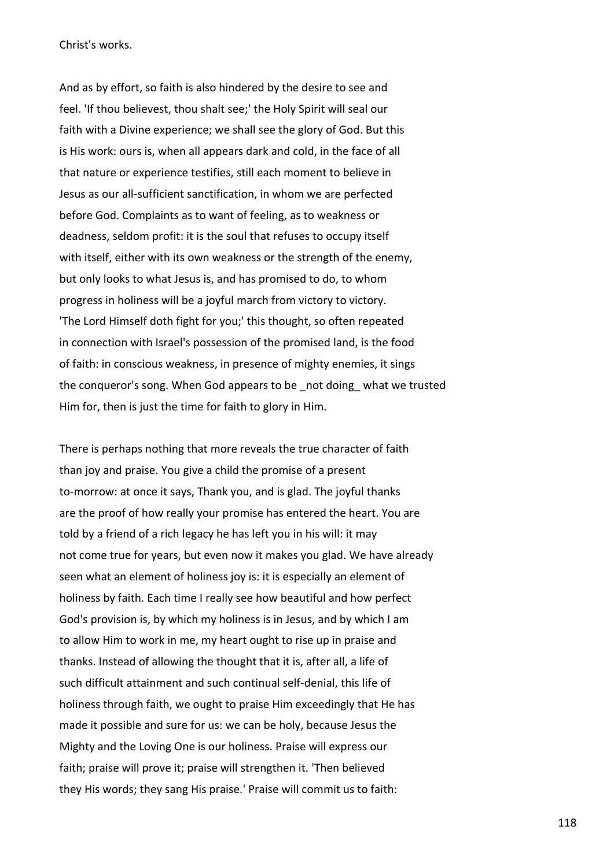Christ's works.

And as by effort, so faith is also hindered by the desire to see and feel. 'If thou believest, thou shalt see;' the Holy Spirit will seal our faith with a Divine experience; we shall see the glory of God. But this is His work: ours is, when all appears dark and cold, in the face of all that nature or experience testifies, still each moment to believe in Jesus as our all-sufficient sanctification, in whom we are perfected before God. Complaints as to want of feeling, as to weakness or deadness, seldom profit: it is the soul that refuses to occupy itself with itself, either with its own weakness or the strength of the enemy, but only looks to what Jesus is, and has promised to do, to whom progress in holiness will be a joyful march from victory to victory. 'The Lord Himself doth fight for you;' this thought, so often repeated in connection with Israel's possession of the promised land, is the food of faith: in conscious weakness, in presence of mighty enemies, it sings the conqueror's song. When God appears to be \_not doing\_ what we trusted Him for, then is just the time for faith to glory in Him.

There is perhaps nothing that more reveals the true character of faith than joy and praise. You give a child the promise of a present to-morrow: at once it says, Thank you, and is glad. The joyful thanks are the proof of how really your promise has entered the heart. You are told by a friend of a rich legacy he has left you in his will: it may not come true for years, but even now it makes you glad. We have already seen what an element of holiness joy is: it is especially an element of holiness by faith. Each time I really see how beautiful and how perfect God's provision is, by which my holiness is in Jesus, and by which I am to allow Him to work in me, my heart ought to rise up in praise and thanks. Instead of allowing the thought that it is, after all, a life of such difficult attainment and such continual self-denial, this life of holiness through faith, we ought to praise Him exceedingly that He has made it possible and sure for us: we can be holy, because Jesus the Mighty and the Loving One is our holiness. Praise will express our faith; praise will prove it; praise will strengthen it. 'Then believed they His words; they sang His praise.' Praise will commit us to faith: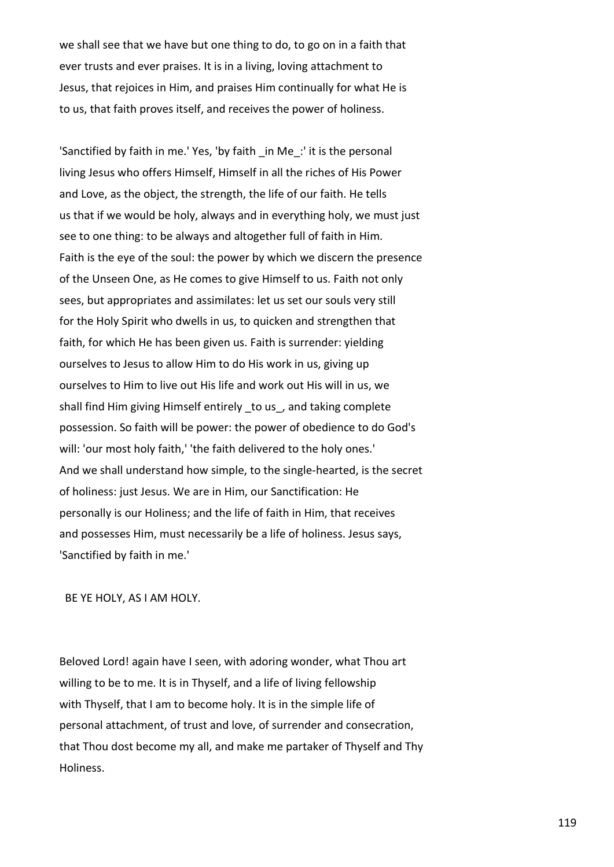we shall see that we have but one thing to do, to go on in a faith that ever trusts and ever praises. It is in a living, loving attachment to Jesus, that rejoices in Him, and praises Him continually for what He is to us, that faith proves itself, and receives the power of holiness.

'Sanctified by faith in me.' Yes, 'by faith \_in Me\_:' it is the personal living Jesus who offers Himself, Himself in all the riches of His Power and Love, as the object, the strength, the life of our faith. He tells us that if we would be holy, always and in everything holy, we must just see to one thing: to be always and altogether full of faith in Him. Faith is the eye of the soul: the power by which we discern the presence of the Unseen One, as He comes to give Himself to us. Faith not only sees, but appropriates and assimilates: let us set our souls very still for the Holy Spirit who dwells in us, to quicken and strengthen that faith, for which He has been given us. Faith is surrender: yielding ourselves to Jesus to allow Him to do His work in us, giving up ourselves to Him to live out His life and work out His will in us, we shall find Him giving Himself entirely \_to us\_, and taking complete possession. So faith will be power: the power of obedience to do God's will: 'our most holy faith,' 'the faith delivered to the holy ones.' And we shall understand how simple, to the single-hearted, is the secret of holiness: just Jesus. We are in Him, our Sanctification: He personally is our Holiness; and the life of faith in Him, that receives and possesses Him, must necessarily be a life of holiness. Jesus says, 'Sanctified by faith in me.'

BE YE HOLY, AS I AM HOLY.

Beloved Lord! again have I seen, with adoring wonder, what Thou art willing to be to me. It is in Thyself, and a life of living fellowship with Thyself, that I am to become holy. It is in the simple life of personal attachment, of trust and love, of surrender and consecration, that Thou dost become my all, and make me partaker of Thyself and Thy Holiness.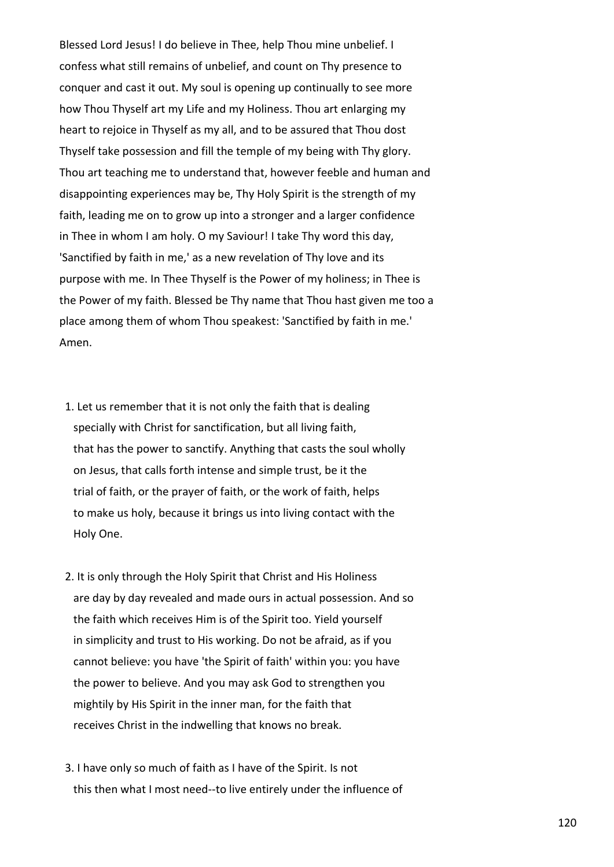Blessed Lord Jesus! I do believe in Thee, help Thou mine unbelief. I confess what still remains of unbelief, and count on Thy presence to conquer and cast it out. My soul is opening up continually to see more how Thou Thyself art my Life and my Holiness. Thou art enlarging my heart to rejoice in Thyself as my all, and to be assured that Thou dost Thyself take possession and fill the temple of my being with Thy glory. Thou art teaching me to understand that, however feeble and human and disappointing experiences may be, Thy Holy Spirit is the strength of my faith, leading me on to grow up into a stronger and a larger confidence in Thee in whom I am holy. O my Saviour! I take Thy word this day, 'Sanctified by faith in me,' as a new revelation of Thy love and its purpose with me. In Thee Thyself is the Power of my holiness; in Thee is the Power of my faith. Blessed be Thy name that Thou hast given me too a place among them of whom Thou speakest: 'Sanctified by faith in me.' Amen.

- 1. Let us remember that it is not only the faith that is dealing specially with Christ for sanctification, but all living faith, that has the power to sanctify. Anything that casts the soul wholly on Jesus, that calls forth intense and simple trust, be it the trial of faith, or the prayer of faith, or the work of faith, helps to make us holy, because it brings us into living contact with the Holy One.
- 2. It is only through the Holy Spirit that Christ and His Holiness are day by day revealed and made ours in actual possession. And so the faith which receives Him is of the Spirit too. Yield yourself in simplicity and trust to His working. Do not be afraid, as if you cannot believe: you have 'the Spirit of faith' within you: you have the power to believe. And you may ask God to strengthen you mightily by His Spirit in the inner man, for the faith that receives Christ in the indwelling that knows no break.
- 3. I have only so much of faith as I have of the Spirit. Is not this then what I most need--to live entirely under the influence of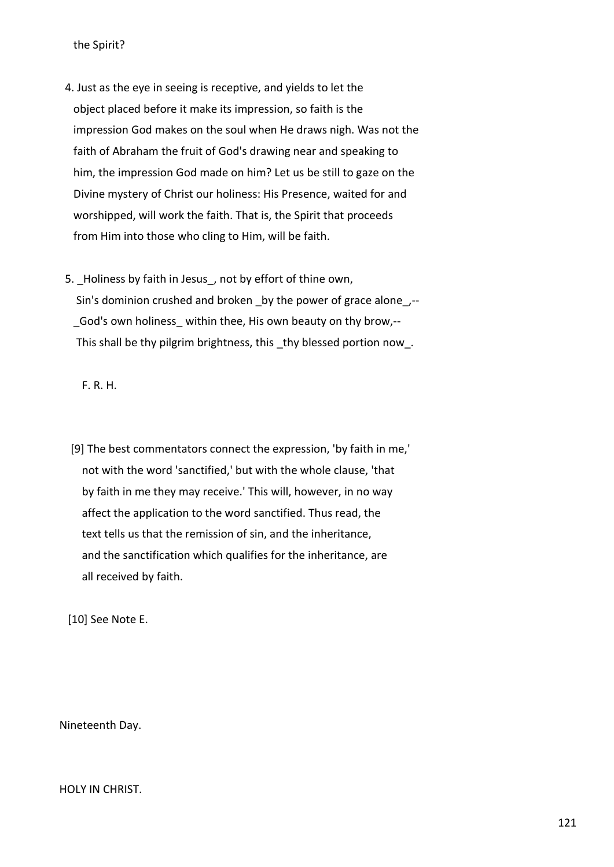the Spirit?

- 4. Just as the eye in seeing is receptive, and yields to let the object placed before it make its impression, so faith is the impression God makes on the soul when He draws nigh. Was not the faith of Abraham the fruit of God's drawing near and speaking to him, the impression God made on him? Let us be still to gaze on the Divine mystery of Christ our holiness: His Presence, waited for and worshipped, will work the faith. That is, the Spirit that proceeds from Him into those who cling to Him, will be faith.
- 5. Holiness by faith in Jesus, not by effort of thine own, Sin's dominion crushed and broken by the power of grace alone,--God's own holiness within thee, His own beauty on thy brow,--This shall be thy pilgrim brightness, this thy blessed portion now.

F. R. H.

 [9] The best commentators connect the expression, 'by faith in me,' not with the word 'sanctified,' but with the whole clause, 'that by faith in me they may receive.' This will, however, in no way affect the application to the word sanctified. Thus read, the text tells us that the remission of sin, and the inheritance, and the sanctification which qualifies for the inheritance, are all received by faith.

[10] See Note E.

Nineteenth Day.

HOLY IN CHRIST.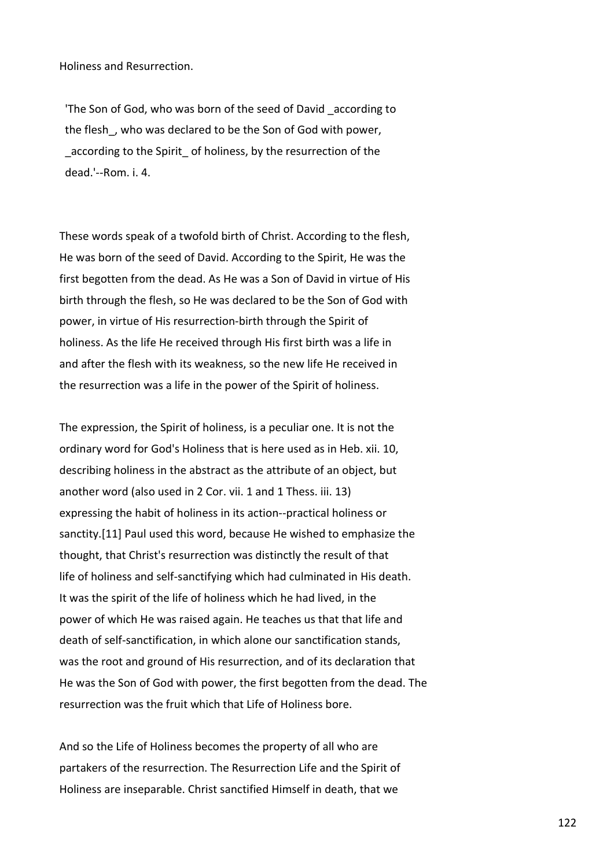Holiness and Resurrection.

 'The Son of God, who was born of the seed of David \_according to the flesh, who was declared to be the Son of God with power, according to the Spirit of holiness, by the resurrection of the dead.'--Rom. i. 4.

These words speak of a twofold birth of Christ. According to the flesh, He was born of the seed of David. According to the Spirit, He was the first begotten from the dead. As He was a Son of David in virtue of His birth through the flesh, so He was declared to be the Son of God with power, in virtue of His resurrection-birth through the Spirit of holiness. As the life He received through His first birth was a life in and after the flesh with its weakness, so the new life He received in the resurrection was a life in the power of the Spirit of holiness.

The expression, the Spirit of holiness, is a peculiar one. It is not the ordinary word for God's Holiness that is here used as in Heb. xii. 10, describing holiness in the abstract as the attribute of an object, but another word (also used in 2 Cor. vii. 1 and 1 Thess. iii. 13) expressing the habit of holiness in its action--practical holiness or sanctity.[11] Paul used this word, because He wished to emphasize the thought, that Christ's resurrection was distinctly the result of that life of holiness and self-sanctifying which had culminated in His death. It was the spirit of the life of holiness which he had lived, in the power of which He was raised again. He teaches us that that life and death of self-sanctification, in which alone our sanctification stands, was the root and ground of His resurrection, and of its declaration that He was the Son of God with power, the first begotten from the dead. The resurrection was the fruit which that Life of Holiness bore.

And so the Life of Holiness becomes the property of all who are partakers of the resurrection. The Resurrection Life and the Spirit of Holiness are inseparable. Christ sanctified Himself in death, that we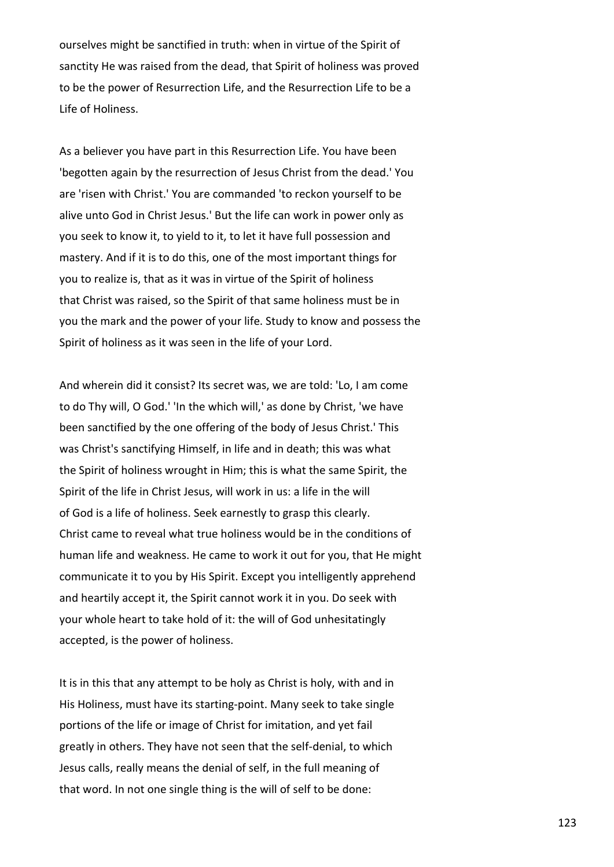ourselves might be sanctified in truth: when in virtue of the Spirit of sanctity He was raised from the dead, that Spirit of holiness was proved to be the power of Resurrection Life, and the Resurrection Life to be a Life of Holiness.

As a believer you have part in this Resurrection Life. You have been 'begotten again by the resurrection of Jesus Christ from the dead.' You are 'risen with Christ.' You are commanded 'to reckon yourself to be alive unto God in Christ Jesus.' But the life can work in power only as you seek to know it, to yield to it, to let it have full possession and mastery. And if it is to do this, one of the most important things for you to realize is, that as it was in virtue of the Spirit of holiness that Christ was raised, so the Spirit of that same holiness must be in you the mark and the power of your life. Study to know and possess the Spirit of holiness as it was seen in the life of your Lord.

And wherein did it consist? Its secret was, we are told: 'Lo, I am come to do Thy will, O God.' 'In the which will,' as done by Christ, 'we have been sanctified by the one offering of the body of Jesus Christ.' This was Christ's sanctifying Himself, in life and in death; this was what the Spirit of holiness wrought in Him; this is what the same Spirit, the Spirit of the life in Christ Jesus, will work in us: a life in the will of God is a life of holiness. Seek earnestly to grasp this clearly. Christ came to reveal what true holiness would be in the conditions of human life and weakness. He came to work it out for you, that He might communicate it to you by His Spirit. Except you intelligently apprehend and heartily accept it, the Spirit cannot work it in you. Do seek with your whole heart to take hold of it: the will of God unhesitatingly accepted, is the power of holiness.

It is in this that any attempt to be holy as Christ is holy, with and in His Holiness, must have its starting-point. Many seek to take single portions of the life or image of Christ for imitation, and yet fail greatly in others. They have not seen that the self-denial, to which Jesus calls, really means the denial of self, in the full meaning of that word. In not one single thing is the will of self to be done: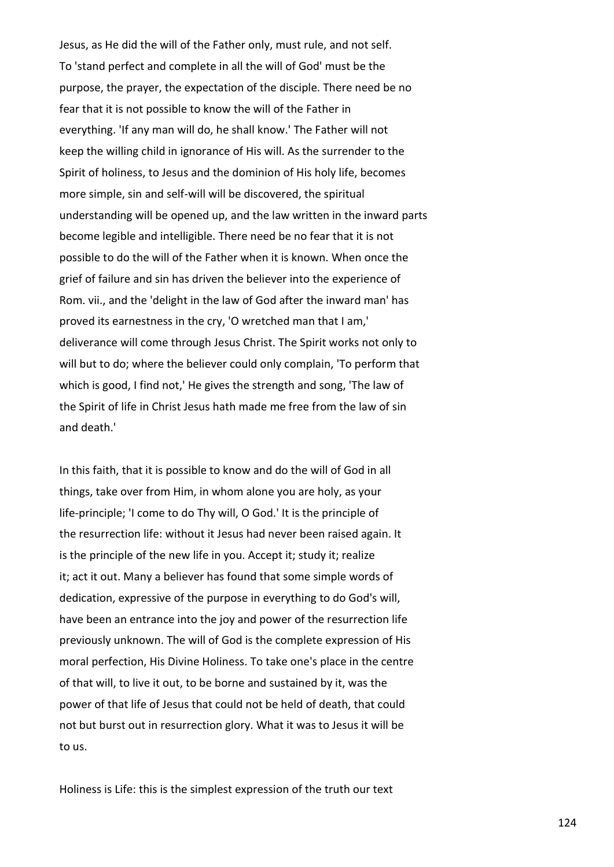Jesus, as He did the will of the Father only, must rule, and not self. To 'stand perfect and complete in all the will of God' must be the purpose, the prayer, the expectation of the disciple. There need be no fear that it is not possible to know the will of the Father in everything. 'If any man will do, he shall know.' The Father will not keep the willing child in ignorance of His will. As the surrender to the Spirit of holiness, to Jesus and the dominion of His holy life, becomes more simple, sin and self-will will be discovered, the spiritual understanding will be opened up, and the law written in the inward parts become legible and intelligible. There need be no fear that it is not possible to do the will of the Father when it is known. When once the grief of failure and sin has driven the believer into the experience of Rom. vii., and the 'delight in the law of God after the inward man' has proved its earnestness in the cry, 'O wretched man that I am,' deliverance will come through Jesus Christ. The Spirit works not only to will but to do; where the believer could only complain, 'To perform that which is good, I find not,' He gives the strength and song, 'The law of the Spirit of life in Christ Jesus hath made me free from the law of sin and death.'

In this faith, that it is possible to know and do the will of God in all things, take over from Him, in whom alone you are holy, as your life-principle; 'I come to do Thy will, O God.' It is the principle of the resurrection life: without it Jesus had never been raised again. It is the principle of the new life in you. Accept it; study it; realize it; act it out. Many a believer has found that some simple words of dedication, expressive of the purpose in everything to do God's will, have been an entrance into the joy and power of the resurrection life previously unknown. The will of God is the complete expression of His moral perfection, His Divine Holiness. To take one's place in the centre of that will, to live it out, to be borne and sustained by it, was the power of that life of Jesus that could not be held of death, that could not but burst out in resurrection glory. What it was to Jesus it will be to us.

Holiness is Life: this is the simplest expression of the truth our text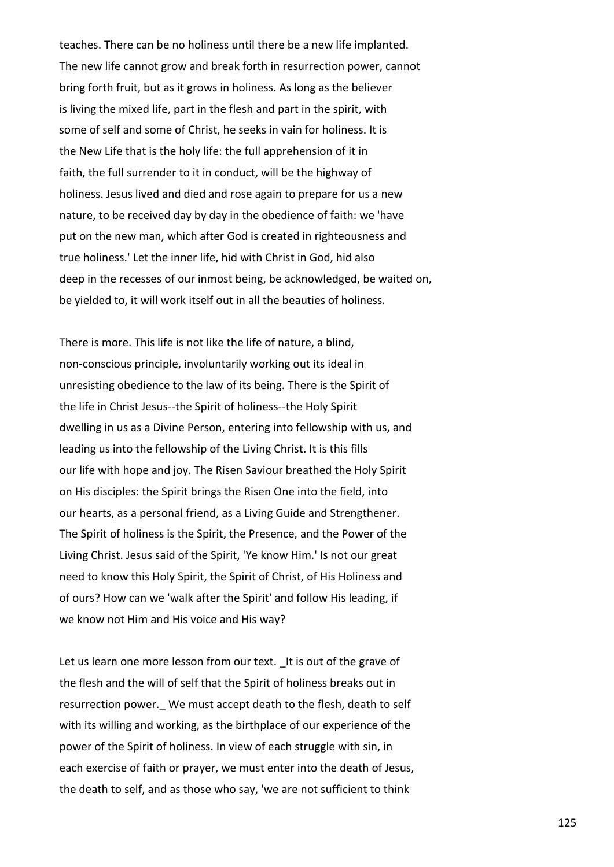teaches. There can be no holiness until there be a new life implanted. The new life cannot grow and break forth in resurrection power, cannot bring forth fruit, but as it grows in holiness. As long as the believer is living the mixed life, part in the flesh and part in the spirit, with some of self and some of Christ, he seeks in vain for holiness. It is the New Life that is the holy life: the full apprehension of it in faith, the full surrender to it in conduct, will be the highway of holiness. Jesus lived and died and rose again to prepare for us a new nature, to be received day by day in the obedience of faith: we 'have put on the new man, which after God is created in righteousness and true holiness.' Let the inner life, hid with Christ in God, hid also deep in the recesses of our inmost being, be acknowledged, be waited on, be yielded to, it will work itself out in all the beauties of holiness.

There is more. This life is not like the life of nature, a blind, non-conscious principle, involuntarily working out its ideal in unresisting obedience to the law of its being. There is the Spirit of the life in Christ Jesus--the Spirit of holiness--the Holy Spirit dwelling in us as a Divine Person, entering into fellowship with us, and leading us into the fellowship of the Living Christ. It is this fills our life with hope and joy. The Risen Saviour breathed the Holy Spirit on His disciples: the Spirit brings the Risen One into the field, into our hearts, as a personal friend, as a Living Guide and Strengthener. The Spirit of holiness is the Spirit, the Presence, and the Power of the Living Christ. Jesus said of the Spirit, 'Ye know Him.' Is not our great need to know this Holy Spirit, the Spirit of Christ, of His Holiness and of ours? How can we 'walk after the Spirit' and follow His leading, if we know not Him and His voice and His way?

Let us learn one more lesson from our text. It is out of the grave of the flesh and the will of self that the Spirit of holiness breaks out in resurrection power. We must accept death to the flesh, death to self with its willing and working, as the birthplace of our experience of the power of the Spirit of holiness. In view of each struggle with sin, in each exercise of faith or prayer, we must enter into the death of Jesus, the death to self, and as those who say, 'we are not sufficient to think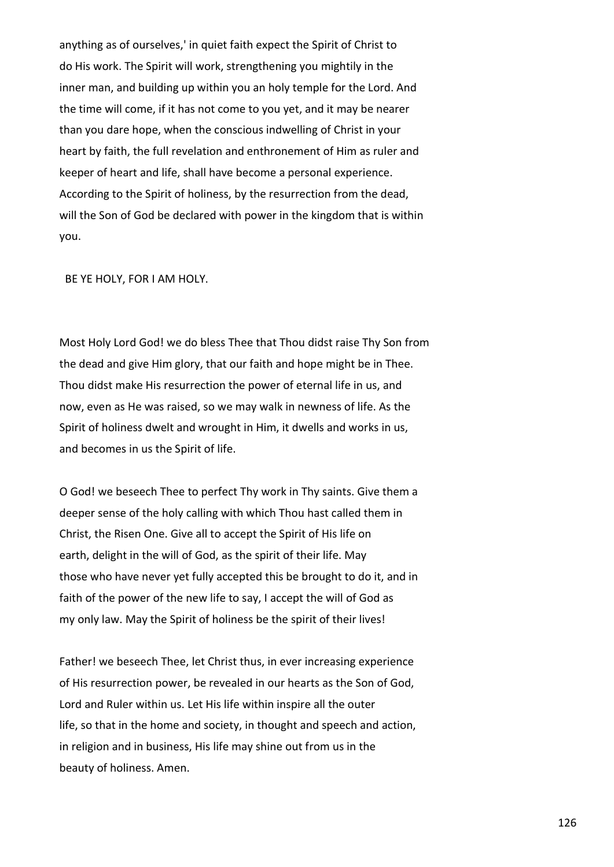anything as of ourselves,' in quiet faith expect the Spirit of Christ to do His work. The Spirit will work, strengthening you mightily in the inner man, and building up within you an holy temple for the Lord. And the time will come, if it has not come to you yet, and it may be nearer than you dare hope, when the conscious indwelling of Christ in your heart by faith, the full revelation and enthronement of Him as ruler and keeper of heart and life, shall have become a personal experience. According to the Spirit of holiness, by the resurrection from the dead, will the Son of God be declared with power in the kingdom that is within you.

BE YE HOLY, FOR I AM HOLY.

Most Holy Lord God! we do bless Thee that Thou didst raise Thy Son from the dead and give Him glory, that our faith and hope might be in Thee. Thou didst make His resurrection the power of eternal life in us, and now, even as He was raised, so we may walk in newness of life. As the Spirit of holiness dwelt and wrought in Him, it dwells and works in us, and becomes in us the Spirit of life.

O God! we beseech Thee to perfect Thy work in Thy saints. Give them a deeper sense of the holy calling with which Thou hast called them in Christ, the Risen One. Give all to accept the Spirit of His life on earth, delight in the will of God, as the spirit of their life. May those who have never yet fully accepted this be brought to do it, and in faith of the power of the new life to say, I accept the will of God as my only law. May the Spirit of holiness be the spirit of their lives!

Father! we beseech Thee, let Christ thus, in ever increasing experience of His resurrection power, be revealed in our hearts as the Son of God, Lord and Ruler within us. Let His life within inspire all the outer life, so that in the home and society, in thought and speech and action, in religion and in business, His life may shine out from us in the beauty of holiness. Amen.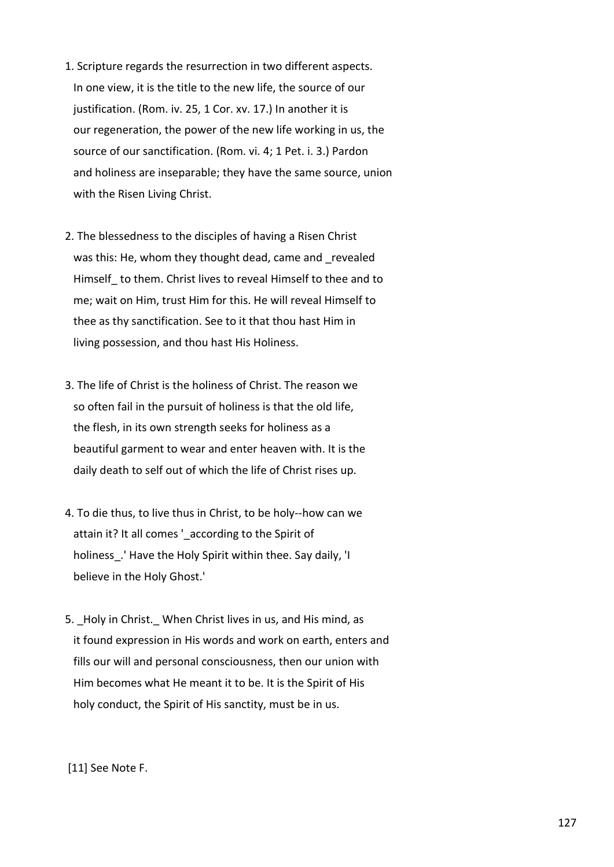- 1. Scripture regards the resurrection in two different aspects. In one view, it is the title to the new life, the source of our justification. (Rom. iv. 25, 1 Cor. xv. 17.) In another it is our regeneration, the power of the new life working in us, the source of our sanctification. (Rom. vi. 4; 1 Pet. i. 3.) Pardon and holiness are inseparable; they have the same source, union with the Risen Living Christ.
- 2. The blessedness to the disciples of having a Risen Christ was this: He, whom they thought dead, came and revealed Himself\_ to them. Christ lives to reveal Himself to thee and to me; wait on Him, trust Him for this. He will reveal Himself to thee as thy sanctification. See to it that thou hast Him in living possession, and thou hast His Holiness.
- 3. The life of Christ is the holiness of Christ. The reason we so often fail in the pursuit of holiness is that the old life, the flesh, in its own strength seeks for holiness as a beautiful garment to wear and enter heaven with. It is the daily death to self out of which the life of Christ rises up.
- 4. To die thus, to live thus in Christ, to be holy--how can we attain it? It all comes 'according to the Spirit of holiness. 'Have the Holy Spirit within thee. Say daily, 'I believe in the Holy Ghost.'
- 5. Holy in Christ. When Christ lives in us, and His mind, as it found expression in His words and work on earth, enters and fills our will and personal consciousness, then our union with Him becomes what He meant it to be. It is the Spirit of His holy conduct, the Spirit of His sanctity, must be in us.

[11] See Note F.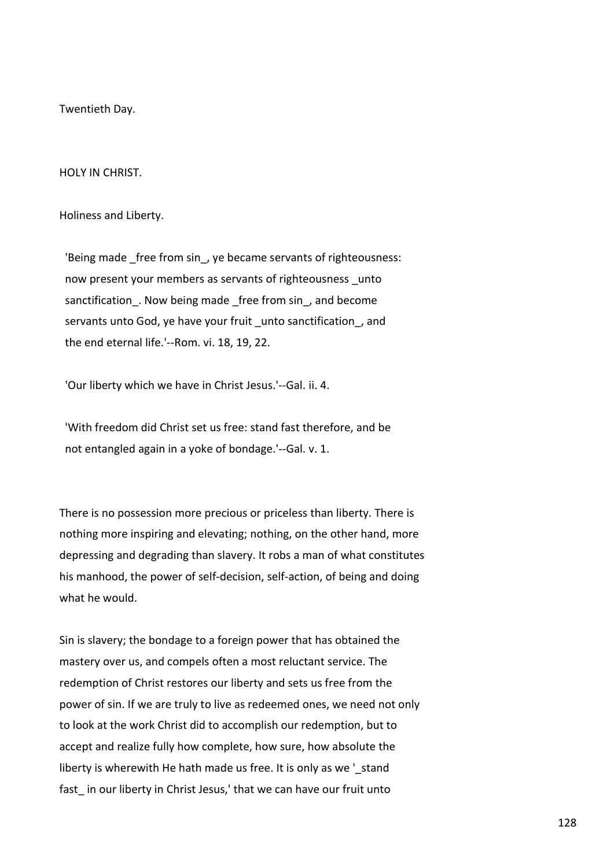Twentieth Day.

HOLY IN CHRIST.

Holiness and Liberty.

'Being made free from sin, ye became servants of righteousness: now present your members as servants of righteousness unto sanctification. Now being made free from sin, and become servants unto God, ye have your fruit unto sanctification, and the end eternal life.'--Rom. vi. 18, 19, 22.

'Our liberty which we have in Christ Jesus.'--Gal. ii. 4.

 'With freedom did Christ set us free: stand fast therefore, and be not entangled again in a yoke of bondage.'--Gal. v. 1.

There is no possession more precious or priceless than liberty. There is nothing more inspiring and elevating; nothing, on the other hand, more depressing and degrading than slavery. It robs a man of what constitutes his manhood, the power of self-decision, self-action, of being and doing what he would.

Sin is slavery; the bondage to a foreign power that has obtained the mastery over us, and compels often a most reluctant service. The redemption of Christ restores our liberty and sets us free from the power of sin. If we are truly to live as redeemed ones, we need not only to look at the work Christ did to accomplish our redemption, but to accept and realize fully how complete, how sure, how absolute the liberty is wherewith He hath made us free. It is only as we 'atand fast in our liberty in Christ Jesus,' that we can have our fruit unto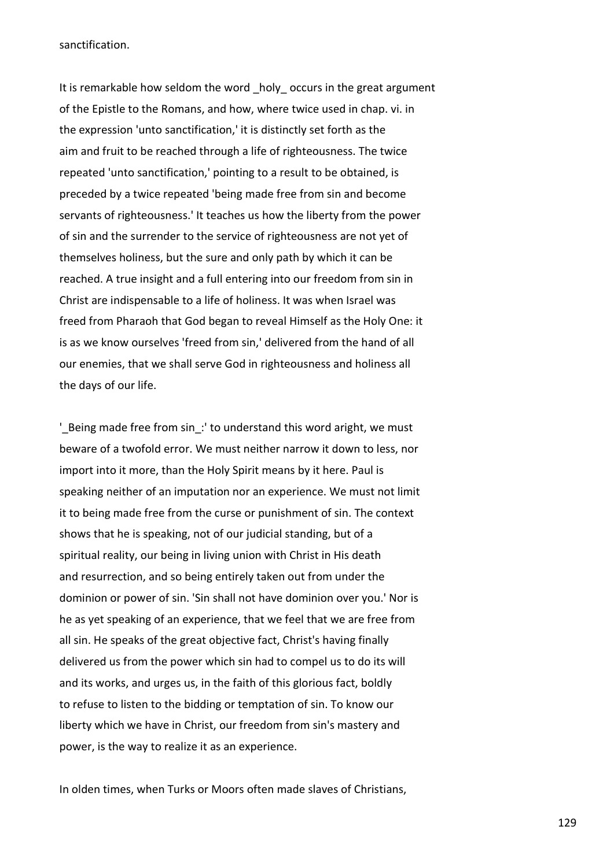sanctification.

It is remarkable how seldom the word holy occurs in the great argument of the Epistle to the Romans, and how, where twice used in chap. vi. in the expression 'unto sanctification,' it is distinctly set forth as the aim and fruit to be reached through a life of righteousness. The twice repeated 'unto sanctification,' pointing to a result to be obtained, is preceded by a twice repeated 'being made free from sin and become servants of righteousness.' It teaches us how the liberty from the power of sin and the surrender to the service of righteousness are not yet of themselves holiness, but the sure and only path by which it can be reached. A true insight and a full entering into our freedom from sin in Christ are indispensable to a life of holiness. It was when Israel was freed from Pharaoh that God began to reveal Himself as the Holy One: it is as we know ourselves 'freed from sin,' delivered from the hand of all our enemies, that we shall serve God in righteousness and holiness all the days of our life.

' Being made free from sin: ' to understand this word aright, we must beware of a twofold error. We must neither narrow it down to less, nor import into it more, than the Holy Spirit means by it here. Paul is speaking neither of an imputation nor an experience. We must not limit it to being made free from the curse or punishment of sin. The context shows that he is speaking, not of our judicial standing, but of a spiritual reality, our being in living union with Christ in His death and resurrection, and so being entirely taken out from under the dominion or power of sin. 'Sin shall not have dominion over you.' Nor is he as yet speaking of an experience, that we feel that we are free from all sin. He speaks of the great objective fact, Christ's having finally delivered us from the power which sin had to compel us to do its will and its works, and urges us, in the faith of this glorious fact, boldly to refuse to listen to the bidding or temptation of sin. To know our liberty which we have in Christ, our freedom from sin's mastery and power, is the way to realize it as an experience.

In olden times, when Turks or Moors often made slaves of Christians,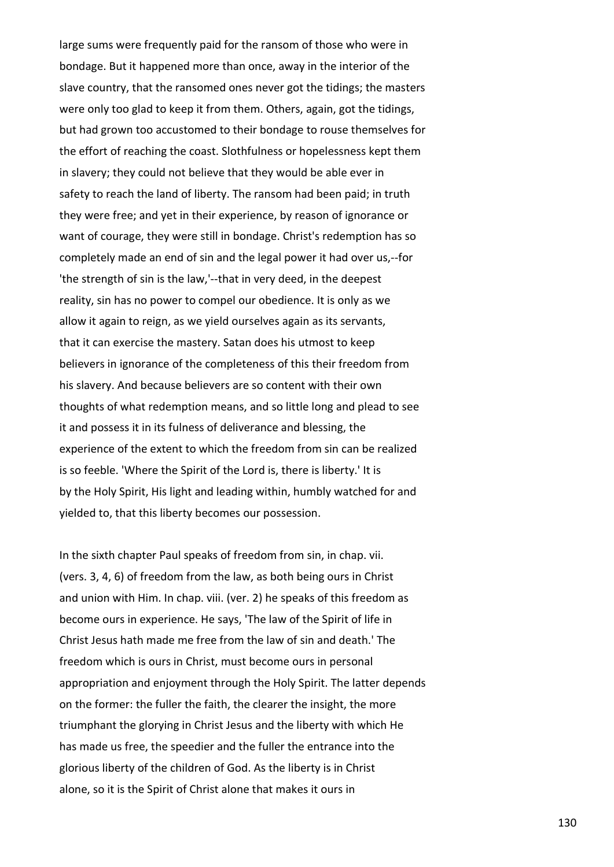large sums were frequently paid for the ransom of those who were in bondage. But it happened more than once, away in the interior of the slave country, that the ransomed ones never got the tidings; the masters were only too glad to keep it from them. Others, again, got the tidings, but had grown too accustomed to their bondage to rouse themselves for the effort of reaching the coast. Slothfulness or hopelessness kept them in slavery; they could not believe that they would be able ever in safety to reach the land of liberty. The ransom had been paid; in truth they were free; and yet in their experience, by reason of ignorance or want of courage, they were still in bondage. Christ's redemption has so completely made an end of sin and the legal power it had over us,--for 'the strength of sin is the law,'--that in very deed, in the deepest reality, sin has no power to compel our obedience. It is only as we allow it again to reign, as we yield ourselves again as its servants, that it can exercise the mastery. Satan does his utmost to keep believers in ignorance of the completeness of this their freedom from his slavery. And because believers are so content with their own thoughts of what redemption means, and so little long and plead to see it and possess it in its fulness of deliverance and blessing, the experience of the extent to which the freedom from sin can be realized is so feeble. 'Where the Spirit of the Lord is, there is liberty.' It is by the Holy Spirit, His light and leading within, humbly watched for and yielded to, that this liberty becomes our possession.

In the sixth chapter Paul speaks of freedom from sin, in chap. vii. (vers. 3, 4, 6) of freedom from the law, as both being ours in Christ and union with Him. In chap. viii. (ver. 2) he speaks of this freedom as become ours in experience. He says, 'The law of the Spirit of life in Christ Jesus hath made me free from the law of sin and death.' The freedom which is ours in Christ, must become ours in personal appropriation and enjoyment through the Holy Spirit. The latter depends on the former: the fuller the faith, the clearer the insight, the more triumphant the glorying in Christ Jesus and the liberty with which He has made us free, the speedier and the fuller the entrance into the glorious liberty of the children of God. As the liberty is in Christ alone, so it is the Spirit of Christ alone that makes it ours in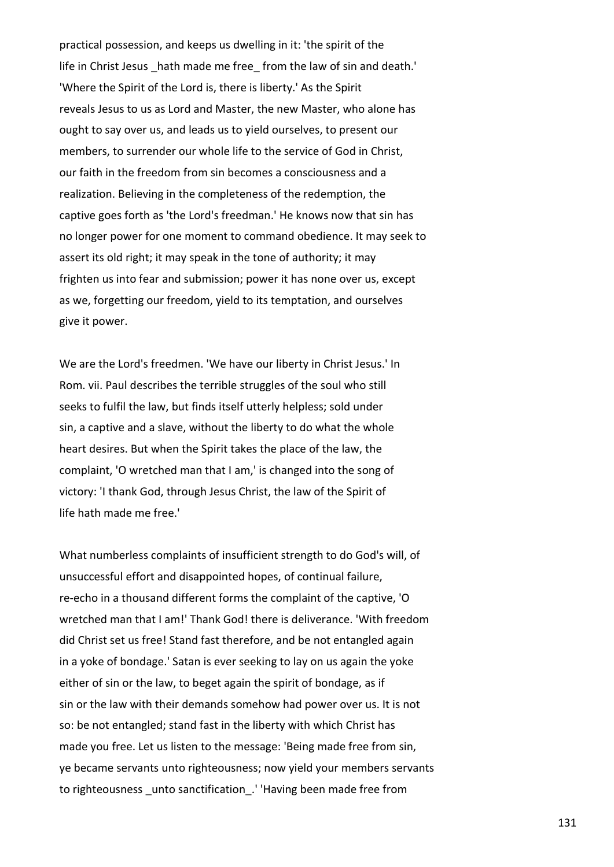practical possession, and keeps us dwelling in it: 'the spirit of the life in Christ Jesus hath made me free from the law of sin and death.' 'Where the Spirit of the Lord is, there is liberty.' As the Spirit reveals Jesus to us as Lord and Master, the new Master, who alone has ought to say over us, and leads us to yield ourselves, to present our members, to surrender our whole life to the service of God in Christ, our faith in the freedom from sin becomes a consciousness and a realization. Believing in the completeness of the redemption, the captive goes forth as 'the Lord's freedman.' He knows now that sin has no longer power for one moment to command obedience. It may seek to assert its old right; it may speak in the tone of authority; it may frighten us into fear and submission; power it has none over us, except as we, forgetting our freedom, yield to its temptation, and ourselves give it power.

We are the Lord's freedmen. 'We have our liberty in Christ Jesus.' In Rom. vii. Paul describes the terrible struggles of the soul who still seeks to fulfil the law, but finds itself utterly helpless; sold under sin, a captive and a slave, without the liberty to do what the whole heart desires. But when the Spirit takes the place of the law, the complaint, 'O wretched man that I am,' is changed into the song of victory: 'I thank God, through Jesus Christ, the law of the Spirit of life hath made me free.'

What numberless complaints of insufficient strength to do God's will, of unsuccessful effort and disappointed hopes, of continual failure, re-echo in a thousand different forms the complaint of the captive, 'O wretched man that I am!' Thank God! there is deliverance. 'With freedom did Christ set us free! Stand fast therefore, and be not entangled again in a yoke of bondage.' Satan is ever seeking to lay on us again the yoke either of sin or the law, to beget again the spirit of bondage, as if sin or the law with their demands somehow had power over us. It is not so: be not entangled; stand fast in the liberty with which Christ has made you free. Let us listen to the message: 'Being made free from sin, ye became servants unto righteousness; now yield your members servants to righteousness unto sanctification. 'Having been made free from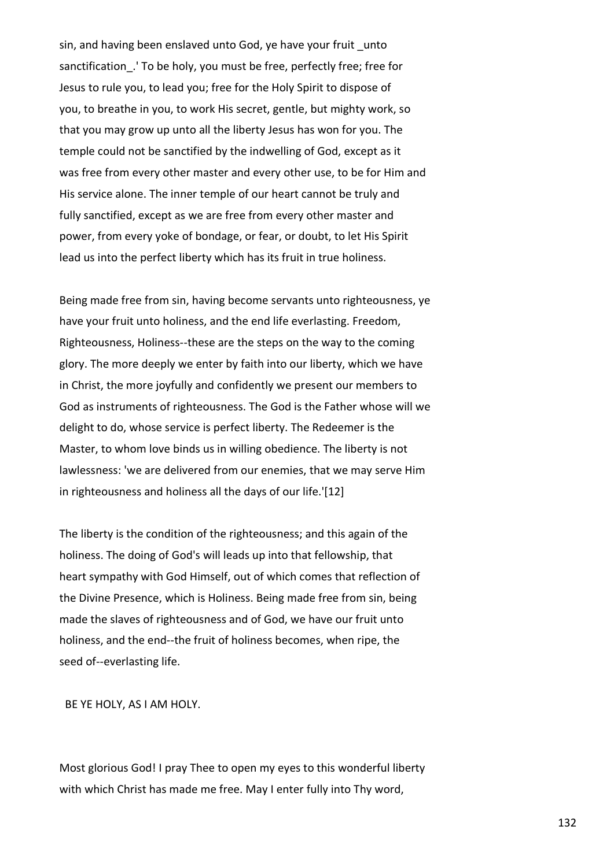sin, and having been enslaved unto God, ye have your fruit unto sanctification\_.' To be holy, you must be free, perfectly free; free for Jesus to rule you, to lead you; free for the Holy Spirit to dispose of you, to breathe in you, to work His secret, gentle, but mighty work, so that you may grow up unto all the liberty Jesus has won for you. The temple could not be sanctified by the indwelling of God, except as it was free from every other master and every other use, to be for Him and His service alone. The inner temple of our heart cannot be truly and fully sanctified, except as we are free from every other master and power, from every yoke of bondage, or fear, or doubt, to let His Spirit lead us into the perfect liberty which has its fruit in true holiness.

Being made free from sin, having become servants unto righteousness, ye have your fruit unto holiness, and the end life everlasting. Freedom, Righteousness, Holiness--these are the steps on the way to the coming glory. The more deeply we enter by faith into our liberty, which we have in Christ, the more joyfully and confidently we present our members to God as instruments of righteousness. The God is the Father whose will we delight to do, whose service is perfect liberty. The Redeemer is the Master, to whom love binds us in willing obedience. The liberty is not lawlessness: 'we are delivered from our enemies, that we may serve Him in righteousness and holiness all the days of our life.'[12]

The liberty is the condition of the righteousness; and this again of the holiness. The doing of God's will leads up into that fellowship, that heart sympathy with God Himself, out of which comes that reflection of the Divine Presence, which is Holiness. Being made free from sin, being made the slaves of righteousness and of God, we have our fruit unto holiness, and the end--the fruit of holiness becomes, when ripe, the seed of--everlasting life.

BE YE HOLY, AS I AM HOLY.

Most glorious God! I pray Thee to open my eyes to this wonderful liberty with which Christ has made me free. May I enter fully into Thy word,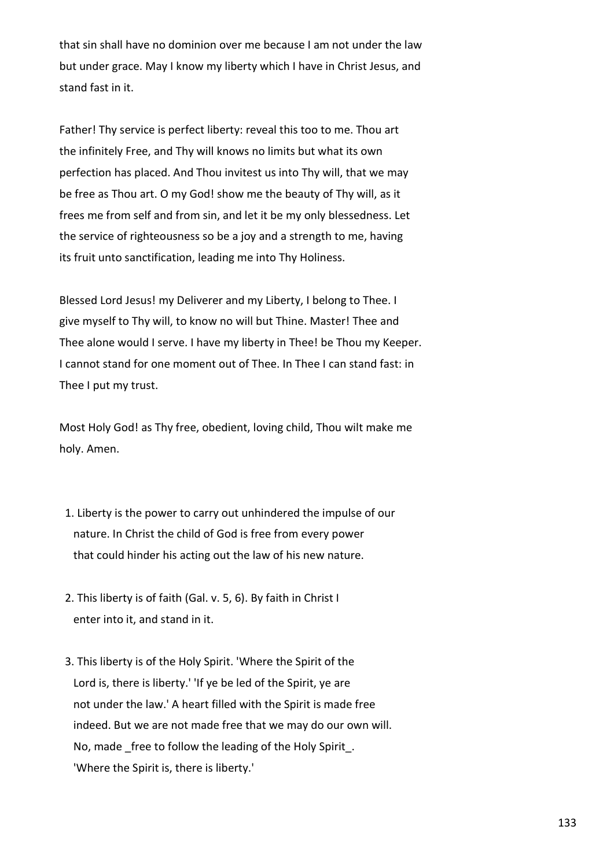that sin shall have no dominion over me because I am not under the law but under grace. May I know my liberty which I have in Christ Jesus, and stand fast in it.

Father! Thy service is perfect liberty: reveal this too to me. Thou art the infinitely Free, and Thy will knows no limits but what its own perfection has placed. And Thou invitest us into Thy will, that we may be free as Thou art. O my God! show me the beauty of Thy will, as it frees me from self and from sin, and let it be my only blessedness. Let the service of righteousness so be a joy and a strength to me, having its fruit unto sanctification, leading me into Thy Holiness.

Blessed Lord Jesus! my Deliverer and my Liberty, I belong to Thee. I give myself to Thy will, to know no will but Thine. Master! Thee and Thee alone would I serve. I have my liberty in Thee! be Thou my Keeper. I cannot stand for one moment out of Thee. In Thee I can stand fast: in Thee I put my trust.

Most Holy God! as Thy free, obedient, loving child, Thou wilt make me holy. Amen.

- 1. Liberty is the power to carry out unhindered the impulse of our nature. In Christ the child of God is free from every power that could hinder his acting out the law of his new nature.
- 2. This liberty is of faith (Gal. v. 5, 6). By faith in Christ I enter into it, and stand in it.
- 3. This liberty is of the Holy Spirit. 'Where the Spirit of the Lord is, there is liberty.' 'If ye be led of the Spirit, ye are not under the law.' A heart filled with the Spirit is made free indeed. But we are not made free that we may do our own will. No, made free to follow the leading of the Holy Spirit. 'Where the Spirit is, there is liberty.'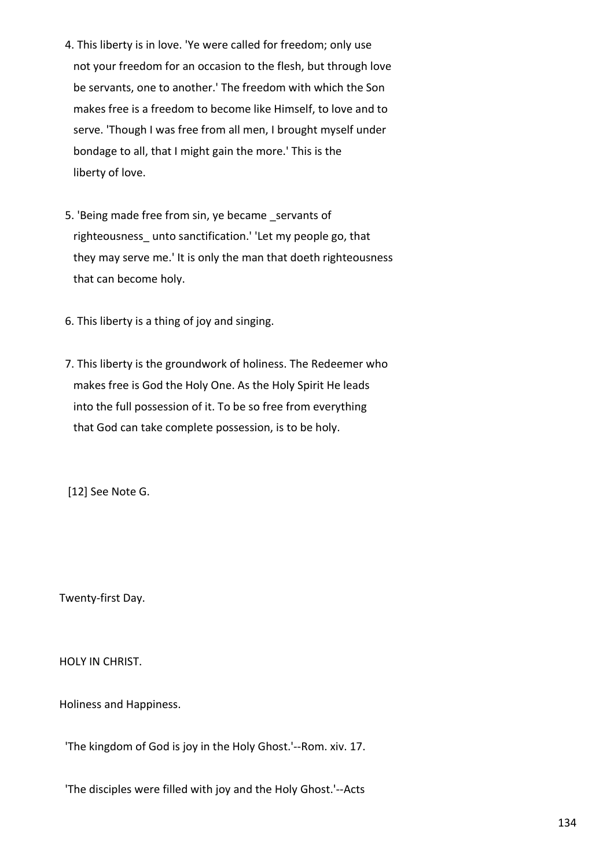- 4. This liberty is in love. 'Ye were called for freedom; only use not your freedom for an occasion to the flesh, but through love be servants, one to another.' The freedom with which the Son makes free is a freedom to become like Himself, to love and to serve. 'Though I was free from all men, I brought myself under bondage to all, that I might gain the more.' This is the liberty of love.
- 5. 'Being made free from sin, ye became servants of righteousness\_ unto sanctification.' 'Let my people go, that they may serve me.' It is only the man that doeth righteousness that can become holy.
- 6. This liberty is a thing of joy and singing.
- 7. This liberty is the groundwork of holiness. The Redeemer who makes free is God the Holy One. As the Holy Spirit He leads into the full possession of it. To be so free from everything that God can take complete possession, is to be holy.

[12] See Note G.

Twenty-first Day.

HOLY IN CHRIST.

Holiness and Happiness.

'The kingdom of God is joy in the Holy Ghost.'--Rom. xiv. 17.

'The disciples were filled with joy and the Holy Ghost.'--Acts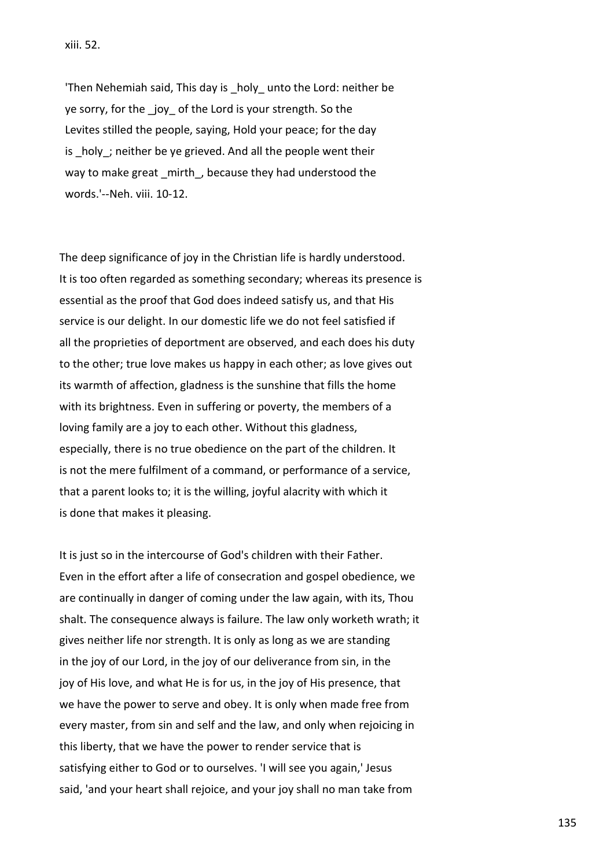'Then Nehemiah said, This day is holy unto the Lord: neither be ye sorry, for the joy of the Lord is your strength. So the Levites stilled the people, saying, Hold your peace; for the day is \_holy\_; neither be ye grieved. And all the people went their way to make great mirth, because they had understood the words.'--Neh. viii. 10-12.

The deep significance of joy in the Christian life is hardly understood. It is too often regarded as something secondary; whereas its presence is essential as the proof that God does indeed satisfy us, and that His service is our delight. In our domestic life we do not feel satisfied if all the proprieties of deportment are observed, and each does his duty to the other; true love makes us happy in each other; as love gives out its warmth of affection, gladness is the sunshine that fills the home with its brightness. Even in suffering or poverty, the members of a loving family are a joy to each other. Without this gladness, especially, there is no true obedience on the part of the children. It is not the mere fulfilment of a command, or performance of a service, that a parent looks to; it is the willing, joyful alacrity with which it is done that makes it pleasing.

It is just so in the intercourse of God's children with their Father. Even in the effort after a life of consecration and gospel obedience, we are continually in danger of coming under the law again, with its, Thou shalt. The consequence always is failure. The law only worketh wrath; it gives neither life nor strength. It is only as long as we are standing in the joy of our Lord, in the joy of our deliverance from sin, in the joy of His love, and what He is for us, in the joy of His presence, that we have the power to serve and obey. It is only when made free from every master, from sin and self and the law, and only when rejoicing in this liberty, that we have the power to render service that is satisfying either to God or to ourselves. 'I will see you again,' Jesus said, 'and your heart shall rejoice, and your joy shall no man take from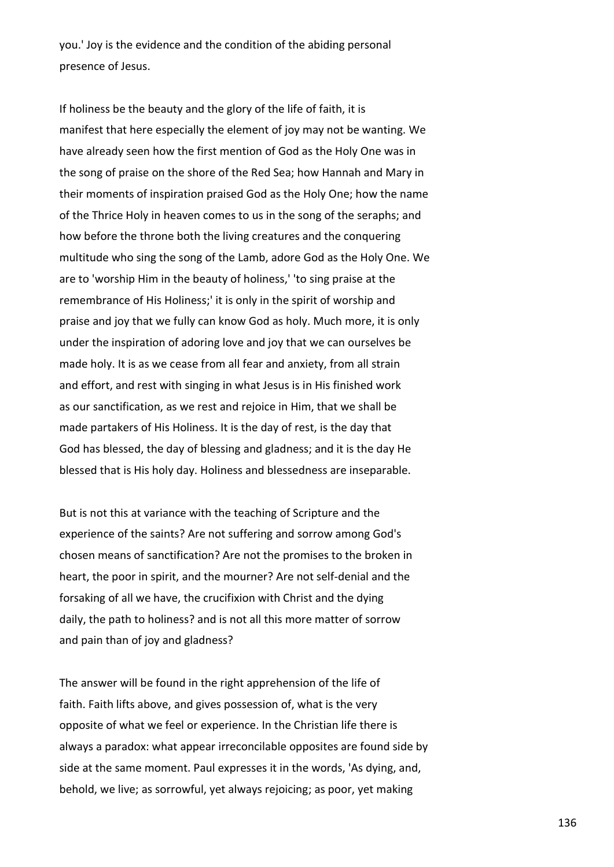you.' Joy is the evidence and the condition of the abiding personal presence of Jesus.

If holiness be the beauty and the glory of the life of faith, it is manifest that here especially the element of joy may not be wanting. We have already seen how the first mention of God as the Holy One was in the song of praise on the shore of the Red Sea; how Hannah and Mary in their moments of inspiration praised God as the Holy One; how the name of the Thrice Holy in heaven comes to us in the song of the seraphs; and how before the throne both the living creatures and the conquering multitude who sing the song of the Lamb, adore God as the Holy One. We are to 'worship Him in the beauty of holiness,' 'to sing praise at the remembrance of His Holiness;' it is only in the spirit of worship and praise and joy that we fully can know God as holy. Much more, it is only under the inspiration of adoring love and joy that we can ourselves be made holy. It is as we cease from all fear and anxiety, from all strain and effort, and rest with singing in what Jesus is in His finished work as our sanctification, as we rest and rejoice in Him, that we shall be made partakers of His Holiness. It is the day of rest, is the day that God has blessed, the day of blessing and gladness; and it is the day He blessed that is His holy day. Holiness and blessedness are inseparable.

But is not this at variance with the teaching of Scripture and the experience of the saints? Are not suffering and sorrow among God's chosen means of sanctification? Are not the promises to the broken in heart, the poor in spirit, and the mourner? Are not self-denial and the forsaking of all we have, the crucifixion with Christ and the dying daily, the path to holiness? and is not all this more matter of sorrow and pain than of joy and gladness?

The answer will be found in the right apprehension of the life of faith. Faith lifts above, and gives possession of, what is the very opposite of what we feel or experience. In the Christian life there is always a paradox: what appear irreconcilable opposites are found side by side at the same moment. Paul expresses it in the words, 'As dying, and, behold, we live; as sorrowful, yet always rejoicing; as poor, yet making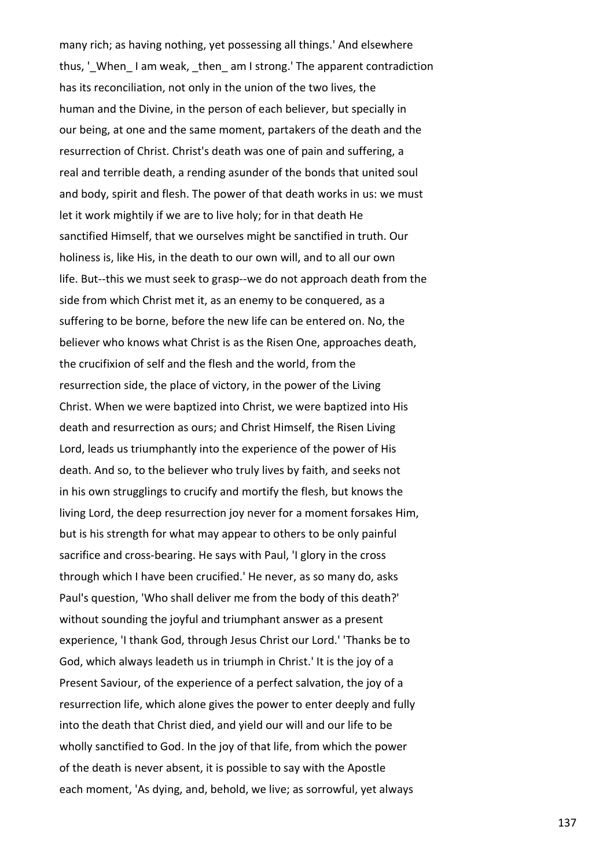many rich; as having nothing, yet possessing all things.' And elsewhere thus, 'When I am weak, then am I strong.' The apparent contradiction has its reconciliation, not only in the union of the two lives, the human and the Divine, in the person of each believer, but specially in our being, at one and the same moment, partakers of the death and the resurrection of Christ. Christ's death was one of pain and suffering, a real and terrible death, a rending asunder of the bonds that united soul and body, spirit and flesh. The power of that death works in us: we must let it work mightily if we are to live holy; for in that death He sanctified Himself, that we ourselves might be sanctified in truth. Our holiness is, like His, in the death to our own will, and to all our own life. But--this we must seek to grasp--we do not approach death from the side from which Christ met it, as an enemy to be conquered, as a suffering to be borne, before the new life can be entered on. No, the believer who knows what Christ is as the Risen One, approaches death, the crucifixion of self and the flesh and the world, from the resurrection side, the place of victory, in the power of the Living Christ. When we were baptized into Christ, we were baptized into His death and resurrection as ours; and Christ Himself, the Risen Living Lord, leads us triumphantly into the experience of the power of His death. And so, to the believer who truly lives by faith, and seeks not in his own strugglings to crucify and mortify the flesh, but knows the living Lord, the deep resurrection joy never for a moment forsakes Him, but is his strength for what may appear to others to be only painful sacrifice and cross-bearing. He says with Paul, 'I glory in the cross through which I have been crucified.' He never, as so many do, asks Paul's question, 'Who shall deliver me from the body of this death?' without sounding the joyful and triumphant answer as a present experience, 'I thank God, through Jesus Christ our Lord.' 'Thanks be to God, which always leadeth us in triumph in Christ.' It is the joy of a Present Saviour, of the experience of a perfect salvation, the joy of a resurrection life, which alone gives the power to enter deeply and fully into the death that Christ died, and yield our will and our life to be wholly sanctified to God. In the joy of that life, from which the power of the death is never absent, it is possible to say with the Apostle each moment, 'As dying, and, behold, we live; as sorrowful, yet always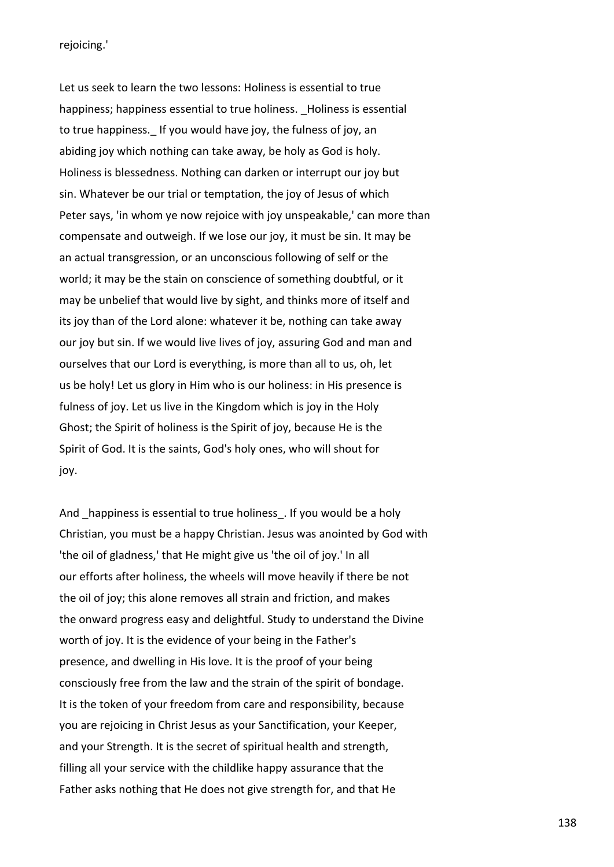rejoicing.'

Let us seek to learn the two lessons: Holiness is essential to true happiness; happiness essential to true holiness. Holiness is essential to true happiness.\_ If you would have joy, the fulness of joy, an abiding joy which nothing can take away, be holy as God is holy. Holiness is blessedness. Nothing can darken or interrupt our joy but sin. Whatever be our trial or temptation, the joy of Jesus of which Peter says, 'in whom ye now rejoice with joy unspeakable,' can more than compensate and outweigh. If we lose our joy, it must be sin. It may be an actual transgression, or an unconscious following of self or the world; it may be the stain on conscience of something doubtful, or it may be unbelief that would live by sight, and thinks more of itself and its joy than of the Lord alone: whatever it be, nothing can take away our joy but sin. If we would live lives of joy, assuring God and man and ourselves that our Lord is everything, is more than all to us, oh, let us be holy! Let us glory in Him who is our holiness: in His presence is fulness of joy. Let us live in the Kingdom which is joy in the Holy Ghost; the Spirit of holiness is the Spirit of joy, because He is the Spirit of God. It is the saints, God's holy ones, who will shout for joy.

And happiness is essential to true holiness. If you would be a holy Christian, you must be a happy Christian. Jesus was anointed by God with 'the oil of gladness,' that He might give us 'the oil of joy.' In all our efforts after holiness, the wheels will move heavily if there be not the oil of joy; this alone removes all strain and friction, and makes the onward progress easy and delightful. Study to understand the Divine worth of joy. It is the evidence of your being in the Father's presence, and dwelling in His love. It is the proof of your being consciously free from the law and the strain of the spirit of bondage. It is the token of your freedom from care and responsibility, because you are rejoicing in Christ Jesus as your Sanctification, your Keeper, and your Strength. It is the secret of spiritual health and strength, filling all your service with the childlike happy assurance that the Father asks nothing that He does not give strength for, and that He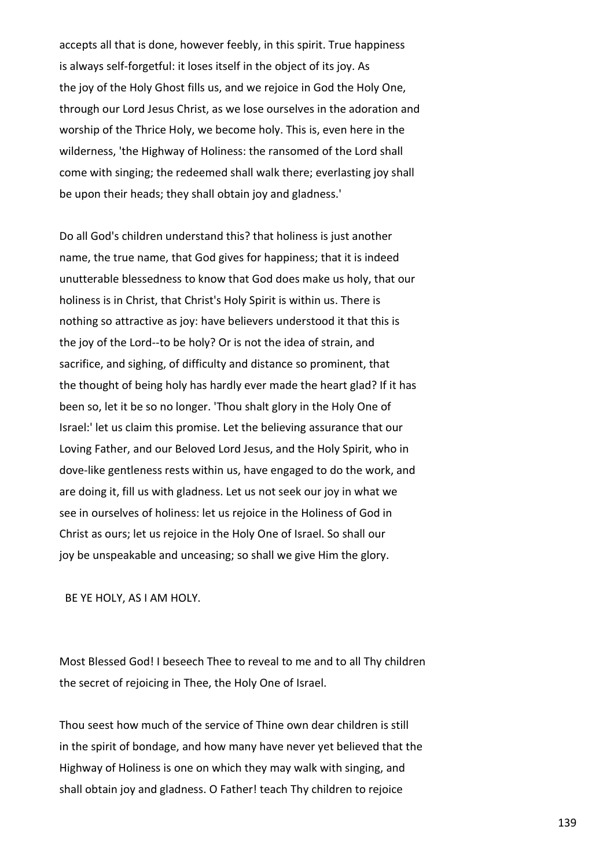accepts all that is done, however feebly, in this spirit. True happiness is always self-forgetful: it loses itself in the object of its joy. As the joy of the Holy Ghost fills us, and we rejoice in God the Holy One, through our Lord Jesus Christ, as we lose ourselves in the adoration and worship of the Thrice Holy, we become holy. This is, even here in the wilderness, 'the Highway of Holiness: the ransomed of the Lord shall come with singing; the redeemed shall walk there; everlasting joy shall be upon their heads; they shall obtain joy and gladness.'

Do all God's children understand this? that holiness is just another name, the true name, that God gives for happiness; that it is indeed unutterable blessedness to know that God does make us holy, that our holiness is in Christ, that Christ's Holy Spirit is within us. There is nothing so attractive as joy: have believers understood it that this is the joy of the Lord--to be holy? Or is not the idea of strain, and sacrifice, and sighing, of difficulty and distance so prominent, that the thought of being holy has hardly ever made the heart glad? If it has been so, let it be so no longer. 'Thou shalt glory in the Holy One of Israel:' let us claim this promise. Let the believing assurance that our Loving Father, and our Beloved Lord Jesus, and the Holy Spirit, who in dove-like gentleness rests within us, have engaged to do the work, and are doing it, fill us with gladness. Let us not seek our joy in what we see in ourselves of holiness: let us rejoice in the Holiness of God in Christ as ours; let us rejoice in the Holy One of Israel. So shall our joy be unspeakable and unceasing; so shall we give Him the glory.

BE YE HOLY, AS I AM HOLY.

Most Blessed God! I beseech Thee to reveal to me and to all Thy children the secret of rejoicing in Thee, the Holy One of Israel.

Thou seest how much of the service of Thine own dear children is still in the spirit of bondage, and how many have never yet believed that the Highway of Holiness is one on which they may walk with singing, and shall obtain joy and gladness. O Father! teach Thy children to rejoice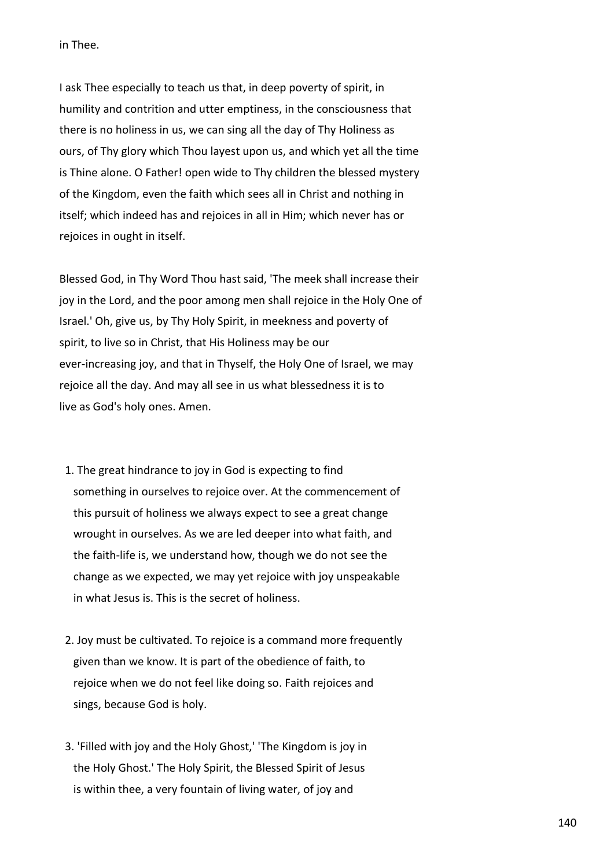in Thee.

I ask Thee especially to teach us that, in deep poverty of spirit, in humility and contrition and utter emptiness, in the consciousness that there is no holiness in us, we can sing all the day of Thy Holiness as ours, of Thy glory which Thou layest upon us, and which yet all the time is Thine alone. O Father! open wide to Thy children the blessed mystery of the Kingdom, even the faith which sees all in Christ and nothing in itself; which indeed has and rejoices in all in Him; which never has or rejoices in ought in itself.

Blessed God, in Thy Word Thou hast said, 'The meek shall increase their joy in the Lord, and the poor among men shall rejoice in the Holy One of Israel.' Oh, give us, by Thy Holy Spirit, in meekness and poverty of spirit, to live so in Christ, that His Holiness may be our ever-increasing joy, and that in Thyself, the Holy One of Israel, we may rejoice all the day. And may all see in us what blessedness it is to live as God's holy ones. Amen.

- 1. The great hindrance to joy in God is expecting to find something in ourselves to rejoice over. At the commencement of this pursuit of holiness we always expect to see a great change wrought in ourselves. As we are led deeper into what faith, and the faith-life is, we understand how, though we do not see the change as we expected, we may yet rejoice with joy unspeakable in what Jesus is. This is the secret of holiness.
- 2. Joy must be cultivated. To rejoice is a command more frequently given than we know. It is part of the obedience of faith, to rejoice when we do not feel like doing so. Faith rejoices and sings, because God is holy.
- 3. 'Filled with joy and the Holy Ghost,' 'The Kingdom is joy in the Holy Ghost.' The Holy Spirit, the Blessed Spirit of Jesus is within thee, a very fountain of living water, of joy and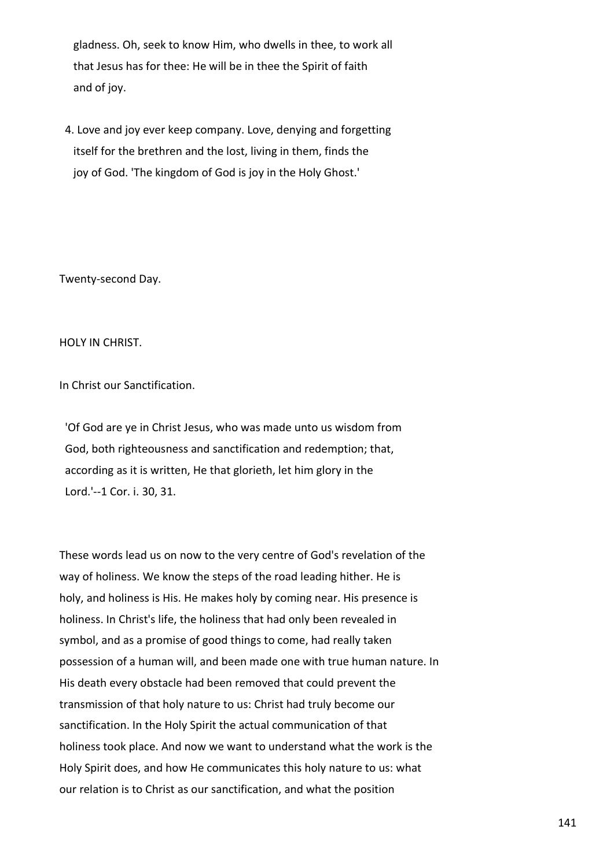gladness. Oh, seek to know Him, who dwells in thee, to work all that Jesus has for thee: He will be in thee the Spirit of faith and of joy.

 4. Love and joy ever keep company. Love, denying and forgetting itself for the brethren and the lost, living in them, finds the joy of God. 'The kingdom of God is joy in the Holy Ghost.'

Twenty-second Day.

HOLY IN CHRIST.

In Christ our Sanctification.

 'Of God are ye in Christ Jesus, who was made unto us wisdom from God, both righteousness and sanctification and redemption; that, according as it is written, He that glorieth, let him glory in the Lord.'--1 Cor. i. 30, 31.

These words lead us on now to the very centre of God's revelation of the way of holiness. We know the steps of the road leading hither. He is holy, and holiness is His. He makes holy by coming near. His presence is holiness. In Christ's life, the holiness that had only been revealed in symbol, and as a promise of good things to come, had really taken possession of a human will, and been made one with true human nature. In His death every obstacle had been removed that could prevent the transmission of that holy nature to us: Christ had truly become our sanctification. In the Holy Spirit the actual communication of that holiness took place. And now we want to understand what the work is the Holy Spirit does, and how He communicates this holy nature to us: what our relation is to Christ as our sanctification, and what the position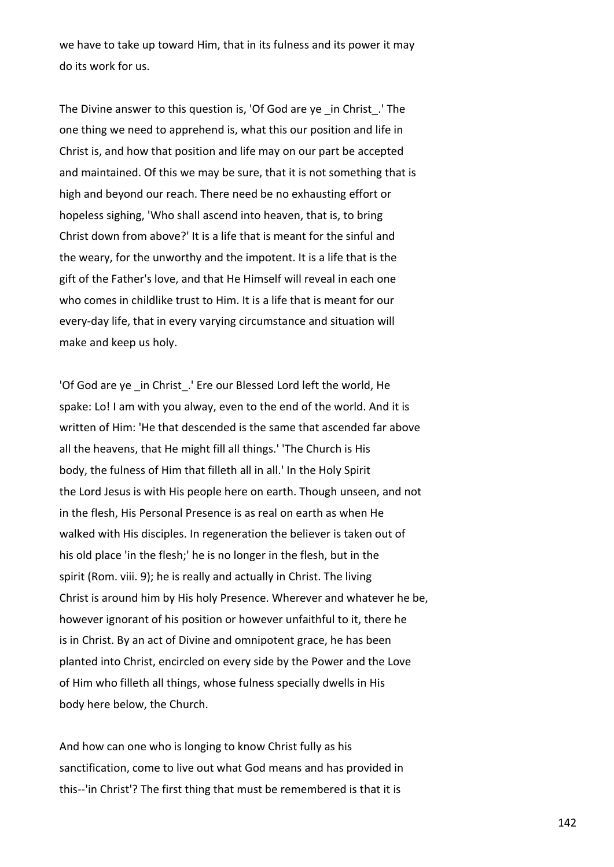we have to take up toward Him, that in its fulness and its power it may do its work for us.

The Divine answer to this question is, 'Of God are ye \_in Christ\_.' The one thing we need to apprehend is, what this our position and life in Christ is, and how that position and life may on our part be accepted and maintained. Of this we may be sure, that it is not something that is high and beyond our reach. There need be no exhausting effort or hopeless sighing, 'Who shall ascend into heaven, that is, to bring Christ down from above?' It is a life that is meant for the sinful and the weary, for the unworthy and the impotent. It is a life that is the gift of the Father's love, and that He Himself will reveal in each one who comes in childlike trust to Him. It is a life that is meant for our every-day life, that in every varying circumstance and situation will make and keep us holy.

'Of God are ye in Christ.' Ere our Blessed Lord left the world, He spake: Lo! I am with you alway, even to the end of the world. And it is written of Him: 'He that descended is the same that ascended far above all the heavens, that He might fill all things.' 'The Church is His body, the fulness of Him that filleth all in all.' In the Holy Spirit the Lord Jesus is with His people here on earth. Though unseen, and not in the flesh, His Personal Presence is as real on earth as when He walked with His disciples. In regeneration the believer is taken out of his old place 'in the flesh;' he is no longer in the flesh, but in the spirit (Rom. viii. 9); he is really and actually in Christ. The living Christ is around him by His holy Presence. Wherever and whatever he be, however ignorant of his position or however unfaithful to it, there he is in Christ. By an act of Divine and omnipotent grace, he has been planted into Christ, encircled on every side by the Power and the Love of Him who filleth all things, whose fulness specially dwells in His body here below, the Church.

And how can one who is longing to know Christ fully as his sanctification, come to live out what God means and has provided in this--'in Christ'? The first thing that must be remembered is that it is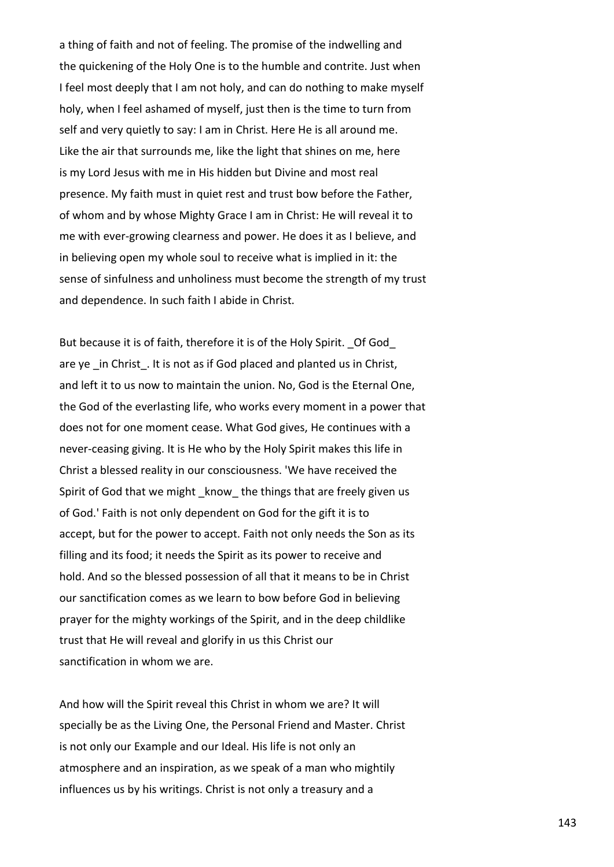a thing of faith and not of feeling. The promise of the indwelling and the quickening of the Holy One is to the humble and contrite. Just when I feel most deeply that I am not holy, and can do nothing to make myself holy, when I feel ashamed of myself, just then is the time to turn from self and very quietly to say: I am in Christ. Here He is all around me. Like the air that surrounds me, like the light that shines on me, here is my Lord Jesus with me in His hidden but Divine and most real presence. My faith must in quiet rest and trust bow before the Father, of whom and by whose Mighty Grace I am in Christ: He will reveal it to me with ever-growing clearness and power. He does it as I believe, and in believing open my whole soul to receive what is implied in it: the sense of sinfulness and unholiness must become the strength of my trust and dependence. In such faith I abide in Christ.

But because it is of faith, therefore it is of the Holy Spirit. Of God are ye in Christ. It is not as if God placed and planted us in Christ, and left it to us now to maintain the union. No, God is the Eternal One, the God of the everlasting life, who works every moment in a power that does not for one moment cease. What God gives, He continues with a never-ceasing giving. It is He who by the Holy Spirit makes this life in Christ a blessed reality in our consciousness. 'We have received the Spirit of God that we might know the things that are freely given us of God.' Faith is not only dependent on God for the gift it is to accept, but for the power to accept. Faith not only needs the Son as its filling and its food; it needs the Spirit as its power to receive and hold. And so the blessed possession of all that it means to be in Christ our sanctification comes as we learn to bow before God in believing prayer for the mighty workings of the Spirit, and in the deep childlike trust that He will reveal and glorify in us this Christ our sanctification in whom we are.

And how will the Spirit reveal this Christ in whom we are? It will specially be as the Living One, the Personal Friend and Master. Christ is not only our Example and our Ideal. His life is not only an atmosphere and an inspiration, as we speak of a man who mightily influences us by his writings. Christ is not only a treasury and a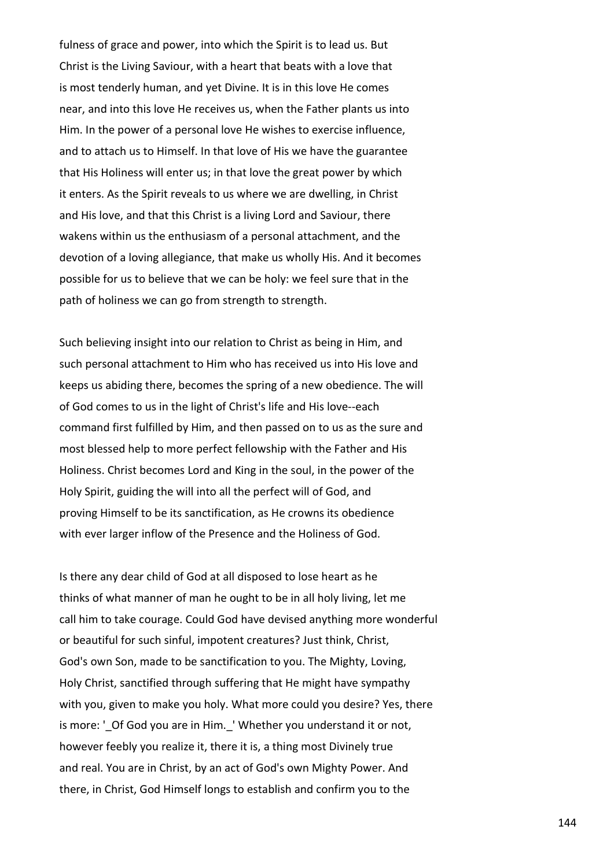fulness of grace and power, into which the Spirit is to lead us. But Christ is the Living Saviour, with a heart that beats with a love that is most tenderly human, and yet Divine. It is in this love He comes near, and into this love He receives us, when the Father plants us into Him. In the power of a personal love He wishes to exercise influence, and to attach us to Himself. In that love of His we have the guarantee that His Holiness will enter us; in that love the great power by which it enters. As the Spirit reveals to us where we are dwelling, in Christ and His love, and that this Christ is a living Lord and Saviour, there wakens within us the enthusiasm of a personal attachment, and the devotion of a loving allegiance, that make us wholly His. And it becomes possible for us to believe that we can be holy: we feel sure that in the path of holiness we can go from strength to strength.

Such believing insight into our relation to Christ as being in Him, and such personal attachment to Him who has received us into His love and keeps us abiding there, becomes the spring of a new obedience. The will of God comes to us in the light of Christ's life and His love--each command first fulfilled by Him, and then passed on to us as the sure and most blessed help to more perfect fellowship with the Father and His Holiness. Christ becomes Lord and King in the soul, in the power of the Holy Spirit, guiding the will into all the perfect will of God, and proving Himself to be its sanctification, as He crowns its obedience with ever larger inflow of the Presence and the Holiness of God.

Is there any dear child of God at all disposed to lose heart as he thinks of what manner of man he ought to be in all holy living, let me call him to take courage. Could God have devised anything more wonderful or beautiful for such sinful, impotent creatures? Just think, Christ, God's own Son, made to be sanctification to you. The Mighty, Loving, Holy Christ, sanctified through suffering that He might have sympathy with you, given to make you holy. What more could you desire? Yes, there is more: '\_Of God you are in Him.\_' Whether you understand it or not, however feebly you realize it, there it is, a thing most Divinely true and real. You are in Christ, by an act of God's own Mighty Power. And there, in Christ, God Himself longs to establish and confirm you to the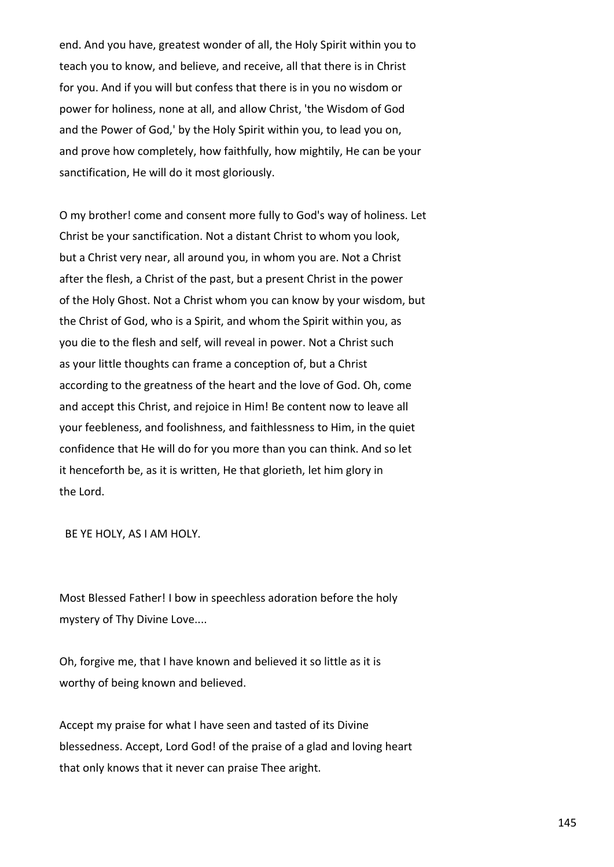end. And you have, greatest wonder of all, the Holy Spirit within you to teach you to know, and believe, and receive, all that there is in Christ for you. And if you will but confess that there is in you no wisdom or power for holiness, none at all, and allow Christ, 'the Wisdom of God and the Power of God,' by the Holy Spirit within you, to lead you on, and prove how completely, how faithfully, how mightily, He can be your sanctification, He will do it most gloriously.

O my brother! come and consent more fully to God's way of holiness. Let Christ be your sanctification. Not a distant Christ to whom you look, but a Christ very near, all around you, in whom you are. Not a Christ after the flesh, a Christ of the past, but a present Christ in the power of the Holy Ghost. Not a Christ whom you can know by your wisdom, but the Christ of God, who is a Spirit, and whom the Spirit within you, as you die to the flesh and self, will reveal in power. Not a Christ such as your little thoughts can frame a conception of, but a Christ according to the greatness of the heart and the love of God. Oh, come and accept this Christ, and rejoice in Him! Be content now to leave all your feebleness, and foolishness, and faithlessness to Him, in the quiet confidence that He will do for you more than you can think. And so let it henceforth be, as it is written, He that glorieth, let him glory in the Lord.

BE YE HOLY, AS I AM HOLY.

Most Blessed Father! I bow in speechless adoration before the holy mystery of Thy Divine Love....

Oh, forgive me, that I have known and believed it so little as it is worthy of being known and believed.

Accept my praise for what I have seen and tasted of its Divine blessedness. Accept, Lord God! of the praise of a glad and loving heart that only knows that it never can praise Thee aright.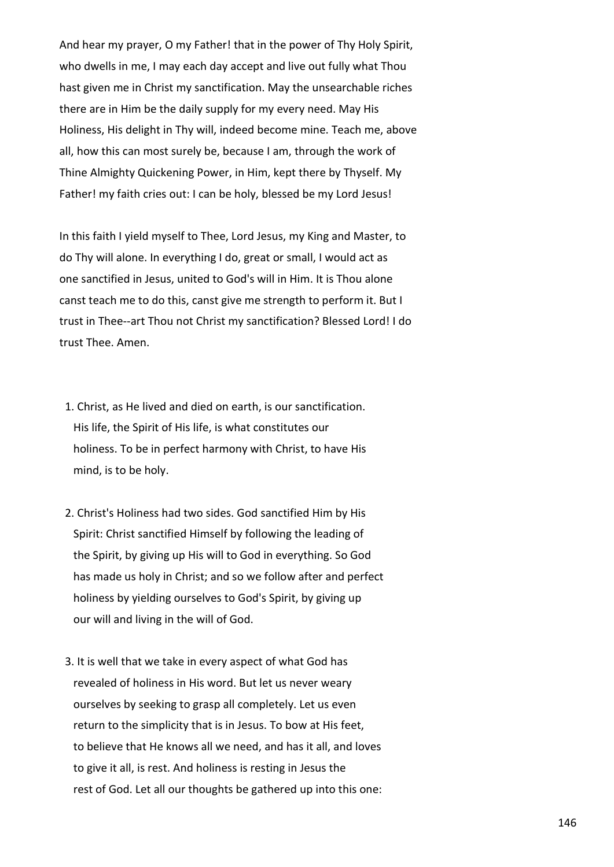And hear my prayer, O my Father! that in the power of Thy Holy Spirit, who dwells in me, I may each day accept and live out fully what Thou hast given me in Christ my sanctification. May the unsearchable riches there are in Him be the daily supply for my every need. May His Holiness, His delight in Thy will, indeed become mine. Teach me, above all, how this can most surely be, because I am, through the work of Thine Almighty Quickening Power, in Him, kept there by Thyself. My Father! my faith cries out: I can be holy, blessed be my Lord Jesus!

In this faith I yield myself to Thee, Lord Jesus, my King and Master, to do Thy will alone. In everything I do, great or small, I would act as one sanctified in Jesus, united to God's will in Him. It is Thou alone canst teach me to do this, canst give me strength to perform it. But I trust in Thee--art Thou not Christ my sanctification? Blessed Lord! I do trust Thee. Amen.

- 1. Christ, as He lived and died on earth, is our sanctification. His life, the Spirit of His life, is what constitutes our holiness. To be in perfect harmony with Christ, to have His mind, is to be holy.
- 2. Christ's Holiness had two sides. God sanctified Him by His Spirit: Christ sanctified Himself by following the leading of the Spirit, by giving up His will to God in everything. So God has made us holy in Christ; and so we follow after and perfect holiness by yielding ourselves to God's Spirit, by giving up our will and living in the will of God.
- 3. It is well that we take in every aspect of what God has revealed of holiness in His word. But let us never weary ourselves by seeking to grasp all completely. Let us even return to the simplicity that is in Jesus. To bow at His feet, to believe that He knows all we need, and has it all, and loves to give it all, is rest. And holiness is resting in Jesus the rest of God. Let all our thoughts be gathered up into this one: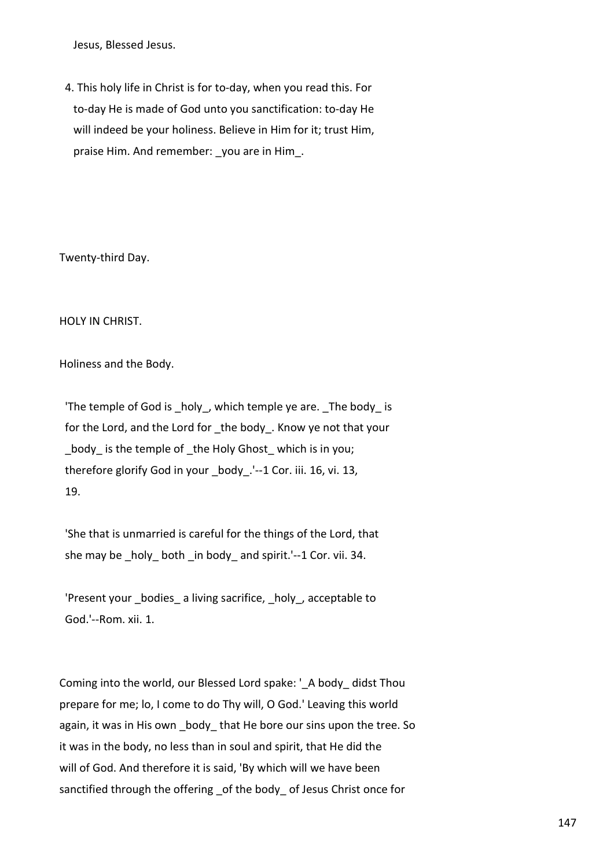Jesus, Blessed Jesus.

 4. This holy life in Christ is for to-day, when you read this. For to-day He is made of God unto you sanctification: to-day He will indeed be your holiness. Believe in Him for it; trust Him, praise Him. And remember: \_you are in Him\_.

Twenty-third Day.

HOLY IN CHRIST.

Holiness and the Body.

 'The temple of God is \_holy\_, which temple ye are. \_The body\_ is for the Lord, and the Lord for the body. Know ye not that your body is the temple of the Holy Ghost which is in you; therefore glorify God in your body. '--1 Cor. iii. 16, vi. 13, 19.

 'She that is unmarried is careful for the things of the Lord, that she may be holy both in body and spirit.'--1 Cor. vii. 34.

'Present your bodies a living sacrifice, holy, acceptable to God.'--Rom. xii. 1.

Coming into the world, our Blessed Lord spake: ' A body didst Thou prepare for me; lo, I come to do Thy will, O God.' Leaving this world again, it was in His own \_body\_that He bore our sins upon the tree. So it was in the body, no less than in soul and spirit, that He did the will of God. And therefore it is said, 'By which will we have been sanctified through the offering of the body of Jesus Christ once for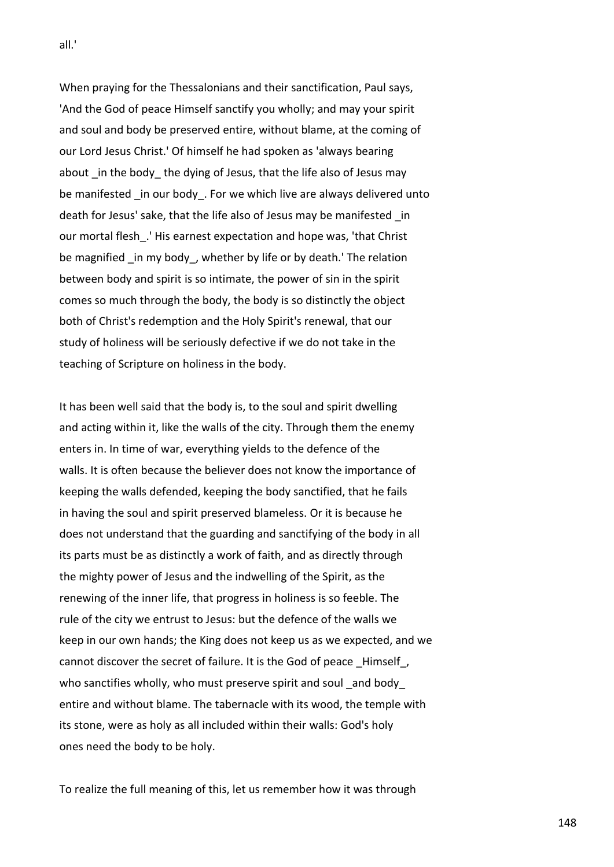When praying for the Thessalonians and their sanctification, Paul says, 'And the God of peace Himself sanctify you wholly; and may your spirit and soul and body be preserved entire, without blame, at the coming of our Lord Jesus Christ.' Of himself he had spoken as 'always bearing about in the body the dying of Jesus, that the life also of Jesus may be manifested in our body. For we which live are always delivered unto death for Jesus' sake, that the life also of Jesus may be manifested in our mortal flesh\_.' His earnest expectation and hope was, 'that Christ be magnified in my body, whether by life or by death.' The relation between body and spirit is so intimate, the power of sin in the spirit comes so much through the body, the body is so distinctly the object both of Christ's redemption and the Holy Spirit's renewal, that our study of holiness will be seriously defective if we do not take in the teaching of Scripture on holiness in the body.

It has been well said that the body is, to the soul and spirit dwelling and acting within it, like the walls of the city. Through them the enemy enters in. In time of war, everything yields to the defence of the walls. It is often because the believer does not know the importance of keeping the walls defended, keeping the body sanctified, that he fails in having the soul and spirit preserved blameless. Or it is because he does not understand that the guarding and sanctifying of the body in all its parts must be as distinctly a work of faith, and as directly through the mighty power of Jesus and the indwelling of the Spirit, as the renewing of the inner life, that progress in holiness is so feeble. The rule of the city we entrust to Jesus: but the defence of the walls we keep in our own hands; the King does not keep us as we expected, and we cannot discover the secret of failure. It is the God of peace Himself, who sanctifies wholly, who must preserve spirit and soul and body entire and without blame. The tabernacle with its wood, the temple with its stone, were as holy as all included within their walls: God's holy ones need the body to be holy.

To realize the full meaning of this, let us remember how it was through

all.'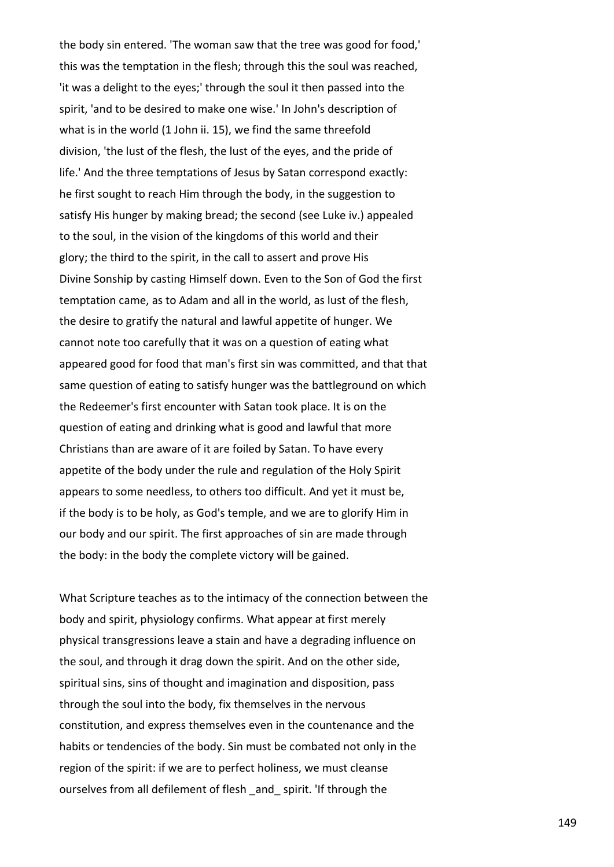the body sin entered. 'The woman saw that the tree was good for food,' this was the temptation in the flesh; through this the soul was reached, 'it was a delight to the eyes;' through the soul it then passed into the spirit, 'and to be desired to make one wise.' In John's description of what is in the world (1 John ii. 15), we find the same threefold division, 'the lust of the flesh, the lust of the eyes, and the pride of life.' And the three temptations of Jesus by Satan correspond exactly: he first sought to reach Him through the body, in the suggestion to satisfy His hunger by making bread; the second (see Luke iv.) appealed to the soul, in the vision of the kingdoms of this world and their glory; the third to the spirit, in the call to assert and prove His Divine Sonship by casting Himself down. Even to the Son of God the first temptation came, as to Adam and all in the world, as lust of the flesh, the desire to gratify the natural and lawful appetite of hunger. We cannot note too carefully that it was on a question of eating what appeared good for food that man's first sin was committed, and that that same question of eating to satisfy hunger was the battleground on which the Redeemer's first encounter with Satan took place. It is on the question of eating and drinking what is good and lawful that more Christians than are aware of it are foiled by Satan. To have every appetite of the body under the rule and regulation of the Holy Spirit appears to some needless, to others too difficult. And yet it must be, if the body is to be holy, as God's temple, and we are to glorify Him in our body and our spirit. The first approaches of sin are made through the body: in the body the complete victory will be gained.

What Scripture teaches as to the intimacy of the connection between the body and spirit, physiology confirms. What appear at first merely physical transgressions leave a stain and have a degrading influence on the soul, and through it drag down the spirit. And on the other side, spiritual sins, sins of thought and imagination and disposition, pass through the soul into the body, fix themselves in the nervous constitution, and express themselves even in the countenance and the habits or tendencies of the body. Sin must be combated not only in the region of the spirit: if we are to perfect holiness, we must cleanse ourselves from all defilement of flesh and spirit. 'If through the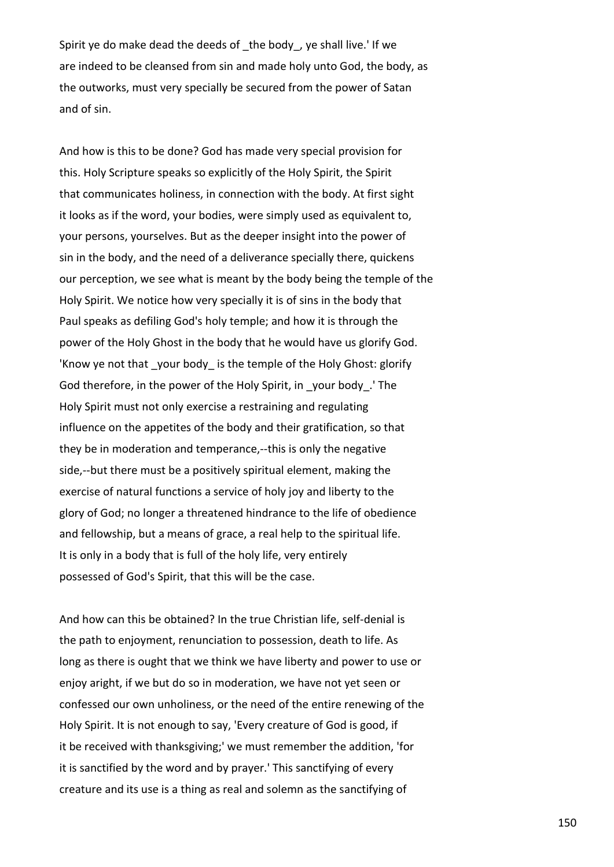Spirit ye do make dead the deeds of the body, ye shall live.' If we are indeed to be cleansed from sin and made holy unto God, the body, as the outworks, must very specially be secured from the power of Satan and of sin.

And how is this to be done? God has made very special provision for this. Holy Scripture speaks so explicitly of the Holy Spirit, the Spirit that communicates holiness, in connection with the body. At first sight it looks as if the word, your bodies, were simply used as equivalent to, your persons, yourselves. But as the deeper insight into the power of sin in the body, and the need of a deliverance specially there, quickens our perception, we see what is meant by the body being the temple of the Holy Spirit. We notice how very specially it is of sins in the body that Paul speaks as defiling God's holy temple; and how it is through the power of the Holy Ghost in the body that he would have us glorify God. 'Know ye not that your body is the temple of the Holy Ghost: glorify God therefore, in the power of the Holy Spirit, in \_your body\_.' The Holy Spirit must not only exercise a restraining and regulating influence on the appetites of the body and their gratification, so that they be in moderation and temperance,--this is only the negative side,--but there must be a positively spiritual element, making the exercise of natural functions a service of holy joy and liberty to the glory of God; no longer a threatened hindrance to the life of obedience and fellowship, but a means of grace, a real help to the spiritual life. It is only in a body that is full of the holy life, very entirely possessed of God's Spirit, that this will be the case.

And how can this be obtained? In the true Christian life, self-denial is the path to enjoyment, renunciation to possession, death to life. As long as there is ought that we think we have liberty and power to use or enjoy aright, if we but do so in moderation, we have not yet seen or confessed our own unholiness, or the need of the entire renewing of the Holy Spirit. It is not enough to say, 'Every creature of God is good, if it be received with thanksgiving;' we must remember the addition, 'for it is sanctified by the word and by prayer.' This sanctifying of every creature and its use is a thing as real and solemn as the sanctifying of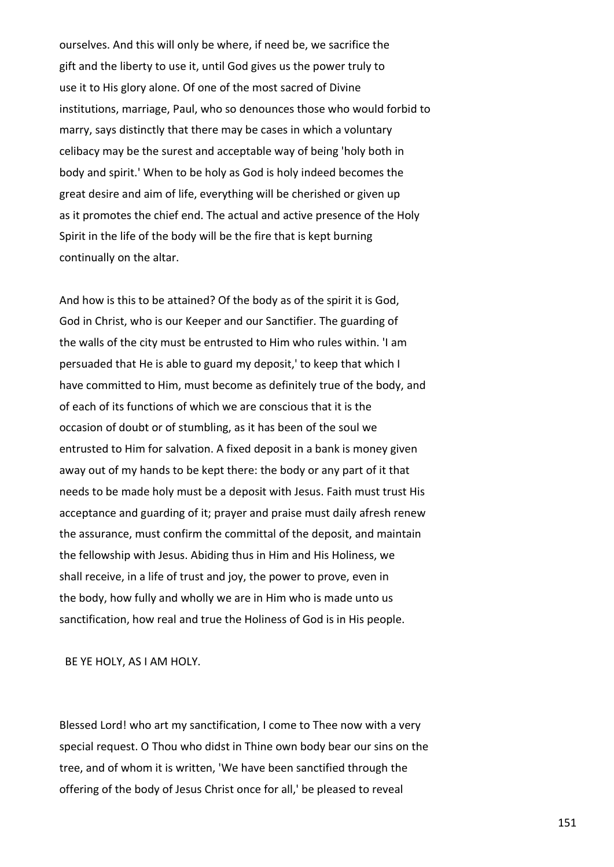ourselves. And this will only be where, if need be, we sacrifice the gift and the liberty to use it, until God gives us the power truly to use it to His glory alone. Of one of the most sacred of Divine institutions, marriage, Paul, who so denounces those who would forbid to marry, says distinctly that there may be cases in which a voluntary celibacy may be the surest and acceptable way of being 'holy both in body and spirit.' When to be holy as God is holy indeed becomes the great desire and aim of life, everything will be cherished or given up as it promotes the chief end. The actual and active presence of the Holy Spirit in the life of the body will be the fire that is kept burning continually on the altar.

And how is this to be attained? Of the body as of the spirit it is God, God in Christ, who is our Keeper and our Sanctifier. The guarding of the walls of the city must be entrusted to Him who rules within. 'I am persuaded that He is able to guard my deposit,' to keep that which I have committed to Him, must become as definitely true of the body, and of each of its functions of which we are conscious that it is the occasion of doubt or of stumbling, as it has been of the soul we entrusted to Him for salvation. A fixed deposit in a bank is money given away out of my hands to be kept there: the body or any part of it that needs to be made holy must be a deposit with Jesus. Faith must trust His acceptance and guarding of it; prayer and praise must daily afresh renew the assurance, must confirm the committal of the deposit, and maintain the fellowship with Jesus. Abiding thus in Him and His Holiness, we shall receive, in a life of trust and joy, the power to prove, even in the body, how fully and wholly we are in Him who is made unto us sanctification, how real and true the Holiness of God is in His people.

BE YE HOLY, AS I AM HOLY.

Blessed Lord! who art my sanctification, I come to Thee now with a very special request. O Thou who didst in Thine own body bear our sins on the tree, and of whom it is written, 'We have been sanctified through the offering of the body of Jesus Christ once for all,' be pleased to reveal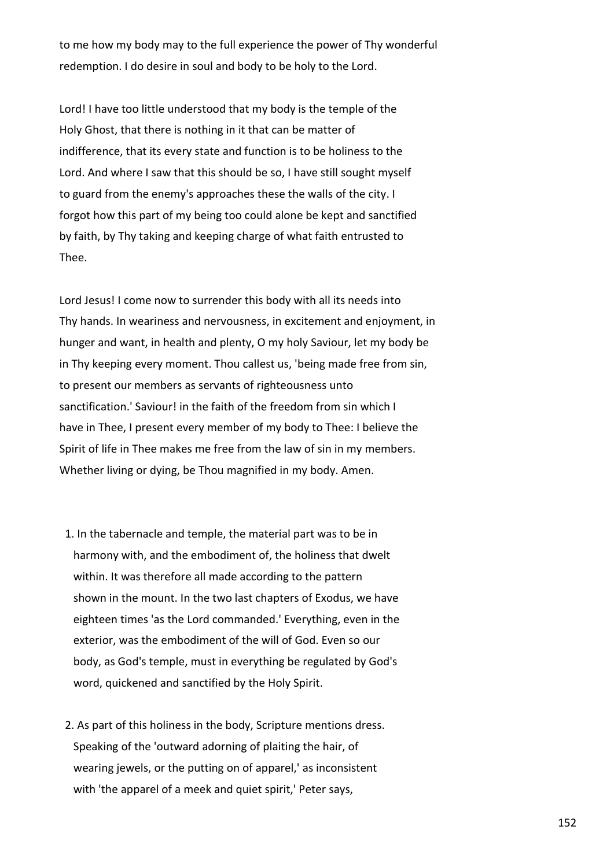to me how my body may to the full experience the power of Thy wonderful redemption. I do desire in soul and body to be holy to the Lord.

Lord! I have too little understood that my body is the temple of the Holy Ghost, that there is nothing in it that can be matter of indifference, that its every state and function is to be holiness to the Lord. And where I saw that this should be so, I have still sought myself to guard from the enemy's approaches these the walls of the city. I forgot how this part of my being too could alone be kept and sanctified by faith, by Thy taking and keeping charge of what faith entrusted to Thee.

Lord Jesus! I come now to surrender this body with all its needs into Thy hands. In weariness and nervousness, in excitement and enjoyment, in hunger and want, in health and plenty, O my holy Saviour, let my body be in Thy keeping every moment. Thou callest us, 'being made free from sin, to present our members as servants of righteousness unto sanctification.' Saviour! in the faith of the freedom from sin which I have in Thee, I present every member of my body to Thee: I believe the Spirit of life in Thee makes me free from the law of sin in my members. Whether living or dying, be Thou magnified in my body. Amen.

- 1. In the tabernacle and temple, the material part was to be in harmony with, and the embodiment of, the holiness that dwelt within. It was therefore all made according to the pattern shown in the mount. In the two last chapters of Exodus, we have eighteen times 'as the Lord commanded.' Everything, even in the exterior, was the embodiment of the will of God. Even so our body, as God's temple, must in everything be regulated by God's word, quickened and sanctified by the Holy Spirit.
- 2. As part of this holiness in the body, Scripture mentions dress. Speaking of the 'outward adorning of plaiting the hair, of wearing jewels, or the putting on of apparel,' as inconsistent with 'the apparel of a meek and quiet spirit,' Peter says,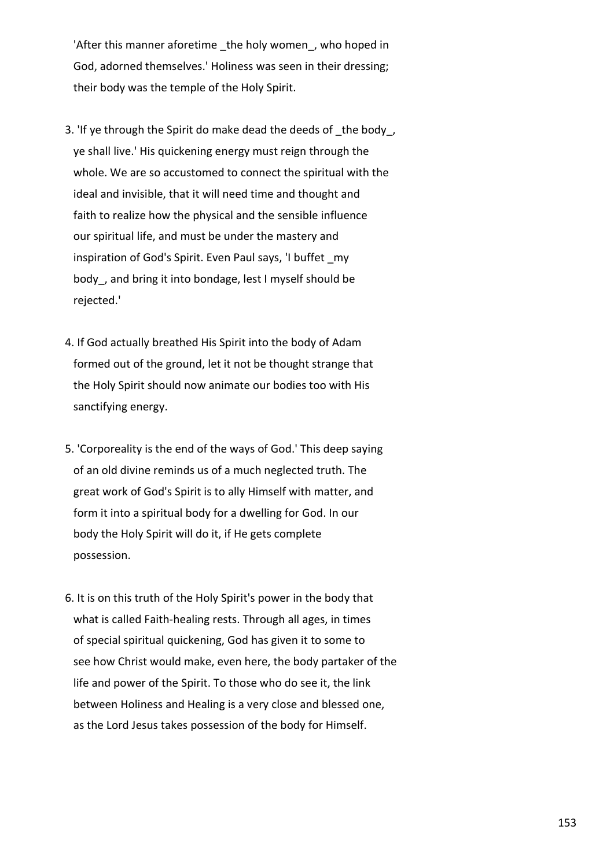'After this manner aforetime the holy women, who hoped in God, adorned themselves.' Holiness was seen in their dressing; their body was the temple of the Holy Spirit.

- 3. If ye through the Spirit do make dead the deeds of the body, ye shall live.' His quickening energy must reign through the whole. We are so accustomed to connect the spiritual with the ideal and invisible, that it will need time and thought and faith to realize how the physical and the sensible influence our spiritual life, and must be under the mastery and inspiration of God's Spirit. Even Paul says, 'I buffet my body, and bring it into bondage, lest I myself should be rejected.'
- 4. If God actually breathed His Spirit into the body of Adam formed out of the ground, let it not be thought strange that the Holy Spirit should now animate our bodies too with His sanctifying energy.
- 5. 'Corporeality is the end of the ways of God.' This deep saying of an old divine reminds us of a much neglected truth. The great work of God's Spirit is to ally Himself with matter, and form it into a spiritual body for a dwelling for God. In our body the Holy Spirit will do it, if He gets complete possession.
- 6. It is on this truth of the Holy Spirit's power in the body that what is called Faith-healing rests. Through all ages, in times of special spiritual quickening, God has given it to some to see how Christ would make, even here, the body partaker of the life and power of the Spirit. To those who do see it, the link between Holiness and Healing is a very close and blessed one, as the Lord Jesus takes possession of the body for Himself.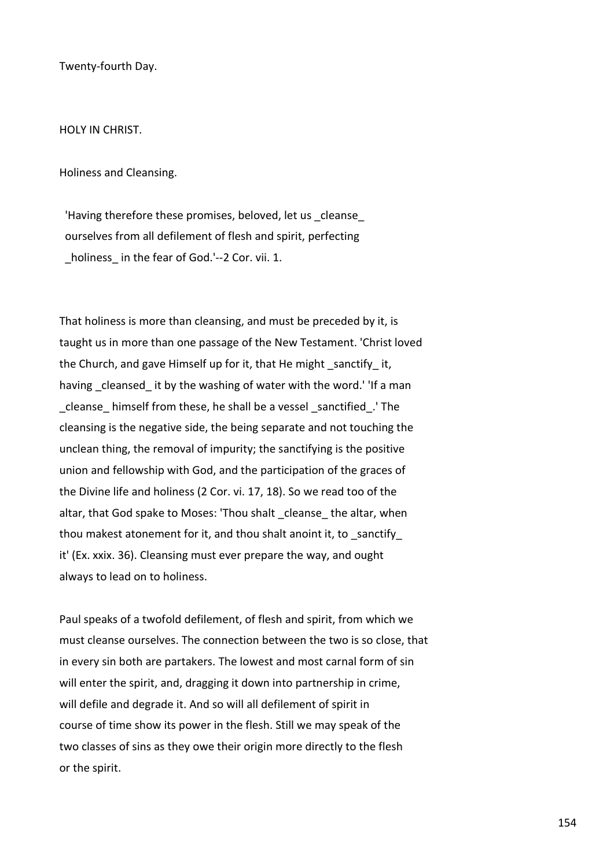Twenty-fourth Day.

HOLY IN CHRIST.

Holiness and Cleansing.

'Having therefore these promises, beloved, let us cleanse ourselves from all defilement of flesh and spirit, perfecting holiness in the fear of God.'--2 Cor. vii. 1.

That holiness is more than cleansing, and must be preceded by it, is taught us in more than one passage of the New Testament. 'Christ loved the Church, and gave Himself up for it, that He might sanctify it, having cleansed it by the washing of water with the word.' 'If a man \_cleanse\_ himself from these, he shall be a vessel \_sanctified\_.' The cleansing is the negative side, the being separate and not touching the unclean thing, the removal of impurity; the sanctifying is the positive union and fellowship with God, and the participation of the graces of the Divine life and holiness (2 Cor. vi. 17, 18). So we read too of the altar, that God spake to Moses: 'Thou shalt cleanse the altar, when thou makest atonement for it, and thou shalt anoint it, to \_sanctify\_ it' (Ex. xxix. 36). Cleansing must ever prepare the way, and ought always to lead on to holiness.

Paul speaks of a twofold defilement, of flesh and spirit, from which we must cleanse ourselves. The connection between the two is so close, that in every sin both are partakers. The lowest and most carnal form of sin will enter the spirit, and, dragging it down into partnership in crime, will defile and degrade it. And so will all defilement of spirit in course of time show its power in the flesh. Still we may speak of the two classes of sins as they owe their origin more directly to the flesh or the spirit.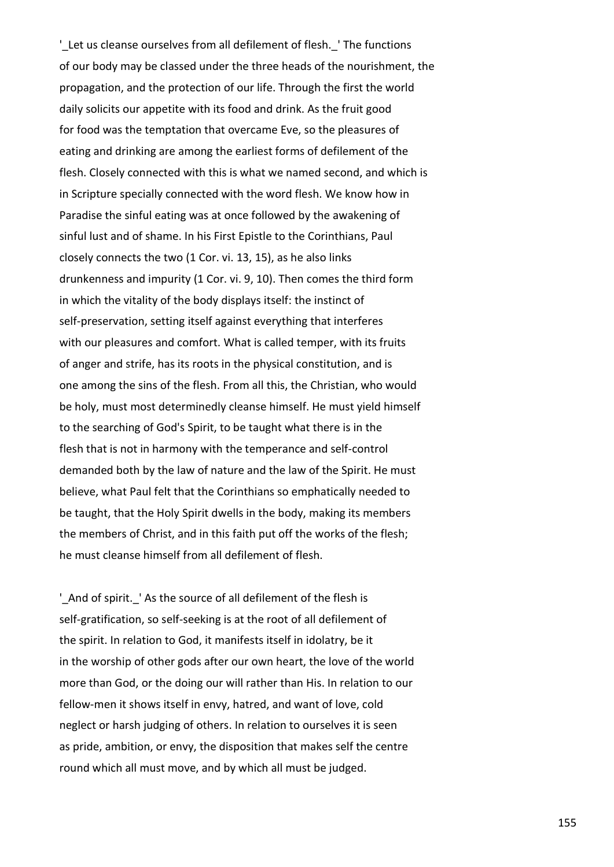'Let us cleanse ourselves from all defilement of flesh. 'The functions of our body may be classed under the three heads of the nourishment, the propagation, and the protection of our life. Through the first the world daily solicits our appetite with its food and drink. As the fruit good for food was the temptation that overcame Eve, so the pleasures of eating and drinking are among the earliest forms of defilement of the flesh. Closely connected with this is what we named second, and which is in Scripture specially connected with the word flesh. We know how in Paradise the sinful eating was at once followed by the awakening of sinful lust and of shame. In his First Epistle to the Corinthians, Paul closely connects the two (1 Cor. vi. 13, 15), as he also links drunkenness and impurity (1 Cor. vi. 9, 10). Then comes the third form in which the vitality of the body displays itself: the instinct of self-preservation, setting itself against everything that interferes with our pleasures and comfort. What is called temper, with its fruits of anger and strife, has its roots in the physical constitution, and is one among the sins of the flesh. From all this, the Christian, who would be holy, must most determinedly cleanse himself. He must yield himself to the searching of God's Spirit, to be taught what there is in the flesh that is not in harmony with the temperance and self-control demanded both by the law of nature and the law of the Spirit. He must believe, what Paul felt that the Corinthians so emphatically needed to be taught, that the Holy Spirit dwells in the body, making its members the members of Christ, and in this faith put off the works of the flesh; he must cleanse himself from all defilement of flesh.

' And of spirit. 'As the source of all defilement of the flesh is self-gratification, so self-seeking is at the root of all defilement of the spirit. In relation to God, it manifests itself in idolatry, be it in the worship of other gods after our own heart, the love of the world more than God, or the doing our will rather than His. In relation to our fellow-men it shows itself in envy, hatred, and want of love, cold neglect or harsh judging of others. In relation to ourselves it is seen as pride, ambition, or envy, the disposition that makes self the centre round which all must move, and by which all must be judged.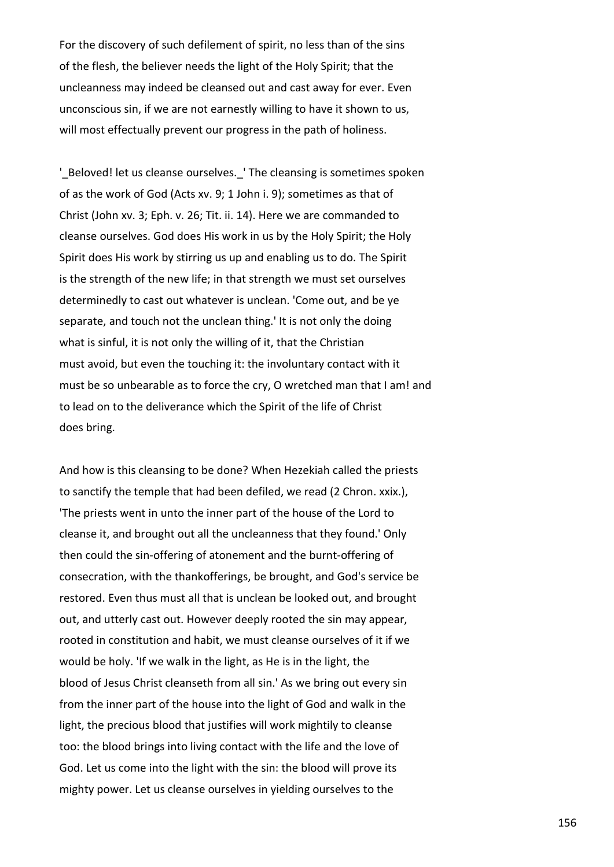For the discovery of such defilement of spirit, no less than of the sins of the flesh, the believer needs the light of the Holy Spirit; that the uncleanness may indeed be cleansed out and cast away for ever. Even unconscious sin, if we are not earnestly willing to have it shown to us, will most effectually prevent our progress in the path of holiness.

' Beloved! let us cleanse ourselves. 'The cleansing is sometimes spoken of as the work of God (Acts xv. 9; 1 John i. 9); sometimes as that of Christ (John xv. 3; Eph. v. 26; Tit. ii. 14). Here we are commanded to cleanse ourselves. God does His work in us by the Holy Spirit; the Holy Spirit does His work by stirring us up and enabling us to do. The Spirit is the strength of the new life; in that strength we must set ourselves determinedly to cast out whatever is unclean. 'Come out, and be ye separate, and touch not the unclean thing.' It is not only the doing what is sinful, it is not only the willing of it, that the Christian must avoid, but even the touching it: the involuntary contact with it must be so unbearable as to force the cry, O wretched man that I am! and to lead on to the deliverance which the Spirit of the life of Christ does bring.

And how is this cleansing to be done? When Hezekiah called the priests to sanctify the temple that had been defiled, we read (2 Chron. xxix.), 'The priests went in unto the inner part of the house of the Lord to cleanse it, and brought out all the uncleanness that they found.' Only then could the sin-offering of atonement and the burnt-offering of consecration, with the thankofferings, be brought, and God's service be restored. Even thus must all that is unclean be looked out, and brought out, and utterly cast out. However deeply rooted the sin may appear, rooted in constitution and habit, we must cleanse ourselves of it if we would be holy. 'If we walk in the light, as He is in the light, the blood of Jesus Christ cleanseth from all sin.' As we bring out every sin from the inner part of the house into the light of God and walk in the light, the precious blood that justifies will work mightily to cleanse too: the blood brings into living contact with the life and the love of God. Let us come into the light with the sin: the blood will prove its mighty power. Let us cleanse ourselves in yielding ourselves to the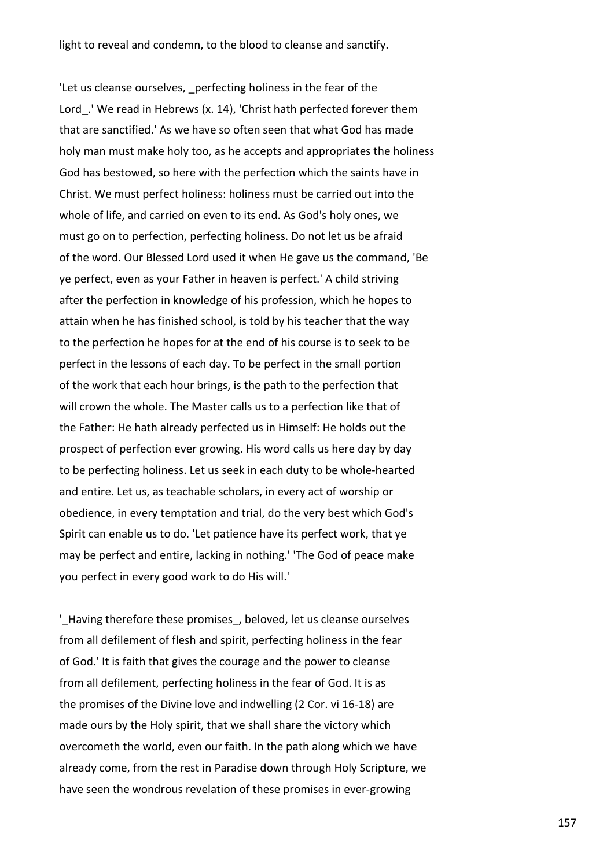'Let us cleanse ourselves, perfecting holiness in the fear of the Lord. 'We read in Hebrews (x. 14), 'Christ hath perfected forever them that are sanctified.' As we have so often seen that what God has made holy man must make holy too, as he accepts and appropriates the holiness God has bestowed, so here with the perfection which the saints have in Christ. We must perfect holiness: holiness must be carried out into the whole of life, and carried on even to its end. As God's holy ones, we must go on to perfection, perfecting holiness. Do not let us be afraid of the word. Our Blessed Lord used it when He gave us the command, 'Be ye perfect, even as your Father in heaven is perfect.' A child striving after the perfection in knowledge of his profession, which he hopes to attain when he has finished school, is told by his teacher that the way to the perfection he hopes for at the end of his course is to seek to be perfect in the lessons of each day. To be perfect in the small portion of the work that each hour brings, is the path to the perfection that will crown the whole. The Master calls us to a perfection like that of the Father: He hath already perfected us in Himself: He holds out the prospect of perfection ever growing. His word calls us here day by day to be perfecting holiness. Let us seek in each duty to be whole-hearted and entire. Let us, as teachable scholars, in every act of worship or obedience, in every temptation and trial, do the very best which God's Spirit can enable us to do. 'Let patience have its perfect work, that ye may be perfect and entire, lacking in nothing.' 'The God of peace make you perfect in every good work to do His will.'

'Having therefore these promises, beloved, let us cleanse ourselves from all defilement of flesh and spirit, perfecting holiness in the fear of God.' It is faith that gives the courage and the power to cleanse from all defilement, perfecting holiness in the fear of God. It is as the promises of the Divine love and indwelling (2 Cor. vi 16-18) are made ours by the Holy spirit, that we shall share the victory which overcometh the world, even our faith. In the path along which we have already come, from the rest in Paradise down through Holy Scripture, we have seen the wondrous revelation of these promises in ever-growing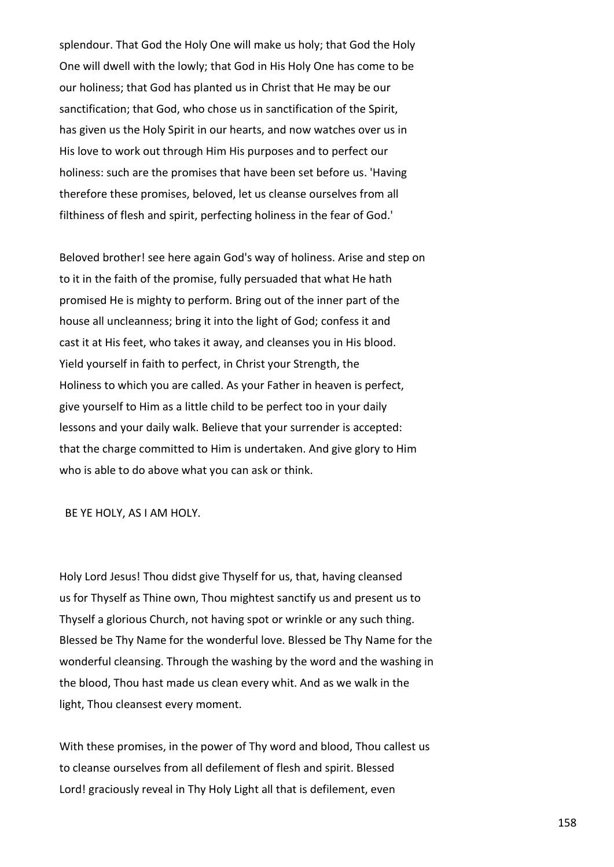splendour. That God the Holy One will make us holy; that God the Holy One will dwell with the lowly; that God in His Holy One has come to be our holiness; that God has planted us in Christ that He may be our sanctification; that God, who chose us in sanctification of the Spirit, has given us the Holy Spirit in our hearts, and now watches over us in His love to work out through Him His purposes and to perfect our holiness: such are the promises that have been set before us. 'Having therefore these promises, beloved, let us cleanse ourselves from all filthiness of flesh and spirit, perfecting holiness in the fear of God.'

Beloved brother! see here again God's way of holiness. Arise and step on to it in the faith of the promise, fully persuaded that what He hath promised He is mighty to perform. Bring out of the inner part of the house all uncleanness; bring it into the light of God; confess it and cast it at His feet, who takes it away, and cleanses you in His blood. Yield yourself in faith to perfect, in Christ your Strength, the Holiness to which you are called. As your Father in heaven is perfect, give yourself to Him as a little child to be perfect too in your daily lessons and your daily walk. Believe that your surrender is accepted: that the charge committed to Him is undertaken. And give glory to Him who is able to do above what you can ask or think.

BE YE HOLY, AS I AM HOLY.

Holy Lord Jesus! Thou didst give Thyself for us, that, having cleansed us for Thyself as Thine own, Thou mightest sanctify us and present us to Thyself a glorious Church, not having spot or wrinkle or any such thing. Blessed be Thy Name for the wonderful love. Blessed be Thy Name for the wonderful cleansing. Through the washing by the word and the washing in the blood, Thou hast made us clean every whit. And as we walk in the light, Thou cleansest every moment.

With these promises, in the power of Thy word and blood, Thou callest us to cleanse ourselves from all defilement of flesh and spirit. Blessed Lord! graciously reveal in Thy Holy Light all that is defilement, even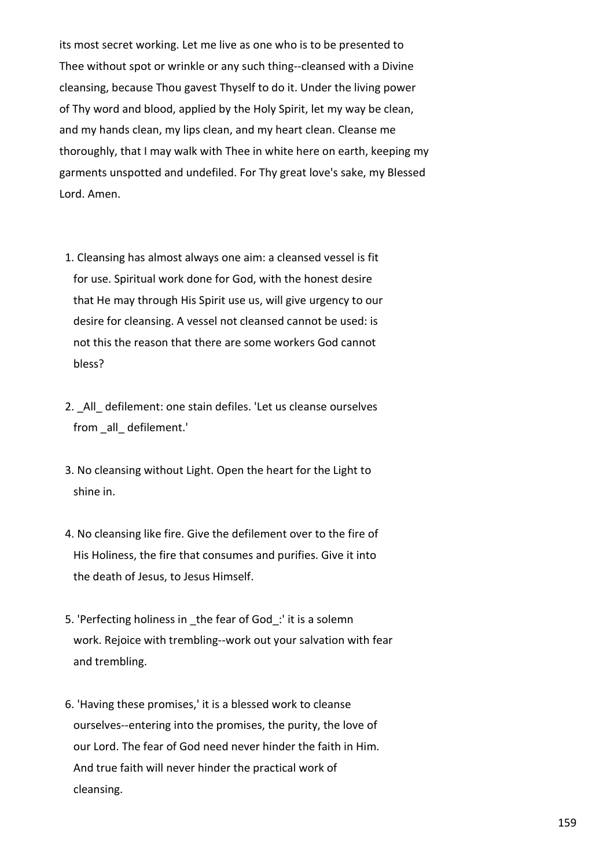its most secret working. Let me live as one who is to be presented to Thee without spot or wrinkle or any such thing--cleansed with a Divine cleansing, because Thou gavest Thyself to do it. Under the living power of Thy word and blood, applied by the Holy Spirit, let my way be clean, and my hands clean, my lips clean, and my heart clean. Cleanse me thoroughly, that I may walk with Thee in white here on earth, keeping my garments unspotted and undefiled. For Thy great love's sake, my Blessed Lord. Amen.

- 1. Cleansing has almost always one aim: a cleansed vessel is fit for use. Spiritual work done for God, with the honest desire that He may through His Spirit use us, will give urgency to our desire for cleansing. A vessel not cleansed cannot be used: is not this the reason that there are some workers God cannot bless?
- 2. \_All\_ defilement: one stain defiles. 'Let us cleanse ourselves from all defilement.'
- 3. No cleansing without Light. Open the heart for the Light to shine in.
- 4. No cleansing like fire. Give the defilement over to the fire of His Holiness, the fire that consumes and purifies. Give it into the death of Jesus, to Jesus Himself.
- 5. 'Perfecting holiness in the fear of God: ' it is a solemn work. Rejoice with trembling--work out your salvation with fear and trembling.
- 6. 'Having these promises,' it is a blessed work to cleanse ourselves--entering into the promises, the purity, the love of our Lord. The fear of God need never hinder the faith in Him. And true faith will never hinder the practical work of cleansing.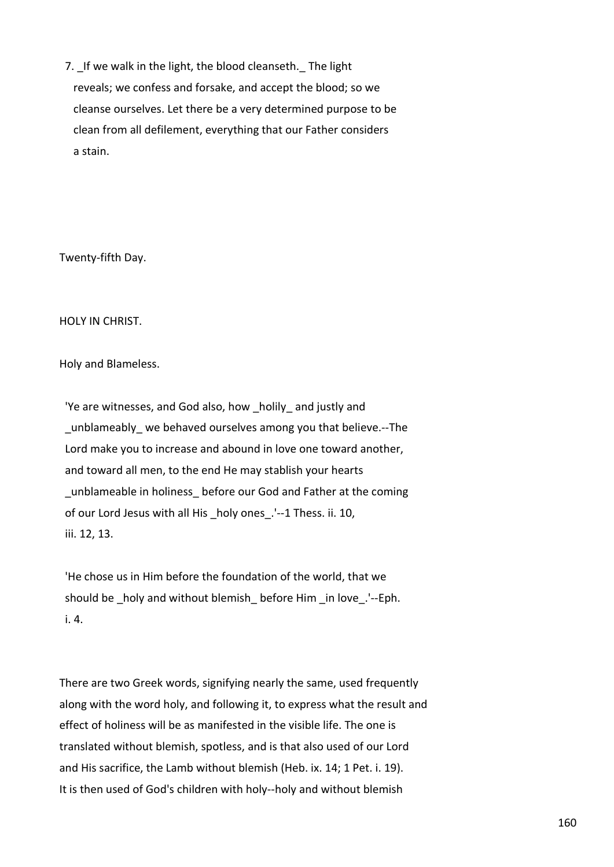7. If we walk in the light, the blood cleanseth. The light reveals; we confess and forsake, and accept the blood; so we cleanse ourselves. Let there be a very determined purpose to be clean from all defilement, everything that our Father considers a stain.

Twenty-fifth Day.

HOLY IN CHRIST.

Holy and Blameless.

 'Ye are witnesses, and God also, how \_holily\_ and justly and unblameably we behaved ourselves among you that believe.--The Lord make you to increase and abound in love one toward another, and toward all men, to the end He may stablish your hearts unblameable in holiness before our God and Father at the coming of our Lord Jesus with all His \_holy ones\_.'--1 Thess. ii. 10, iii. 12, 13.

 'He chose us in Him before the foundation of the world, that we should be \_holy and without blemish \_before Him \_in love \_'--Eph. i. 4.

There are two Greek words, signifying nearly the same, used frequently along with the word holy, and following it, to express what the result and effect of holiness will be as manifested in the visible life. The one is translated without blemish, spotless, and is that also used of our Lord and His sacrifice, the Lamb without blemish (Heb. ix. 14; 1 Pet. i. 19). It is then used of God's children with holy--holy and without blemish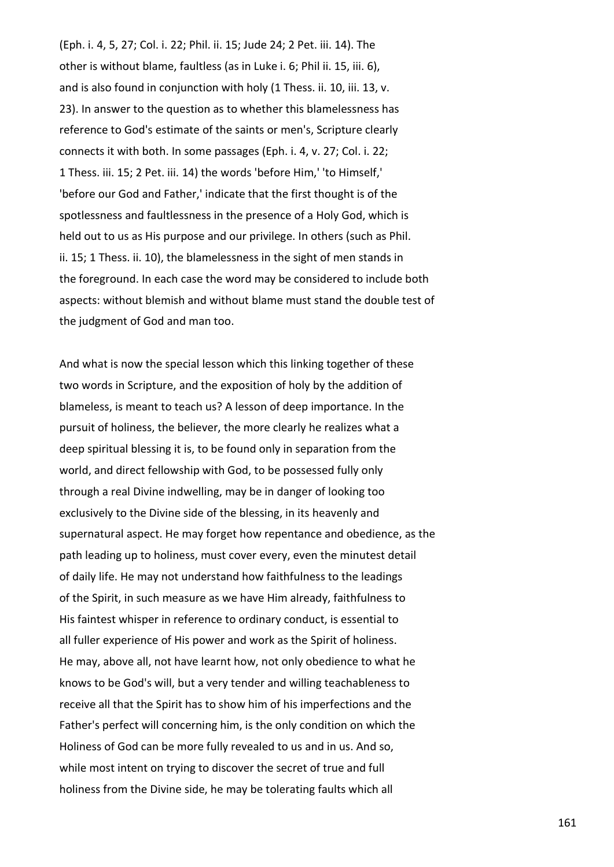(Eph. i. 4, 5, 27; Col. i. 22; Phil. ii. 15; Jude 24; 2 Pet. iii. 14). The other is without blame, faultless (as in Luke i. 6; Phil ii. 15, iii. 6), and is also found in conjunction with holy (1 Thess. ii. 10, iii. 13, v. 23). In answer to the question as to whether this blamelessness has reference to God's estimate of the saints or men's, Scripture clearly connects it with both. In some passages (Eph. i. 4, v. 27; Col. i. 22; 1 Thess. iii. 15; 2 Pet. iii. 14) the words 'before Him,' 'to Himself,' 'before our God and Father,' indicate that the first thought is of the spotlessness and faultlessness in the presence of a Holy God, which is held out to us as His purpose and our privilege. In others (such as Phil. ii. 15; 1 Thess. ii. 10), the blamelessness in the sight of men stands in the foreground. In each case the word may be considered to include both aspects: without blemish and without blame must stand the double test of the judgment of God and man too.

And what is now the special lesson which this linking together of these two words in Scripture, and the exposition of holy by the addition of blameless, is meant to teach us? A lesson of deep importance. In the pursuit of holiness, the believer, the more clearly he realizes what a deep spiritual blessing it is, to be found only in separation from the world, and direct fellowship with God, to be possessed fully only through a real Divine indwelling, may be in danger of looking too exclusively to the Divine side of the blessing, in its heavenly and supernatural aspect. He may forget how repentance and obedience, as the path leading up to holiness, must cover every, even the minutest detail of daily life. He may not understand how faithfulness to the leadings of the Spirit, in such measure as we have Him already, faithfulness to His faintest whisper in reference to ordinary conduct, is essential to all fuller experience of His power and work as the Spirit of holiness. He may, above all, not have learnt how, not only obedience to what he knows to be God's will, but a very tender and willing teachableness to receive all that the Spirit has to show him of his imperfections and the Father's perfect will concerning him, is the only condition on which the Holiness of God can be more fully revealed to us and in us. And so, while most intent on trying to discover the secret of true and full holiness from the Divine side, he may be tolerating faults which all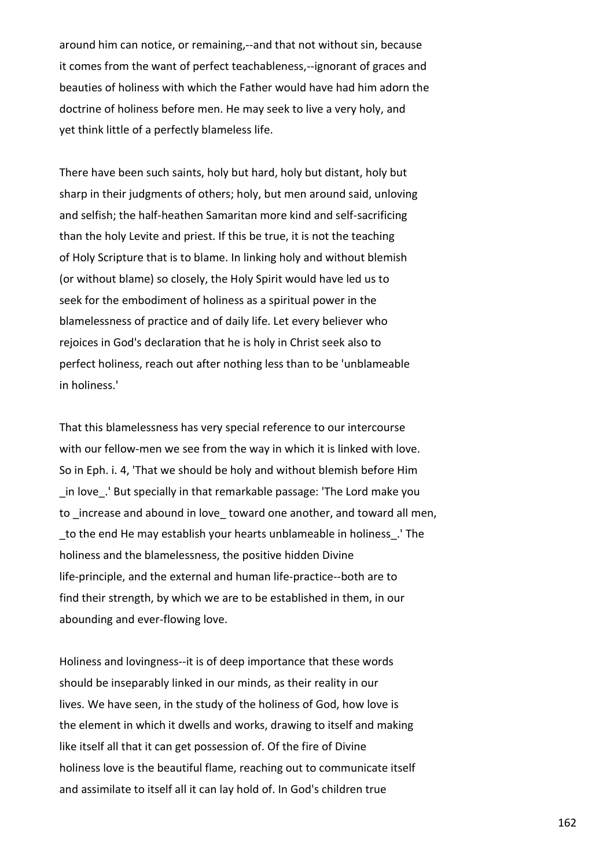around him can notice, or remaining,--and that not without sin, because it comes from the want of perfect teachableness,--ignorant of graces and beauties of holiness with which the Father would have had him adorn the doctrine of holiness before men. He may seek to live a very holy, and yet think little of a perfectly blameless life.

There have been such saints, holy but hard, holy but distant, holy but sharp in their judgments of others; holy, but men around said, unloving and selfish; the half-heathen Samaritan more kind and self-sacrificing than the holy Levite and priest. If this be true, it is not the teaching of Holy Scripture that is to blame. In linking holy and without blemish (or without blame) so closely, the Holy Spirit would have led us to seek for the embodiment of holiness as a spiritual power in the blamelessness of practice and of daily life. Let every believer who rejoices in God's declaration that he is holy in Christ seek also to perfect holiness, reach out after nothing less than to be 'unblameable in holiness.'

That this blamelessness has very special reference to our intercourse with our fellow-men we see from the way in which it is linked with love. So in Eph. i. 4, 'That we should be holy and without blemish before Him in love. 'But specially in that remarkable passage: 'The Lord make you to increase and abound in love toward one another, and toward all men, \_to the end He may establish your hearts unblameable in holiness\_.' The holiness and the blamelessness, the positive hidden Divine life-principle, and the external and human life-practice--both are to find their strength, by which we are to be established in them, in our abounding and ever-flowing love.

Holiness and lovingness--it is of deep importance that these words should be inseparably linked in our minds, as their reality in our lives. We have seen, in the study of the holiness of God, how love is the element in which it dwells and works, drawing to itself and making like itself all that it can get possession of. Of the fire of Divine holiness love is the beautiful flame, reaching out to communicate itself and assimilate to itself all it can lay hold of. In God's children true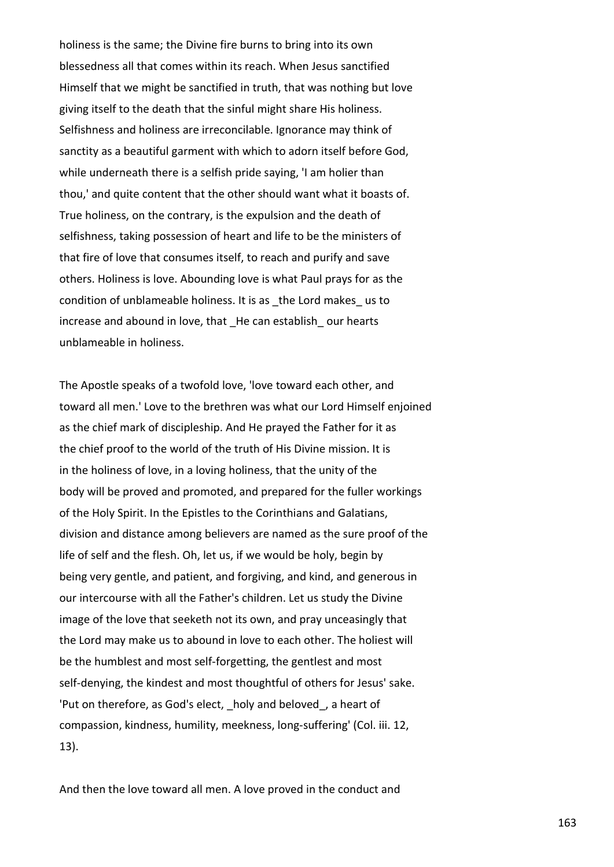holiness is the same; the Divine fire burns to bring into its own blessedness all that comes within its reach. When Jesus sanctified Himself that we might be sanctified in truth, that was nothing but love giving itself to the death that the sinful might share His holiness. Selfishness and holiness are irreconcilable. Ignorance may think of sanctity as a beautiful garment with which to adorn itself before God, while underneath there is a selfish pride saying, 'I am holier than thou,' and quite content that the other should want what it boasts of. True holiness, on the contrary, is the expulsion and the death of selfishness, taking possession of heart and life to be the ministers of that fire of love that consumes itself, to reach and purify and save others. Holiness is love. Abounding love is what Paul prays for as the condition of unblameable holiness. It is as \_the Lord makes\_ us to increase and abound in love, that He can establish our hearts unblameable in holiness.

The Apostle speaks of a twofold love, 'love toward each other, and toward all men.' Love to the brethren was what our Lord Himself enjoined as the chief mark of discipleship. And He prayed the Father for it as the chief proof to the world of the truth of His Divine mission. It is in the holiness of love, in a loving holiness, that the unity of the body will be proved and promoted, and prepared for the fuller workings of the Holy Spirit. In the Epistles to the Corinthians and Galatians, division and distance among believers are named as the sure proof of the life of self and the flesh. Oh, let us, if we would be holy, begin by being very gentle, and patient, and forgiving, and kind, and generous in our intercourse with all the Father's children. Let us study the Divine image of the love that seeketh not its own, and pray unceasingly that the Lord may make us to abound in love to each other. The holiest will be the humblest and most self-forgetting, the gentlest and most self-denying, the kindest and most thoughtful of others for Jesus' sake. 'Put on therefore, as God's elect, holy and beloved, a heart of compassion, kindness, humility, meekness, long-suffering' (Col. iii. 12, 13).

And then the love toward all men. A love proved in the conduct and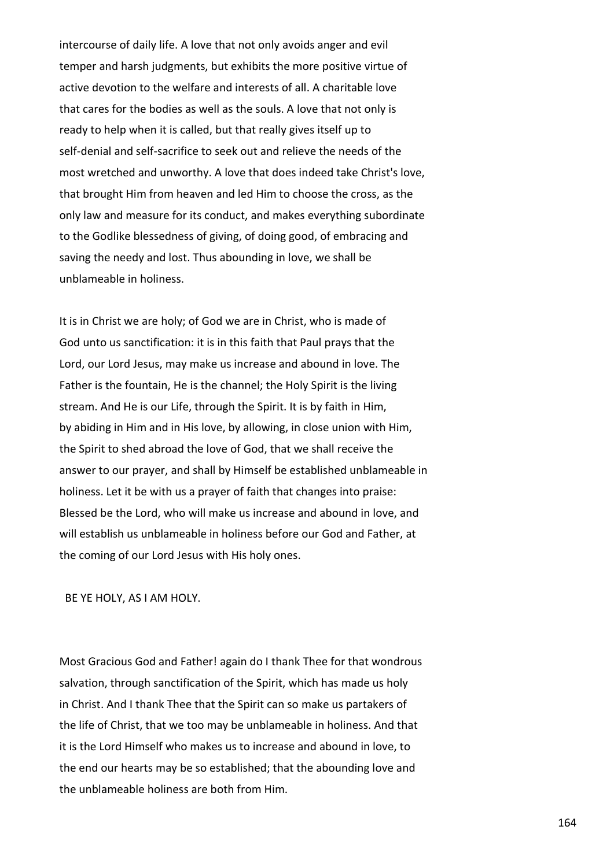intercourse of daily life. A love that not only avoids anger and evil temper and harsh judgments, but exhibits the more positive virtue of active devotion to the welfare and interests of all. A charitable love that cares for the bodies as well as the souls. A love that not only is ready to help when it is called, but that really gives itself up to self-denial and self-sacrifice to seek out and relieve the needs of the most wretched and unworthy. A love that does indeed take Christ's love, that brought Him from heaven and led Him to choose the cross, as the only law and measure for its conduct, and makes everything subordinate to the Godlike blessedness of giving, of doing good, of embracing and saving the needy and lost. Thus abounding in love, we shall be unblameable in holiness.

It is in Christ we are holy; of God we are in Christ, who is made of God unto us sanctification: it is in this faith that Paul prays that the Lord, our Lord Jesus, may make us increase and abound in love. The Father is the fountain, He is the channel; the Holy Spirit is the living stream. And He is our Life, through the Spirit. It is by faith in Him, by abiding in Him and in His love, by allowing, in close union with Him, the Spirit to shed abroad the love of God, that we shall receive the answer to our prayer, and shall by Himself be established unblameable in holiness. Let it be with us a prayer of faith that changes into praise: Blessed be the Lord, who will make us increase and abound in love, and will establish us unblameable in holiness before our God and Father, at the coming of our Lord Jesus with His holy ones.

BE YE HOLY, AS I AM HOLY.

Most Gracious God and Father! again do I thank Thee for that wondrous salvation, through sanctification of the Spirit, which has made us holy in Christ. And I thank Thee that the Spirit can so make us partakers of the life of Christ, that we too may be unblameable in holiness. And that it is the Lord Himself who makes us to increase and abound in love, to the end our hearts may be so established; that the abounding love and the unblameable holiness are both from Him.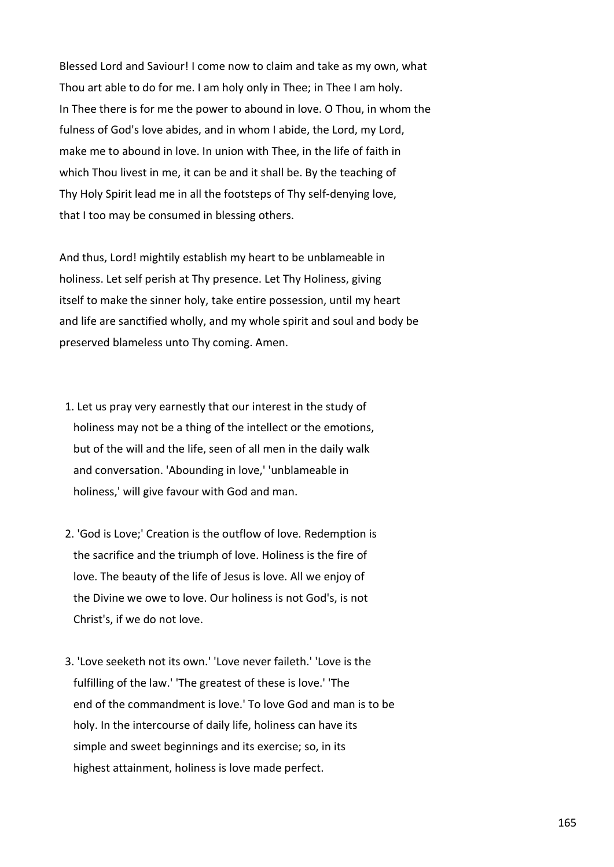Blessed Lord and Saviour! I come now to claim and take as my own, what Thou art able to do for me. I am holy only in Thee; in Thee I am holy. In Thee there is for me the power to abound in love. O Thou, in whom the fulness of God's love abides, and in whom I abide, the Lord, my Lord, make me to abound in love. In union with Thee, in the life of faith in which Thou livest in me, it can be and it shall be. By the teaching of Thy Holy Spirit lead me in all the footsteps of Thy self-denying love, that I too may be consumed in blessing others.

And thus, Lord! mightily establish my heart to be unblameable in holiness. Let self perish at Thy presence. Let Thy Holiness, giving itself to make the sinner holy, take entire possession, until my heart and life are sanctified wholly, and my whole spirit and soul and body be preserved blameless unto Thy coming. Amen.

- 1. Let us pray very earnestly that our interest in the study of holiness may not be a thing of the intellect or the emotions, but of the will and the life, seen of all men in the daily walk and conversation. 'Abounding in love,' 'unblameable in holiness,' will give favour with God and man.
- 2. 'God is Love;' Creation is the outflow of love. Redemption is the sacrifice and the triumph of love. Holiness is the fire of love. The beauty of the life of Jesus is love. All we enjoy of the Divine we owe to love. Our holiness is not God's, is not Christ's, if we do not love.
- 3. 'Love seeketh not its own.' 'Love never faileth.' 'Love is the fulfilling of the law.' 'The greatest of these is love.' 'The end of the commandment is love.' To love God and man is to be holy. In the intercourse of daily life, holiness can have its simple and sweet beginnings and its exercise; so, in its highest attainment, holiness is love made perfect.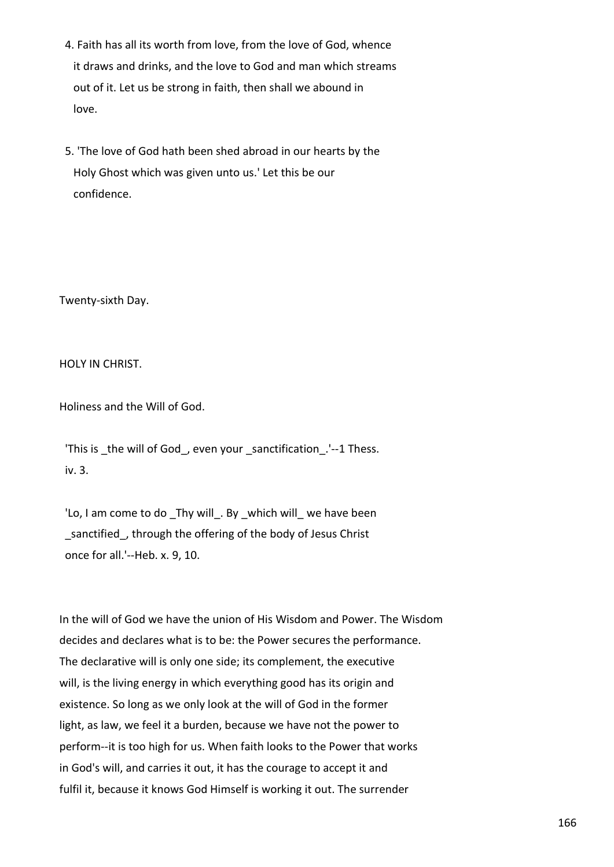- 4. Faith has all its worth from love, from the love of God, whence it draws and drinks, and the love to God and man which streams out of it. Let us be strong in faith, then shall we abound in love.
- 5. 'The love of God hath been shed abroad in our hearts by the Holy Ghost which was given unto us.' Let this be our confidence.

Twenty-sixth Day.

HOLY IN CHRIST.

Holiness and the Will of God.

'This is the will of God, even your sanctification.'--1 Thess. iv. 3.

'Lo, I am come to do Thy will . By which will we have been sanctified, through the offering of the body of Jesus Christ once for all.'--Heb. x. 9, 10.

In the will of God we have the union of His Wisdom and Power. The Wisdom decides and declares what is to be: the Power secures the performance. The declarative will is only one side; its complement, the executive will, is the living energy in which everything good has its origin and existence. So long as we only look at the will of God in the former light, as law, we feel it a burden, because we have not the power to perform--it is too high for us. When faith looks to the Power that works in God's will, and carries it out, it has the courage to accept it and fulfil it, because it knows God Himself is working it out. The surrender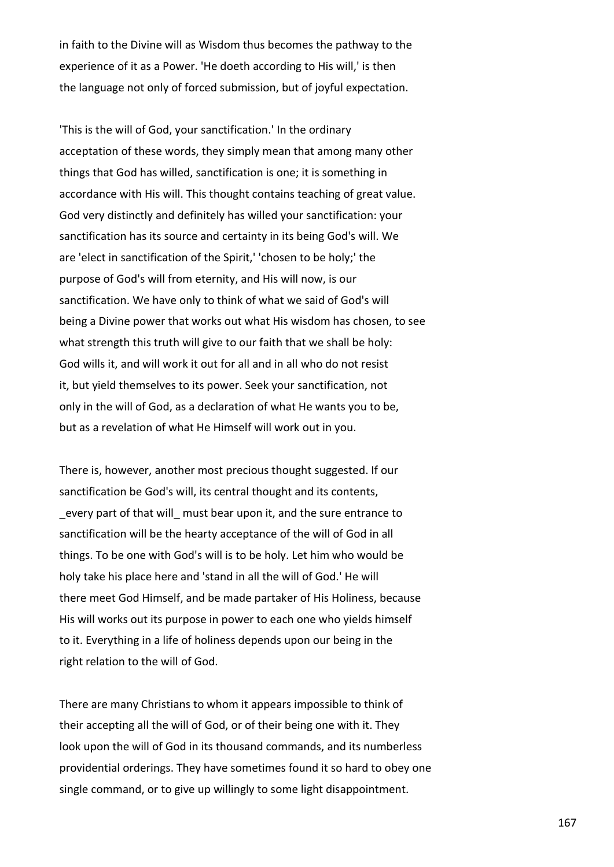in faith to the Divine will as Wisdom thus becomes the pathway to the experience of it as a Power. 'He doeth according to His will,' is then the language not only of forced submission, but of joyful expectation.

'This is the will of God, your sanctification.' In the ordinary acceptation of these words, they simply mean that among many other things that God has willed, sanctification is one; it is something in accordance with His will. This thought contains teaching of great value. God very distinctly and definitely has willed your sanctification: your sanctification has its source and certainty in its being God's will. We are 'elect in sanctification of the Spirit,' 'chosen to be holy;' the purpose of God's will from eternity, and His will now, is our sanctification. We have only to think of what we said of God's will being a Divine power that works out what His wisdom has chosen, to see what strength this truth will give to our faith that we shall be holy: God wills it, and will work it out for all and in all who do not resist it, but yield themselves to its power. Seek your sanctification, not only in the will of God, as a declaration of what He wants you to be, but as a revelation of what He Himself will work out in you.

There is, however, another most precious thought suggested. If our sanctification be God's will, its central thought and its contents, every part of that will must bear upon it, and the sure entrance to sanctification will be the hearty acceptance of the will of God in all things. To be one with God's will is to be holy. Let him who would be holy take his place here and 'stand in all the will of God.' He will there meet God Himself, and be made partaker of His Holiness, because His will works out its purpose in power to each one who yields himself to it. Everything in a life of holiness depends upon our being in the right relation to the will of God.

There are many Christians to whom it appears impossible to think of their accepting all the will of God, or of their being one with it. They look upon the will of God in its thousand commands, and its numberless providential orderings. They have sometimes found it so hard to obey one single command, or to give up willingly to some light disappointment.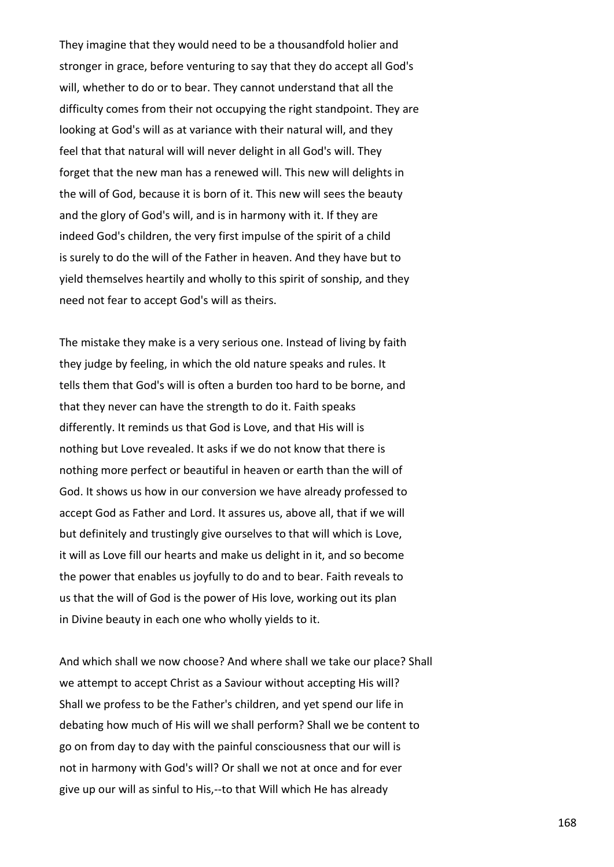They imagine that they would need to be a thousandfold holier and stronger in grace, before venturing to say that they do accept all God's will, whether to do or to bear. They cannot understand that all the difficulty comes from their not occupying the right standpoint. They are looking at God's will as at variance with their natural will, and they feel that that natural will will never delight in all God's will. They forget that the new man has a renewed will. This new will delights in the will of God, because it is born of it. This new will sees the beauty and the glory of God's will, and is in harmony with it. If they are indeed God's children, the very first impulse of the spirit of a child is surely to do the will of the Father in heaven. And they have but to yield themselves heartily and wholly to this spirit of sonship, and they need not fear to accept God's will as theirs.

The mistake they make is a very serious one. Instead of living by faith they judge by feeling, in which the old nature speaks and rules. It tells them that God's will is often a burden too hard to be borne, and that they never can have the strength to do it. Faith speaks differently. It reminds us that God is Love, and that His will is nothing but Love revealed. It asks if we do not know that there is nothing more perfect or beautiful in heaven or earth than the will of God. It shows us how in our conversion we have already professed to accept God as Father and Lord. It assures us, above all, that if we will but definitely and trustingly give ourselves to that will which is Love, it will as Love fill our hearts and make us delight in it, and so become the power that enables us joyfully to do and to bear. Faith reveals to us that the will of God is the power of His love, working out its plan in Divine beauty in each one who wholly yields to it.

And which shall we now choose? And where shall we take our place? Shall we attempt to accept Christ as a Saviour without accepting His will? Shall we profess to be the Father's children, and yet spend our life in debating how much of His will we shall perform? Shall we be content to go on from day to day with the painful consciousness that our will is not in harmony with God's will? Or shall we not at once and for ever give up our will as sinful to His,--to that Will which He has already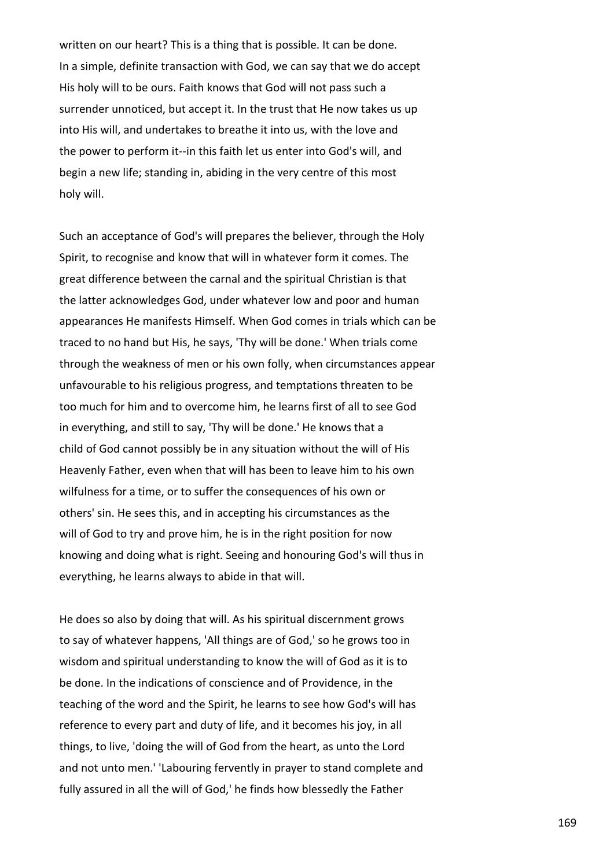written on our heart? This is a thing that is possible. It can be done. In a simple, definite transaction with God, we can say that we do accept His holy will to be ours. Faith knows that God will not pass such a surrender unnoticed, but accept it. In the trust that He now takes us up into His will, and undertakes to breathe it into us, with the love and the power to perform it--in this faith let us enter into God's will, and begin a new life; standing in, abiding in the very centre of this most holy will.

Such an acceptance of God's will prepares the believer, through the Holy Spirit, to recognise and know that will in whatever form it comes. The great difference between the carnal and the spiritual Christian is that the latter acknowledges God, under whatever low and poor and human appearances He manifests Himself. When God comes in trials which can be traced to no hand but His, he says, 'Thy will be done.' When trials come through the weakness of men or his own folly, when circumstances appear unfavourable to his religious progress, and temptations threaten to be too much for him and to overcome him, he learns first of all to see God in everything, and still to say, 'Thy will be done.' He knows that a child of God cannot possibly be in any situation without the will of His Heavenly Father, even when that will has been to leave him to his own wilfulness for a time, or to suffer the consequences of his own or others' sin. He sees this, and in accepting his circumstances as the will of God to try and prove him, he is in the right position for now knowing and doing what is right. Seeing and honouring God's will thus in everything, he learns always to abide in that will.

He does so also by doing that will. As his spiritual discernment grows to say of whatever happens, 'All things are of God,' so he grows too in wisdom and spiritual understanding to know the will of God as it is to be done. In the indications of conscience and of Providence, in the teaching of the word and the Spirit, he learns to see how God's will has reference to every part and duty of life, and it becomes his joy, in all things, to live, 'doing the will of God from the heart, as unto the Lord and not unto men.' 'Labouring fervently in prayer to stand complete and fully assured in all the will of God,' he finds how blessedly the Father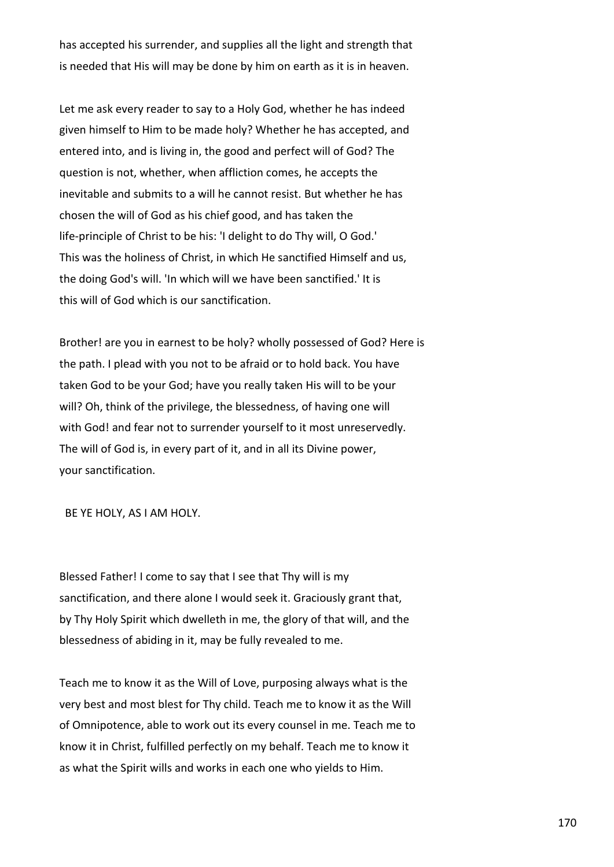has accepted his surrender, and supplies all the light and strength that is needed that His will may be done by him on earth as it is in heaven.

Let me ask every reader to say to a Holy God, whether he has indeed given himself to Him to be made holy? Whether he has accepted, and entered into, and is living in, the good and perfect will of God? The question is not, whether, when affliction comes, he accepts the inevitable and submits to a will he cannot resist. But whether he has chosen the will of God as his chief good, and has taken the life-principle of Christ to be his: 'I delight to do Thy will, O God.' This was the holiness of Christ, in which He sanctified Himself and us, the doing God's will. 'In which will we have been sanctified.' It is this will of God which is our sanctification.

Brother! are you in earnest to be holy? wholly possessed of God? Here is the path. I plead with you not to be afraid or to hold back. You have taken God to be your God; have you really taken His will to be your will? Oh, think of the privilege, the blessedness, of having one will with God! and fear not to surrender yourself to it most unreservedly. The will of God is, in every part of it, and in all its Divine power, your sanctification.

BE YE HOLY, AS I AM HOLY.

Blessed Father! I come to say that I see that Thy will is my sanctification, and there alone I would seek it. Graciously grant that, by Thy Holy Spirit which dwelleth in me, the glory of that will, and the blessedness of abiding in it, may be fully revealed to me.

Teach me to know it as the Will of Love, purposing always what is the very best and most blest for Thy child. Teach me to know it as the Will of Omnipotence, able to work out its every counsel in me. Teach me to know it in Christ, fulfilled perfectly on my behalf. Teach me to know it as what the Spirit wills and works in each one who yields to Him.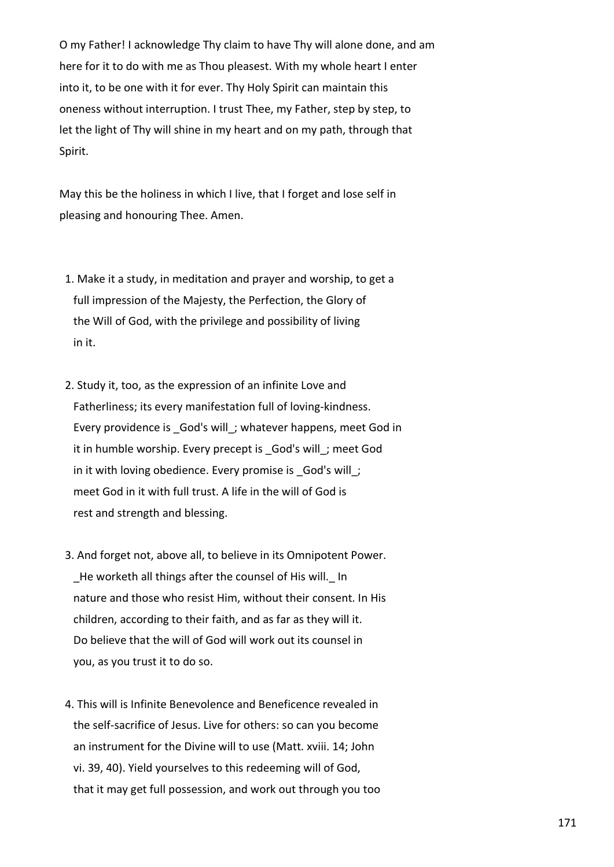O my Father! I acknowledge Thy claim to have Thy will alone done, and am here for it to do with me as Thou pleasest. With my whole heart I enter into it, to be one with it for ever. Thy Holy Spirit can maintain this oneness without interruption. I trust Thee, my Father, step by step, to let the light of Thy will shine in my heart and on my path, through that Spirit.

May this be the holiness in which I live, that I forget and lose self in pleasing and honouring Thee. Amen.

- 1. Make it a study, in meditation and prayer and worship, to get a full impression of the Majesty, the Perfection, the Glory of the Will of God, with the privilege and possibility of living in it.
- 2. Study it, too, as the expression of an infinite Love and Fatherliness; its every manifestation full of loving-kindness. Every providence is God's will; whatever happens, meet God in it in humble worship. Every precept is God's will; meet God in it with loving obedience. Every promise is God's will; meet God in it with full trust. A life in the will of God is rest and strength and blessing.
- 3. And forget not, above all, to believe in its Omnipotent Power. He worketh all things after the counsel of His will. In nature and those who resist Him, without their consent. In His children, according to their faith, and as far as they will it. Do believe that the will of God will work out its counsel in you, as you trust it to do so.
- 4. This will is Infinite Benevolence and Beneficence revealed in the self-sacrifice of Jesus. Live for others: so can you become an instrument for the Divine will to use (Matt. xviii. 14; John vi. 39, 40). Yield yourselves to this redeeming will of God, that it may get full possession, and work out through you too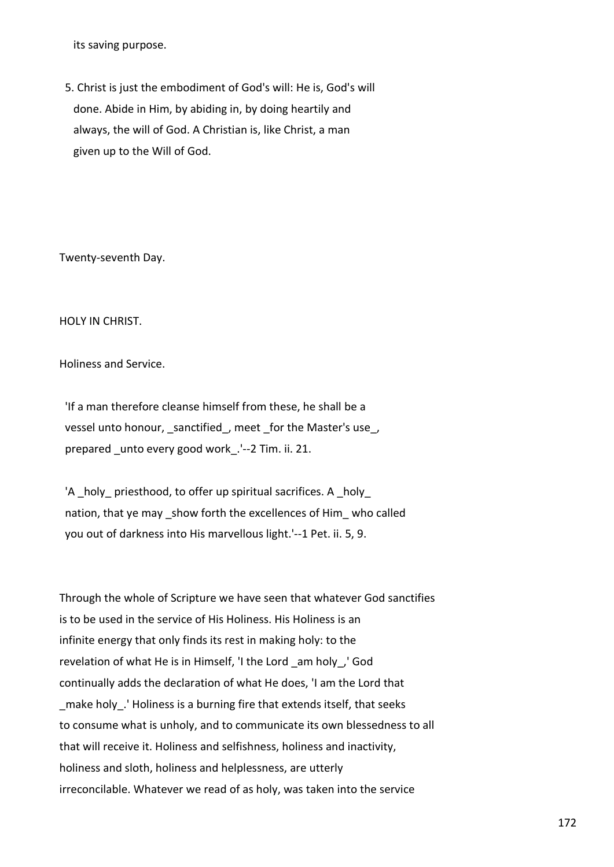its saving purpose.

 5. Christ is just the embodiment of God's will: He is, God's will done. Abide in Him, by abiding in, by doing heartily and always, the will of God. A Christian is, like Christ, a man given up to the Will of God.

Twenty-seventh Day.

HOLY IN CHRIST.

Holiness and Service.

 'If a man therefore cleanse himself from these, he shall be a vessel unto honour, sanctified, meet for the Master's use, prepared unto every good work .'--2 Tim. ii. 21.

'A holy priesthood, to offer up spiritual sacrifices. A holy nation, that ye may show forth the excellences of Him who called you out of darkness into His marvellous light.'--1 Pet. ii. 5, 9.

Through the whole of Scripture we have seen that whatever God sanctifies is to be used in the service of His Holiness. His Holiness is an infinite energy that only finds its rest in making holy: to the revelation of what He is in Himself, 'I the Lord \_am holy\_,' God continually adds the declaration of what He does, 'I am the Lord that make holy. 'Holiness is a burning fire that extends itself, that seeks to consume what is unholy, and to communicate its own blessedness to all that will receive it. Holiness and selfishness, holiness and inactivity, holiness and sloth, holiness and helplessness, are utterly irreconcilable. Whatever we read of as holy, was taken into the service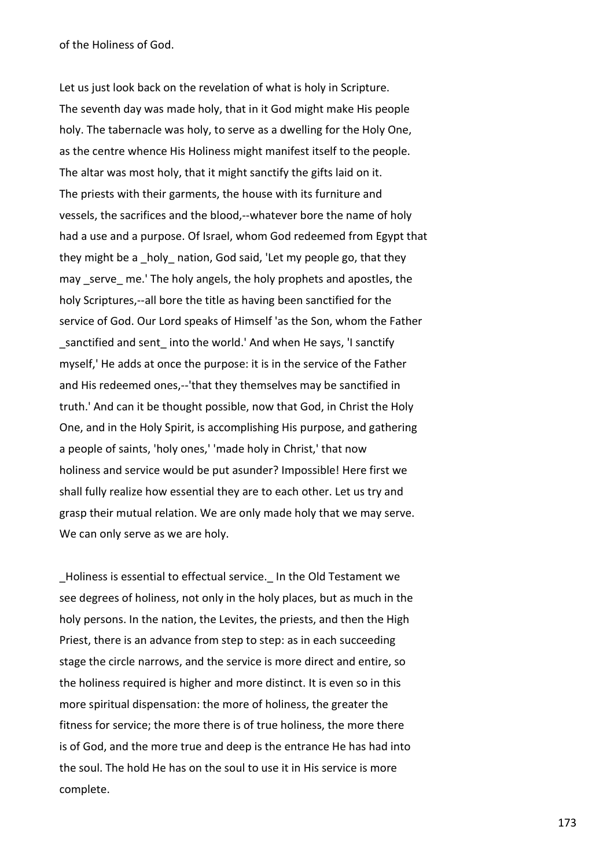of the Holiness of God.

Let us just look back on the revelation of what is holy in Scripture. The seventh day was made holy, that in it God might make His people holy. The tabernacle was holy, to serve as a dwelling for the Holy One, as the centre whence His Holiness might manifest itself to the people. The altar was most holy, that it might sanctify the gifts laid on it. The priests with their garments, the house with its furniture and vessels, the sacrifices and the blood,--whatever bore the name of holy had a use and a purpose. Of Israel, whom God redeemed from Egypt that they might be a holy nation, God said, 'Let my people go, that they may serve me.' The holy angels, the holy prophets and apostles, the holy Scriptures,--all bore the title as having been sanctified for the service of God. Our Lord speaks of Himself 'as the Son, whom the Father sanctified and sent into the world.' And when He says, 'I sanctify myself,' He adds at once the purpose: it is in the service of the Father and His redeemed ones,--'that they themselves may be sanctified in truth.' And can it be thought possible, now that God, in Christ the Holy One, and in the Holy Spirit, is accomplishing His purpose, and gathering a people of saints, 'holy ones,' 'made holy in Christ,' that now holiness and service would be put asunder? Impossible! Here first we shall fully realize how essential they are to each other. Let us try and grasp their mutual relation. We are only made holy that we may serve. We can only serve as we are holy.

\_Holiness is essential to effectual service.\_ In the Old Testament we see degrees of holiness, not only in the holy places, but as much in the holy persons. In the nation, the Levites, the priests, and then the High Priest, there is an advance from step to step: as in each succeeding stage the circle narrows, and the service is more direct and entire, so the holiness required is higher and more distinct. It is even so in this more spiritual dispensation: the more of holiness, the greater the fitness for service; the more there is of true holiness, the more there is of God, and the more true and deep is the entrance He has had into the soul. The hold He has on the soul to use it in His service is more complete.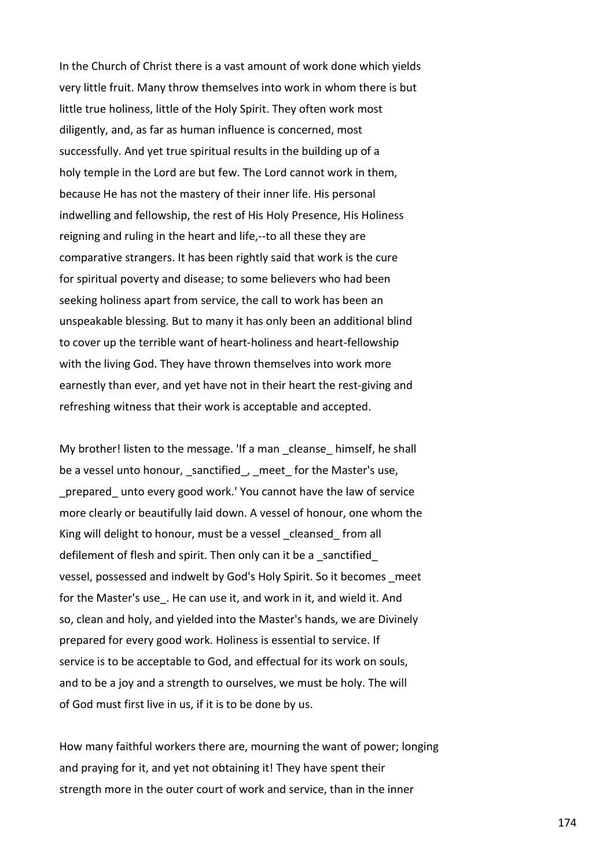In the Church of Christ there is a vast amount of work done which yields very little fruit. Many throw themselves into work in whom there is but little true holiness, little of the Holy Spirit. They often work most diligently, and, as far as human influence is concerned, most successfully. And yet true spiritual results in the building up of a holy temple in the Lord are but few. The Lord cannot work in them, because He has not the mastery of their inner life. His personal indwelling and fellowship, the rest of His Holy Presence, His Holiness reigning and ruling in the heart and life,--to all these they are comparative strangers. It has been rightly said that work is the cure for spiritual poverty and disease; to some believers who had been seeking holiness apart from service, the call to work has been an unspeakable blessing. But to many it has only been an additional blind to cover up the terrible want of heart-holiness and heart-fellowship with the living God. They have thrown themselves into work more earnestly than ever, and yet have not in their heart the rest-giving and refreshing witness that their work is acceptable and accepted.

My brother! listen to the message. 'If a man cleanse himself, he shall be a vessel unto honour, sanctified, meet for the Master's use, prepared unto every good work.' You cannot have the law of service more clearly or beautifully laid down. A vessel of honour, one whom the King will delight to honour, must be a vessel cleansed from all defilement of flesh and spirit. Then only can it be a sanctified vessel, possessed and indwelt by God's Holy Spirit. So it becomes \_meet for the Master's use. He can use it, and work in it, and wield it. And so, clean and holy, and yielded into the Master's hands, we are Divinely prepared for every good work. Holiness is essential to service. If service is to be acceptable to God, and effectual for its work on souls, and to be a joy and a strength to ourselves, we must be holy. The will of God must first live in us, if it is to be done by us.

How many faithful workers there are, mourning the want of power; longing and praying for it, and yet not obtaining it! They have spent their strength more in the outer court of work and service, than in the inner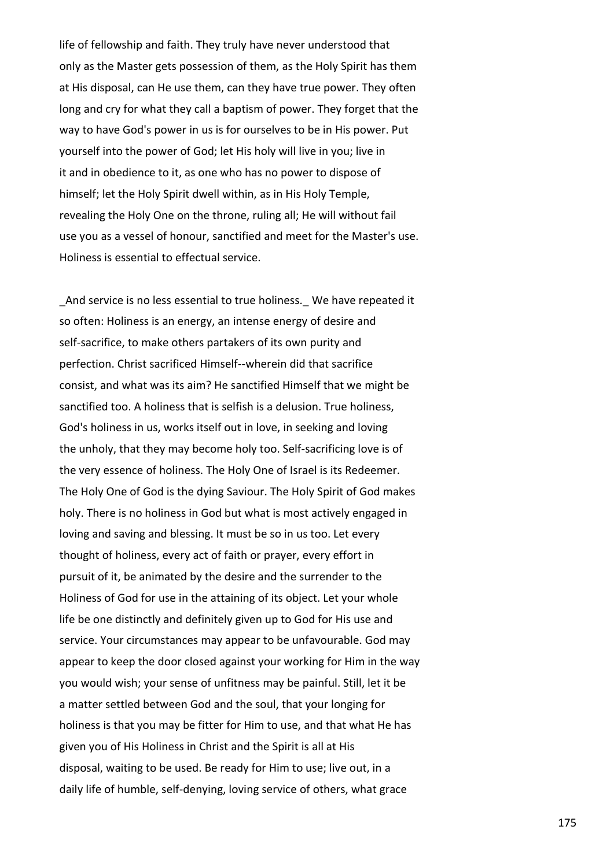life of fellowship and faith. They truly have never understood that only as the Master gets possession of them, as the Holy Spirit has them at His disposal, can He use them, can they have true power. They often long and cry for what they call a baptism of power. They forget that the way to have God's power in us is for ourselves to be in His power. Put yourself into the power of God; let His holy will live in you; live in it and in obedience to it, as one who has no power to dispose of himself; let the Holy Spirit dwell within, as in His Holy Temple, revealing the Holy One on the throne, ruling all; He will without fail use you as a vessel of honour, sanctified and meet for the Master's use. Holiness is essential to effectual service.

And service is no less essential to true holiness. We have repeated it so often: Holiness is an energy, an intense energy of desire and self-sacrifice, to make others partakers of its own purity and perfection. Christ sacrificed Himself--wherein did that sacrifice consist, and what was its aim? He sanctified Himself that we might be sanctified too. A holiness that is selfish is a delusion. True holiness, God's holiness in us, works itself out in love, in seeking and loving the unholy, that they may become holy too. Self-sacrificing love is of the very essence of holiness. The Holy One of Israel is its Redeemer. The Holy One of God is the dying Saviour. The Holy Spirit of God makes holy. There is no holiness in God but what is most actively engaged in loving and saving and blessing. It must be so in us too. Let every thought of holiness, every act of faith or prayer, every effort in pursuit of it, be animated by the desire and the surrender to the Holiness of God for use in the attaining of its object. Let your whole life be one distinctly and definitely given up to God for His use and service. Your circumstances may appear to be unfavourable. God may appear to keep the door closed against your working for Him in the way you would wish; your sense of unfitness may be painful. Still, let it be a matter settled between God and the soul, that your longing for holiness is that you may be fitter for Him to use, and that what He has given you of His Holiness in Christ and the Spirit is all at His disposal, waiting to be used. Be ready for Him to use; live out, in a daily life of humble, self-denying, loving service of others, what grace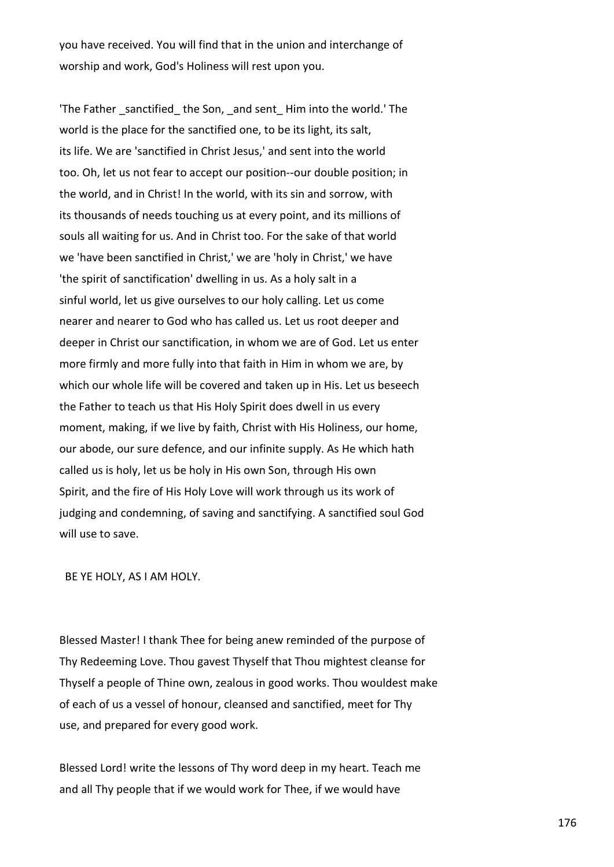you have received. You will find that in the union and interchange of worship and work, God's Holiness will rest upon you.

'The Father sanctified the Son, and sent Him into the world.' The world is the place for the sanctified one, to be its light, its salt, its life. We are 'sanctified in Christ Jesus,' and sent into the world too. Oh, let us not fear to accept our position--our double position; in the world, and in Christ! In the world, with its sin and sorrow, with its thousands of needs touching us at every point, and its millions of souls all waiting for us. And in Christ too. For the sake of that world we 'have been sanctified in Christ,' we are 'holy in Christ,' we have 'the spirit of sanctification' dwelling in us. As a holy salt in a sinful world, let us give ourselves to our holy calling. Let us come nearer and nearer to God who has called us. Let us root deeper and deeper in Christ our sanctification, in whom we are of God. Let us enter more firmly and more fully into that faith in Him in whom we are, by which our whole life will be covered and taken up in His. Let us beseech the Father to teach us that His Holy Spirit does dwell in us every moment, making, if we live by faith, Christ with His Holiness, our home, our abode, our sure defence, and our infinite supply. As He which hath called us is holy, let us be holy in His own Son, through His own Spirit, and the fire of His Holy Love will work through us its work of judging and condemning, of saving and sanctifying. A sanctified soul God will use to save.

BE YE HOLY, AS I AM HOLY.

Blessed Master! I thank Thee for being anew reminded of the purpose of Thy Redeeming Love. Thou gavest Thyself that Thou mightest cleanse for Thyself a people of Thine own, zealous in good works. Thou wouldest make of each of us a vessel of honour, cleansed and sanctified, meet for Thy use, and prepared for every good work.

Blessed Lord! write the lessons of Thy word deep in my heart. Teach me and all Thy people that if we would work for Thee, if we would have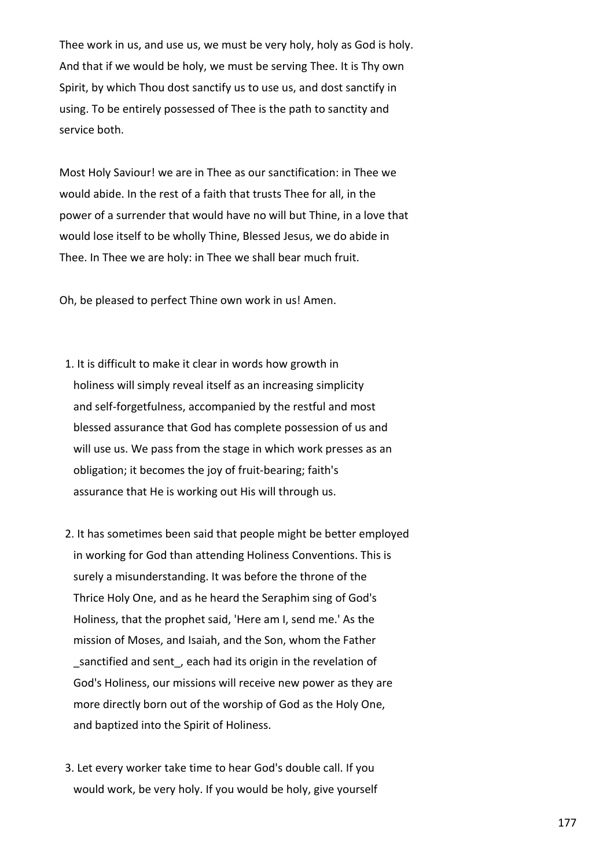Thee work in us, and use us, we must be very holy, holy as God is holy. And that if we would be holy, we must be serving Thee. It is Thy own Spirit, by which Thou dost sanctify us to use us, and dost sanctify in using. To be entirely possessed of Thee is the path to sanctity and service both.

Most Holy Saviour! we are in Thee as our sanctification: in Thee we would abide. In the rest of a faith that trusts Thee for all, in the power of a surrender that would have no will but Thine, in a love that would lose itself to be wholly Thine, Blessed Jesus, we do abide in Thee. In Thee we are holy: in Thee we shall bear much fruit.

Oh, be pleased to perfect Thine own work in us! Amen.

- 1. It is difficult to make it clear in words how growth in holiness will simply reveal itself as an increasing simplicity and self-forgetfulness, accompanied by the restful and most blessed assurance that God has complete possession of us and will use us. We pass from the stage in which work presses as an obligation; it becomes the joy of fruit-bearing; faith's assurance that He is working out His will through us.
- 2. It has sometimes been said that people might be better employed in working for God than attending Holiness Conventions. This is surely a misunderstanding. It was before the throne of the Thrice Holy One, and as he heard the Seraphim sing of God's Holiness, that the prophet said, 'Here am I, send me.' As the mission of Moses, and Isaiah, and the Son, whom the Father sanctified and sent, each had its origin in the revelation of God's Holiness, our missions will receive new power as they are more directly born out of the worship of God as the Holy One, and baptized into the Spirit of Holiness.
- 3. Let every worker take time to hear God's double call. If you would work, be very holy. If you would be holy, give yourself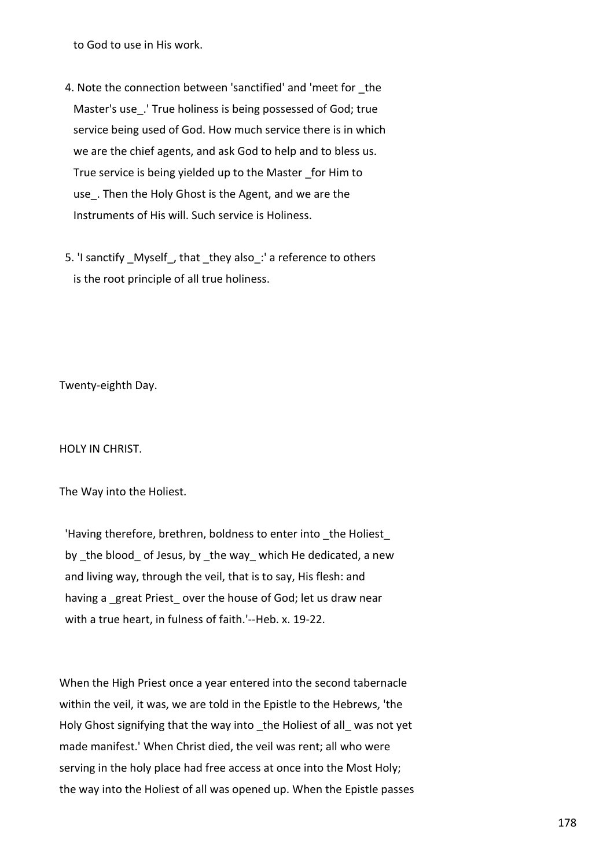to God to use in His work.

- 4. Note the connection between 'sanctified' and 'meet for \_the Master's use\_.' True holiness is being possessed of God; true service being used of God. How much service there is in which we are the chief agents, and ask God to help and to bless us. True service is being yielded up to the Master \_for Him to use. Then the Holy Ghost is the Agent, and we are the Instruments of His will. Such service is Holiness.
- 5. 'I sanctify Myself, that they also: ' a reference to others is the root principle of all true holiness.

Twenty-eighth Day.

HOLY IN CHRIST.

The Way into the Holiest.

'Having therefore, brethren, boldness to enter into the Holiest by the blood of Jesus, by the way which He dedicated, a new and living way, through the veil, that is to say, His flesh: and having a great Priest over the house of God; let us draw near with a true heart, in fulness of faith.'--Heb. x. 19-22.

When the High Priest once a year entered into the second tabernacle within the veil, it was, we are told in the Epistle to the Hebrews, 'the Holy Ghost signifying that the way into \_the Holiest of all\_ was not yet made manifest.' When Christ died, the veil was rent; all who were serving in the holy place had free access at once into the Most Holy; the way into the Holiest of all was opened up. When the Epistle passes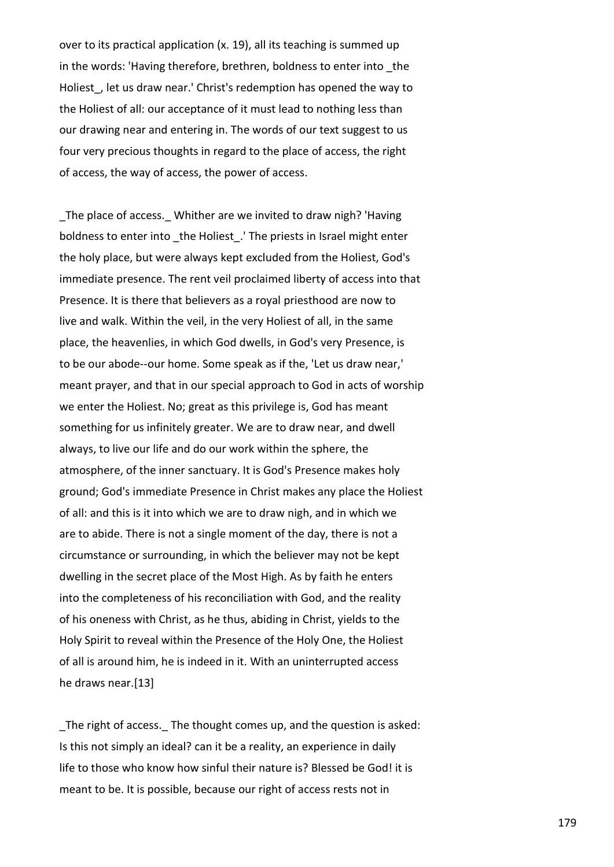over to its practical application (x. 19), all its teaching is summed up in the words: 'Having therefore, brethren, boldness to enter into the Holiest, let us draw near.' Christ's redemption has opened the way to the Holiest of all: our acceptance of it must lead to nothing less than our drawing near and entering in. The words of our text suggest to us four very precious thoughts in regard to the place of access, the right of access, the way of access, the power of access.

The place of access. Whither are we invited to draw nigh? 'Having boldness to enter into the Holiest. 'The priests in Israel might enter the holy place, but were always kept excluded from the Holiest, God's immediate presence. The rent veil proclaimed liberty of access into that Presence. It is there that believers as a royal priesthood are now to live and walk. Within the veil, in the very Holiest of all, in the same place, the heavenlies, in which God dwells, in God's very Presence, is to be our abode--our home. Some speak as if the, 'Let us draw near,' meant prayer, and that in our special approach to God in acts of worship we enter the Holiest. No; great as this privilege is, God has meant something for us infinitely greater. We are to draw near, and dwell always, to live our life and do our work within the sphere, the atmosphere, of the inner sanctuary. It is God's Presence makes holy ground; God's immediate Presence in Christ makes any place the Holiest of all: and this is it into which we are to draw nigh, and in which we are to abide. There is not a single moment of the day, there is not a circumstance or surrounding, in which the believer may not be kept dwelling in the secret place of the Most High. As by faith he enters into the completeness of his reconciliation with God, and the reality of his oneness with Christ, as he thus, abiding in Christ, yields to the Holy Spirit to reveal within the Presence of the Holy One, the Holiest of all is around him, he is indeed in it. With an uninterrupted access he draws near.[13]

\_The right of access.\_ The thought comes up, and the question is asked: Is this not simply an ideal? can it be a reality, an experience in daily life to those who know how sinful their nature is? Blessed be God! it is meant to be. It is possible, because our right of access rests not in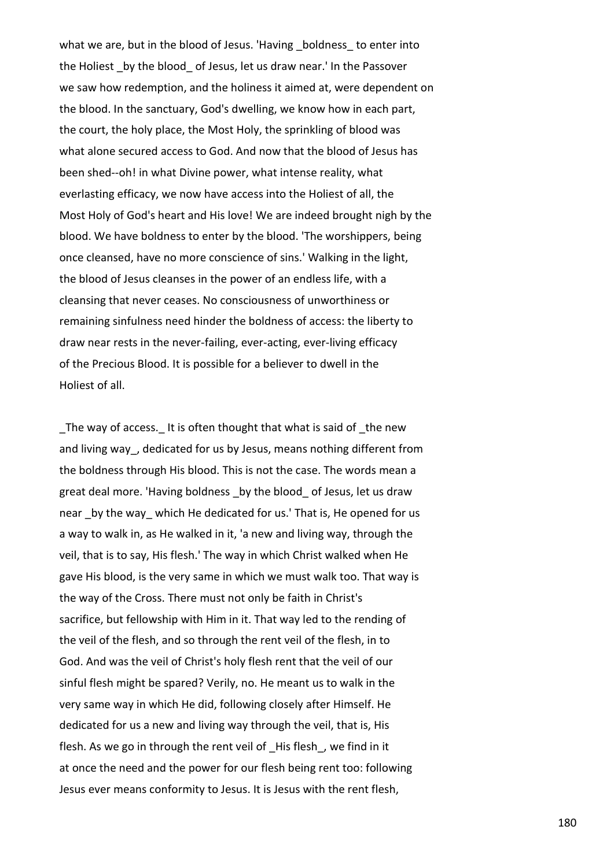what we are, but in the blood of Jesus. 'Having boldness to enter into the Holiest by the blood of Jesus, let us draw near.' In the Passover we saw how redemption, and the holiness it aimed at, were dependent on the blood. In the sanctuary, God's dwelling, we know how in each part, the court, the holy place, the Most Holy, the sprinkling of blood was what alone secured access to God. And now that the blood of Jesus has been shed--oh! in what Divine power, what intense reality, what everlasting efficacy, we now have access into the Holiest of all, the Most Holy of God's heart and His love! We are indeed brought nigh by the blood. We have boldness to enter by the blood. 'The worshippers, being once cleansed, have no more conscience of sins.' Walking in the light, the blood of Jesus cleanses in the power of an endless life, with a cleansing that never ceases. No consciousness of unworthiness or remaining sinfulness need hinder the boldness of access: the liberty to draw near rests in the never-failing, ever-acting, ever-living efficacy of the Precious Blood. It is possible for a believer to dwell in the Holiest of all.

The way of access. It is often thought that what is said of the new and living way, dedicated for us by Jesus, means nothing different from the boldness through His blood. This is not the case. The words mean a great deal more. 'Having boldness by the blood of Jesus, let us draw near by the way which He dedicated for us.' That is, He opened for us a way to walk in, as He walked in it, 'a new and living way, through the veil, that is to say, His flesh.' The way in which Christ walked when He gave His blood, is the very same in which we must walk too. That way is the way of the Cross. There must not only be faith in Christ's sacrifice, but fellowship with Him in it. That way led to the rending of the veil of the flesh, and so through the rent veil of the flesh, in to God. And was the veil of Christ's holy flesh rent that the veil of our sinful flesh might be spared? Verily, no. He meant us to walk in the very same way in which He did, following closely after Himself. He dedicated for us a new and living way through the veil, that is, His flesh. As we go in through the rent veil of His flesh, we find in it at once the need and the power for our flesh being rent too: following Jesus ever means conformity to Jesus. It is Jesus with the rent flesh,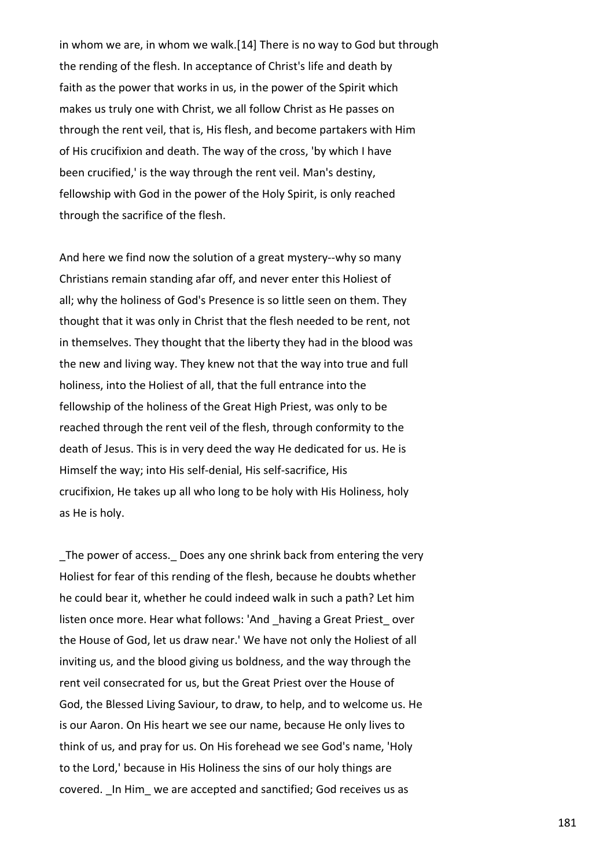in whom we are, in whom we walk.[14] There is no way to God but through the rending of the flesh. In acceptance of Christ's life and death by faith as the power that works in us, in the power of the Spirit which makes us truly one with Christ, we all follow Christ as He passes on through the rent veil, that is, His flesh, and become partakers with Him of His crucifixion and death. The way of the cross, 'by which I have been crucified,' is the way through the rent veil. Man's destiny, fellowship with God in the power of the Holy Spirit, is only reached through the sacrifice of the flesh.

And here we find now the solution of a great mystery--why so many Christians remain standing afar off, and never enter this Holiest of all; why the holiness of God's Presence is so little seen on them. They thought that it was only in Christ that the flesh needed to be rent, not in themselves. They thought that the liberty they had in the blood was the new and living way. They knew not that the way into true and full holiness, into the Holiest of all, that the full entrance into the fellowship of the holiness of the Great High Priest, was only to be reached through the rent veil of the flesh, through conformity to the death of Jesus. This is in very deed the way He dedicated for us. He is Himself the way; into His self-denial, His self-sacrifice, His crucifixion, He takes up all who long to be holy with His Holiness, holy as He is holy.

The power of access. Does any one shrink back from entering the very Holiest for fear of this rending of the flesh, because he doubts whether he could bear it, whether he could indeed walk in such a path? Let him listen once more. Hear what follows: 'And having a Great Priest over the House of God, let us draw near.' We have not only the Holiest of all inviting us, and the blood giving us boldness, and the way through the rent veil consecrated for us, but the Great Priest over the House of God, the Blessed Living Saviour, to draw, to help, and to welcome us. He is our Aaron. On His heart we see our name, because He only lives to think of us, and pray for us. On His forehead we see God's name, 'Holy to the Lord,' because in His Holiness the sins of our holy things are covered. \_In Him\_ we are accepted and sanctified; God receives us as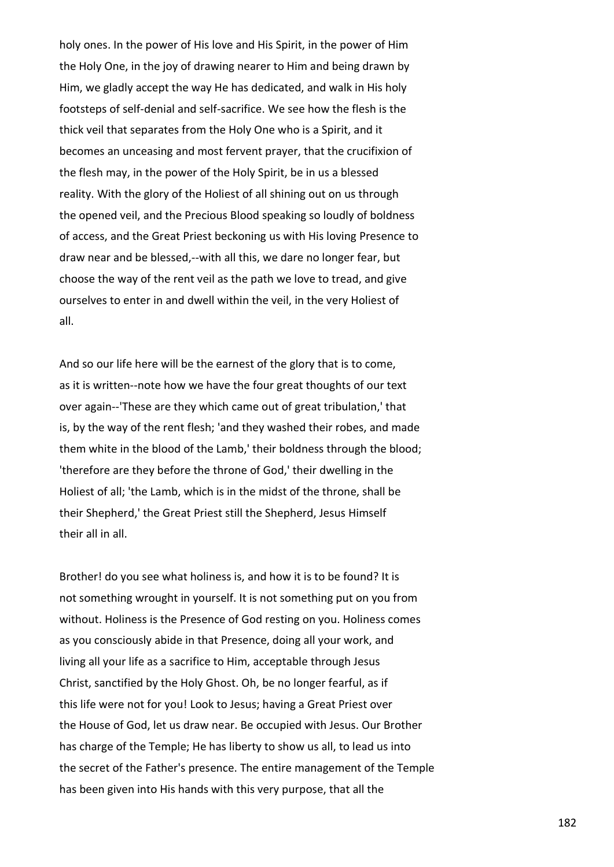holy ones. In the power of His love and His Spirit, in the power of Him the Holy One, in the joy of drawing nearer to Him and being drawn by Him, we gladly accept the way He has dedicated, and walk in His holy footsteps of self-denial and self-sacrifice. We see how the flesh is the thick veil that separates from the Holy One who is a Spirit, and it becomes an unceasing and most fervent prayer, that the crucifixion of the flesh may, in the power of the Holy Spirit, be in us a blessed reality. With the glory of the Holiest of all shining out on us through the opened veil, and the Precious Blood speaking so loudly of boldness of access, and the Great Priest beckoning us with His loving Presence to draw near and be blessed,--with all this, we dare no longer fear, but choose the way of the rent veil as the path we love to tread, and give ourselves to enter in and dwell within the veil, in the very Holiest of all.

And so our life here will be the earnest of the glory that is to come, as it is written--note how we have the four great thoughts of our text over again--'These are they which came out of great tribulation,' that is, by the way of the rent flesh; 'and they washed their robes, and made them white in the blood of the Lamb,' their boldness through the blood; 'therefore are they before the throne of God,' their dwelling in the Holiest of all; 'the Lamb, which is in the midst of the throne, shall be their Shepherd,' the Great Priest still the Shepherd, Jesus Himself their all in all.

Brother! do you see what holiness is, and how it is to be found? It is not something wrought in yourself. It is not something put on you from without. Holiness is the Presence of God resting on you. Holiness comes as you consciously abide in that Presence, doing all your work, and living all your life as a sacrifice to Him, acceptable through Jesus Christ, sanctified by the Holy Ghost. Oh, be no longer fearful, as if this life were not for you! Look to Jesus; having a Great Priest over the House of God, let us draw near. Be occupied with Jesus. Our Brother has charge of the Temple; He has liberty to show us all, to lead us into the secret of the Father's presence. The entire management of the Temple has been given into His hands with this very purpose, that all the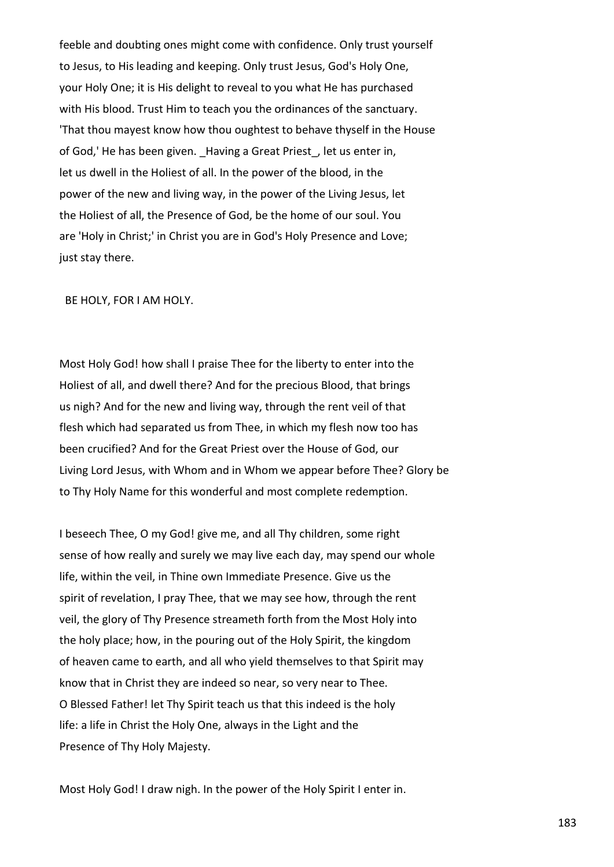feeble and doubting ones might come with confidence. Only trust yourself to Jesus, to His leading and keeping. Only trust Jesus, God's Holy One, your Holy One; it is His delight to reveal to you what He has purchased with His blood. Trust Him to teach you the ordinances of the sanctuary. 'That thou mayest know how thou oughtest to behave thyself in the House of God,' He has been given. \_Having a Great Priest\_, let us enter in, let us dwell in the Holiest of all. In the power of the blood, in the power of the new and living way, in the power of the Living Jesus, let the Holiest of all, the Presence of God, be the home of our soul. You are 'Holy in Christ;' in Christ you are in God's Holy Presence and Love; just stay there.

BE HOLY, FOR I AM HOLY.

Most Holy God! how shall I praise Thee for the liberty to enter into the Holiest of all, and dwell there? And for the precious Blood, that brings us nigh? And for the new and living way, through the rent veil of that flesh which had separated us from Thee, in which my flesh now too has been crucified? And for the Great Priest over the House of God, our Living Lord Jesus, with Whom and in Whom we appear before Thee? Glory be to Thy Holy Name for this wonderful and most complete redemption.

I beseech Thee, O my God! give me, and all Thy children, some right sense of how really and surely we may live each day, may spend our whole life, within the veil, in Thine own Immediate Presence. Give us the spirit of revelation, I pray Thee, that we may see how, through the rent veil, the glory of Thy Presence streameth forth from the Most Holy into the holy place; how, in the pouring out of the Holy Spirit, the kingdom of heaven came to earth, and all who yield themselves to that Spirit may know that in Christ they are indeed so near, so very near to Thee. O Blessed Father! let Thy Spirit teach us that this indeed is the holy life: a life in Christ the Holy One, always in the Light and the Presence of Thy Holy Majesty.

Most Holy God! I draw nigh. In the power of the Holy Spirit I enter in.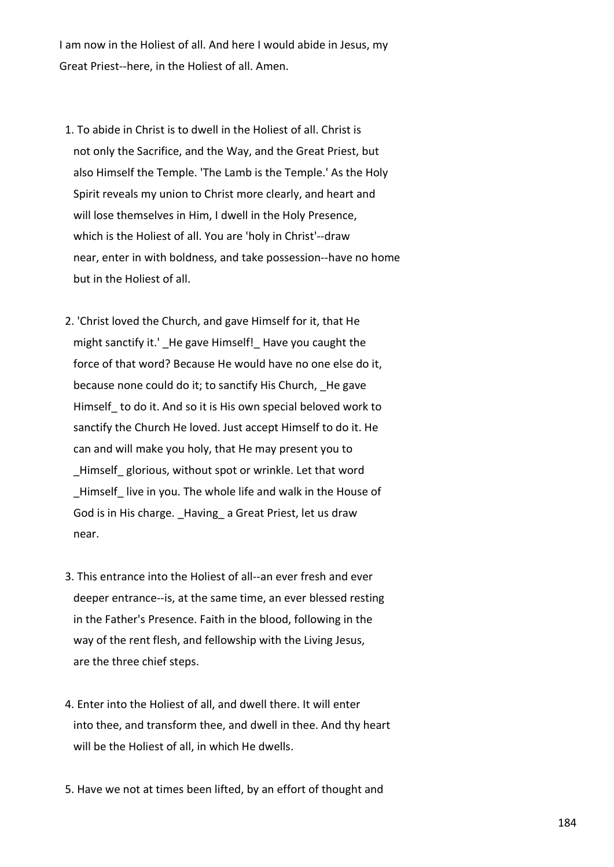I am now in the Holiest of all. And here I would abide in Jesus, my Great Priest--here, in the Holiest of all. Amen.

- 1. To abide in Christ is to dwell in the Holiest of all. Christ is not only the Sacrifice, and the Way, and the Great Priest, but also Himself the Temple. 'The Lamb is the Temple.' As the Holy Spirit reveals my union to Christ more clearly, and heart and will lose themselves in Him, I dwell in the Holy Presence, which is the Holiest of all. You are 'holy in Christ'--draw near, enter in with boldness, and take possession--have no home but in the Holiest of all.
- 2. 'Christ loved the Church, and gave Himself for it, that He might sanctify it.' He gave Himself! Have you caught the force of that word? Because He would have no one else do it, because none could do it; to sanctify His Church, He gave Himself\_ to do it. And so it is His own special beloved work to sanctify the Church He loved. Just accept Himself to do it. He can and will make you holy, that He may present you to \_Himself\_ glorious, without spot or wrinkle. Let that word Himself live in you. The whole life and walk in the House of God is in His charge. Having a Great Priest, let us draw near.
- 3. This entrance into the Holiest of all--an ever fresh and ever deeper entrance--is, at the same time, an ever blessed resting in the Father's Presence. Faith in the blood, following in the way of the rent flesh, and fellowship with the Living Jesus, are the three chief steps.
- 4. Enter into the Holiest of all, and dwell there. It will enter into thee, and transform thee, and dwell in thee. And thy heart will be the Holiest of all, in which He dwells.
- 5. Have we not at times been lifted, by an effort of thought and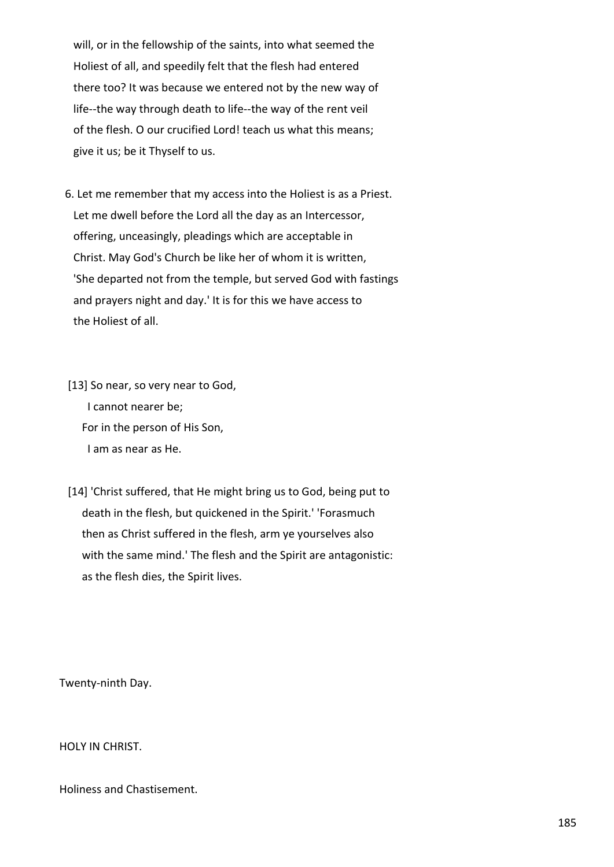will, or in the fellowship of the saints, into what seemed the Holiest of all, and speedily felt that the flesh had entered there too? It was because we entered not by the new way of life--the way through death to life--the way of the rent veil of the flesh. O our crucified Lord! teach us what this means; give it us; be it Thyself to us.

 6. Let me remember that my access into the Holiest is as a Priest. Let me dwell before the Lord all the day as an Intercessor, offering, unceasingly, pleadings which are acceptable in Christ. May God's Church be like her of whom it is written, 'She departed not from the temple, but served God with fastings and prayers night and day.' It is for this we have access to the Holiest of all.

 [13] So near, so very near to God, I cannot nearer be; For in the person of His Son, I am as near as He.

 [14] 'Christ suffered, that He might bring us to God, being put to death in the flesh, but quickened in the Spirit.' 'Forasmuch then as Christ suffered in the flesh, arm ye yourselves also with the same mind.' The flesh and the Spirit are antagonistic: as the flesh dies, the Spirit lives.

Twenty-ninth Day.

HOLY IN CHRIST.

Holiness and Chastisement.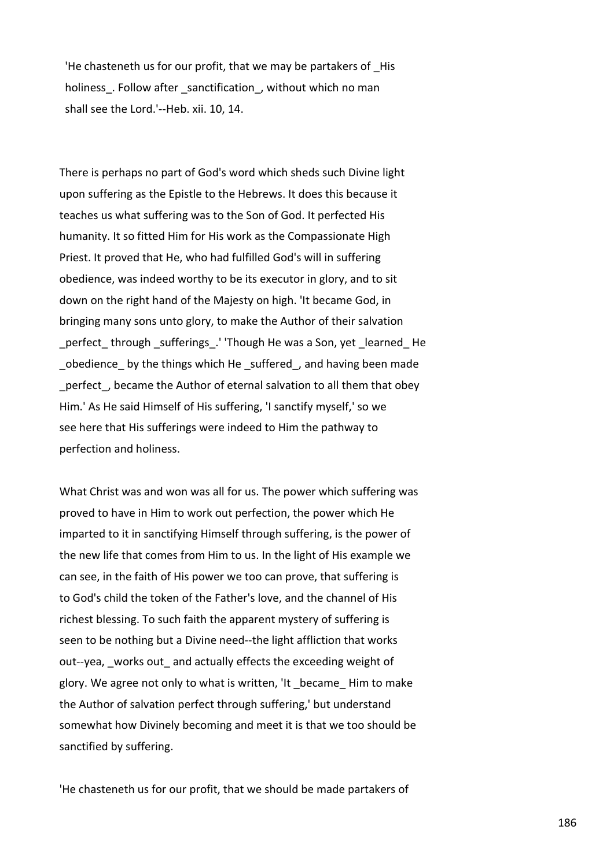'He chasteneth us for our profit, that we may be partakers of \_His holiness. Follow after sanctification, without which no man shall see the Lord.'--Heb. xii. 10, 14.

There is perhaps no part of God's word which sheds such Divine light upon suffering as the Epistle to the Hebrews. It does this because it teaches us what suffering was to the Son of God. It perfected His humanity. It so fitted Him for His work as the Compassionate High Priest. It proved that He, who had fulfilled God's will in suffering obedience, was indeed worthy to be its executor in glory, and to sit down on the right hand of the Majesty on high. 'It became God, in bringing many sons unto glory, to make the Author of their salvation perfect through sufferings. 'Though He was a Son, yet learned He obedience by the things which He suffered, and having been made \_perfect\_, became the Author of eternal salvation to all them that obey Him.' As He said Himself of His suffering, 'I sanctify myself,' so we see here that His sufferings were indeed to Him the pathway to perfection and holiness.

What Christ was and won was all for us. The power which suffering was proved to have in Him to work out perfection, the power which He imparted to it in sanctifying Himself through suffering, is the power of the new life that comes from Him to us. In the light of His example we can see, in the faith of His power we too can prove, that suffering is to God's child the token of the Father's love, and the channel of His richest blessing. To such faith the apparent mystery of suffering is seen to be nothing but a Divine need--the light affliction that works out--yea, works out and actually effects the exceeding weight of glory. We agree not only to what is written, 'It \_became\_ Him to make the Author of salvation perfect through suffering,' but understand somewhat how Divinely becoming and meet it is that we too should be sanctified by suffering.

'He chasteneth us for our profit, that we should be made partakers of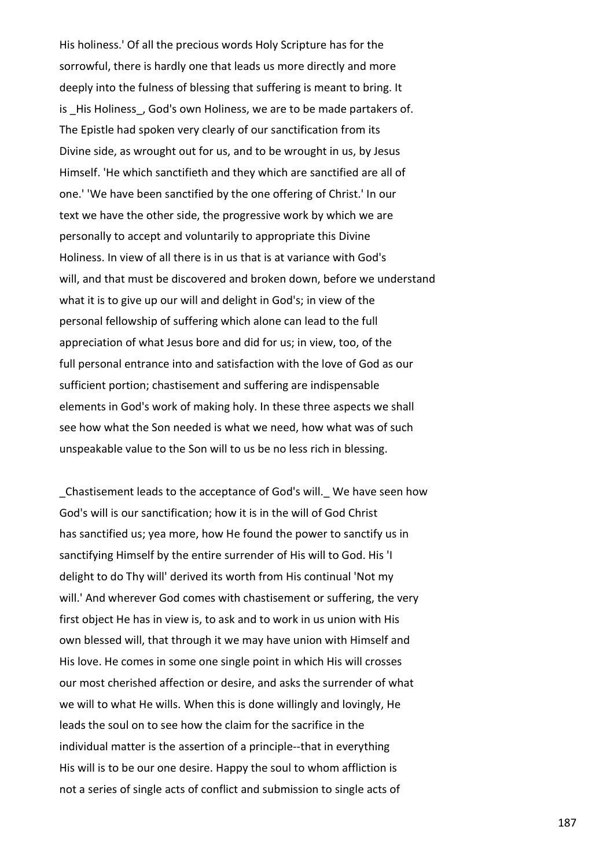His holiness.' Of all the precious words Holy Scripture has for the sorrowful, there is hardly one that leads us more directly and more deeply into the fulness of blessing that suffering is meant to bring. It is His Holiness, God's own Holiness, we are to be made partakers of. The Epistle had spoken very clearly of our sanctification from its Divine side, as wrought out for us, and to be wrought in us, by Jesus Himself. 'He which sanctifieth and they which are sanctified are all of one.' 'We have been sanctified by the one offering of Christ.' In our text we have the other side, the progressive work by which we are personally to accept and voluntarily to appropriate this Divine Holiness. In view of all there is in us that is at variance with God's will, and that must be discovered and broken down, before we understand what it is to give up our will and delight in God's; in view of the personal fellowship of suffering which alone can lead to the full appreciation of what Jesus bore and did for us; in view, too, of the full personal entrance into and satisfaction with the love of God as our sufficient portion; chastisement and suffering are indispensable elements in God's work of making holy. In these three aspects we shall see how what the Son needed is what we need, how what was of such unspeakable value to the Son will to us be no less rich in blessing.

\_Chastisement leads to the acceptance of God's will.\_ We have seen how God's will is our sanctification; how it is in the will of God Christ has sanctified us; yea more, how He found the power to sanctify us in sanctifying Himself by the entire surrender of His will to God. His 'I delight to do Thy will' derived its worth from His continual 'Not my will.' And wherever God comes with chastisement or suffering, the very first object He has in view is, to ask and to work in us union with His own blessed will, that through it we may have union with Himself and His love. He comes in some one single point in which His will crosses our most cherished affection or desire, and asks the surrender of what we will to what He wills. When this is done willingly and lovingly, He leads the soul on to see how the claim for the sacrifice in the individual matter is the assertion of a principle--that in everything His will is to be our one desire. Happy the soul to whom affliction is not a series of single acts of conflict and submission to single acts of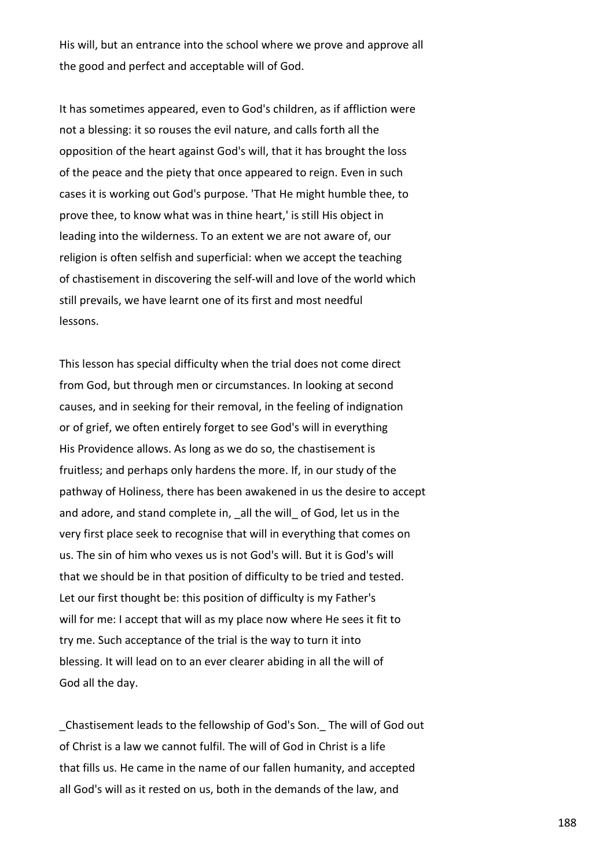His will, but an entrance into the school where we prove and approve all the good and perfect and acceptable will of God.

It has sometimes appeared, even to God's children, as if affliction were not a blessing: it so rouses the evil nature, and calls forth all the opposition of the heart against God's will, that it has brought the loss of the peace and the piety that once appeared to reign. Even in such cases it is working out God's purpose. 'That He might humble thee, to prove thee, to know what was in thine heart,' is still His object in leading into the wilderness. To an extent we are not aware of, our religion is often selfish and superficial: when we accept the teaching of chastisement in discovering the self-will and love of the world which still prevails, we have learnt one of its first and most needful lessons.

This lesson has special difficulty when the trial does not come direct from God, but through men or circumstances. In looking at second causes, and in seeking for their removal, in the feeling of indignation or of grief, we often entirely forget to see God's will in everything His Providence allows. As long as we do so, the chastisement is fruitless; and perhaps only hardens the more. If, in our study of the pathway of Holiness, there has been awakened in us the desire to accept and adore, and stand complete in, all the will of God, let us in the very first place seek to recognise that will in everything that comes on us. The sin of him who vexes us is not God's will. But it is God's will that we should be in that position of difficulty to be tried and tested. Let our first thought be: this position of difficulty is my Father's will for me: I accept that will as my place now where He sees it fit to try me. Such acceptance of the trial is the way to turn it into blessing. It will lead on to an ever clearer abiding in all the will of God all the day.

\_Chastisement leads to the fellowship of God's Son.\_ The will of God out of Christ is a law we cannot fulfil. The will of God in Christ is a life that fills us. He came in the name of our fallen humanity, and accepted all God's will as it rested on us, both in the demands of the law, and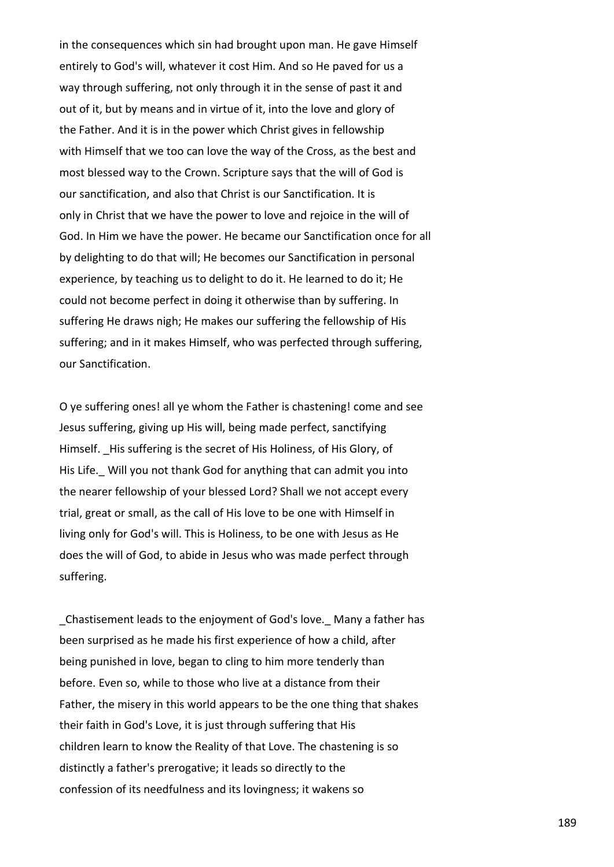in the consequences which sin had brought upon man. He gave Himself entirely to God's will, whatever it cost Him. And so He paved for us a way through suffering, not only through it in the sense of past it and out of it, but by means and in virtue of it, into the love and glory of the Father. And it is in the power which Christ gives in fellowship with Himself that we too can love the way of the Cross, as the best and most blessed way to the Crown. Scripture says that the will of God is our sanctification, and also that Christ is our Sanctification. It is only in Christ that we have the power to love and rejoice in the will of God. In Him we have the power. He became our Sanctification once for all by delighting to do that will; He becomes our Sanctification in personal experience, by teaching us to delight to do it. He learned to do it; He could not become perfect in doing it otherwise than by suffering. In suffering He draws nigh; He makes our suffering the fellowship of His suffering; and in it makes Himself, who was perfected through suffering, our Sanctification.

O ye suffering ones! all ye whom the Father is chastening! come and see Jesus suffering, giving up His will, being made perfect, sanctifying Himself. His suffering is the secret of His Holiness, of His Glory, of His Life. Will you not thank God for anything that can admit you into the nearer fellowship of your blessed Lord? Shall we not accept every trial, great or small, as the call of His love to be one with Himself in living only for God's will. This is Holiness, to be one with Jesus as He does the will of God, to abide in Jesus who was made perfect through suffering.

\_Chastisement leads to the enjoyment of God's love.\_ Many a father has been surprised as he made his first experience of how a child, after being punished in love, began to cling to him more tenderly than before. Even so, while to those who live at a distance from their Father, the misery in this world appears to be the one thing that shakes their faith in God's Love, it is just through suffering that His children learn to know the Reality of that Love. The chastening is so distinctly a father's prerogative; it leads so directly to the confession of its needfulness and its lovingness; it wakens so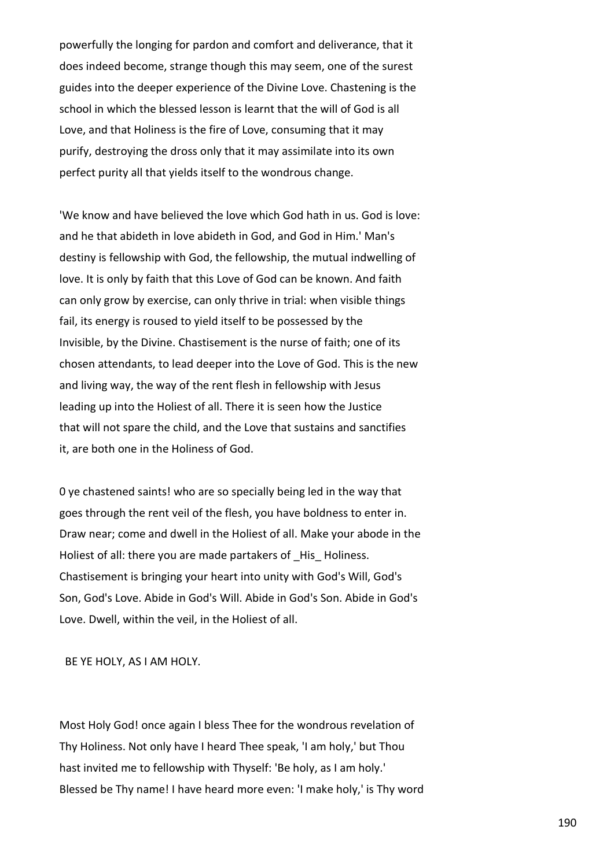powerfully the longing for pardon and comfort and deliverance, that it does indeed become, strange though this may seem, one of the surest guides into the deeper experience of the Divine Love. Chastening is the school in which the blessed lesson is learnt that the will of God is all Love, and that Holiness is the fire of Love, consuming that it may purify, destroying the dross only that it may assimilate into its own perfect purity all that yields itself to the wondrous change.

'We know and have believed the love which God hath in us. God is love: and he that abideth in love abideth in God, and God in Him.' Man's destiny is fellowship with God, the fellowship, the mutual indwelling of love. It is only by faith that this Love of God can be known. And faith can only grow by exercise, can only thrive in trial: when visible things fail, its energy is roused to yield itself to be possessed by the Invisible, by the Divine. Chastisement is the nurse of faith; one of its chosen attendants, to lead deeper into the Love of God. This is the new and living way, the way of the rent flesh in fellowship with Jesus leading up into the Holiest of all. There it is seen how the Justice that will not spare the child, and the Love that sustains and sanctifies it, are both one in the Holiness of God.

0 ye chastened saints! who are so specially being led in the way that goes through the rent veil of the flesh, you have boldness to enter in. Draw near; come and dwell in the Holiest of all. Make your abode in the Holiest of all: there you are made partakers of His Holiness. Chastisement is bringing your heart into unity with God's Will, God's Son, God's Love. Abide in God's Will. Abide in God's Son. Abide in God's Love. Dwell, within the veil, in the Holiest of all.

BE YE HOLY, AS I AM HOLY.

Most Holy God! once again I bless Thee for the wondrous revelation of Thy Holiness. Not only have I heard Thee speak, 'I am holy,' but Thou hast invited me to fellowship with Thyself: 'Be holy, as I am holy.' Blessed be Thy name! I have heard more even: 'I make holy,' is Thy word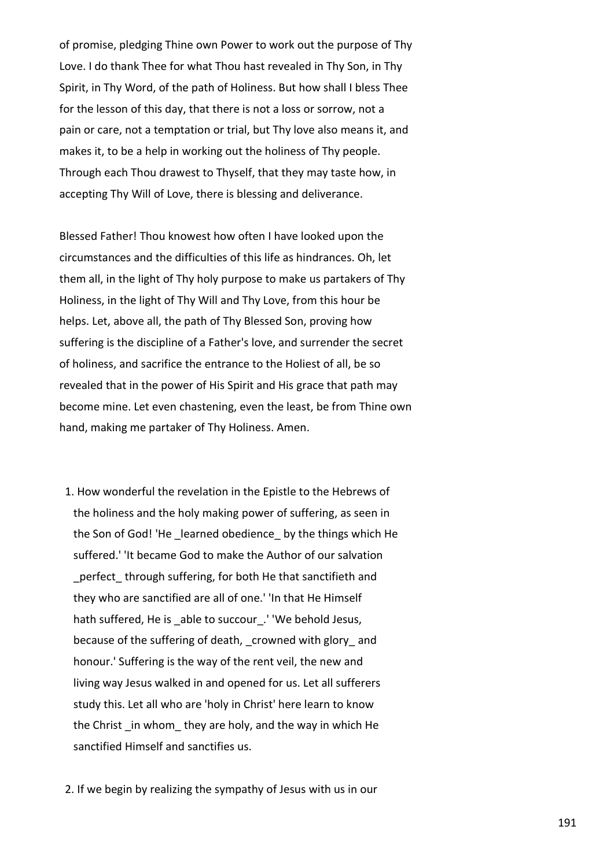of promise, pledging Thine own Power to work out the purpose of Thy Love. I do thank Thee for what Thou hast revealed in Thy Son, in Thy Spirit, in Thy Word, of the path of Holiness. But how shall I bless Thee for the lesson of this day, that there is not a loss or sorrow, not a pain or care, not a temptation or trial, but Thy love also means it, and makes it, to be a help in working out the holiness of Thy people. Through each Thou drawest to Thyself, that they may taste how, in accepting Thy Will of Love, there is blessing and deliverance.

Blessed Father! Thou knowest how often I have looked upon the circumstances and the difficulties of this life as hindrances. Oh, let them all, in the light of Thy holy purpose to make us partakers of Thy Holiness, in the light of Thy Will and Thy Love, from this hour be helps. Let, above all, the path of Thy Blessed Son, proving how suffering is the discipline of a Father's love, and surrender the secret of holiness, and sacrifice the entrance to the Holiest of all, be so revealed that in the power of His Spirit and His grace that path may become mine. Let even chastening, even the least, be from Thine own hand, making me partaker of Thy Holiness. Amen.

- 1. How wonderful the revelation in the Epistle to the Hebrews of the holiness and the holy making power of suffering, as seen in the Son of God! 'He learned obedience by the things which He suffered.' 'It became God to make the Author of our salvation perfect through suffering, for both He that sanctifieth and they who are sanctified are all of one.' 'In that He Himself hath suffered, He is able to succour. ' 'We behold Jesus, because of the suffering of death, crowned with glory and honour.' Suffering is the way of the rent veil, the new and living way Jesus walked in and opened for us. Let all sufferers study this. Let all who are 'holy in Christ' here learn to know the Christ \_in whom\_ they are holy, and the way in which He sanctified Himself and sanctifies us.
- 2. If we begin by realizing the sympathy of Jesus with us in our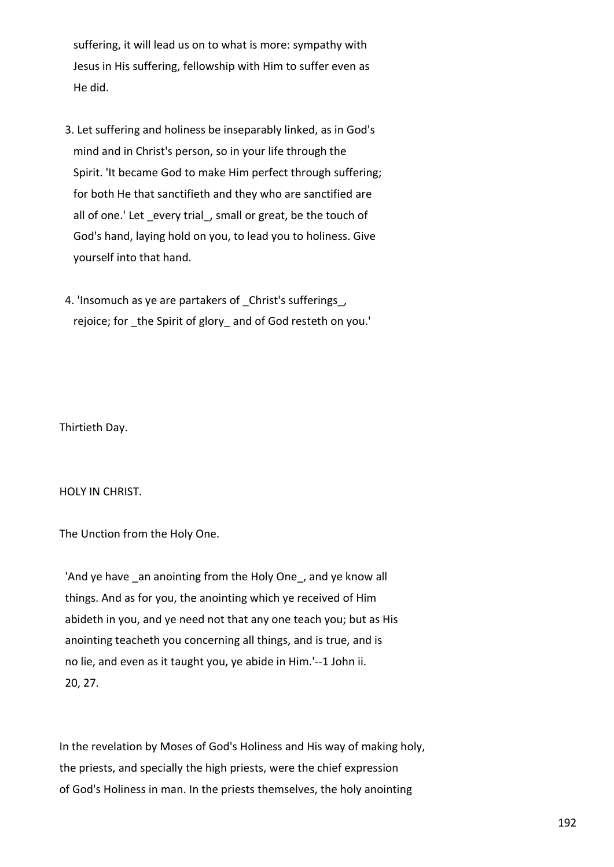suffering, it will lead us on to what is more: sympathy with Jesus in His suffering, fellowship with Him to suffer even as He did.

- 3. Let suffering and holiness be inseparably linked, as in God's mind and in Christ's person, so in your life through the Spirit. 'It became God to make Him perfect through suffering; for both He that sanctifieth and they who are sanctified are all of one.' Let every trial, small or great, be the touch of God's hand, laying hold on you, to lead you to holiness. Give yourself into that hand.
- 4. 'Insomuch as ye are partakers of Christ's sufferings, rejoice; for \_the Spirit of glory\_ and of God resteth on you.'

Thirtieth Day.

HOLY IN CHRIST.

The Unction from the Holy One.

'And ye have \_an anointing from the Holy One\_, and ye know all things. And as for you, the anointing which ye received of Him abideth in you, and ye need not that any one teach you; but as His anointing teacheth you concerning all things, and is true, and is no lie, and even as it taught you, ye abide in Him.'--1 John ii. 20, 27.

In the revelation by Moses of God's Holiness and His way of making holy, the priests, and specially the high priests, were the chief expression of God's Holiness in man. In the priests themselves, the holy anointing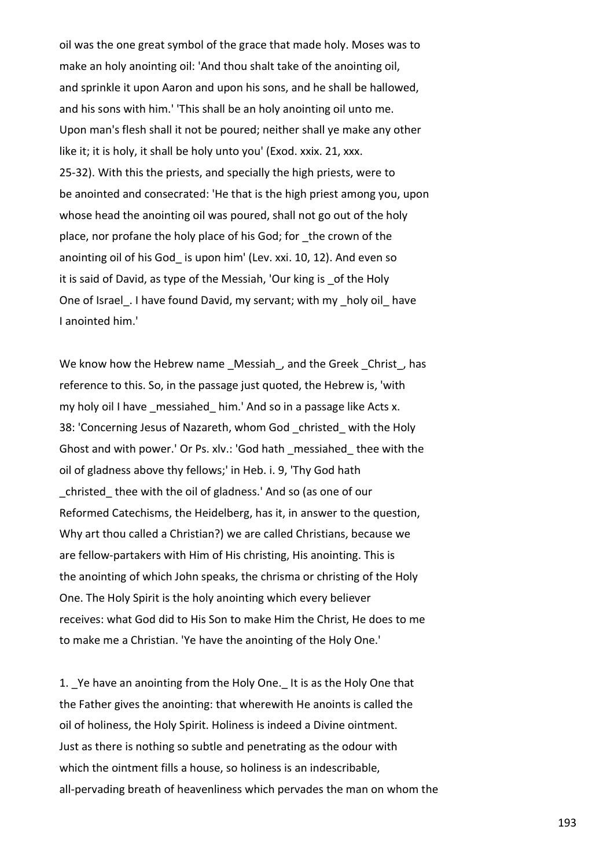oil was the one great symbol of the grace that made holy. Moses was to make an holy anointing oil: 'And thou shalt take of the anointing oil, and sprinkle it upon Aaron and upon his sons, and he shall be hallowed, and his sons with him.' 'This shall be an holy anointing oil unto me. Upon man's flesh shall it not be poured; neither shall ye make any other like it; it is holy, it shall be holy unto you' (Exod. xxix. 21, xxx. 25-32). With this the priests, and specially the high priests, were to be anointed and consecrated: 'He that is the high priest among you, upon whose head the anointing oil was poured, shall not go out of the holy place, nor profane the holy place of his God; for \_the crown of the anointing oil of his God\_ is upon him' (Lev. xxi. 10, 12). And even so it is said of David, as type of the Messiah, 'Our king is \_of the Holy One of Israel. I have found David, my servant; with my \_holy oil\_ have I anointed him.'

We know how the Hebrew name \_Messiah\_, and the Greek \_Christ\_, has reference to this. So, in the passage just quoted, the Hebrew is, 'with my holy oil I have \_messiahed\_ him.' And so in a passage like Acts x. 38: 'Concerning Jesus of Nazareth, whom God christed with the Holy Ghost and with power.' Or Ps. xlv.: 'God hath \_messiahed\_ thee with the oil of gladness above thy fellows;' in Heb. i. 9, 'Thy God hath christed thee with the oil of gladness.' And so (as one of our Reformed Catechisms, the Heidelberg, has it, in answer to the question, Why art thou called a Christian?) we are called Christians, because we are fellow-partakers with Him of His christing, His anointing. This is the anointing of which John speaks, the chrisma or christing of the Holy One. The Holy Spirit is the holy anointing which every believer receives: what God did to His Son to make Him the Christ, He does to me to make me a Christian. 'Ye have the anointing of the Holy One.'

1. Ye have an anointing from the Holy One. It is as the Holy One that the Father gives the anointing: that wherewith He anoints is called the oil of holiness, the Holy Spirit. Holiness is indeed a Divine ointment. Just as there is nothing so subtle and penetrating as the odour with which the ointment fills a house, so holiness is an indescribable, all-pervading breath of heavenliness which pervades the man on whom the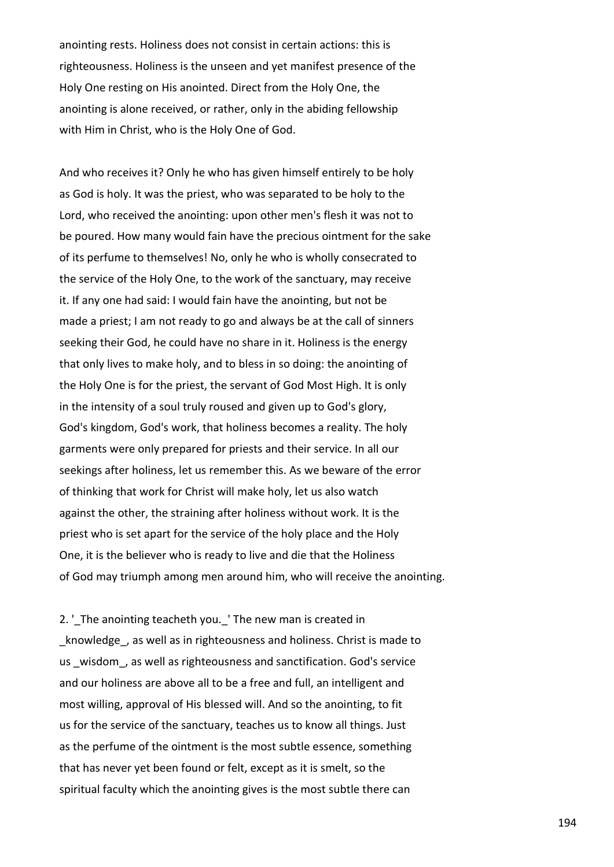anointing rests. Holiness does not consist in certain actions: this is righteousness. Holiness is the unseen and yet manifest presence of the Holy One resting on His anointed. Direct from the Holy One, the anointing is alone received, or rather, only in the abiding fellowship with Him in Christ, who is the Holy One of God.

And who receives it? Only he who has given himself entirely to be holy as God is holy. It was the priest, who was separated to be holy to the Lord, who received the anointing: upon other men's flesh it was not to be poured. How many would fain have the precious ointment for the sake of its perfume to themselves! No, only he who is wholly consecrated to the service of the Holy One, to the work of the sanctuary, may receive it. If any one had said: I would fain have the anointing, but not be made a priest; I am not ready to go and always be at the call of sinners seeking their God, he could have no share in it. Holiness is the energy that only lives to make holy, and to bless in so doing: the anointing of the Holy One is for the priest, the servant of God Most High. It is only in the intensity of a soul truly roused and given up to God's glory, God's kingdom, God's work, that holiness becomes a reality. The holy garments were only prepared for priests and their service. In all our seekings after holiness, let us remember this. As we beware of the error of thinking that work for Christ will make holy, let us also watch against the other, the straining after holiness without work. It is the priest who is set apart for the service of the holy place and the Holy One, it is the believer who is ready to live and die that the Holiness of God may triumph among men around him, who will receive the anointing.

2. ' The anointing teacheth you. 'The new man is created in knowledge, as well as in righteousness and holiness. Christ is made to us wisdom, as well as righteousness and sanctification. God's service and our holiness are above all to be a free and full, an intelligent and most willing, approval of His blessed will. And so the anointing, to fit us for the service of the sanctuary, teaches us to know all things. Just as the perfume of the ointment is the most subtle essence, something that has never yet been found or felt, except as it is smelt, so the spiritual faculty which the anointing gives is the most subtle there can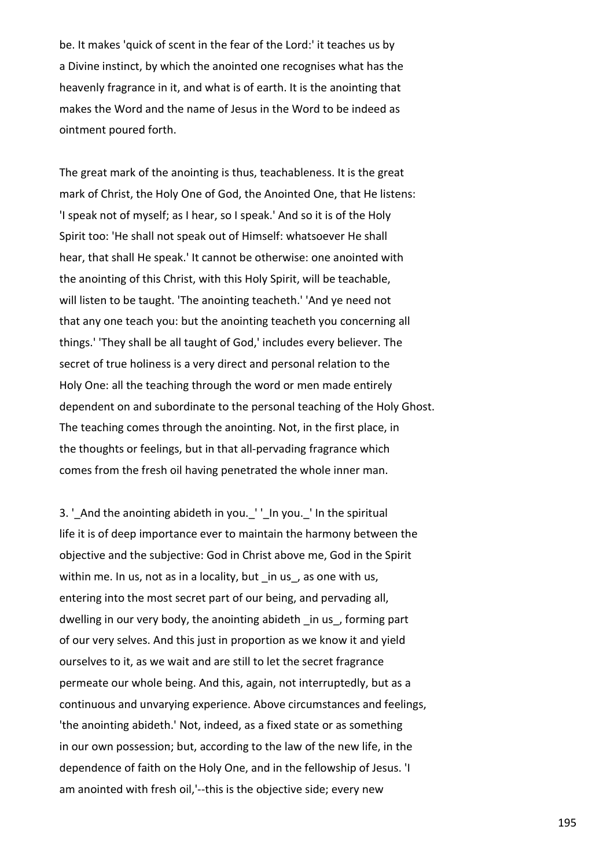be. It makes 'quick of scent in the fear of the Lord:' it teaches us by a Divine instinct, by which the anointed one recognises what has the heavenly fragrance in it, and what is of earth. It is the anointing that makes the Word and the name of Jesus in the Word to be indeed as ointment poured forth.

The great mark of the anointing is thus, teachableness. It is the great mark of Christ, the Holy One of God, the Anointed One, that He listens: 'I speak not of myself; as I hear, so I speak.' And so it is of the Holy Spirit too: 'He shall not speak out of Himself: whatsoever He shall hear, that shall He speak.' It cannot be otherwise: one anointed with the anointing of this Christ, with this Holy Spirit, will be teachable, will listen to be taught. 'The anointing teacheth.' 'And ye need not that any one teach you: but the anointing teacheth you concerning all things.' 'They shall be all taught of God,' includes every believer. The secret of true holiness is a very direct and personal relation to the Holy One: all the teaching through the word or men made entirely dependent on and subordinate to the personal teaching of the Holy Ghost. The teaching comes through the anointing. Not, in the first place, in the thoughts or feelings, but in that all-pervading fragrance which comes from the fresh oil having penetrated the whole inner man.

3. '\_And the anointing abideth in you. '' In you. ' In the spiritual life it is of deep importance ever to maintain the harmony between the objective and the subjective: God in Christ above me, God in the Spirit within me. In us, not as in a locality, but in us, as one with us, entering into the most secret part of our being, and pervading all, dwelling in our very body, the anointing abideth \_in us\_, forming part of our very selves. And this just in proportion as we know it and yield ourselves to it, as we wait and are still to let the secret fragrance permeate our whole being. And this, again, not interruptedly, but as a continuous and unvarying experience. Above circumstances and feelings, 'the anointing abideth.' Not, indeed, as a fixed state or as something in our own possession; but, according to the law of the new life, in the dependence of faith on the Holy One, and in the fellowship of Jesus. 'I am anointed with fresh oil,'--this is the objective side; every new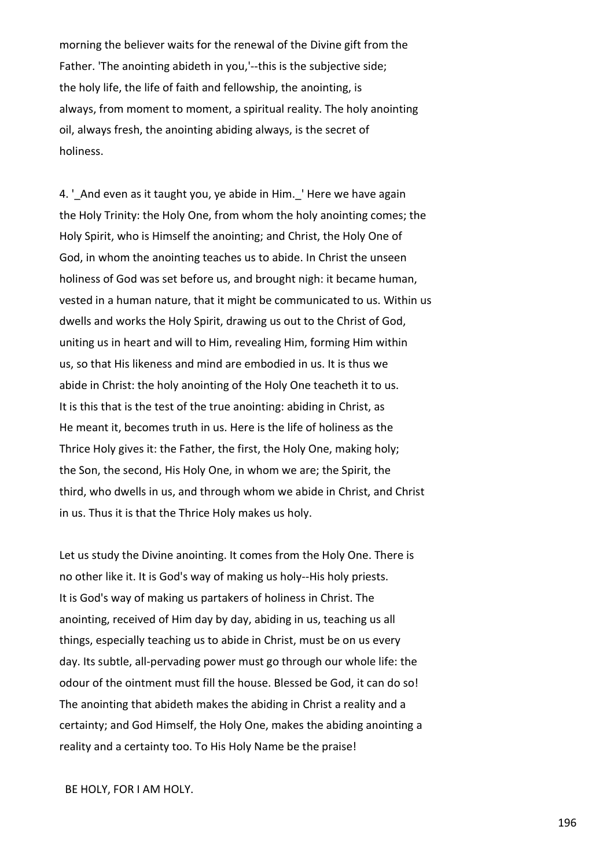morning the believer waits for the renewal of the Divine gift from the Father. 'The anointing abideth in you,'--this is the subjective side; the holy life, the life of faith and fellowship, the anointing, is always, from moment to moment, a spiritual reality. The holy anointing oil, always fresh, the anointing abiding always, is the secret of holiness.

4. ' And even as it taught you, ye abide in Him. ' Here we have again the Holy Trinity: the Holy One, from whom the holy anointing comes; the Holy Spirit, who is Himself the anointing; and Christ, the Holy One of God, in whom the anointing teaches us to abide. In Christ the unseen holiness of God was set before us, and brought nigh: it became human, vested in a human nature, that it might be communicated to us. Within us dwells and works the Holy Spirit, drawing us out to the Christ of God, uniting us in heart and will to Him, revealing Him, forming Him within us, so that His likeness and mind are embodied in us. It is thus we abide in Christ: the holy anointing of the Holy One teacheth it to us. It is this that is the test of the true anointing: abiding in Christ, as He meant it, becomes truth in us. Here is the life of holiness as the Thrice Holy gives it: the Father, the first, the Holy One, making holy; the Son, the second, His Holy One, in whom we are; the Spirit, the third, who dwells in us, and through whom we abide in Christ, and Christ in us. Thus it is that the Thrice Holy makes us holy.

Let us study the Divine anointing. It comes from the Holy One. There is no other like it. It is God's way of making us holy--His holy priests. It is God's way of making us partakers of holiness in Christ. The anointing, received of Him day by day, abiding in us, teaching us all things, especially teaching us to abide in Christ, must be on us every day. Its subtle, all-pervading power must go through our whole life: the odour of the ointment must fill the house. Blessed be God, it can do so! The anointing that abideth makes the abiding in Christ a reality and a certainty; and God Himself, the Holy One, makes the abiding anointing a reality and a certainty too. To His Holy Name be the praise!

BE HOLY, FOR I AM HOLY.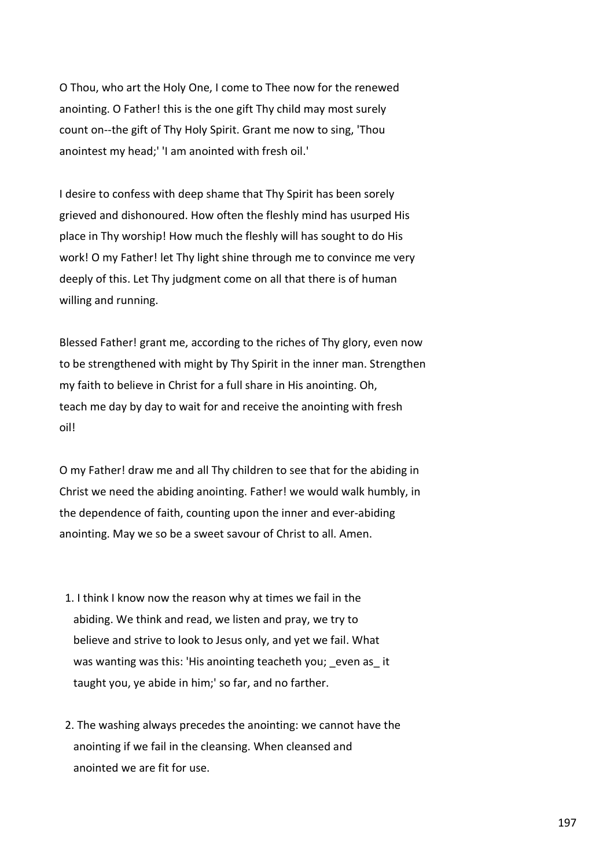O Thou, who art the Holy One, I come to Thee now for the renewed anointing. O Father! this is the one gift Thy child may most surely count on--the gift of Thy Holy Spirit. Grant me now to sing, 'Thou anointest my head;' 'I am anointed with fresh oil.'

I desire to confess with deep shame that Thy Spirit has been sorely grieved and dishonoured. How often the fleshly mind has usurped His place in Thy worship! How much the fleshly will has sought to do His work! O my Father! let Thy light shine through me to convince me very deeply of this. Let Thy judgment come on all that there is of human willing and running.

Blessed Father! grant me, according to the riches of Thy glory, even now to be strengthened with might by Thy Spirit in the inner man. Strengthen my faith to believe in Christ for a full share in His anointing. Oh, teach me day by day to wait for and receive the anointing with fresh oil!

O my Father! draw me and all Thy children to see that for the abiding in Christ we need the abiding anointing. Father! we would walk humbly, in the dependence of faith, counting upon the inner and ever-abiding anointing. May we so be a sweet savour of Christ to all. Amen.

- 1. I think I know now the reason why at times we fail in the abiding. We think and read, we listen and pray, we try to believe and strive to look to Jesus only, and yet we fail. What was wanting was this: 'His anointing teacheth you; even as it taught you, ye abide in him;' so far, and no farther.
- 2. The washing always precedes the anointing: we cannot have the anointing if we fail in the cleansing. When cleansed and anointed we are fit for use.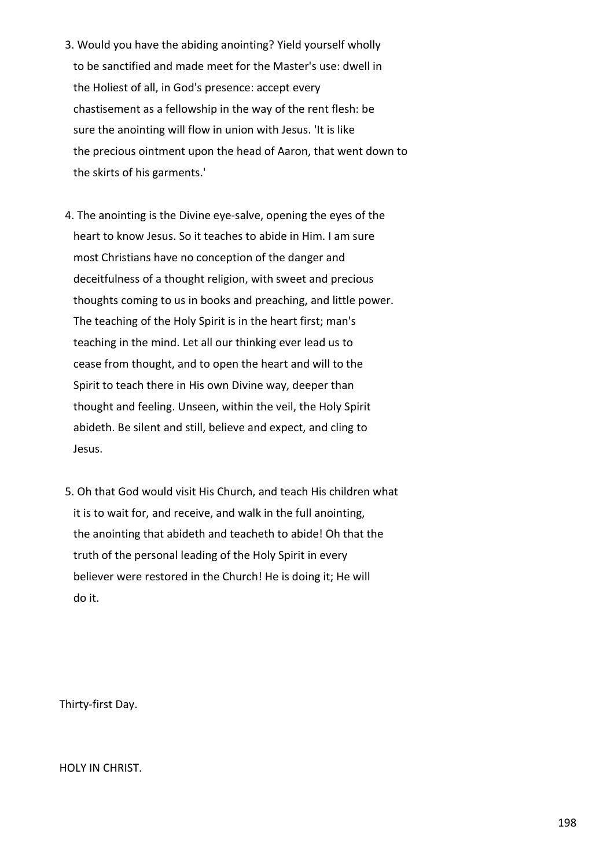- 3. Would you have the abiding anointing? Yield yourself wholly to be sanctified and made meet for the Master's use: dwell in the Holiest of all, in God's presence: accept every chastisement as a fellowship in the way of the rent flesh: be sure the anointing will flow in union with Jesus. 'It is like the precious ointment upon the head of Aaron, that went down to the skirts of his garments.'
- 4. The anointing is the Divine eye-salve, opening the eyes of the heart to know Jesus. So it teaches to abide in Him. I am sure most Christians have no conception of the danger and deceitfulness of a thought religion, with sweet and precious thoughts coming to us in books and preaching, and little power. The teaching of the Holy Spirit is in the heart first; man's teaching in the mind. Let all our thinking ever lead us to cease from thought, and to open the heart and will to the Spirit to teach there in His own Divine way, deeper than thought and feeling. Unseen, within the veil, the Holy Spirit abideth. Be silent and still, believe and expect, and cling to Jesus.
- 5. Oh that God would visit His Church, and teach His children what it is to wait for, and receive, and walk in the full anointing, the anointing that abideth and teacheth to abide! Oh that the truth of the personal leading of the Holy Spirit in every believer were restored in the Church! He is doing it; He will do it.

Thirty-first Day.

HOLY IN CHRIST.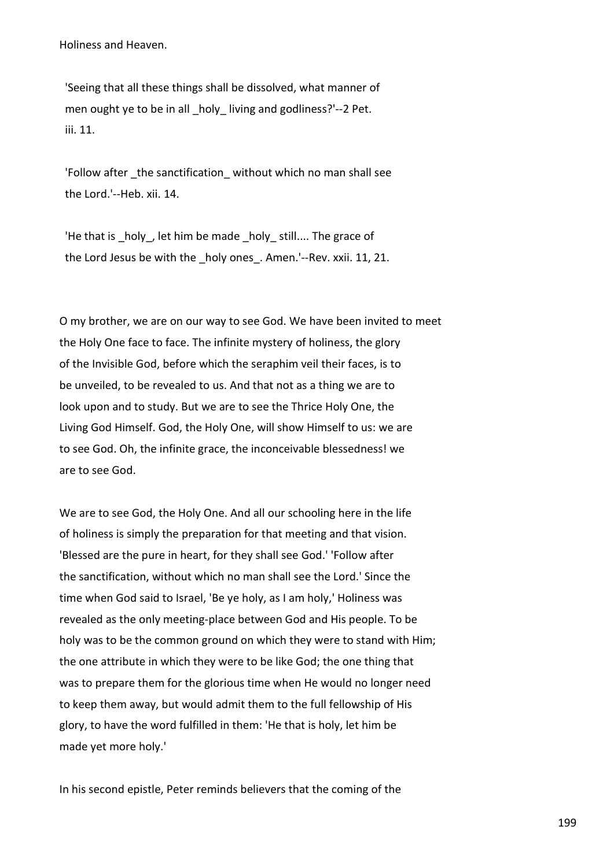Holiness and Heaven.

 'Seeing that all these things shall be dissolved, what manner of men ought ye to be in all holy living and godliness?'--2 Pet. iii. 11.

'Follow after the sanctification without which no man shall see the Lord.'--Heb. xii. 14.

'He that is holy, let him be made holy still.... The grace of the Lord Jesus be with the holy ones. Amen.'--Rev. xxii. 11, 21.

O my brother, we are on our way to see God. We have been invited to meet the Holy One face to face. The infinite mystery of holiness, the glory of the Invisible God, before which the seraphim veil their faces, is to be unveiled, to be revealed to us. And that not as a thing we are to look upon and to study. But we are to see the Thrice Holy One, the Living God Himself. God, the Holy One, will show Himself to us: we are to see God. Oh, the infinite grace, the inconceivable blessedness! we are to see God.

We are to see God, the Holy One. And all our schooling here in the life of holiness is simply the preparation for that meeting and that vision. 'Blessed are the pure in heart, for they shall see God.' 'Follow after the sanctification, without which no man shall see the Lord.' Since the time when God said to Israel, 'Be ye holy, as I am holy,' Holiness was revealed as the only meeting-place between God and His people. To be holy was to be the common ground on which they were to stand with Him; the one attribute in which they were to be like God; the one thing that was to prepare them for the glorious time when He would no longer need to keep them away, but would admit them to the full fellowship of His glory, to have the word fulfilled in them: 'He that is holy, let him be made yet more holy.'

In his second epistle, Peter reminds believers that the coming of the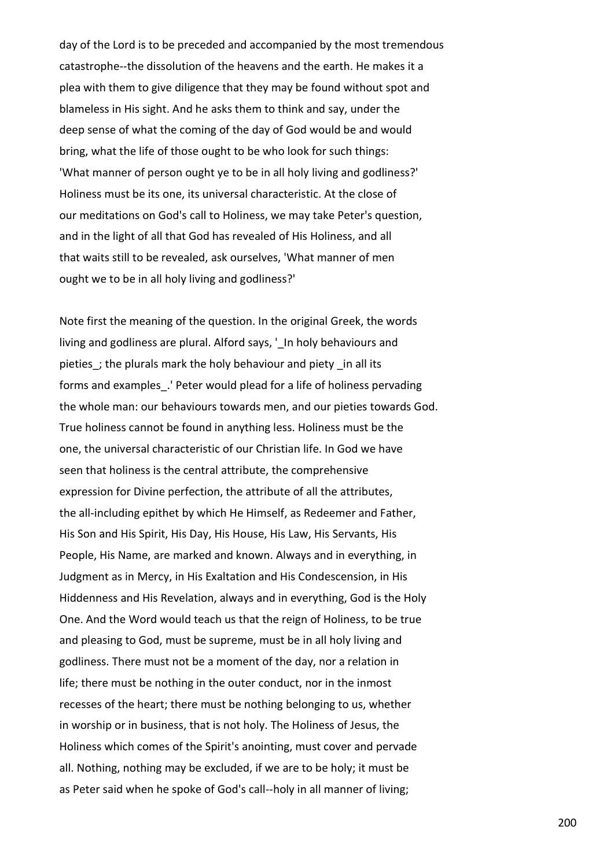day of the Lord is to be preceded and accompanied by the most tremendous catastrophe--the dissolution of the heavens and the earth. He makes it a plea with them to give diligence that they may be found without spot and blameless in His sight. And he asks them to think and say, under the deep sense of what the coming of the day of God would be and would bring, what the life of those ought to be who look for such things: 'What manner of person ought ye to be in all holy living and godliness?' Holiness must be its one, its universal characteristic. At the close of our meditations on God's call to Holiness, we may take Peter's question, and in the light of all that God has revealed of His Holiness, and all that waits still to be revealed, ask ourselves, 'What manner of men ought we to be in all holy living and godliness?'

Note first the meaning of the question. In the original Greek, the words living and godliness are plural. Alford says, ' In holy behaviours and pieties; the plurals mark the holy behaviour and piety in all its forms and examples. ' Peter would plead for a life of holiness pervading the whole man: our behaviours towards men, and our pieties towards God. True holiness cannot be found in anything less. Holiness must be the one, the universal characteristic of our Christian life. In God we have seen that holiness is the central attribute, the comprehensive expression for Divine perfection, the attribute of all the attributes, the all-including epithet by which He Himself, as Redeemer and Father, His Son and His Spirit, His Day, His House, His Law, His Servants, His People, His Name, are marked and known. Always and in everything, in Judgment as in Mercy, in His Exaltation and His Condescension, in His Hiddenness and His Revelation, always and in everything, God is the Holy One. And the Word would teach us that the reign of Holiness, to be true and pleasing to God, must be supreme, must be in all holy living and godliness. There must not be a moment of the day, nor a relation in life; there must be nothing in the outer conduct, nor in the inmost recesses of the heart; there must be nothing belonging to us, whether in worship or in business, that is not holy. The Holiness of Jesus, the Holiness which comes of the Spirit's anointing, must cover and pervade all. Nothing, nothing may be excluded, if we are to be holy; it must be as Peter said when he spoke of God's call--holy in all manner of living;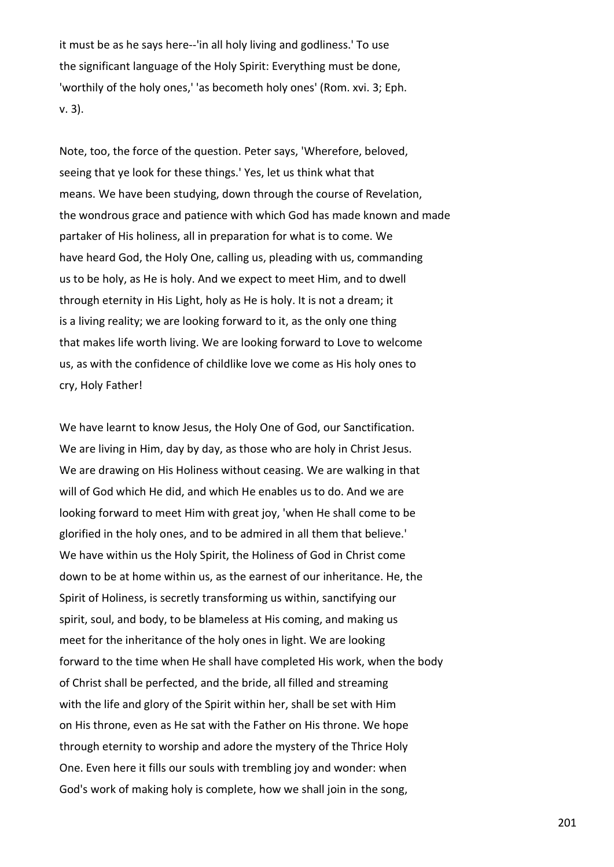it must be as he says here--'in all holy living and godliness.' To use the significant language of the Holy Spirit: Everything must be done, 'worthily of the holy ones,' 'as becometh holy ones' (Rom. xvi. 3; Eph. v. 3).

Note, too, the force of the question. Peter says, 'Wherefore, beloved, seeing that ye look for these things.' Yes, let us think what that means. We have been studying, down through the course of Revelation, the wondrous grace and patience with which God has made known and made partaker of His holiness, all in preparation for what is to come. We have heard God, the Holy One, calling us, pleading with us, commanding us to be holy, as He is holy. And we expect to meet Him, and to dwell through eternity in His Light, holy as He is holy. It is not a dream; it is a living reality; we are looking forward to it, as the only one thing that makes life worth living. We are looking forward to Love to welcome us, as with the confidence of childlike love we come as His holy ones to cry, Holy Father!

We have learnt to know Jesus, the Holy One of God, our Sanctification. We are living in Him, day by day, as those who are holy in Christ Jesus. We are drawing on His Holiness without ceasing. We are walking in that will of God which He did, and which He enables us to do. And we are looking forward to meet Him with great joy, 'when He shall come to be glorified in the holy ones, and to be admired in all them that believe.' We have within us the Holy Spirit, the Holiness of God in Christ come down to be at home within us, as the earnest of our inheritance. He, the Spirit of Holiness, is secretly transforming us within, sanctifying our spirit, soul, and body, to be blameless at His coming, and making us meet for the inheritance of the holy ones in light. We are looking forward to the time when He shall have completed His work, when the body of Christ shall be perfected, and the bride, all filled and streaming with the life and glory of the Spirit within her, shall be set with Him on His throne, even as He sat with the Father on His throne. We hope through eternity to worship and adore the mystery of the Thrice Holy One. Even here it fills our souls with trembling joy and wonder: when God's work of making holy is complete, how we shall join in the song,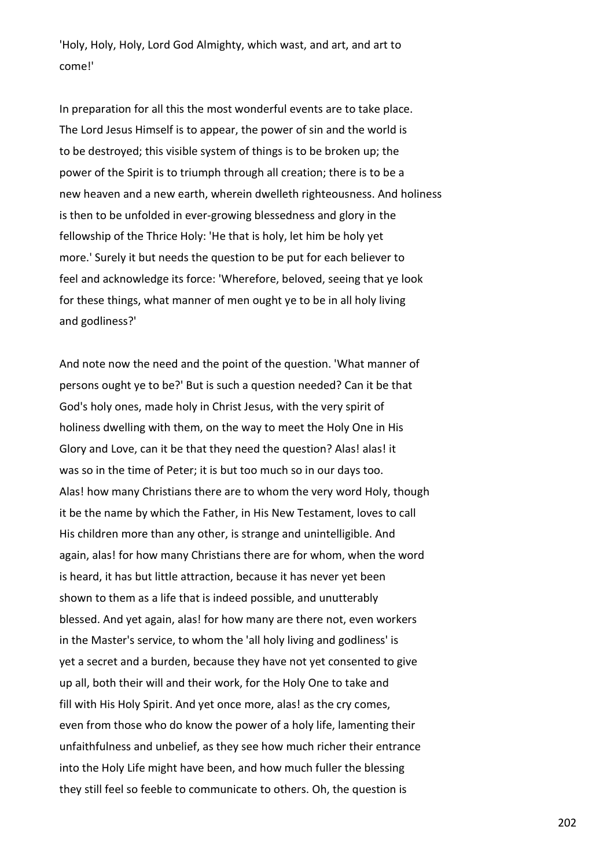'Holy, Holy, Holy, Lord God Almighty, which wast, and art, and art to come!'

In preparation for all this the most wonderful events are to take place. The Lord Jesus Himself is to appear, the power of sin and the world is to be destroyed; this visible system of things is to be broken up; the power of the Spirit is to triumph through all creation; there is to be a new heaven and a new earth, wherein dwelleth righteousness. And holiness is then to be unfolded in ever-growing blessedness and glory in the fellowship of the Thrice Holy: 'He that is holy, let him be holy yet more.' Surely it but needs the question to be put for each believer to feel and acknowledge its force: 'Wherefore, beloved, seeing that ye look for these things, what manner of men ought ye to be in all holy living and godliness?'

And note now the need and the point of the question. 'What manner of persons ought ye to be?' But is such a question needed? Can it be that God's holy ones, made holy in Christ Jesus, with the very spirit of holiness dwelling with them, on the way to meet the Holy One in His Glory and Love, can it be that they need the question? Alas! alas! it was so in the time of Peter; it is but too much so in our days too. Alas! how many Christians there are to whom the very word Holy, though it be the name by which the Father, in His New Testament, loves to call His children more than any other, is strange and unintelligible. And again, alas! for how many Christians there are for whom, when the word is heard, it has but little attraction, because it has never yet been shown to them as a life that is indeed possible, and unutterably blessed. And yet again, alas! for how many are there not, even workers in the Master's service, to whom the 'all holy living and godliness' is yet a secret and a burden, because they have not yet consented to give up all, both their will and their work, for the Holy One to take and fill with His Holy Spirit. And yet once more, alas! as the cry comes, even from those who do know the power of a holy life, lamenting their unfaithfulness and unbelief, as they see how much richer their entrance into the Holy Life might have been, and how much fuller the blessing they still feel so feeble to communicate to others. Oh, the question is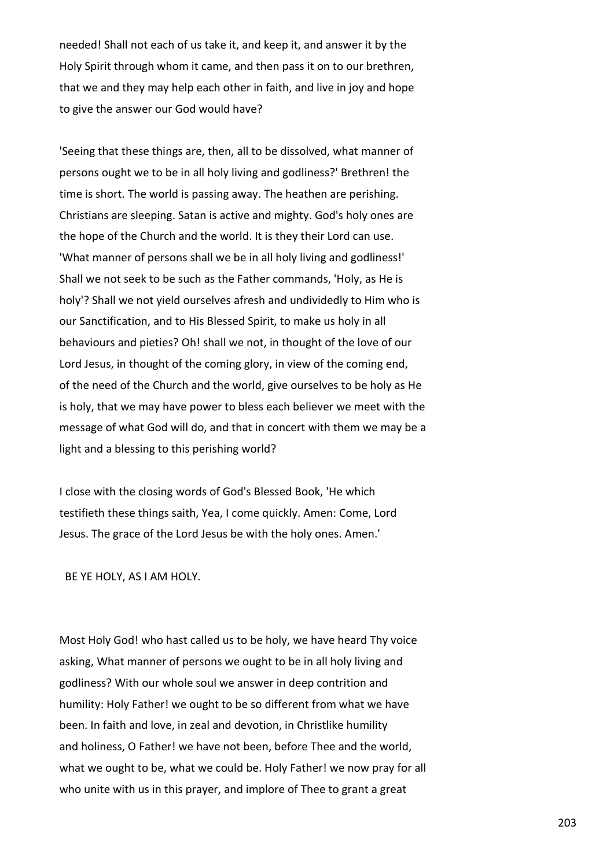needed! Shall not each of us take it, and keep it, and answer it by the Holy Spirit through whom it came, and then pass it on to our brethren, that we and they may help each other in faith, and live in joy and hope to give the answer our God would have?

'Seeing that these things are, then, all to be dissolved, what manner of persons ought we to be in all holy living and godliness?' Brethren! the time is short. The world is passing away. The heathen are perishing. Christians are sleeping. Satan is active and mighty. God's holy ones are the hope of the Church and the world. It is they their Lord can use. 'What manner of persons shall we be in all holy living and godliness!' Shall we not seek to be such as the Father commands, 'Holy, as He is holy'? Shall we not yield ourselves afresh and undividedly to Him who is our Sanctification, and to His Blessed Spirit, to make us holy in all behaviours and pieties? Oh! shall we not, in thought of the love of our Lord Jesus, in thought of the coming glory, in view of the coming end, of the need of the Church and the world, give ourselves to be holy as He is holy, that we may have power to bless each believer we meet with the message of what God will do, and that in concert with them we may be a light and a blessing to this perishing world?

I close with the closing words of God's Blessed Book, 'He which testifieth these things saith, Yea, I come quickly. Amen: Come, Lord Jesus. The grace of the Lord Jesus be with the holy ones. Amen.'

BE YE HOLY, AS I AM HOLY.

Most Holy God! who hast called us to be holy, we have heard Thy voice asking, What manner of persons we ought to be in all holy living and godliness? With our whole soul we answer in deep contrition and humility: Holy Father! we ought to be so different from what we have been. In faith and love, in zeal and devotion, in Christlike humility and holiness, O Father! we have not been, before Thee and the world, what we ought to be, what we could be. Holy Father! we now pray for all who unite with us in this prayer, and implore of Thee to grant a great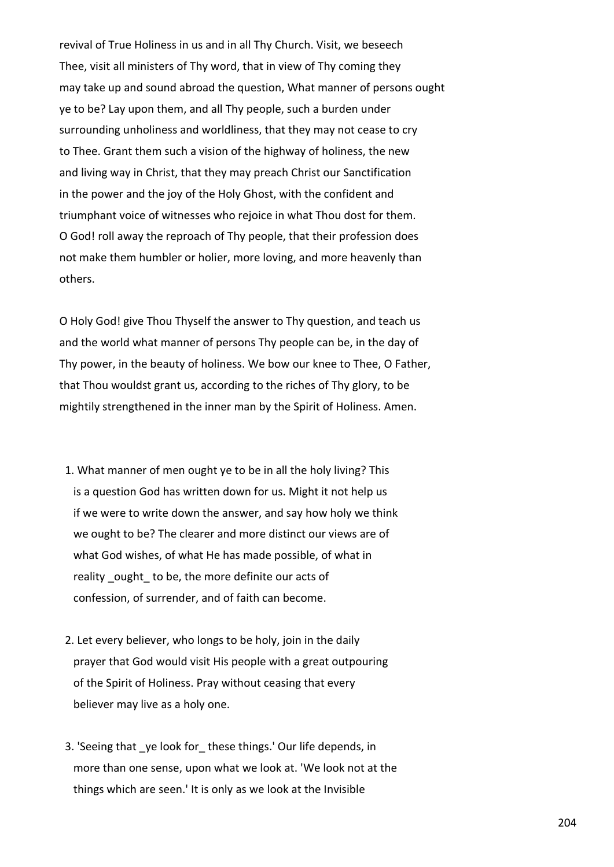revival of True Holiness in us and in all Thy Church. Visit, we beseech Thee, visit all ministers of Thy word, that in view of Thy coming they may take up and sound abroad the question, What manner of persons ought ye to be? Lay upon them, and all Thy people, such a burden under surrounding unholiness and worldliness, that they may not cease to cry to Thee. Grant them such a vision of the highway of holiness, the new and living way in Christ, that they may preach Christ our Sanctification in the power and the joy of the Holy Ghost, with the confident and triumphant voice of witnesses who rejoice in what Thou dost for them. O God! roll away the reproach of Thy people, that their profession does not make them humbler or holier, more loving, and more heavenly than others.

O Holy God! give Thou Thyself the answer to Thy question, and teach us and the world what manner of persons Thy people can be, in the day of Thy power, in the beauty of holiness. We bow our knee to Thee, O Father, that Thou wouldst grant us, according to the riches of Thy glory, to be mightily strengthened in the inner man by the Spirit of Holiness. Amen.

- 1. What manner of men ought ye to be in all the holy living? This is a question God has written down for us. Might it not help us if we were to write down the answer, and say how holy we think we ought to be? The clearer and more distinct our views are of what God wishes, of what He has made possible, of what in reality ought to be, the more definite our acts of confession, of surrender, and of faith can become.
- 2. Let every believer, who longs to be holy, join in the daily prayer that God would visit His people with a great outpouring of the Spirit of Holiness. Pray without ceasing that every believer may live as a holy one.
- 3. 'Seeing that ye look for these things.' Our life depends, in more than one sense, upon what we look at. 'We look not at the things which are seen.' It is only as we look at the Invisible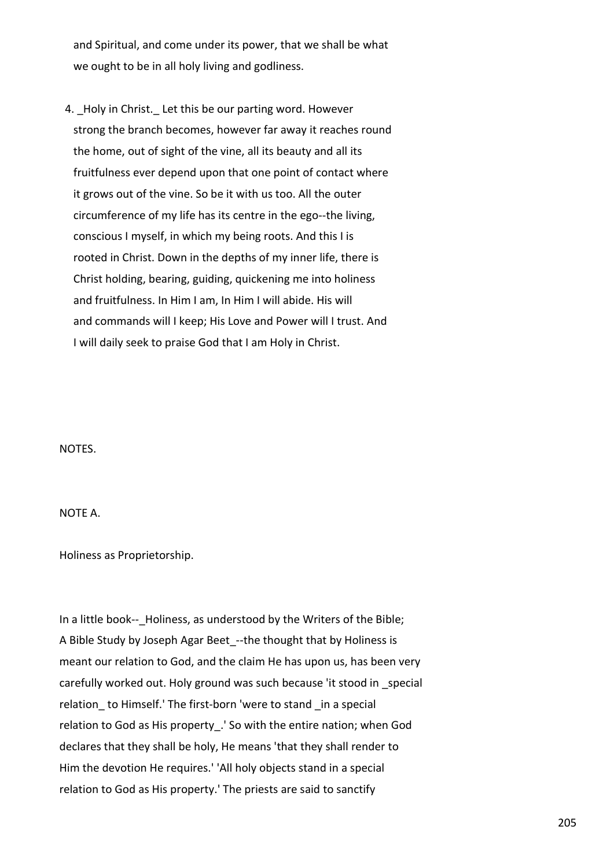and Spiritual, and come under its power, that we shall be what we ought to be in all holy living and godliness.

4. Holy in Christ. Let this be our parting word. However strong the branch becomes, however far away it reaches round the home, out of sight of the vine, all its beauty and all its fruitfulness ever depend upon that one point of contact where it grows out of the vine. So be it with us too. All the outer circumference of my life has its centre in the ego--the living, conscious I myself, in which my being roots. And this I is rooted in Christ. Down in the depths of my inner life, there is Christ holding, bearing, guiding, quickening me into holiness and fruitfulness. In Him I am, In Him I will abide. His will and commands will I keep; His Love and Power will I trust. And I will daily seek to praise God that I am Holy in Christ.

NOTES.

NOTE A.

Holiness as Proprietorship.

In a little book-- Holiness, as understood by the Writers of the Bible; A Bible Study by Joseph Agar Beet --the thought that by Holiness is meant our relation to God, and the claim He has upon us, has been very carefully worked out. Holy ground was such because 'it stood in special relation to Himself.' The first-born 'were to stand in a special relation to God as His property\_.' So with the entire nation; when God declares that they shall be holy, He means 'that they shall render to Him the devotion He requires.' 'All holy objects stand in a special relation to God as His property.' The priests are said to sanctify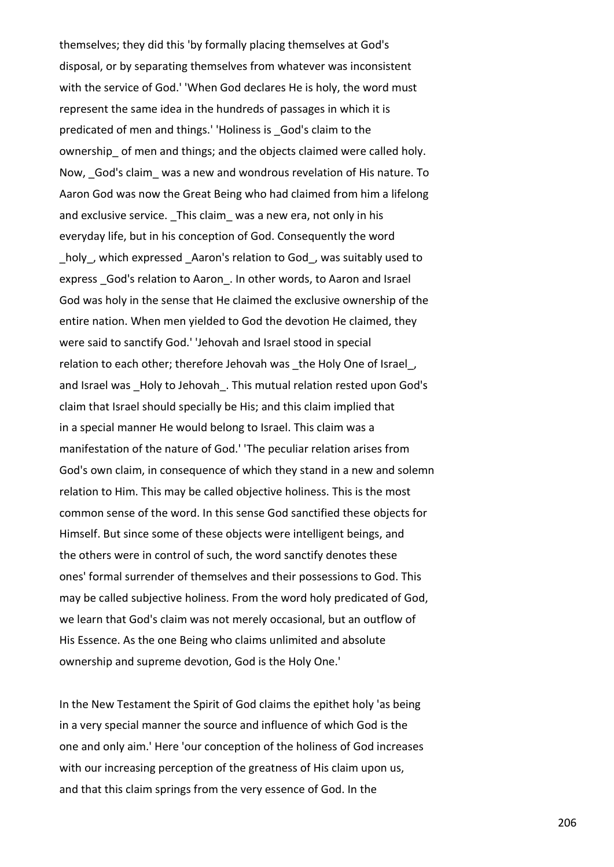themselves; they did this 'by formally placing themselves at God's disposal, or by separating themselves from whatever was inconsistent with the service of God.' 'When God declares He is holy, the word must represent the same idea in the hundreds of passages in which it is predicated of men and things.' 'Holiness is \_God's claim to the ownership\_ of men and things; and the objects claimed were called holy. Now, God's claim was a new and wondrous revelation of His nature. To Aaron God was now the Great Being who had claimed from him a lifelong and exclusive service. This claim was a new era, not only in his everyday life, but in his conception of God. Consequently the word holy, which expressed Aaron's relation to God, was suitably used to express God's relation to Aaron. In other words, to Aaron and Israel God was holy in the sense that He claimed the exclusive ownership of the entire nation. When men yielded to God the devotion He claimed, they were said to sanctify God.' 'Jehovah and Israel stood in special relation to each other; therefore Jehovah was the Holy One of Israel, and Israel was Holy to Jehovah . This mutual relation rested upon God's claim that Israel should specially be His; and this claim implied that in a special manner He would belong to Israel. This claim was a manifestation of the nature of God.' 'The peculiar relation arises from God's own claim, in consequence of which they stand in a new and solemn relation to Him. This may be called objective holiness. This is the most common sense of the word. In this sense God sanctified these objects for Himself. But since some of these objects were intelligent beings, and the others were in control of such, the word sanctify denotes these ones' formal surrender of themselves and their possessions to God. This may be called subjective holiness. From the word holy predicated of God, we learn that God's claim was not merely occasional, but an outflow of His Essence. As the one Being who claims unlimited and absolute ownership and supreme devotion, God is the Holy One.'

In the New Testament the Spirit of God claims the epithet holy 'as being in a very special manner the source and influence of which God is the one and only aim.' Here 'our conception of the holiness of God increases with our increasing perception of the greatness of His claim upon us, and that this claim springs from the very essence of God. In the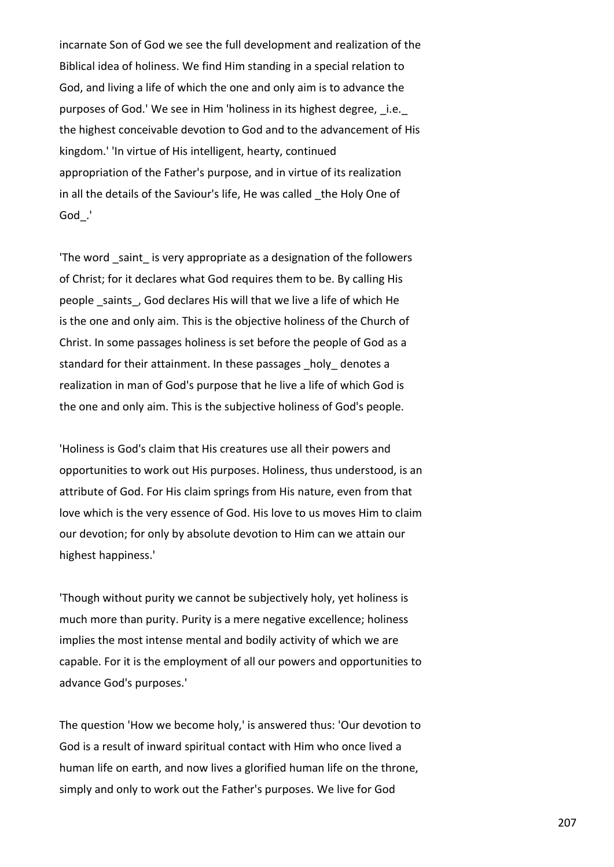incarnate Son of God we see the full development and realization of the Biblical idea of holiness. We find Him standing in a special relation to God, and living a life of which the one and only aim is to advance the purposes of God.' We see in Him 'holiness in its highest degree, i.e. the highest conceivable devotion to God and to the advancement of His kingdom.' 'In virtue of His intelligent, hearty, continued appropriation of the Father's purpose, and in virtue of its realization in all the details of the Saviour's life, He was called \_the Holy One of God\_.'

'The word saint is very appropriate as a designation of the followers of Christ; for it declares what God requires them to be. By calling His people \_saints\_, God declares His will that we live a life of which He is the one and only aim. This is the objective holiness of the Church of Christ. In some passages holiness is set before the people of God as a standard for their attainment. In these passages holy denotes a realization in man of God's purpose that he live a life of which God is the one and only aim. This is the subjective holiness of God's people.

'Holiness is God's claim that His creatures use all their powers and opportunities to work out His purposes. Holiness, thus understood, is an attribute of God. For His claim springs from His nature, even from that love which is the very essence of God. His love to us moves Him to claim our devotion; for only by absolute devotion to Him can we attain our highest happiness.'

'Though without purity we cannot be subjectively holy, yet holiness is much more than purity. Purity is a mere negative excellence; holiness implies the most intense mental and bodily activity of which we are capable. For it is the employment of all our powers and opportunities to advance God's purposes.'

The question 'How we become holy,' is answered thus: 'Our devotion to God is a result of inward spiritual contact with Him who once lived a human life on earth, and now lives a glorified human life on the throne, simply and only to work out the Father's purposes. We live for God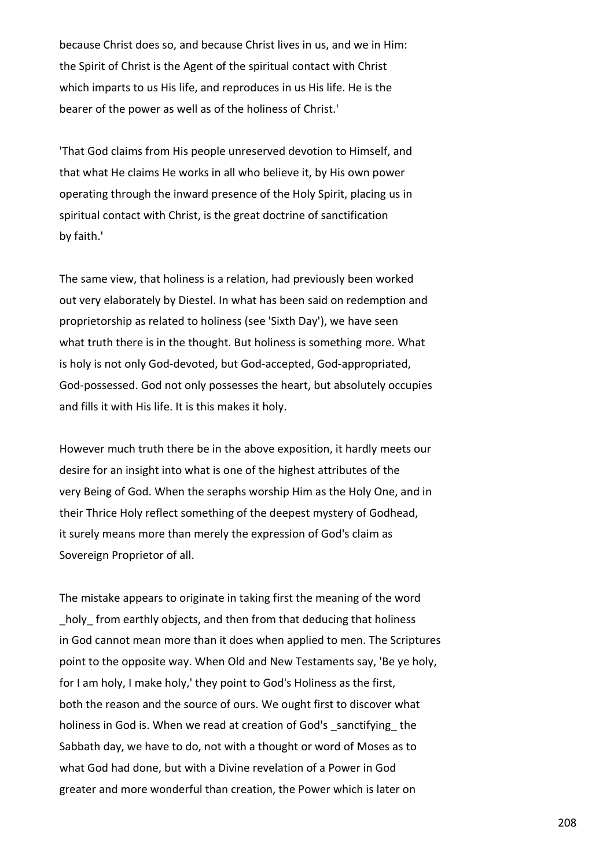because Christ does so, and because Christ lives in us, and we in Him: the Spirit of Christ is the Agent of the spiritual contact with Christ which imparts to us His life, and reproduces in us His life. He is the bearer of the power as well as of the holiness of Christ.'

'That God claims from His people unreserved devotion to Himself, and that what He claims He works in all who believe it, by His own power operating through the inward presence of the Holy Spirit, placing us in spiritual contact with Christ, is the great doctrine of sanctification by faith.'

The same view, that holiness is a relation, had previously been worked out very elaborately by Diestel. In what has been said on redemption and proprietorship as related to holiness (see 'Sixth Day'), we have seen what truth there is in the thought. But holiness is something more. What is holy is not only God-devoted, but God-accepted, God-appropriated, God-possessed. God not only possesses the heart, but absolutely occupies and fills it with His life. It is this makes it holy.

However much truth there be in the above exposition, it hardly meets our desire for an insight into what is one of the highest attributes of the very Being of God. When the seraphs worship Him as the Holy One, and in their Thrice Holy reflect something of the deepest mystery of Godhead, it surely means more than merely the expression of God's claim as Sovereign Proprietor of all.

The mistake appears to originate in taking first the meaning of the word holy from earthly objects, and then from that deducing that holiness in God cannot mean more than it does when applied to men. The Scriptures point to the opposite way. When Old and New Testaments say, 'Be ye holy, for I am holy, I make holy,' they point to God's Holiness as the first, both the reason and the source of ours. We ought first to discover what holiness in God is. When we read at creation of God's sanctifying the Sabbath day, we have to do, not with a thought or word of Moses as to what God had done, but with a Divine revelation of a Power in God greater and more wonderful than creation, the Power which is later on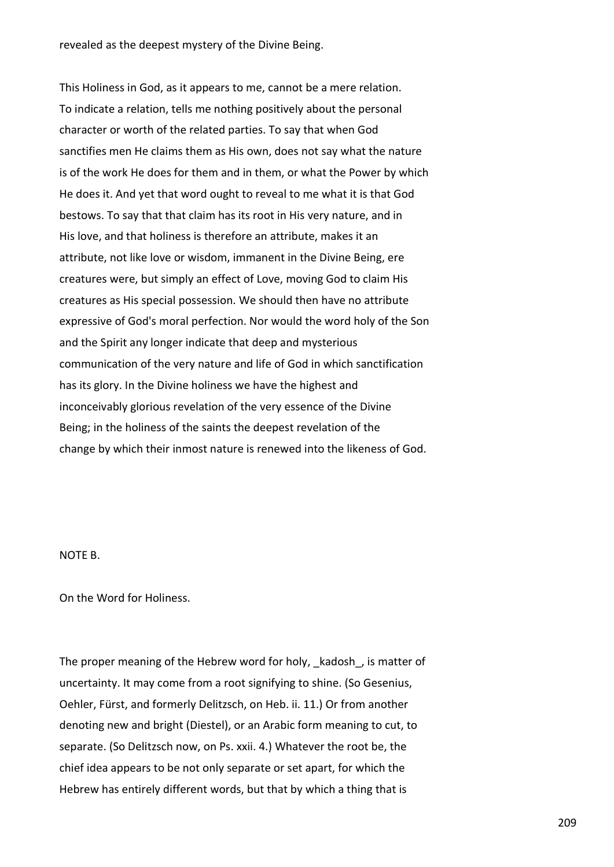revealed as the deepest mystery of the Divine Being.

This Holiness in God, as it appears to me, cannot be a mere relation. To indicate a relation, tells me nothing positively about the personal character or worth of the related parties. To say that when God sanctifies men He claims them as His own, does not say what the nature is of the work He does for them and in them, or what the Power by which He does it. And yet that word ought to reveal to me what it is that God bestows. To say that that claim has its root in His very nature, and in His love, and that holiness is therefore an attribute, makes it an attribute, not like love or wisdom, immanent in the Divine Being, ere creatures were, but simply an effect of Love, moving God to claim His creatures as His special possession. We should then have no attribute expressive of God's moral perfection. Nor would the word holy of the Son and the Spirit any longer indicate that deep and mysterious communication of the very nature and life of God in which sanctification has its glory. In the Divine holiness we have the highest and inconceivably glorious revelation of the very essence of the Divine Being; in the holiness of the saints the deepest revelation of the change by which their inmost nature is renewed into the likeness of God.

## NOTE B.

On the Word for Holiness.

The proper meaning of the Hebrew word for holy, kadosh, is matter of uncertainty. It may come from a root signifying to shine. (So Gesenius, Oehler, Fürst, and formerly Delitzsch, on Heb. ii. 11.) Or from another denoting new and bright (Diestel), or an Arabic form meaning to cut, to separate. (So Delitzsch now, on Ps. xxii. 4.) Whatever the root be, the chief idea appears to be not only separate or set apart, for which the Hebrew has entirely different words, but that by which a thing that is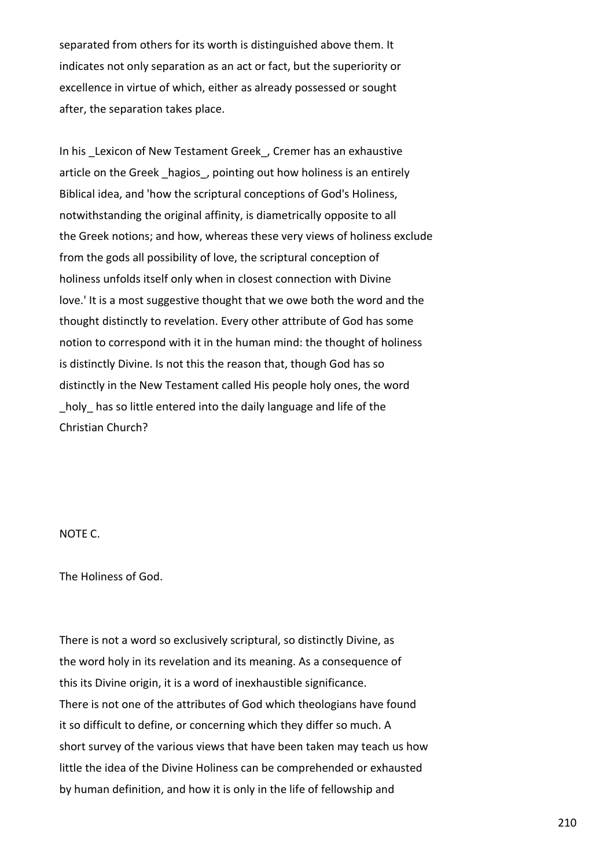separated from others for its worth is distinguished above them. It indicates not only separation as an act or fact, but the superiority or excellence in virtue of which, either as already possessed or sought after, the separation takes place.

In his \_Lexicon of New Testament Greek\_, Cremer has an exhaustive article on the Greek hagios, pointing out how holiness is an entirely Biblical idea, and 'how the scriptural conceptions of God's Holiness, notwithstanding the original affinity, is diametrically opposite to all the Greek notions; and how, whereas these very views of holiness exclude from the gods all possibility of love, the scriptural conception of holiness unfolds itself only when in closest connection with Divine love.' It is a most suggestive thought that we owe both the word and the thought distinctly to revelation. Every other attribute of God has some notion to correspond with it in the human mind: the thought of holiness is distinctly Divine. Is not this the reason that, though God has so distinctly in the New Testament called His people holy ones, the word \_holy\_ has so little entered into the daily language and life of the Christian Church?

NOTE C.

The Holiness of God.

There is not a word so exclusively scriptural, so distinctly Divine, as the word holy in its revelation and its meaning. As a consequence of this its Divine origin, it is a word of inexhaustible significance. There is not one of the attributes of God which theologians have found it so difficult to define, or concerning which they differ so much. A short survey of the various views that have been taken may teach us how little the idea of the Divine Holiness can be comprehended or exhausted by human definition, and how it is only in the life of fellowship and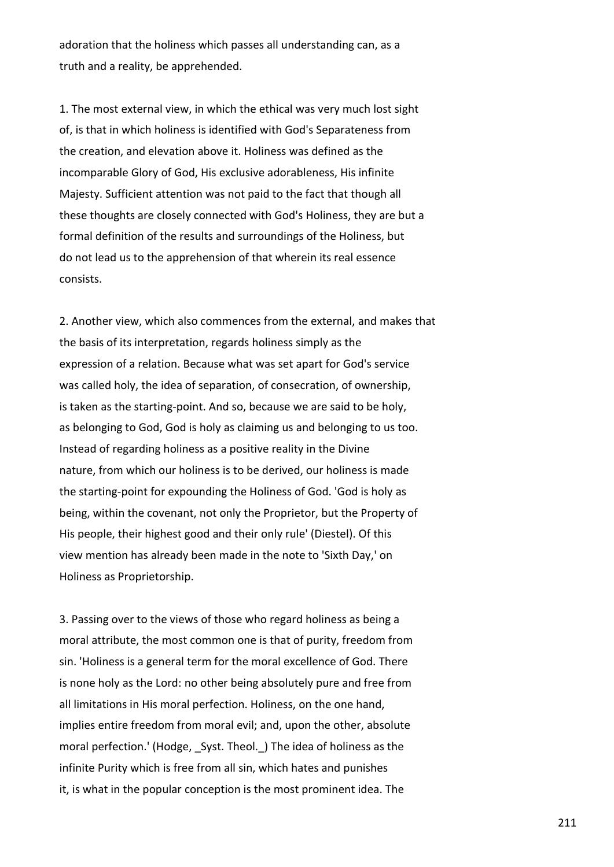adoration that the holiness which passes all understanding can, as a truth and a reality, be apprehended.

1. The most external view, in which the ethical was very much lost sight of, is that in which holiness is identified with God's Separateness from the creation, and elevation above it. Holiness was defined as the incomparable Glory of God, His exclusive adorableness, His infinite Majesty. Sufficient attention was not paid to the fact that though all these thoughts are closely connected with God's Holiness, they are but a formal definition of the results and surroundings of the Holiness, but do not lead us to the apprehension of that wherein its real essence consists.

2. Another view, which also commences from the external, and makes that the basis of its interpretation, regards holiness simply as the expression of a relation. Because what was set apart for God's service was called holy, the idea of separation, of consecration, of ownership, is taken as the starting-point. And so, because we are said to be holy, as belonging to God, God is holy as claiming us and belonging to us too. Instead of regarding holiness as a positive reality in the Divine nature, from which our holiness is to be derived, our holiness is made the starting-point for expounding the Holiness of God. 'God is holy as being, within the covenant, not only the Proprietor, but the Property of His people, their highest good and their only rule' (Diestel). Of this view mention has already been made in the note to 'Sixth Day,' on Holiness as Proprietorship.

3. Passing over to the views of those who regard holiness as being a moral attribute, the most common one is that of purity, freedom from sin. 'Holiness is a general term for the moral excellence of God. There is none holy as the Lord: no other being absolutely pure and free from all limitations in His moral perfection. Holiness, on the one hand, implies entire freedom from moral evil; and, upon the other, absolute moral perfection.' (Hodge, Syst. Theol. ) The idea of holiness as the infinite Purity which is free from all sin, which hates and punishes it, is what in the popular conception is the most prominent idea. The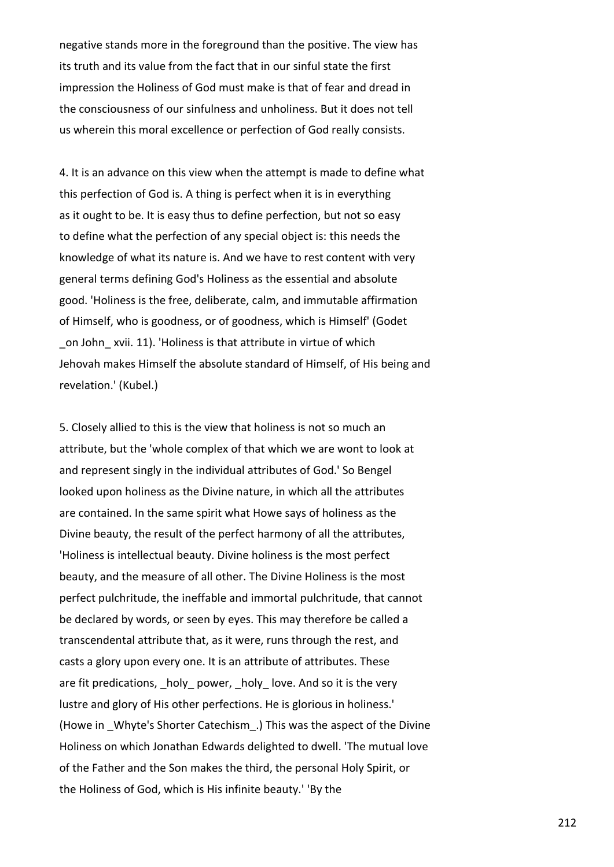negative stands more in the foreground than the positive. The view has its truth and its value from the fact that in our sinful state the first impression the Holiness of God must make is that of fear and dread in the consciousness of our sinfulness and unholiness. But it does not tell us wherein this moral excellence or perfection of God really consists.

4. It is an advance on this view when the attempt is made to define what this perfection of God is. A thing is perfect when it is in everything as it ought to be. It is easy thus to define perfection, but not so easy to define what the perfection of any special object is: this needs the knowledge of what its nature is. And we have to rest content with very general terms defining God's Holiness as the essential and absolute good. 'Holiness is the free, deliberate, calm, and immutable affirmation of Himself, who is goodness, or of goodness, which is Himself' (Godet on John xvii. 11). 'Holiness is that attribute in virtue of which Jehovah makes Himself the absolute standard of Himself, of His being and revelation.' (Kubel.)

5. Closely allied to this is the view that holiness is not so much an attribute, but the 'whole complex of that which we are wont to look at and represent singly in the individual attributes of God.' So Bengel looked upon holiness as the Divine nature, in which all the attributes are contained. In the same spirit what Howe says of holiness as the Divine beauty, the result of the perfect harmony of all the attributes, 'Holiness is intellectual beauty. Divine holiness is the most perfect beauty, and the measure of all other. The Divine Holiness is the most perfect pulchritude, the ineffable and immortal pulchritude, that cannot be declared by words, or seen by eyes. This may therefore be called a transcendental attribute that, as it were, runs through the rest, and casts a glory upon every one. It is an attribute of attributes. These are fit predications, holy power, holy love. And so it is the very lustre and glory of His other perfections. He is glorious in holiness.' (Howe in \_Whyte's Shorter Catechism\_.) This was the aspect of the Divine Holiness on which Jonathan Edwards delighted to dwell. 'The mutual love of the Father and the Son makes the third, the personal Holy Spirit, or the Holiness of God, which is His infinite beauty.' 'By the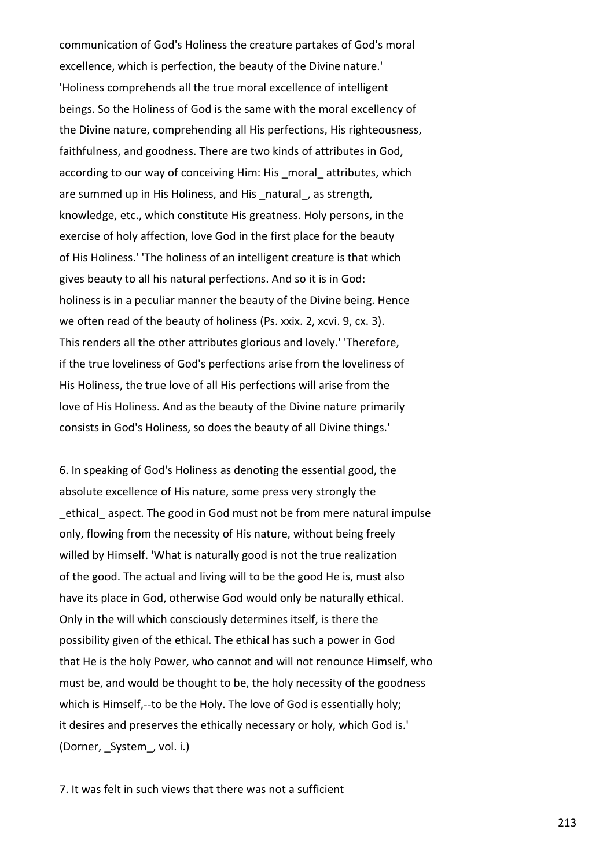communication of God's Holiness the creature partakes of God's moral excellence, which is perfection, the beauty of the Divine nature.' 'Holiness comprehends all the true moral excellence of intelligent beings. So the Holiness of God is the same with the moral excellency of the Divine nature, comprehending all His perfections, His righteousness, faithfulness, and goodness. There are two kinds of attributes in God, according to our way of conceiving Him: His \_moral\_attributes, which are summed up in His Holiness, and His natural, as strength, knowledge, etc., which constitute His greatness. Holy persons, in the exercise of holy affection, love God in the first place for the beauty of His Holiness.' 'The holiness of an intelligent creature is that which gives beauty to all his natural perfections. And so it is in God: holiness is in a peculiar manner the beauty of the Divine being. Hence we often read of the beauty of holiness (Ps. xxix. 2, xcvi. 9, cx. 3). This renders all the other attributes glorious and lovely.' 'Therefore, if the true loveliness of God's perfections arise from the loveliness of His Holiness, the true love of all His perfections will arise from the love of His Holiness. And as the beauty of the Divine nature primarily consists in God's Holiness, so does the beauty of all Divine things.'

6. In speaking of God's Holiness as denoting the essential good, the absolute excellence of His nature, some press very strongly the ethical aspect. The good in God must not be from mere natural impulse only, flowing from the necessity of His nature, without being freely willed by Himself. 'What is naturally good is not the true realization of the good. The actual and living will to be the good He is, must also have its place in God, otherwise God would only be naturally ethical. Only in the will which consciously determines itself, is there the possibility given of the ethical. The ethical has such a power in God that He is the holy Power, who cannot and will not renounce Himself, who must be, and would be thought to be, the holy necessity of the goodness which is Himself,--to be the Holy. The love of God is essentially holy; it desires and preserves the ethically necessary or holy, which God is.' (Dorner, System, vol. i.)

7. It was felt in such views that there was not a sufficient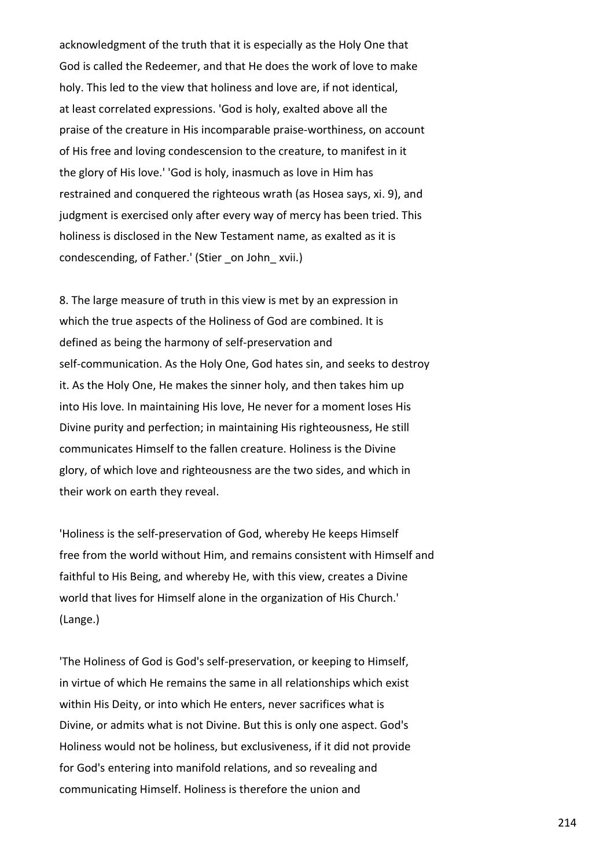acknowledgment of the truth that it is especially as the Holy One that God is called the Redeemer, and that He does the work of love to make holy. This led to the view that holiness and love are, if not identical, at least correlated expressions. 'God is holy, exalted above all the praise of the creature in His incomparable praise-worthiness, on account of His free and loving condescension to the creature, to manifest in it the glory of His love.' 'God is holy, inasmuch as love in Him has restrained and conquered the righteous wrath (as Hosea says, xi. 9), and judgment is exercised only after every way of mercy has been tried. This holiness is disclosed in the New Testament name, as exalted as it is condescending, of Father.' (Stier on John xvii.)

8. The large measure of truth in this view is met by an expression in which the true aspects of the Holiness of God are combined. It is defined as being the harmony of self-preservation and self-communication. As the Holy One, God hates sin, and seeks to destroy it. As the Holy One, He makes the sinner holy, and then takes him up into His love. In maintaining His love, He never for a moment loses His Divine purity and perfection; in maintaining His righteousness, He still communicates Himself to the fallen creature. Holiness is the Divine glory, of which love and righteousness are the two sides, and which in their work on earth they reveal.

'Holiness is the self-preservation of God, whereby He keeps Himself free from the world without Him, and remains consistent with Himself and faithful to His Being, and whereby He, with this view, creates a Divine world that lives for Himself alone in the organization of His Church.' (Lange.)

'The Holiness of God is God's self-preservation, or keeping to Himself, in virtue of which He remains the same in all relationships which exist within His Deity, or into which He enters, never sacrifices what is Divine, or admits what is not Divine. But this is only one aspect. God's Holiness would not be holiness, but exclusiveness, if it did not provide for God's entering into manifold relations, and so revealing and communicating Himself. Holiness is therefore the union and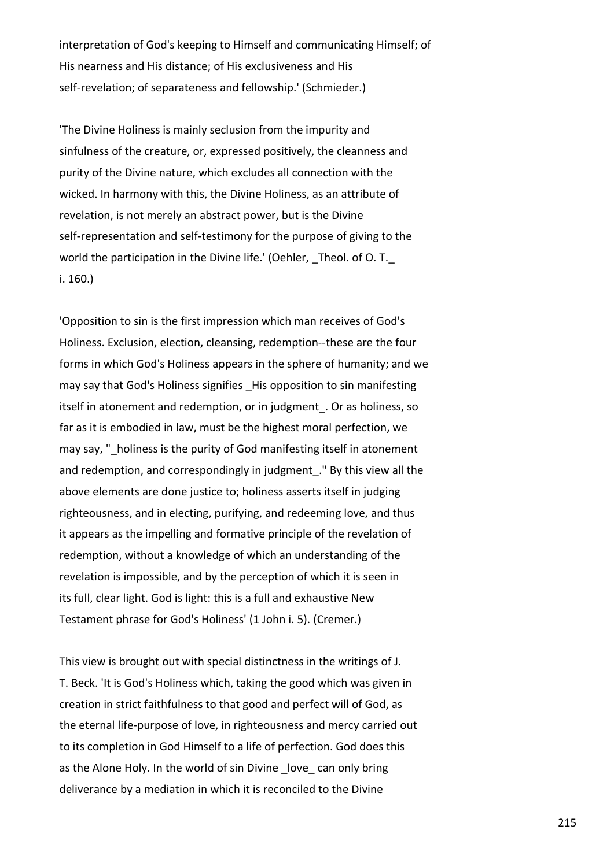interpretation of God's keeping to Himself and communicating Himself; of His nearness and His distance; of His exclusiveness and His self-revelation; of separateness and fellowship.' (Schmieder.)

'The Divine Holiness is mainly seclusion from the impurity and sinfulness of the creature, or, expressed positively, the cleanness and purity of the Divine nature, which excludes all connection with the wicked. In harmony with this, the Divine Holiness, as an attribute of revelation, is not merely an abstract power, but is the Divine self-representation and self-testimony for the purpose of giving to the world the participation in the Divine life.' (Oehler, Theol. of O. T. i. 160.)

'Opposition to sin is the first impression which man receives of God's Holiness. Exclusion, election, cleansing, redemption--these are the four forms in which God's Holiness appears in the sphere of humanity; and we may say that God's Holiness signifies His opposition to sin manifesting itself in atonement and redemption, or in judgment\_. Or as holiness, so far as it is embodied in law, must be the highest moral perfection, we may say, " holiness is the purity of God manifesting itself in atonement and redemption, and correspondingly in judgment\_." By this view all the above elements are done justice to; holiness asserts itself in judging righteousness, and in electing, purifying, and redeeming love, and thus it appears as the impelling and formative principle of the revelation of redemption, without a knowledge of which an understanding of the revelation is impossible, and by the perception of which it is seen in its full, clear light. God is light: this is a full and exhaustive New Testament phrase for God's Holiness' (1 John i. 5). (Cremer.)

This view is brought out with special distinctness in the writings of J. T. Beck. 'It is God's Holiness which, taking the good which was given in creation in strict faithfulness to that good and perfect will of God, as the eternal life-purpose of love, in righteousness and mercy carried out to its completion in God Himself to a life of perfection. God does this as the Alone Holy. In the world of sin Divine love can only bring deliverance by a mediation in which it is reconciled to the Divine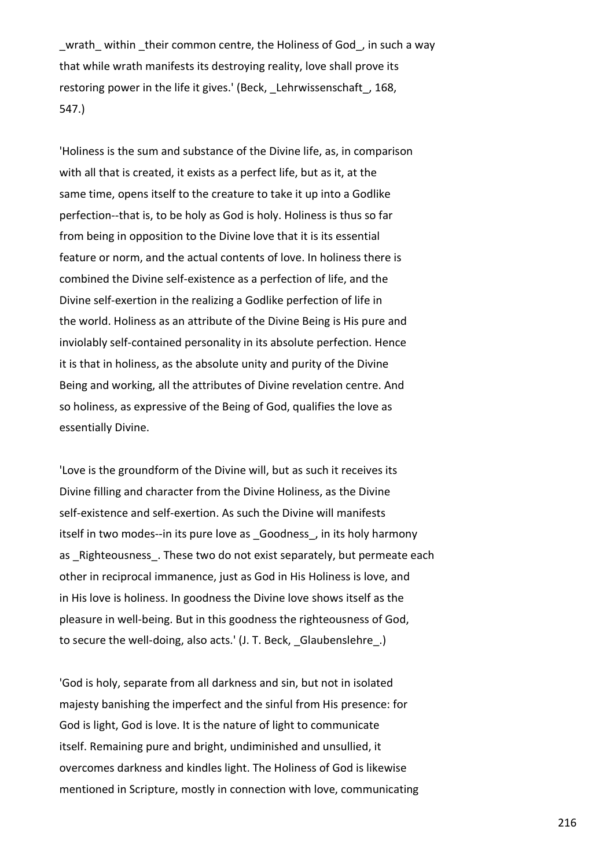wrath within their common centre, the Holiness of God, in such a way that while wrath manifests its destroying reality, love shall prove its restoring power in the life it gives.' (Beck, Lehrwissenschaft, 168, 547.)

'Holiness is the sum and substance of the Divine life, as, in comparison with all that is created, it exists as a perfect life, but as it, at the same time, opens itself to the creature to take it up into a Godlike perfection--that is, to be holy as God is holy. Holiness is thus so far from being in opposition to the Divine love that it is its essential feature or norm, and the actual contents of love. In holiness there is combined the Divine self-existence as a perfection of life, and the Divine self-exertion in the realizing a Godlike perfection of life in the world. Holiness as an attribute of the Divine Being is His pure and inviolably self-contained personality in its absolute perfection. Hence it is that in holiness, as the absolute unity and purity of the Divine Being and working, all the attributes of Divine revelation centre. And so holiness, as expressive of the Being of God, qualifies the love as essentially Divine.

'Love is the groundform of the Divine will, but as such it receives its Divine filling and character from the Divine Holiness, as the Divine self-existence and self-exertion. As such the Divine will manifests itself in two modes--in its pure love as Goodness, in its holy harmony as Righteousness. These two do not exist separately, but permeate each other in reciprocal immanence, just as God in His Holiness is love, and in His love is holiness. In goodness the Divine love shows itself as the pleasure in well-being. But in this goodness the righteousness of God, to secure the well-doing, also acts.' (J. T. Beck, Glaubenslehre.)

'God is holy, separate from all darkness and sin, but not in isolated majesty banishing the imperfect and the sinful from His presence: for God is light, God is love. It is the nature of light to communicate itself. Remaining pure and bright, undiminished and unsullied, it overcomes darkness and kindles light. The Holiness of God is likewise mentioned in Scripture, mostly in connection with love, communicating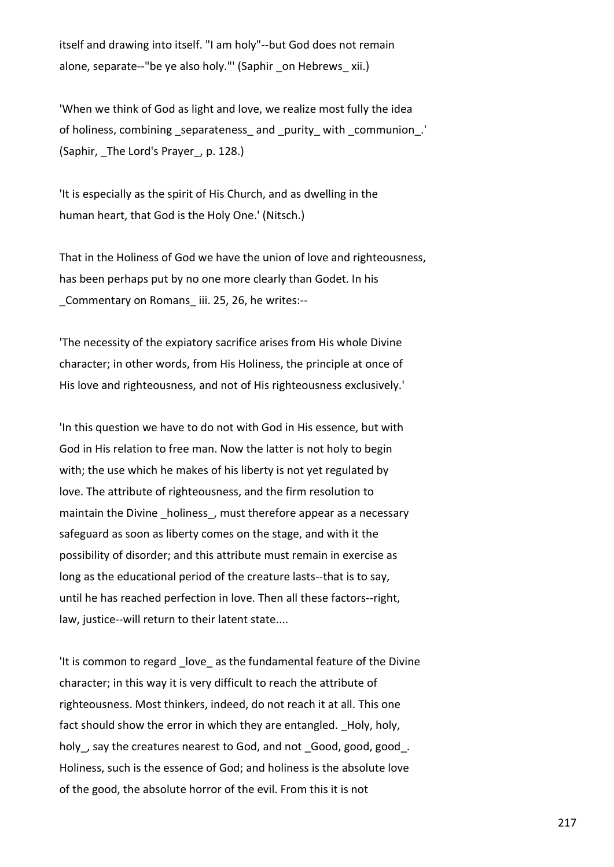itself and drawing into itself. "I am holy"--but God does not remain alone, separate--"be ye also holy."' (Saphir \_on Hebrews\_ xii.)

'When we think of God as light and love, we realize most fully the idea of holiness, combining \_separateness\_ and \_purity\_ with \_communion\_.' (Saphir, \_The Lord's Prayer\_, p. 128.)

'It is especially as the spirit of His Church, and as dwelling in the human heart, that God is the Holy One.' (Nitsch.)

That in the Holiness of God we have the union of love and righteousness, has been perhaps put by no one more clearly than Godet. In his \_Commentary on Romans\_ iii. 25, 26, he writes:--

'The necessity of the expiatory sacrifice arises from His whole Divine character; in other words, from His Holiness, the principle at once of His love and righteousness, and not of His righteousness exclusively.'

'In this question we have to do not with God in His essence, but with God in His relation to free man. Now the latter is not holy to begin with; the use which he makes of his liberty is not yet regulated by love. The attribute of righteousness, and the firm resolution to maintain the Divine holiness, must therefore appear as a necessary safeguard as soon as liberty comes on the stage, and with it the possibility of disorder; and this attribute must remain in exercise as long as the educational period of the creature lasts--that is to say, until he has reached perfection in love. Then all these factors--right, law, justice--will return to their latent state....

'It is common to regard love as the fundamental feature of the Divine character; in this way it is very difficult to reach the attribute of righteousness. Most thinkers, indeed, do not reach it at all. This one fact should show the error in which they are entangled. \_Holy, holy, holy, say the creatures nearest to God, and not \_Good, good, good\_. Holiness, such is the essence of God; and holiness is the absolute love of the good, the absolute horror of the evil. From this it is not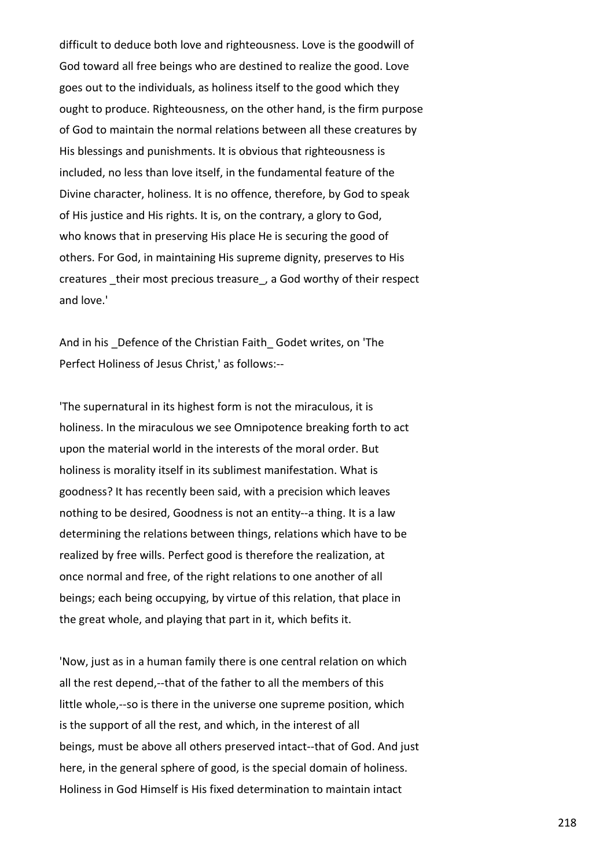difficult to deduce both love and righteousness. Love is the goodwill of God toward all free beings who are destined to realize the good. Love goes out to the individuals, as holiness itself to the good which they ought to produce. Righteousness, on the other hand, is the firm purpose of God to maintain the normal relations between all these creatures by His blessings and punishments. It is obvious that righteousness is included, no less than love itself, in the fundamental feature of the Divine character, holiness. It is no offence, therefore, by God to speak of His justice and His rights. It is, on the contrary, a glory to God, who knows that in preserving His place He is securing the good of others. For God, in maintaining His supreme dignity, preserves to His creatures \_their most precious treasure\_, a God worthy of their respect and love.'

And in his Defence of the Christian Faith Godet writes, on 'The Perfect Holiness of Jesus Christ,' as follows:--

'The supernatural in its highest form is not the miraculous, it is holiness. In the miraculous we see Omnipotence breaking forth to act upon the material world in the interests of the moral order. But holiness is morality itself in its sublimest manifestation. What is goodness? It has recently been said, with a precision which leaves nothing to be desired, Goodness is not an entity--a thing. It is a law determining the relations between things, relations which have to be realized by free wills. Perfect good is therefore the realization, at once normal and free, of the right relations to one another of all beings; each being occupying, by virtue of this relation, that place in the great whole, and playing that part in it, which befits it.

'Now, just as in a human family there is one central relation on which all the rest depend,--that of the father to all the members of this little whole,--so is there in the universe one supreme position, which is the support of all the rest, and which, in the interest of all beings, must be above all others preserved intact--that of God. And just here, in the general sphere of good, is the special domain of holiness. Holiness in God Himself is His fixed determination to maintain intact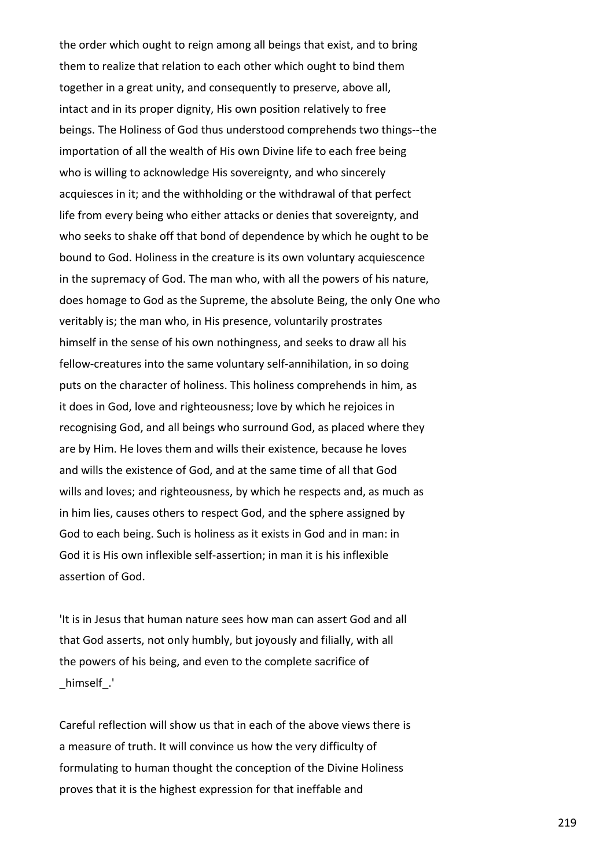the order which ought to reign among all beings that exist, and to bring them to realize that relation to each other which ought to bind them together in a great unity, and consequently to preserve, above all, intact and in its proper dignity, His own position relatively to free beings. The Holiness of God thus understood comprehends two things--the importation of all the wealth of His own Divine life to each free being who is willing to acknowledge His sovereignty, and who sincerely acquiesces in it; and the withholding or the withdrawal of that perfect life from every being who either attacks or denies that sovereignty, and who seeks to shake off that bond of dependence by which he ought to be bound to God. Holiness in the creature is its own voluntary acquiescence in the supremacy of God. The man who, with all the powers of his nature, does homage to God as the Supreme, the absolute Being, the only One who veritably is; the man who, in His presence, voluntarily prostrates himself in the sense of his own nothingness, and seeks to draw all his fellow-creatures into the same voluntary self-annihilation, in so doing puts on the character of holiness. This holiness comprehends in him, as it does in God, love and righteousness; love by which he rejoices in recognising God, and all beings who surround God, as placed where they are by Him. He loves them and wills their existence, because he loves and wills the existence of God, and at the same time of all that God wills and loves; and righteousness, by which he respects and, as much as in him lies, causes others to respect God, and the sphere assigned by God to each being. Such is holiness as it exists in God and in man: in God it is His own inflexible self-assertion; in man it is his inflexible assertion of God.

'It is in Jesus that human nature sees how man can assert God and all that God asserts, not only humbly, but joyously and filially, with all the powers of his being, and even to the complete sacrifice of \_himself\_.'

Careful reflection will show us that in each of the above views there is a measure of truth. It will convince us how the very difficulty of formulating to human thought the conception of the Divine Holiness proves that it is the highest expression for that ineffable and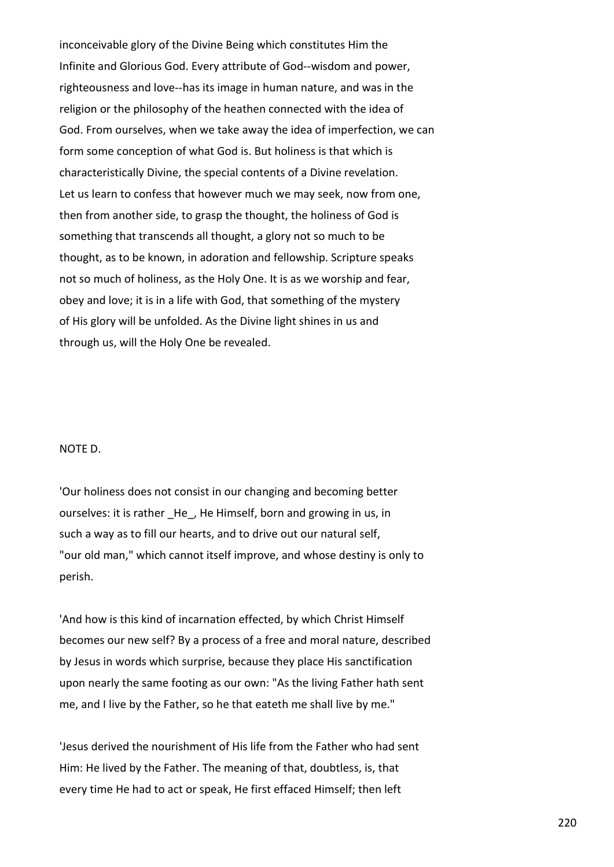inconceivable glory of the Divine Being which constitutes Him the Infinite and Glorious God. Every attribute of God--wisdom and power, righteousness and love--has its image in human nature, and was in the religion or the philosophy of the heathen connected with the idea of God. From ourselves, when we take away the idea of imperfection, we can form some conception of what God is. But holiness is that which is characteristically Divine, the special contents of a Divine revelation. Let us learn to confess that however much we may seek, now from one, then from another side, to grasp the thought, the holiness of God is something that transcends all thought, a glory not so much to be thought, as to be known, in adoration and fellowship. Scripture speaks not so much of holiness, as the Holy One. It is as we worship and fear, obey and love; it is in a life with God, that something of the mystery of His glory will be unfolded. As the Divine light shines in us and through us, will the Holy One be revealed.

## NOTE D.

'Our holiness does not consist in our changing and becoming better ourselves: it is rather He, He Himself, born and growing in us, in such a way as to fill our hearts, and to drive out our natural self, "our old man," which cannot itself improve, and whose destiny is only to perish.

'And how is this kind of incarnation effected, by which Christ Himself becomes our new self? By a process of a free and moral nature, described by Jesus in words which surprise, because they place His sanctification upon nearly the same footing as our own: "As the living Father hath sent me, and I live by the Father, so he that eateth me shall live by me."

'Jesus derived the nourishment of His life from the Father who had sent Him: He lived by the Father. The meaning of that, doubtless, is, that every time He had to act or speak, He first effaced Himself; then left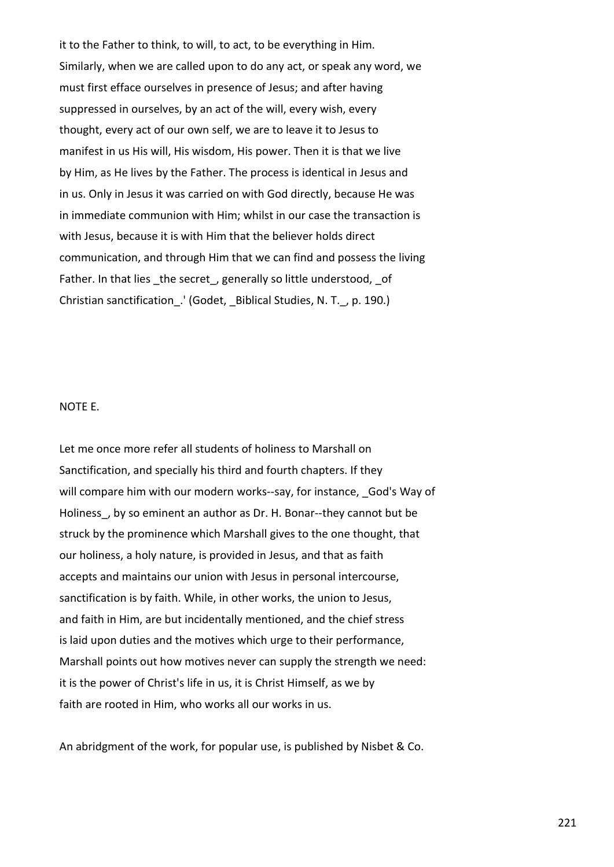it to the Father to think, to will, to act, to be everything in Him. Similarly, when we are called upon to do any act, or speak any word, we must first efface ourselves in presence of Jesus; and after having suppressed in ourselves, by an act of the will, every wish, every thought, every act of our own self, we are to leave it to Jesus to manifest in us His will, His wisdom, His power. Then it is that we live by Him, as He lives by the Father. The process is identical in Jesus and in us. Only in Jesus it was carried on with God directly, because He was in immediate communion with Him; whilst in our case the transaction is with Jesus, because it is with Him that the believer holds direct communication, and through Him that we can find and possess the living Father. In that lies the secret, generally so little understood, of Christian sanctification .' (Godet, Biblical Studies, N. T., p. 190.)

## NOTE E.

Let me once more refer all students of holiness to Marshall on Sanctification, and specially his third and fourth chapters. If they will compare him with our modern works--say, for instance, God's Way of Holiness, by so eminent an author as Dr. H. Bonar--they cannot but be struck by the prominence which Marshall gives to the one thought, that our holiness, a holy nature, is provided in Jesus, and that as faith accepts and maintains our union with Jesus in personal intercourse, sanctification is by faith. While, in other works, the union to Jesus, and faith in Him, are but incidentally mentioned, and the chief stress is laid upon duties and the motives which urge to their performance, Marshall points out how motives never can supply the strength we need: it is the power of Christ's life in us, it is Christ Himself, as we by faith are rooted in Him, who works all our works in us.

An abridgment of the work, for popular use, is published by Nisbet & Co.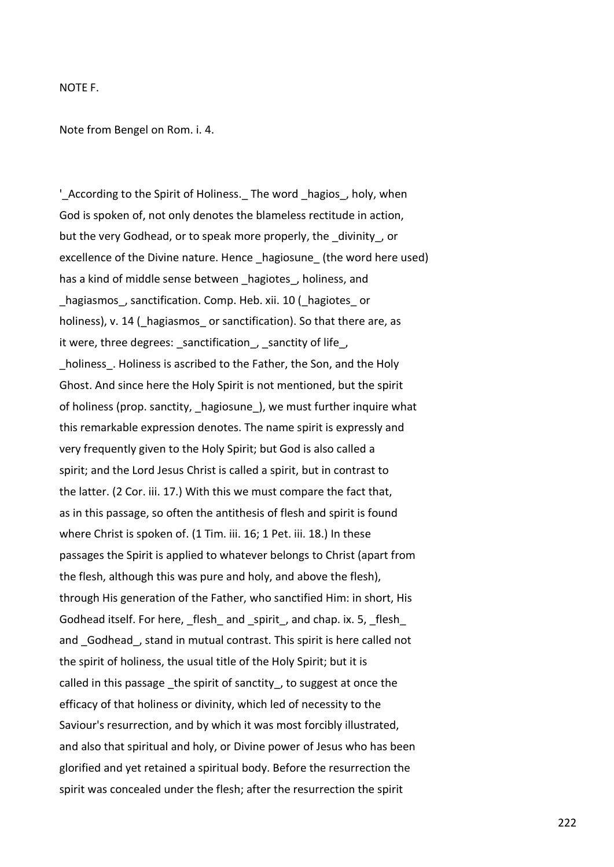## NOTE F.

Note from Bengel on Rom. i. 4.

'\_According to the Spirit of Holiness.\_ The word \_hagios\_, holy, when God is spoken of, not only denotes the blameless rectitude in action, but the very Godhead, or to speak more properly, the divinity, or excellence of the Divine nature. Hence hagiosune (the word here used) has a kind of middle sense between hagiotes, holiness, and hagiasmos, sanctification. Comp. Heb. xii. 10 ( hagiotes or holiness), v. 14 ( hagiasmos or sanctification). So that there are, as it were, three degrees: \_sanctification , sanctity of life , holiness. Holiness is ascribed to the Father, the Son, and the Holy Ghost. And since here the Holy Spirit is not mentioned, but the spirit of holiness (prop. sanctity, \_hagiosune\_), we must further inquire what this remarkable expression denotes. The name spirit is expressly and very frequently given to the Holy Spirit; but God is also called a spirit; and the Lord Jesus Christ is called a spirit, but in contrast to the latter. (2 Cor. iii. 17.) With this we must compare the fact that, as in this passage, so often the antithesis of flesh and spirit is found where Christ is spoken of. (1 Tim. iii. 16; 1 Pet. iii. 18.) In these passages the Spirit is applied to whatever belongs to Christ (apart from the flesh, although this was pure and holy, and above the flesh), through His generation of the Father, who sanctified Him: in short, His Godhead itself. For here, \_flesh\_ and \_spirit\_, and chap. ix. 5, \_flesh\_ and Godhead, stand in mutual contrast. This spirit is here called not the spirit of holiness, the usual title of the Holy Spirit; but it is called in this passage the spirit of sanctity, to suggest at once the efficacy of that holiness or divinity, which led of necessity to the Saviour's resurrection, and by which it was most forcibly illustrated, and also that spiritual and holy, or Divine power of Jesus who has been glorified and yet retained a spiritual body. Before the resurrection the spirit was concealed under the flesh; after the resurrection the spirit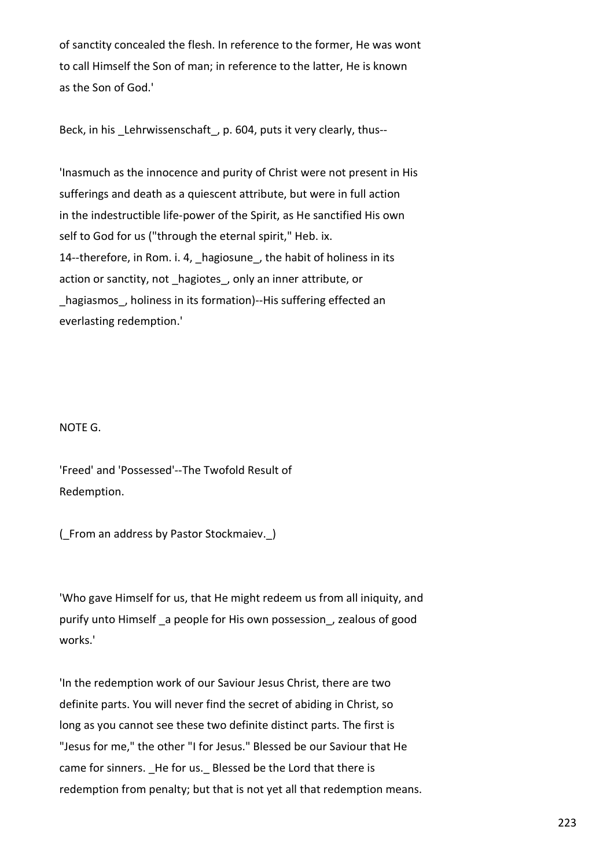of sanctity concealed the flesh. In reference to the former, He was wont to call Himself the Son of man; in reference to the latter, He is known as the Son of God.'

Beck, in his Lehrwissenschaft, p. 604, puts it very clearly, thus--

'Inasmuch as the innocence and purity of Christ were not present in His sufferings and death as a quiescent attribute, but were in full action in the indestructible life-power of the Spirit, as He sanctified His own self to God for us ("through the eternal spirit," Heb. ix. 14--therefore, in Rom. i. 4, hagiosune, the habit of holiness in its action or sanctity, not hagiotes, only an inner attribute, or hagiasmos, holiness in its formation)--His suffering effected an everlasting redemption.'

## NOTE G.

'Freed' and 'Possessed'--The Twofold Result of Redemption.

(\_From an address by Pastor Stockmaiev.\_)

'Who gave Himself for us, that He might redeem us from all iniquity, and purify unto Himself a people for His own possession, zealous of good works.'

'In the redemption work of our Saviour Jesus Christ, there are two definite parts. You will never find the secret of abiding in Christ, so long as you cannot see these two definite distinct parts. The first is "Jesus for me," the other "I for Jesus." Blessed be our Saviour that He came for sinners. He for us. Blessed be the Lord that there is redemption from penalty; but that is not yet all that redemption means.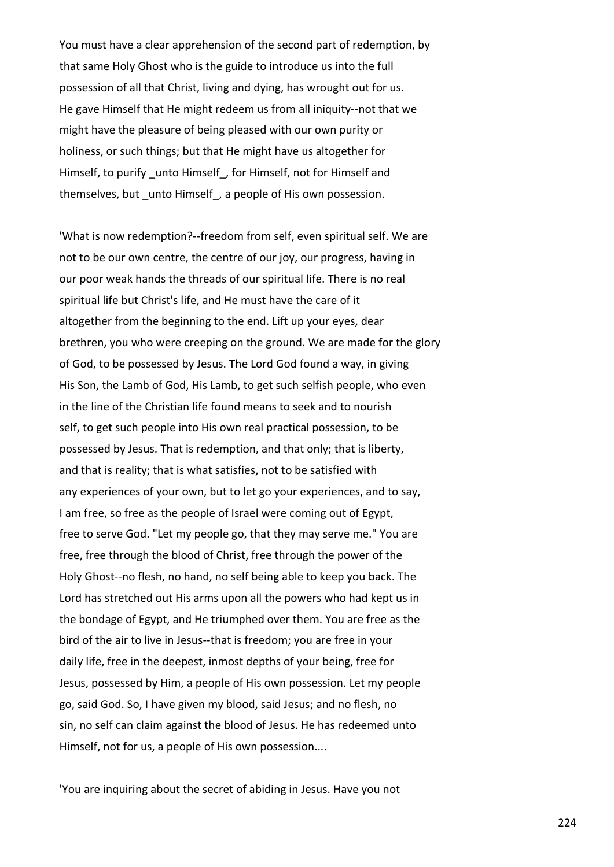You must have a clear apprehension of the second part of redemption, by that same Holy Ghost who is the guide to introduce us into the full possession of all that Christ, living and dying, has wrought out for us. He gave Himself that He might redeem us from all iniquity--not that we might have the pleasure of being pleased with our own purity or holiness, or such things; but that He might have us altogether for Himself, to purify unto Himself, for Himself, not for Himself and themselves, but \_unto Himself\_, a people of His own possession.

'What is now redemption?--freedom from self, even spiritual self. We are not to be our own centre, the centre of our joy, our progress, having in our poor weak hands the threads of our spiritual life. There is no real spiritual life but Christ's life, and He must have the care of it altogether from the beginning to the end. Lift up your eyes, dear brethren, you who were creeping on the ground. We are made for the glory of God, to be possessed by Jesus. The Lord God found a way, in giving His Son, the Lamb of God, His Lamb, to get such selfish people, who even in the line of the Christian life found means to seek and to nourish self, to get such people into His own real practical possession, to be possessed by Jesus. That is redemption, and that only; that is liberty, and that is reality; that is what satisfies, not to be satisfied with any experiences of your own, but to let go your experiences, and to say, I am free, so free as the people of Israel were coming out of Egypt, free to serve God. "Let my people go, that they may serve me." You are free, free through the blood of Christ, free through the power of the Holy Ghost--no flesh, no hand, no self being able to keep you back. The Lord has stretched out His arms upon all the powers who had kept us in the bondage of Egypt, and He triumphed over them. You are free as the bird of the air to live in Jesus--that is freedom; you are free in your daily life, free in the deepest, inmost depths of your being, free for Jesus, possessed by Him, a people of His own possession. Let my people go, said God. So, I have given my blood, said Jesus; and no flesh, no sin, no self can claim against the blood of Jesus. He has redeemed unto Himself, not for us, a people of His own possession....

'You are inquiring about the secret of abiding in Jesus. Have you not